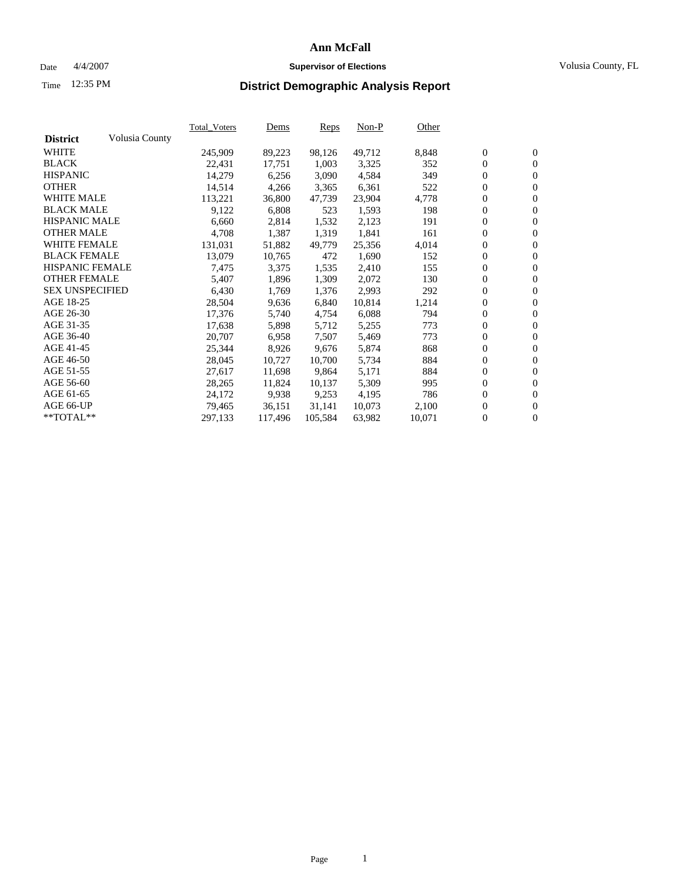### Date  $4/4/2007$  **Supervisor of Elections Supervisor of Elections** Volusia County, FL

# Time **District Demographic Analysis Report** 12:35 PM

|                        |                | <b>Total Voters</b> | Dems    | Reps    | $Non-P$ | Other  |                  |                  |  |
|------------------------|----------------|---------------------|---------|---------|---------|--------|------------------|------------------|--|
| <b>District</b>        | Volusia County |                     |         |         |         |        |                  |                  |  |
| <b>WHITE</b>           |                | 245,909             | 89,223  | 98,126  | 49,712  | 8,848  | $\boldsymbol{0}$ | $\mathbf{0}$     |  |
| <b>BLACK</b>           |                | 22,431              | 17,751  | 1,003   | 3,325   | 352    | $\mathbf{0}$     | $\mathbf{0}$     |  |
| <b>HISPANIC</b>        |                | 14,279              | 6,256   | 3,090   | 4,584   | 349    | $\mathbf{0}$     | $\mathbf{0}$     |  |
| <b>OTHER</b>           |                | 14,514              | 4,266   | 3,365   | 6,361   | 522    | $\boldsymbol{0}$ | $\boldsymbol{0}$ |  |
| <b>WHITE MALE</b>      |                | 113,221             | 36,800  | 47,739  | 23,904  | 4,778  | 0                | $\mathbf{0}$     |  |
| <b>BLACK MALE</b>      |                | 9,122               | 6,808   | 523     | 1,593   | 198    | $\boldsymbol{0}$ | $\boldsymbol{0}$ |  |
| <b>HISPANIC MALE</b>   |                | 6,660               | 2,814   | 1,532   | 2,123   | 191    | 0                | $\overline{0}$   |  |
| <b>OTHER MALE</b>      |                | 4,708               | 1,387   | 1,319   | 1,841   | 161    | $\boldsymbol{0}$ | $\boldsymbol{0}$ |  |
| <b>WHITE FEMALE</b>    |                | 131,031             | 51,882  | 49,779  | 25,356  | 4,014  | 0                | $\mathbf{0}$     |  |
| <b>BLACK FEMALE</b>    |                | 13,079              | 10,765  | 472     | 1,690   | 152    | $\mathbf{0}$     | $\mathbf{0}$     |  |
| <b>HISPANIC FEMALE</b> |                | 7,475               | 3,375   | 1,535   | 2,410   | 155    | $\boldsymbol{0}$ | $\boldsymbol{0}$ |  |
| <b>OTHER FEMALE</b>    |                | 5,407               | 1,896   | 1,309   | 2,072   | 130    | 0                | $\mathbf{0}$     |  |
| <b>SEX UNSPECIFIED</b> |                | 6,430               | 1,769   | 1,376   | 2,993   | 292    | $\overline{0}$   | $\mathbf{0}$     |  |
| AGE 18-25              |                | 28,504              | 9,636   | 6,840   | 10,814  | 1,214  | 0                | $\mathbf{0}$     |  |
| AGE 26-30              |                | 17,376              | 5,740   | 4,754   | 6,088   | 794    | $\boldsymbol{0}$ | $\mathbf{0}$     |  |
| AGE 31-35              |                | 17,638              | 5,898   | 5,712   | 5,255   | 773    | 0                | $\boldsymbol{0}$ |  |
| AGE 36-40              |                | 20,707              | 6,958   | 7,507   | 5,469   | 773    | $\mathbf{0}$     | $\mathbf{0}$     |  |
| AGE 41-45              |                | 25,344              | 8,926   | 9,676   | 5,874   | 868    | 0                | $\boldsymbol{0}$ |  |
| AGE 46-50              |                | 28,045              | 10,727  | 10,700  | 5,734   | 884    | 0                | $\overline{0}$   |  |
| AGE 51-55              |                | 27,617              | 11,698  | 9,864   | 5,171   | 884    | $\boldsymbol{0}$ | $\mathbf{0}$     |  |
| AGE 56-60              |                | 28,265              | 11,824  | 10,137  | 5,309   | 995    | 0                | $\mathbf{0}$     |  |
| AGE 61-65              |                | 24,172              | 9,938   | 9,253   | 4,195   | 786    | $\mathbf{0}$     | $\boldsymbol{0}$ |  |
| AGE 66-UP              |                | 79,465              | 36,151  | 31,141  | 10,073  | 2,100  | 0                | $\boldsymbol{0}$ |  |
| **TOTAL**              |                | 297,133             | 117,496 | 105,584 | 63,982  | 10,071 | 0                | $\mathbf{0}$     |  |
|                        |                |                     |         |         |         |        |                  |                  |  |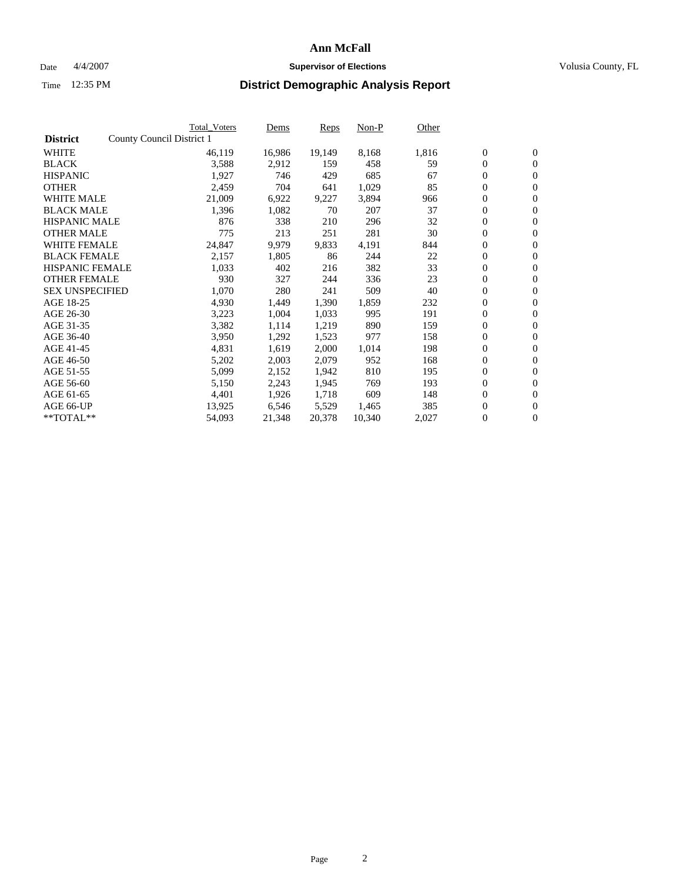#### Date  $4/4/2007$  **Supervisor of Elections Supervisor of Elections** Volusia County, FL

|                        |                           | <b>Total Voters</b> | Dems   | <b>Reps</b> | Non-P  | Other |                  |                  |  |
|------------------------|---------------------------|---------------------|--------|-------------|--------|-------|------------------|------------------|--|
| <b>District</b>        | County Council District 1 |                     |        |             |        |       |                  |                  |  |
| <b>WHITE</b>           |                           | 46,119              | 16,986 | 19,149      | 8,168  | 1,816 | $\boldsymbol{0}$ | $\mathbf{0}$     |  |
| <b>BLACK</b>           |                           | 3,588               | 2,912  | 159         | 458    | 59    | $\overline{0}$   | $\mathbf{0}$     |  |
| <b>HISPANIC</b>        |                           | 1,927               | 746    | 429         | 685    | 67    | $\boldsymbol{0}$ | $\mathbf{0}$     |  |
| <b>OTHER</b>           |                           | 2,459               | 704    | 641         | 1,029  | 85    | $\boldsymbol{0}$ | $\mathbf{0}$     |  |
| <b>WHITE MALE</b>      |                           | 21,009              | 6,922  | 9,227       | 3,894  | 966   | 0                | $\mathbf{0}$     |  |
| <b>BLACK MALE</b>      |                           | 1,396               | 1,082  | 70          | 207    | 37    | $\boldsymbol{0}$ | $\boldsymbol{0}$ |  |
| <b>HISPANIC MALE</b>   |                           | 876                 | 338    | 210         | 296    | 32    | $\overline{0}$   | $\mathbf{0}$     |  |
| <b>OTHER MALE</b>      |                           | 775                 | 213    | 251         | 281    | 30    | $\boldsymbol{0}$ | $\mathbf{0}$     |  |
| <b>WHITE FEMALE</b>    |                           | 24,847              | 9,979  | 9,833       | 4,191  | 844   | $\mathbf{0}$     | $\mathbf{0}$     |  |
| <b>BLACK FEMALE</b>    |                           | 2,157               | 1,805  | 86          | 244    | 22    | $\boldsymbol{0}$ | $\mathbf{0}$     |  |
| <b>HISPANIC FEMALE</b> |                           | 1,033               | 402    | 216         | 382    | 33    | $\boldsymbol{0}$ | $\boldsymbol{0}$ |  |
| <b>OTHER FEMALE</b>    |                           | 930                 | 327    | 244         | 336    | 23    | 0                | $\mathbf{0}$     |  |
| <b>SEX UNSPECIFIED</b> |                           | 1,070               | 280    | 241         | 509    | 40    | $\boldsymbol{0}$ | $\mathbf{0}$     |  |
| AGE 18-25              |                           | 4,930               | 1,449  | 1,390       | 1,859  | 232   | $\boldsymbol{0}$ | $\mathbf{0}$     |  |
| AGE 26-30              |                           | 3,223               | 1,004  | 1,033       | 995    | 191   | $\overline{0}$   | $\mathbf{0}$     |  |
| AGE 31-35              |                           | 3,382               | 1,114  | 1,219       | 890    | 159   | $\boldsymbol{0}$ | $\mathbf{0}$     |  |
| AGE 36-40              |                           | 3,950               | 1,292  | 1,523       | 977    | 158   | $\boldsymbol{0}$ | $\boldsymbol{0}$ |  |
| AGE 41-45              |                           | 4,831               | 1,619  | 2,000       | 1,014  | 198   | $\boldsymbol{0}$ | $\mathbf{0}$     |  |
| AGE 46-50              |                           | 5,202               | 2,003  | 2,079       | 952    | 168   | $\boldsymbol{0}$ | $\mathbf{0}$     |  |
| AGE 51-55              |                           | 5,099               | 2,152  | 1,942       | 810    | 195   | $\boldsymbol{0}$ | $\boldsymbol{0}$ |  |
| AGE 56-60              |                           | 5,150               | 2,243  | 1,945       | 769    | 193   | $\overline{0}$   | $\mathbf{0}$     |  |
| AGE 61-65              |                           | 4,401               | 1,926  | 1,718       | 609    | 148   | $\mathbf{0}$     | $\mathbf{0}$     |  |
| AGE 66-UP              |                           | 13,925              | 6,546  | 5,529       | 1,465  | 385   | $\boldsymbol{0}$ | $\boldsymbol{0}$ |  |
| **TOTAL**              |                           | 54,093              | 21,348 | 20,378      | 10,340 | 2,027 | $\boldsymbol{0}$ | $\overline{0}$   |  |
|                        |                           |                     |        |             |        |       |                  |                  |  |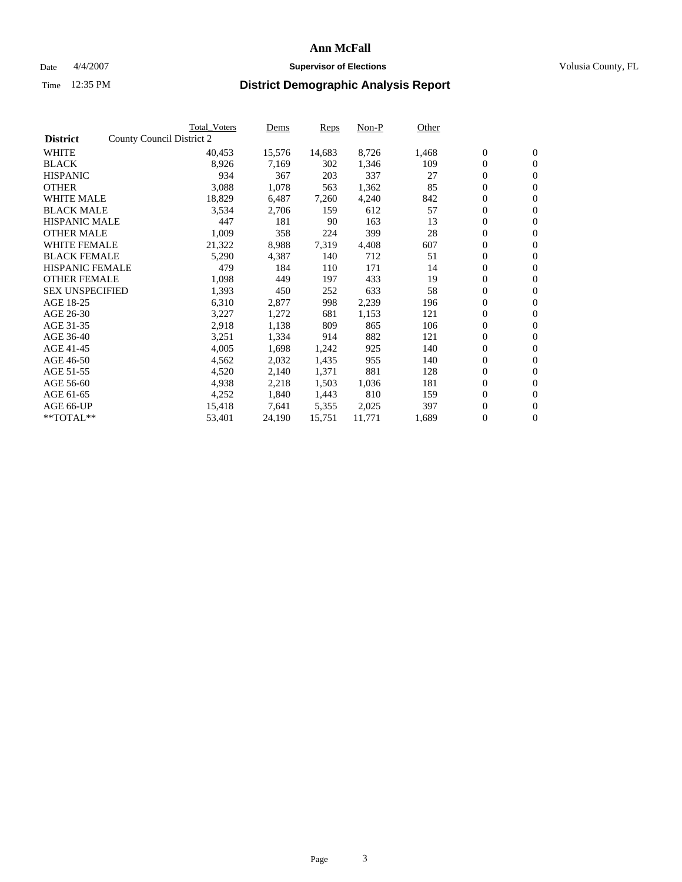### Date  $4/4/2007$  **Supervisor of Elections Supervisor of Elections** Volusia County, FL

|                        | Total Voters              | Dems   | <b>Reps</b> | Non-P  | Other |                  |                  |  |
|------------------------|---------------------------|--------|-------------|--------|-------|------------------|------------------|--|
| <b>District</b>        | County Council District 2 |        |             |        |       |                  |                  |  |
| <b>WHITE</b>           | 40,453                    | 15,576 | 14,683      | 8,726  | 1,468 | $\boldsymbol{0}$ | $\mathbf{0}$     |  |
| <b>BLACK</b>           | 8,926                     | 7,169  | 302         | 1,346  | 109   | $\boldsymbol{0}$ | $\mathbf{0}$     |  |
| <b>HISPANIC</b>        | 934                       | 367    | 203         | 337    | 27    | $\overline{0}$   | $\mathbf{0}$     |  |
| <b>OTHER</b>           | 3,088                     | 1,078  | 563         | 1,362  | 85    | $\overline{0}$   | $\overline{0}$   |  |
| <b>WHITE MALE</b>      | 18,829                    | 6,487  | 7,260       | 4,240  | 842   | $\overline{0}$   | $\mathbf{0}$     |  |
| <b>BLACK MALE</b>      | 3,534                     | 2,706  | 159         | 612    | 57    | $\boldsymbol{0}$ | $\boldsymbol{0}$ |  |
| <b>HISPANIC MALE</b>   | 447                       | 181    | 90          | 163    | 13    | 0                | $\mathbf{0}$     |  |
| <b>OTHER MALE</b>      | 1,009                     | 358    | 224         | 399    | 28    | $\boldsymbol{0}$ | $\boldsymbol{0}$ |  |
| <b>WHITE FEMALE</b>    | 21,322                    | 8,988  | 7,319       | 4,408  | 607   | $\overline{0}$   | $\mathbf{0}$     |  |
| <b>BLACK FEMALE</b>    | 5,290                     | 4,387  | 140         | 712    | 51    | $\boldsymbol{0}$ | $\mathbf{0}$     |  |
| <b>HISPANIC FEMALE</b> | 479                       | 184    | 110         | 171    | 14    | $\overline{0}$   | $\mathbf{0}$     |  |
| <b>OTHER FEMALE</b>    | 1,098                     | 449    | 197         | 433    | 19    | $\mathbf{0}$     | $\mathbf{0}$     |  |
| <b>SEX UNSPECIFIED</b> | 1,393                     | 450    | 252         | 633    | 58    | $\boldsymbol{0}$ | $\boldsymbol{0}$ |  |
| AGE 18-25              | 6,310                     | 2,877  | 998         | 2,239  | 196   | $\boldsymbol{0}$ | $\mathbf{0}$     |  |
| AGE 26-30              | 3,227                     | 1,272  | 681         | 1,153  | 121   | $\boldsymbol{0}$ | $\mathbf{0}$     |  |
| AGE 31-35              | 2,918                     | 1,138  | 809         | 865    | 106   | 0                | $\mathbf{0}$     |  |
| AGE 36-40              | 3,251                     | 1,334  | 914         | 882    | 121   | $\boldsymbol{0}$ | $\mathbf{0}$     |  |
| AGE 41-45              | 4,005                     | 1,698  | 1,242       | 925    | 140   | $\mathbf{0}$     | $\mathbf{0}$     |  |
| AGE 46-50              | 4,562                     | 2,032  | 1,435       | 955    | 140   | $\overline{0}$   | $\mathbf{0}$     |  |
| AGE 51-55              | 4,520                     | 2,140  | 1,371       | 881    | 128   | $\mathbf{0}$     | $\mathbf{0}$     |  |
| AGE 56-60              | 4,938                     | 2,218  | 1,503       | 1,036  | 181   | $\boldsymbol{0}$ | $\mathbf{0}$     |  |
| AGE 61-65              | 4,252                     | 1,840  | 1,443       | 810    | 159   | 0                | $\boldsymbol{0}$ |  |
| AGE 66-UP              | 15,418                    | 7,641  | 5,355       | 2,025  | 397   | 0                | $\mathbf{0}$     |  |
| $*$ TOTAL $**$         | 53,401                    | 24,190 | 15,751      | 11,771 | 1,689 | 0                | $\boldsymbol{0}$ |  |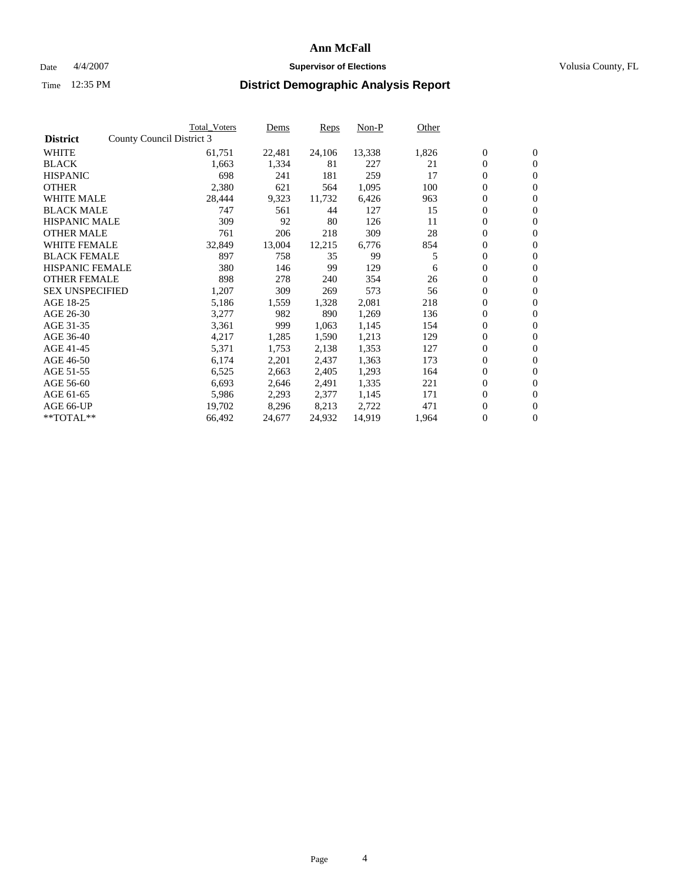#### Date  $4/4/2007$  **Supervisor of Elections Supervisor of Elections** Volusia County, FL

|                        |                           | Total_Voters | Dems   | <b>Reps</b> | Non-P  | Other |                  |                  |  |
|------------------------|---------------------------|--------------|--------|-------------|--------|-------|------------------|------------------|--|
| <b>District</b>        | County Council District 3 |              |        |             |        |       |                  |                  |  |
| <b>WHITE</b>           |                           | 61,751       | 22,481 | 24,106      | 13,338 | 1,826 | $\boldsymbol{0}$ | $\mathbf{0}$     |  |
| <b>BLACK</b>           |                           | 1,663        | 1,334  | 81          | 227    | 21    | $\overline{0}$   | $\mathbf{0}$     |  |
| <b>HISPANIC</b>        |                           | 698          | 241    | 181         | 259    | 17    | $\boldsymbol{0}$ | $\mathbf{0}$     |  |
| <b>OTHER</b>           |                           | 2,380        | 621    | 564         | 1,095  | 100   | $\boldsymbol{0}$ | $\mathbf{0}$     |  |
| <b>WHITE MALE</b>      |                           | 28,444       | 9,323  | 11,732      | 6,426  | 963   | 0                | $\mathbf{0}$     |  |
| <b>BLACK MALE</b>      |                           | 747          | 561    | 44          | 127    | 15    | $\boldsymbol{0}$ | $\boldsymbol{0}$ |  |
| <b>HISPANIC MALE</b>   |                           | 309          | 92     | 80          | 126    | 11    | $\overline{0}$   | $\mathbf{0}$     |  |
| <b>OTHER MALE</b>      |                           | 761          | 206    | 218         | 309    | 28    | $\overline{0}$   | $\mathbf{0}$     |  |
| <b>WHITE FEMALE</b>    |                           | 32,849       | 13,004 | 12,215      | 6,776  | 854   | $\overline{0}$   | $\mathbf{0}$     |  |
| <b>BLACK FEMALE</b>    |                           | 897          | 758    | 35          | 99     | 5     | $\boldsymbol{0}$ | $\mathbf{0}$     |  |
| <b>HISPANIC FEMALE</b> |                           | 380          | 146    | 99          | 129    | 6     | $\boldsymbol{0}$ | $\boldsymbol{0}$ |  |
| <b>OTHER FEMALE</b>    |                           | 898          | 278    | 240         | 354    | 26    | 0                | $\mathbf{0}$     |  |
| <b>SEX UNSPECIFIED</b> |                           | 1,207        | 309    | 269         | 573    | 56    | $\boldsymbol{0}$ | $\mathbf{0}$     |  |
| AGE 18-25              |                           | 5,186        | 1,559  | 1,328       | 2,081  | 218   | $\boldsymbol{0}$ | $\mathbf{0}$     |  |
| AGE 26-30              |                           | 3,277        | 982    | 890         | 1,269  | 136   | $\overline{0}$   | $\mathbf{0}$     |  |
| AGE 31-35              |                           | 3,361        | 999    | 1,063       | 1,145  | 154   | $\boldsymbol{0}$ | $\mathbf{0}$     |  |
| AGE 36-40              |                           | 4,217        | 1,285  | 1,590       | 1,213  | 129   | $\boldsymbol{0}$ | $\mathbf{0}$     |  |
| AGE 41-45              |                           | 5,371        | 1,753  | 2,138       | 1,353  | 127   | $\boldsymbol{0}$ | $\mathbf{0}$     |  |
| AGE 46-50              |                           | 6,174        | 2,201  | 2,437       | 1,363  | 173   | 0                | $\mathbf{0}$     |  |
| AGE 51-55              |                           | 6,525        | 2,663  | 2,405       | 1,293  | 164   | $\boldsymbol{0}$ | $\boldsymbol{0}$ |  |
| AGE 56-60              |                           | 6,693        | 2,646  | 2,491       | 1,335  | 221   | $\overline{0}$   | $\mathbf{0}$     |  |
| AGE 61-65              |                           | 5,986        | 2,293  | 2,377       | 1,145  | 171   | $\mathbf{0}$     | $\mathbf{0}$     |  |
| AGE 66-UP              |                           | 19,702       | 8,296  | 8,213       | 2,722  | 471   | $\boldsymbol{0}$ | $\boldsymbol{0}$ |  |
| **TOTAL**              |                           | 66,492       | 24,677 | 24,932      | 14,919 | 1,964 | 0                | $\overline{0}$   |  |
|                        |                           |              |        |             |        |       |                  |                  |  |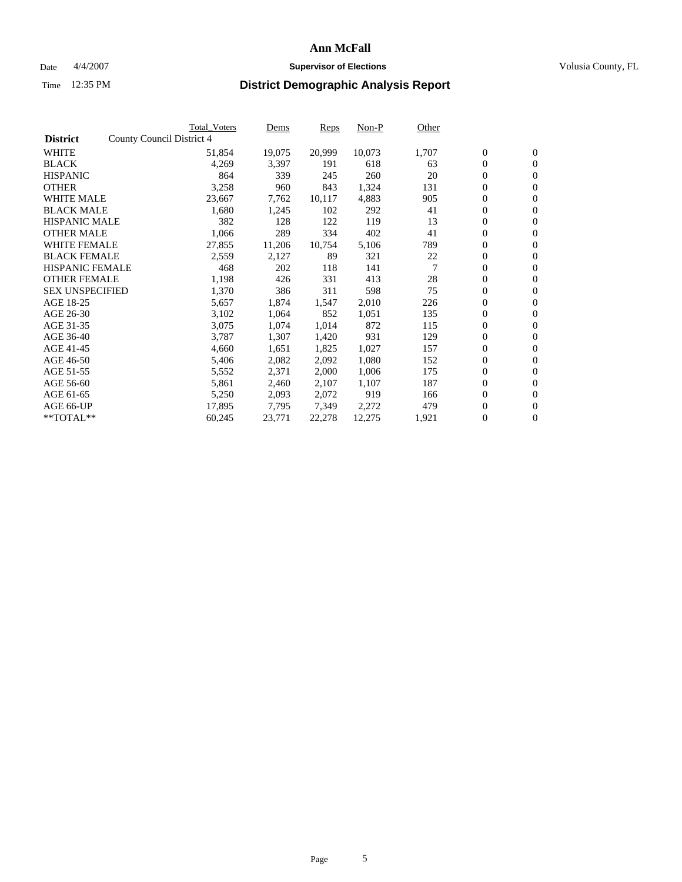#### Date  $4/4/2007$  **Supervisor of Elections Supervisor of Elections** Volusia County, FL

|                        | <b>Total_Voters</b>       | Dems   | <b>Reps</b> | Non-P  | Other |                  |                  |  |
|------------------------|---------------------------|--------|-------------|--------|-------|------------------|------------------|--|
| <b>District</b>        | County Council District 4 |        |             |        |       |                  |                  |  |
| <b>WHITE</b>           | 51,854                    | 19,075 | 20,999      | 10,073 | 1,707 | $\boldsymbol{0}$ | $\mathbf{0}$     |  |
| <b>BLACK</b>           | 4,269                     | 3,397  | 191         | 618    | 63    | $\boldsymbol{0}$ | $\overline{0}$   |  |
| <b>HISPANIC</b>        | 864                       | 339    | 245         | 260    | 20    | 0                | $\overline{0}$   |  |
| <b>OTHER</b>           | 3,258                     | 960    | 843         | 1,324  | 131   | 0                | $\mathbf{0}$     |  |
| <b>WHITE MALE</b>      | 23,667                    | 7,762  | 10,117      | 4,883  | 905   | 0                | $\mathbf{0}$     |  |
| <b>BLACK MALE</b>      | 1,680                     | 1,245  | 102         | 292    | 41    | $\boldsymbol{0}$ | $\boldsymbol{0}$ |  |
| <b>HISPANIC MALE</b>   | 382                       | 128    | 122         | 119    | 13    | 0                | $\mathbf{0}$     |  |
| <b>OTHER MALE</b>      | 1,066                     | 289    | 334         | 402    | 41    | $\boldsymbol{0}$ | $\mathbf{0}$     |  |
| <b>WHITE FEMALE</b>    | 27,855                    | 11,206 | 10,754      | 5,106  | 789   | $\overline{0}$   | $\overline{0}$   |  |
| <b>BLACK FEMALE</b>    | 2,559                     | 2,127  | 89          | 321    | 22    | 0                | $\mathbf{0}$     |  |
| <b>HISPANIC FEMALE</b> | 468                       | 202    | 118         | 141    | 7     | 0                | $\boldsymbol{0}$ |  |
| <b>OTHER FEMALE</b>    | 1,198                     | 426    | 331         | 413    | 28    | 0                | $\overline{0}$   |  |
| <b>SEX UNSPECIFIED</b> | 1,370                     | 386    | 311         | 598    | 75    | 0                | $\mathbf{0}$     |  |
| AGE 18-25              | 5,657                     | 1,874  | 1,547       | 2,010  | 226   | 0                | $\mathbf{0}$     |  |
| AGE 26-30              | 3,102                     | 1,064  | 852         | 1,051  | 135   | $\overline{0}$   | $\mathbf{0}$     |  |
| AGE 31-35              | 3,075                     | 1,074  | 1,014       | 872    | 115   | $\boldsymbol{0}$ | $\overline{0}$   |  |
| AGE 36-40              | 3,787                     | 1,307  | 1,420       | 931    | 129   | 0                | $\mathbf{0}$     |  |
| AGE 41-45              | 4,660                     | 1,651  | 1,825       | 1,027  | 157   | 0                | $\mathbf{0}$     |  |
| AGE 46-50              | 5,406                     | 2,082  | 2,092       | 1,080  | 152   | 0                | $\mathbf{0}$     |  |
| AGE 51-55              | 5,552                     | 2,371  | 2,000       | 1,006  | 175   | $\boldsymbol{0}$ | $\boldsymbol{0}$ |  |
| AGE 56-60              | 5,861                     | 2,460  | 2,107       | 1,107  | 187   | $\overline{0}$   | $\mathbf{0}$     |  |
| AGE 61-65              | 5,250                     | 2,093  | 2,072       | 919    | 166   | $\overline{0}$   | $\mathbf{0}$     |  |
| AGE 66-UP              | 17,895                    | 7,795  | 7,349       | 2,272  | 479   | 0                | $\boldsymbol{0}$ |  |
| **TOTAL**              | 60,245                    | 23,771 | 22,278      | 12,275 | 1,921 | 0                | $\overline{0}$   |  |
|                        |                           |        |             |        |       |                  |                  |  |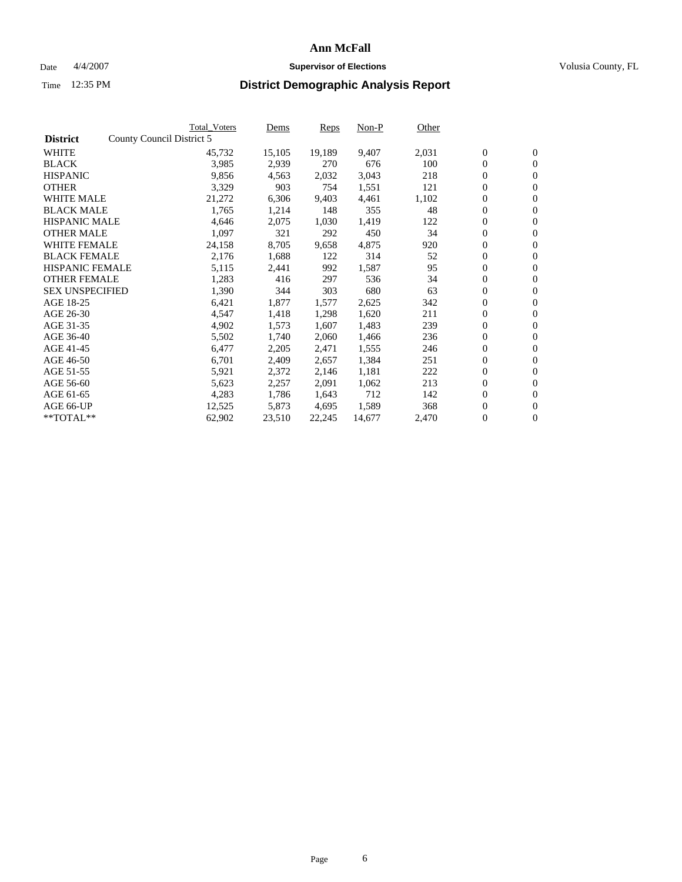#### Date  $4/4/2007$  **Supervisor of Elections Supervisor of Elections** Volusia County, FL

|                        |                           | <b>Total Voters</b> | Dems   | <b>Reps</b> | Non-P  | Other |                  |                  |
|------------------------|---------------------------|---------------------|--------|-------------|--------|-------|------------------|------------------|
| <b>District</b>        | County Council District 5 |                     |        |             |        |       |                  |                  |
| <b>WHITE</b>           |                           | 45,732              | 15,105 | 19,189      | 9,407  | 2,031 | $\overline{0}$   | $\mathbf{0}$     |
| <b>BLACK</b>           |                           | 3,985               | 2,939  | 270         | 676    | 100   | $\overline{0}$   | $\mathbf{0}$     |
| <b>HISPANIC</b>        |                           | 9,856               | 4,563  | 2,032       | 3,043  | 218   | $\boldsymbol{0}$ | $\mathbf{0}$     |
| <b>OTHER</b>           |                           | 3,329               | 903    | 754         | 1,551  | 121   | $\boldsymbol{0}$ | $\mathbf{0}$     |
| <b>WHITE MALE</b>      |                           | 21,272              | 6,306  | 9,403       | 4,461  | 1,102 | 0                | $\mathbf{0}$     |
| <b>BLACK MALE</b>      |                           | 1,765               | 1,214  | 148         | 355    | 48    | $\boldsymbol{0}$ | $\boldsymbol{0}$ |
| <b>HISPANIC MALE</b>   |                           | 4,646               | 2,075  | 1,030       | 1,419  | 122   | $\overline{0}$   | $\mathbf{0}$     |
| <b>OTHER MALE</b>      |                           | 1,097               | 321    | 292         | 450    | 34    | $\overline{0}$   | $\mathbf{0}$     |
| <b>WHITE FEMALE</b>    |                           | 24,158              | 8,705  | 9,658       | 4,875  | 920   | $\mathbf{0}$     | $\mathbf{0}$     |
| <b>BLACK FEMALE</b>    |                           | 2,176               | 1,688  | 122         | 314    | 52    | $\boldsymbol{0}$ | $\mathbf{0}$     |
| <b>HISPANIC FEMALE</b> |                           | 5,115               | 2,441  | 992         | 1,587  | 95    | $\boldsymbol{0}$ | $\boldsymbol{0}$ |
| <b>OTHER FEMALE</b>    |                           | 1,283               | 416    | 297         | 536    | 34    | 0                | $\mathbf{0}$     |
| <b>SEX UNSPECIFIED</b> |                           | 1,390               | 344    | 303         | 680    | 63    | $\boldsymbol{0}$ | $\mathbf{0}$     |
| AGE 18-25              |                           | 6,421               | 1,877  | 1,577       | 2,625  | 342   | $\boldsymbol{0}$ | $\mathbf{0}$     |
| AGE 26-30              |                           | 4,547               | 1,418  | 1,298       | 1,620  | 211   | $\overline{0}$   | $\mathbf{0}$     |
| AGE 31-35              |                           | 4,902               | 1,573  | 1,607       | 1,483  | 239   | $\overline{0}$   | $\mathbf{0}$     |
| AGE 36-40              |                           | 5,502               | 1,740  | 2,060       | 1,466  | 236   | $\boldsymbol{0}$ | $\boldsymbol{0}$ |
| AGE 41-45              |                           | 6,477               | 2,205  | 2,471       | 1,555  | 246   | $\boldsymbol{0}$ | $\mathbf{0}$     |
| AGE 46-50              |                           | 6,701               | 2,409  | 2,657       | 1,384  | 251   | $\boldsymbol{0}$ | $\mathbf{0}$     |
| AGE 51-55              |                           | 5,921               | 2,372  | 2,146       | 1,181  | 222   | $\boldsymbol{0}$ | $\boldsymbol{0}$ |
| AGE 56-60              |                           | 5,623               | 2,257  | 2,091       | 1,062  | 213   | $\overline{0}$   | $\mathbf{0}$     |
| AGE 61-65              |                           | 4,283               | 1,786  | 1,643       | 712    | 142   | $\mathbf{0}$     | $\mathbf{0}$     |
| AGE 66-UP              |                           | 12,525              | 5,873  | 4,695       | 1,589  | 368   | $\boldsymbol{0}$ | $\boldsymbol{0}$ |
| **TOTAL**              |                           | 62,902              | 23,510 | 22,245      | 14,677 | 2,470 | $\boldsymbol{0}$ | $\overline{0}$   |
|                        |                           |                     |        |             |        |       |                  |                  |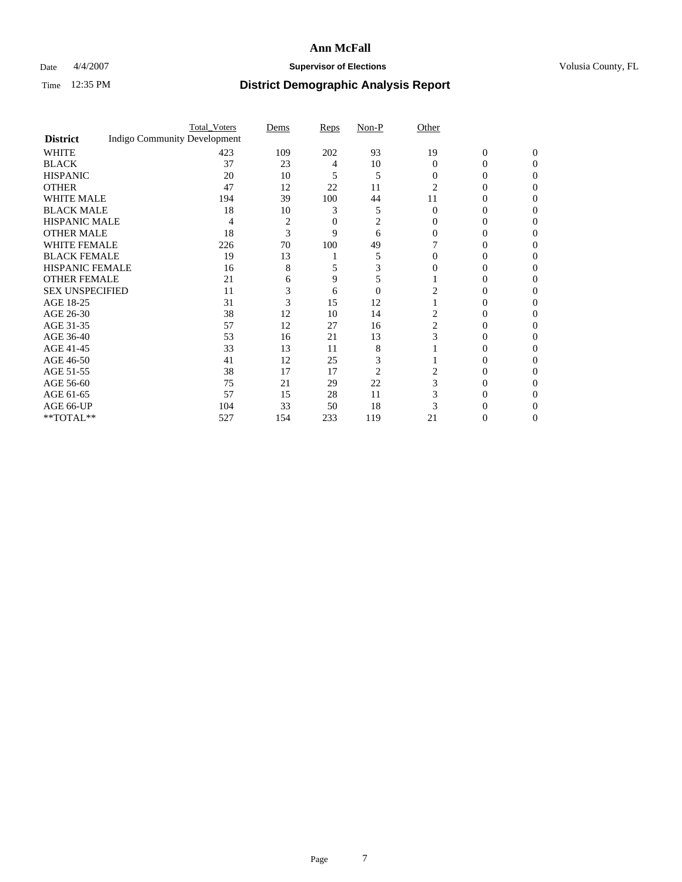### Date  $4/4/2007$  **Supervisor of Elections Supervisor of Elections** Volusia County, FL

|                        |                                     | <b>Total_Voters</b> | Dems | Reps | Non-P    | Other    |                |              |
|------------------------|-------------------------------------|---------------------|------|------|----------|----------|----------------|--------------|
| <b>District</b>        | <b>Indigo Community Development</b> |                     |      |      |          |          |                |              |
| <b>WHITE</b>           |                                     | 423                 | 109  | 202  | 93       | 19       | $\overline{0}$ | $\mathbf{0}$ |
| <b>BLACK</b>           |                                     | 37                  | 23   | 4    | 10       | $\Omega$ | 0              | 0            |
| <b>HISPANIC</b>        |                                     | 20                  | 10   | 5    | 5        | $\Omega$ | 0              | 0            |
| <b>OTHER</b>           |                                     | 47                  | 12   | 22   | 11       | 2        |                |              |
| <b>WHITE MALE</b>      |                                     | 194                 | 39   | 100  | 44       | 11       |                |              |
| <b>BLACK MALE</b>      |                                     | 18                  | 10   | 3    | 5        | $\Omega$ | 0              |              |
| HISPANIC MALE          |                                     | 4                   | 2    | 0    | 2        |          |                |              |
| <b>OTHER MALE</b>      |                                     | 18                  | 3    | 9    | 6        |          | 0              |              |
| WHITE FEMALE           |                                     | 226                 | 70   | 100  | 49       |          |                | 0            |
| <b>BLACK FEMALE</b>    |                                     | 19                  | 13   |      | 5        |          | 0              | 0            |
| <b>HISPANIC FEMALE</b> |                                     | 16                  | 8    |      |          |          |                | 0            |
| <b>OTHER FEMALE</b>    |                                     | 21                  | 6    | 9    |          |          |                |              |
| <b>SEX UNSPECIFIED</b> |                                     | 11                  | 3    | 6    | $\theta$ |          |                |              |
| AGE 18-25              |                                     | 31                  | 3    | 15   | 12       |          | $_{0}$         |              |
| AGE 26-30              |                                     | 38                  | 12   | 10   | 14       |          | 0              |              |
| AGE 31-35              |                                     | 57                  | 12   | 27   | 16       | 2        | 0              |              |
| AGE 36-40              |                                     | 53                  | 16   | 21   | 13       | 3        | 0              | 0            |
| AGE 41-45              |                                     | 33                  | 13   | 11   | 8        |          |                | 0            |
| AGE 46-50              |                                     | 41                  | 12   | 25   | 3        |          | 0              | 0            |
| AGE 51-55              |                                     | 38                  | 17   | 17   | 2        |          |                |              |
| AGE 56-60              |                                     | 75                  | 21   | 29   | 22       | 3        | 0              |              |
| AGE 61-65              |                                     | 57                  | 15   | 28   | 11       |          |                |              |
| AGE 66-UP              |                                     | 104                 | 33   | 50   | 18       |          |                |              |
| **TOTAL**              |                                     | 527                 | 154  | 233  | 119      | 21       | 0              | 0            |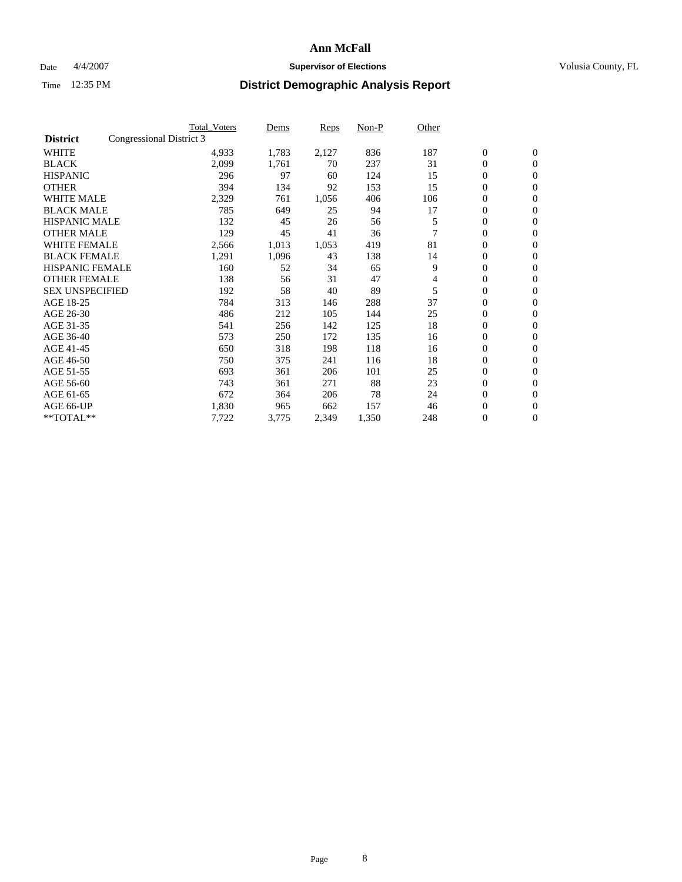### Date  $4/4/2007$  **Supervisor of Elections Supervisor of Elections** Volusia County, FL

|                        |                          | <b>Total Voters</b> | Dems  | Reps  | Non-P | Other |                  |                  |  |
|------------------------|--------------------------|---------------------|-------|-------|-------|-------|------------------|------------------|--|
| <b>District</b>        | Congressional District 3 |                     |       |       |       |       |                  |                  |  |
| <b>WHITE</b>           |                          | 4,933               | 1,783 | 2,127 | 836   | 187   | $\boldsymbol{0}$ | $\boldsymbol{0}$ |  |
| <b>BLACK</b>           |                          | 2,099               | 1,761 | 70    | 237   | 31    | $\mathbf{0}$     | $\mathbf{0}$     |  |
| <b>HISPANIC</b>        |                          | 296                 | 97    | 60    | 124   | 15    | $\mathbf{0}$     | $\mathbf{0}$     |  |
| <b>OTHER</b>           |                          | 394                 | 134   | 92    | 153   | 15    | 0                | $\mathbf{0}$     |  |
| <b>WHITE MALE</b>      |                          | 2,329               | 761   | 1,056 | 406   | 106   | 0                | $\mathbf{0}$     |  |
| <b>BLACK MALE</b>      |                          | 785                 | 649   | 25    | 94    | 17    | 0                | $\boldsymbol{0}$ |  |
| <b>HISPANIC MALE</b>   |                          | 132                 | 45    | 26    | 56    | 5     | 0                | $\mathbf{0}$     |  |
| <b>OTHER MALE</b>      |                          | 129                 | 45    | 41    | 36    |       | 0                | $\mathbf{0}$     |  |
| <b>WHITE FEMALE</b>    |                          | 2,566               | 1,013 | 1,053 | 419   | 81    | 0                | $\mathbf{0}$     |  |
| <b>BLACK FEMALE</b>    |                          | 1,291               | 1,096 | 43    | 138   | 14    | $\mathbf{0}$     | $\mathbf{0}$     |  |
| <b>HISPANIC FEMALE</b> |                          | 160                 | 52    | 34    | 65    | 9     | 0                | $\mathbf{0}$     |  |
| <b>OTHER FEMALE</b>    |                          | 138                 | 56    | 31    | 47    | 4     | 0                | $\mathbf{0}$     |  |
| <b>SEX UNSPECIFIED</b> |                          | 192                 | 58    | 40    | 89    | 5     | $\boldsymbol{0}$ | $\boldsymbol{0}$ |  |
| AGE 18-25              |                          | 784                 | 313   | 146   | 288   | 37    | 0                | $\mathbf{0}$     |  |
| AGE 26-30              |                          | 486                 | 212   | 105   | 144   | 25    | 0                | $\mathbf{0}$     |  |
| AGE 31-35              |                          | 541                 | 256   | 142   | 125   | 18    | 0                | $\mathbf{0}$     |  |
| AGE 36-40              |                          | 573                 | 250   | 172   | 135   | 16    | $\boldsymbol{0}$ | $\mathbf{0}$     |  |
| AGE 41-45              |                          | 650                 | 318   | 198   | 118   | 16    | 0                | $\mathbf{0}$     |  |
| AGE 46-50              |                          | 750                 | 375   | 241   | 116   | 18    | $\mathbf{0}$     | $\mathbf{0}$     |  |
| AGE 51-55              |                          | 693                 | 361   | 206   | 101   | 25    | $\overline{0}$   | $\mathbf{0}$     |  |
| AGE 56-60              |                          | 743                 | 361   | 271   | 88    | 23    | 0                | $\mathbf{0}$     |  |
| AGE 61-65              |                          | 672                 | 364   | 206   | 78    | 24    | 0                | 0                |  |
| AGE 66-UP              |                          | 1,830               | 965   | 662   | 157   | 46    | 0                | 0                |  |
| **TOTAL**              |                          | 7,722               | 3,775 | 2,349 | 1,350 | 248   | $\boldsymbol{0}$ | $\boldsymbol{0}$ |  |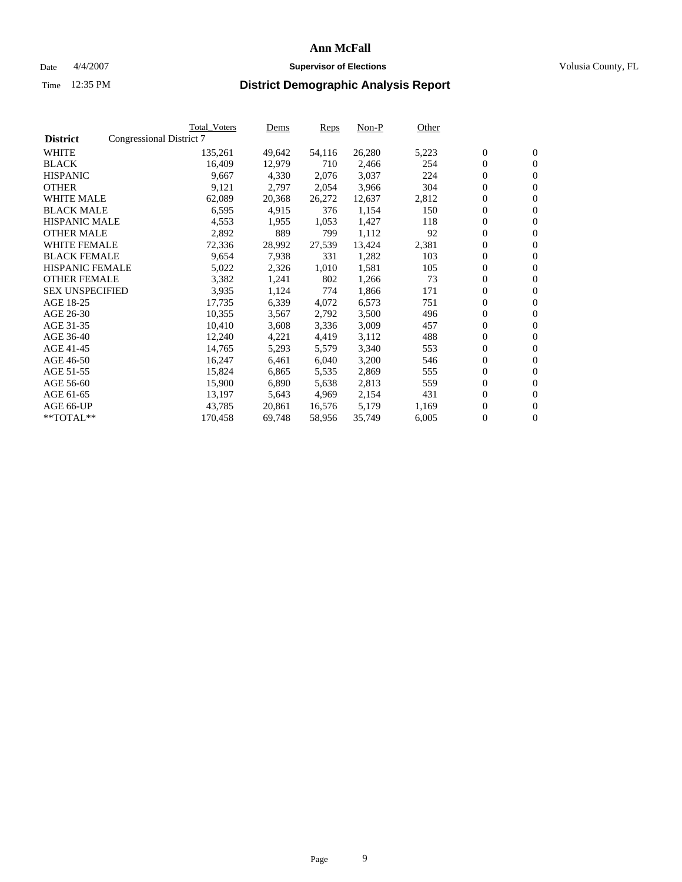#### Date  $4/4/2007$  **Supervisor of Elections Supervisor of Elections** Volusia County, FL

|                        |                          | Total_Voters | Dems   | <b>Reps</b> | Non-P  | Other |                  |                  |  |
|------------------------|--------------------------|--------------|--------|-------------|--------|-------|------------------|------------------|--|
| <b>District</b>        | Congressional District 7 |              |        |             |        |       |                  |                  |  |
| <b>WHITE</b>           |                          | 135,261      | 49,642 | 54,116      | 26,280 | 5,223 | $\overline{0}$   | $\mathbf{0}$     |  |
| <b>BLACK</b>           |                          | 16,409       | 12,979 | 710         | 2,466  | 254   | $\overline{0}$   | $\mathbf{0}$     |  |
| <b>HISPANIC</b>        |                          | 9,667        | 4,330  | 2,076       | 3,037  | 224   | $\boldsymbol{0}$ | $\mathbf{0}$     |  |
| <b>OTHER</b>           |                          | 9,121        | 2,797  | 2,054       | 3,966  | 304   | $\boldsymbol{0}$ | $\mathbf{0}$     |  |
| <b>WHITE MALE</b>      |                          | 62,089       | 20,368 | 26,272      | 12,637 | 2,812 | 0                | $\mathbf{0}$     |  |
| <b>BLACK MALE</b>      |                          | 6,595        | 4,915  | 376         | 1,154  | 150   | $\boldsymbol{0}$ | $\boldsymbol{0}$ |  |
| <b>HISPANIC MALE</b>   |                          | 4,553        | 1,955  | 1,053       | 1,427  | 118   | $\overline{0}$   | $\mathbf{0}$     |  |
| <b>OTHER MALE</b>      |                          | 2,892        | 889    | 799         | 1,112  | 92    | $\overline{0}$   | $\mathbf{0}$     |  |
| <b>WHITE FEMALE</b>    |                          | 72,336       | 28,992 | 27,539      | 13,424 | 2,381 | $\mathbf{0}$     | $\mathbf{0}$     |  |
| <b>BLACK FEMALE</b>    |                          | 9,654        | 7,938  | 331         | 1,282  | 103   | $\boldsymbol{0}$ | $\mathbf{0}$     |  |
| <b>HISPANIC FEMALE</b> |                          | 5,022        | 2,326  | 1,010       | 1,581  | 105   | $\boldsymbol{0}$ | $\boldsymbol{0}$ |  |
| <b>OTHER FEMALE</b>    |                          | 3,382        | 1,241  | 802         | 1,266  | 73    | 0                | $\mathbf{0}$     |  |
| <b>SEX UNSPECIFIED</b> |                          | 3,935        | 1,124  | 774         | 1,866  | 171   | $\boldsymbol{0}$ | $\mathbf{0}$     |  |
| AGE 18-25              |                          | 17,735       | 6,339  | 4,072       | 6,573  | 751   | $\boldsymbol{0}$ | $\mathbf{0}$     |  |
| AGE 26-30              |                          | 10,355       | 3,567  | 2,792       | 3,500  | 496   | $\overline{0}$   | $\mathbf{0}$     |  |
| AGE 31-35              |                          | 10,410       | 3,608  | 3,336       | 3,009  | 457   | $\overline{0}$   | $\mathbf{0}$     |  |
| AGE 36-40              |                          | 12,240       | 4,221  | 4,419       | 3,112  | 488   | $\boldsymbol{0}$ | $\boldsymbol{0}$ |  |
| AGE 41-45              |                          | 14,765       | 5,293  | 5,579       | 3,340  | 553   | $\boldsymbol{0}$ | $\mathbf{0}$     |  |
| AGE 46-50              |                          | 16,247       | 6,461  | 6,040       | 3,200  | 546   | 0                | $\mathbf{0}$     |  |
| AGE 51-55              |                          | 15,824       | 6,865  | 5,535       | 2,869  | 555   | $\boldsymbol{0}$ | $\boldsymbol{0}$ |  |
| AGE 56-60              |                          | 15,900       | 6,890  | 5,638       | 2,813  | 559   | $\overline{0}$   | $\mathbf{0}$     |  |
| AGE 61-65              |                          | 13,197       | 5,643  | 4,969       | 2,154  | 431   | $\mathbf{0}$     | $\boldsymbol{0}$ |  |
| AGE 66-UP              |                          | 43,785       | 20,861 | 16,576      | 5,179  | 1,169 | $\boldsymbol{0}$ | $\boldsymbol{0}$ |  |
| **TOTAL**              |                          | 170,458      | 69,748 | 58,956      | 35,749 | 6,005 | $\boldsymbol{0}$ | $\overline{0}$   |  |
|                        |                          |              |        |             |        |       |                  |                  |  |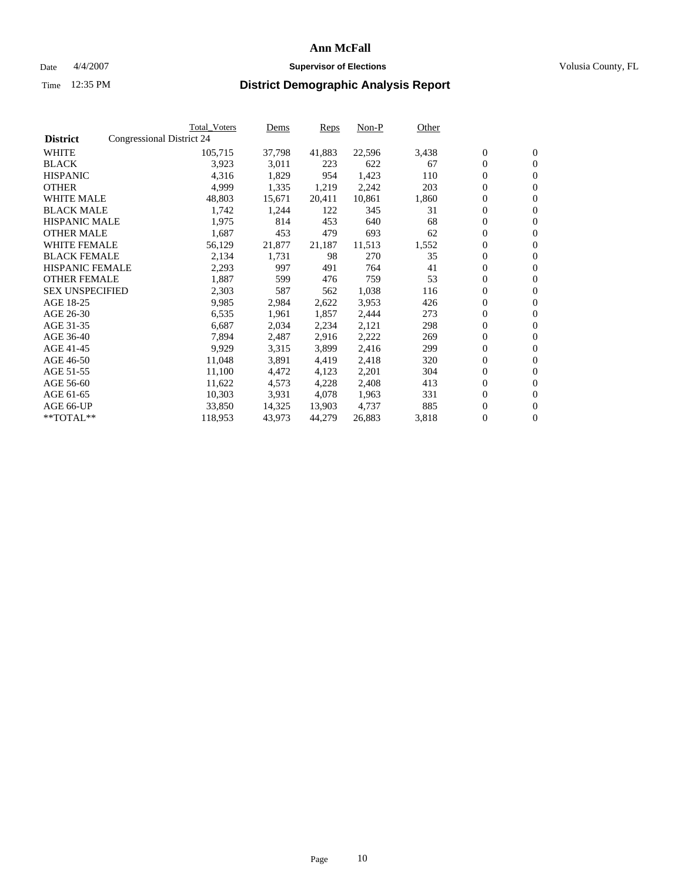### Date  $4/4/2007$  **Supervisor of Elections Supervisor of Elections** Volusia County, FL

|                        |                           | Total_Voters | Dems   | Reps   | Non-P  | Other |                  |                  |  |
|------------------------|---------------------------|--------------|--------|--------|--------|-------|------------------|------------------|--|
| <b>District</b>        | Congressional District 24 |              |        |        |        |       |                  |                  |  |
| <b>WHITE</b>           |                           | 105,715      | 37,798 | 41,883 | 22,596 | 3,438 | $\boldsymbol{0}$ | $\mathbf{0}$     |  |
| <b>BLACK</b>           |                           | 3,923        | 3,011  | 223    | 622    | 67    | $\overline{0}$   | $\mathbf{0}$     |  |
| <b>HISPANIC</b>        |                           | 4,316        | 1,829  | 954    | 1,423  | 110   | $\overline{0}$   | $\mathbf{0}$     |  |
| <b>OTHER</b>           |                           | 4,999        | 1,335  | 1,219  | 2,242  | 203   | $\overline{0}$   | $\overline{0}$   |  |
| <b>WHITE MALE</b>      |                           | 48,803       | 15,671 | 20,411 | 10,861 | 1,860 | $\overline{0}$   | $\mathbf{0}$     |  |
| <b>BLACK MALE</b>      |                           | 1,742        | 1,244  | 122    | 345    | 31    | $\boldsymbol{0}$ | $\boldsymbol{0}$ |  |
| <b>HISPANIC MALE</b>   |                           | 1,975        | 814    | 453    | 640    | 68    | 0                | $\mathbf{0}$     |  |
| <b>OTHER MALE</b>      |                           | 1,687        | 453    | 479    | 693    | 62    | $\boldsymbol{0}$ | $\boldsymbol{0}$ |  |
| <b>WHITE FEMALE</b>    |                           | 56,129       | 21,877 | 21,187 | 11,513 | 1,552 | 0                | $\mathbf{0}$     |  |
| <b>BLACK FEMALE</b>    |                           | 2,134        | 1,731  | 98     | 270    | 35    | $\overline{0}$   | $\mathbf{0}$     |  |
| <b>HISPANIC FEMALE</b> |                           | 2,293        | 997    | 491    | 764    | 41    | $\overline{0}$   | $\mathbf{0}$     |  |
| <b>OTHER FEMALE</b>    |                           | 1,887        | 599    | 476    | 759    | 53    | $\mathbf{0}$     | $\mathbf{0}$     |  |
| <b>SEX UNSPECIFIED</b> |                           | 2,303        | 587    | 562    | 1,038  | 116   | $\boldsymbol{0}$ | $\boldsymbol{0}$ |  |
| AGE 18-25              |                           | 9,985        | 2,984  | 2,622  | 3,953  | 426   | $\boldsymbol{0}$ | $\mathbf{0}$     |  |
| AGE 26-30              |                           | 6,535        | 1,961  | 1,857  | 2,444  | 273   | $\boldsymbol{0}$ | $\mathbf{0}$     |  |
| AGE 31-35              |                           | 6,687        | 2,034  | 2,234  | 2,121  | 298   | 0                | $\mathbf{0}$     |  |
| AGE 36-40              |                           | 7,894        | 2,487  | 2,916  | 2,222  | 269   | $\boldsymbol{0}$ | $\mathbf{0}$     |  |
| AGE 41-45              |                           | 9,929        | 3,315  | 3,899  | 2,416  | 299   | 0                | $\mathbf{0}$     |  |
| AGE 46-50              |                           | 11,048       | 3,891  | 4,419  | 2,418  | 320   | $\overline{0}$   | $\mathbf{0}$     |  |
| AGE 51-55              |                           | 11,100       | 4,472  | 4,123  | 2,201  | 304   | 0                | $\mathbf{0}$     |  |
| AGE 56-60              |                           | 11,622       | 4,573  | 4,228  | 2,408  | 413   | $\boldsymbol{0}$ | $\mathbf{0}$     |  |
| AGE 61-65              |                           | 10,303       | 3,931  | 4,078  | 1,963  | 331   | $\boldsymbol{0}$ | $\boldsymbol{0}$ |  |
| AGE 66-UP              |                           | 33,850       | 14,325 | 13,903 | 4,737  | 885   | 0                | $\bf{0}$         |  |
| $*$ TOTAL $**$         |                           | 118,953      | 43,973 | 44,279 | 26,883 | 3,818 | 0                | $\boldsymbol{0}$ |  |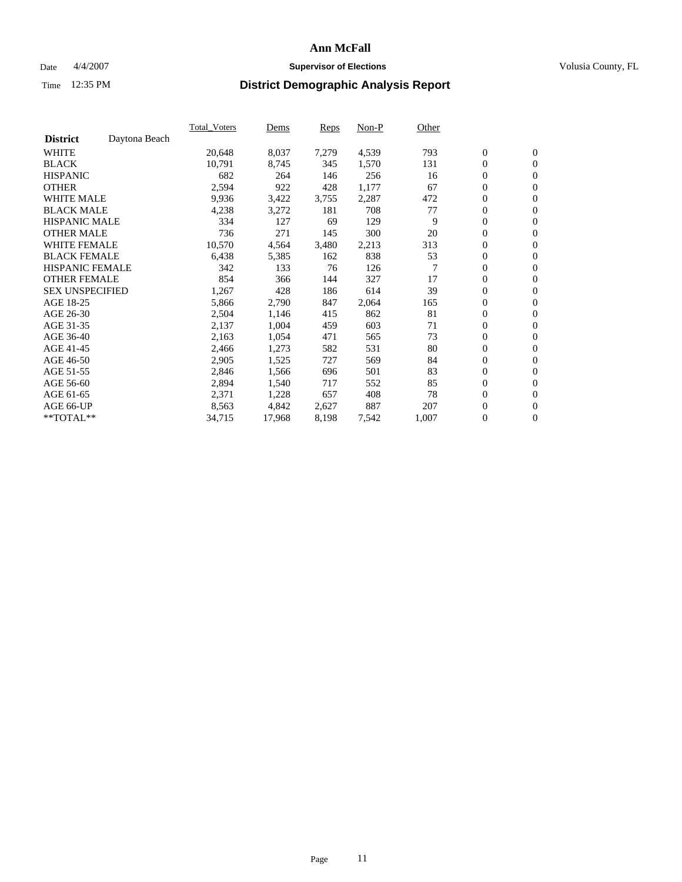#### Date  $4/4/2007$  **Supervisor of Elections Supervisor of Elections** Volusia County, FL

|                        |               | <b>Total Voters</b> | Dems   | Reps  | Non-P | Other |                  |                  |  |
|------------------------|---------------|---------------------|--------|-------|-------|-------|------------------|------------------|--|
| <b>District</b>        | Daytona Beach |                     |        |       |       |       |                  |                  |  |
| <b>WHITE</b>           |               | 20,648              | 8,037  | 7,279 | 4,539 | 793   | $\boldsymbol{0}$ | $\mathbf{0}$     |  |
| <b>BLACK</b>           |               | 10,791              | 8,745  | 345   | 1,570 | 131   | $\mathbf{0}$     | $\mathbf{0}$     |  |
| <b>HISPANIC</b>        |               | 682                 | 264    | 146   | 256   | 16    | $\boldsymbol{0}$ | $\mathbf{0}$     |  |
| <b>OTHER</b>           |               | 2,594               | 922    | 428   | 1,177 | 67    | 0                | $\mathbf{0}$     |  |
| <b>WHITE MALE</b>      |               | 9,936               | 3,422  | 3,755 | 2,287 | 472   | 0                | $\overline{0}$   |  |
| <b>BLACK MALE</b>      |               | 4,238               | 3,272  | 181   | 708   | 77    | $\boldsymbol{0}$ | $\boldsymbol{0}$ |  |
| <b>HISPANIC MALE</b>   |               | 334                 | 127    | 69    | 129   | 9     | 0                | $\mathbf{0}$     |  |
| <b>OTHER MALE</b>      |               | 736                 | 271    | 145   | 300   | 20    | $\mathbf{0}$     | $\mathbf{0}$     |  |
| <b>WHITE FEMALE</b>    |               | 10,570              | 4,564  | 3,480 | 2,213 | 313   | 0                | $\mathbf{0}$     |  |
| <b>BLACK FEMALE</b>    |               | 6,438               | 5,385  | 162   | 838   | 53    | $\boldsymbol{0}$ | $\mathbf{0}$     |  |
| <b>HISPANIC FEMALE</b> |               | 342                 | 133    | 76    | 126   | 7     | $\boldsymbol{0}$ | $\boldsymbol{0}$ |  |
| <b>OTHER FEMALE</b>    |               | 854                 | 366    | 144   | 327   | 17    | 0                | $\overline{0}$   |  |
| <b>SEX UNSPECIFIED</b> |               | 1,267               | 428    | 186   | 614   | 39    | $\boldsymbol{0}$ | $\mathbf{0}$     |  |
| AGE 18-25              |               | 5,866               | 2,790  | 847   | 2,064 | 165   | 0                | $\mathbf{0}$     |  |
| AGE 26-30              |               | 2,504               | 1,146  | 415   | 862   | 81    | $\mathbf{0}$     | $\mathbf{0}$     |  |
| AGE 31-35              |               | 2,137               | 1,004  | 459   | 603   | 71    | 0                | $\mathbf{0}$     |  |
| AGE 36-40              |               | 2,163               | 1,054  | 471   | 565   | 73    | $\boldsymbol{0}$ | $\mathbf{0}$     |  |
| AGE 41-45              |               | 2,466               | 1,273  | 582   | 531   | 80    | $\boldsymbol{0}$ | $\mathbf{0}$     |  |
| AGE 46-50              |               | 2,905               | 1,525  | 727   | 569   | 84    | $\boldsymbol{0}$ | $\overline{0}$   |  |
| AGE 51-55              |               | 2,846               | 1,566  | 696   | 501   | 83    | $\boldsymbol{0}$ | $\boldsymbol{0}$ |  |
| AGE 56-60              |               | 2,894               | 1,540  | 717   | 552   | 85    | $\mathbf{0}$     | $\mathbf{0}$     |  |
| AGE 61-65              |               | 2,371               | 1,228  | 657   | 408   | 78    | $\mathbf{0}$     | $\mathbf{0}$     |  |
| AGE 66-UP              |               | 8,563               | 4,842  | 2,627 | 887   | 207   | $\boldsymbol{0}$ | $\boldsymbol{0}$ |  |
| **TOTAL**              |               | 34,715              | 17,968 | 8,198 | 7,542 | 1,007 | 0                | $\overline{0}$   |  |
|                        |               |                     |        |       |       |       |                  |                  |  |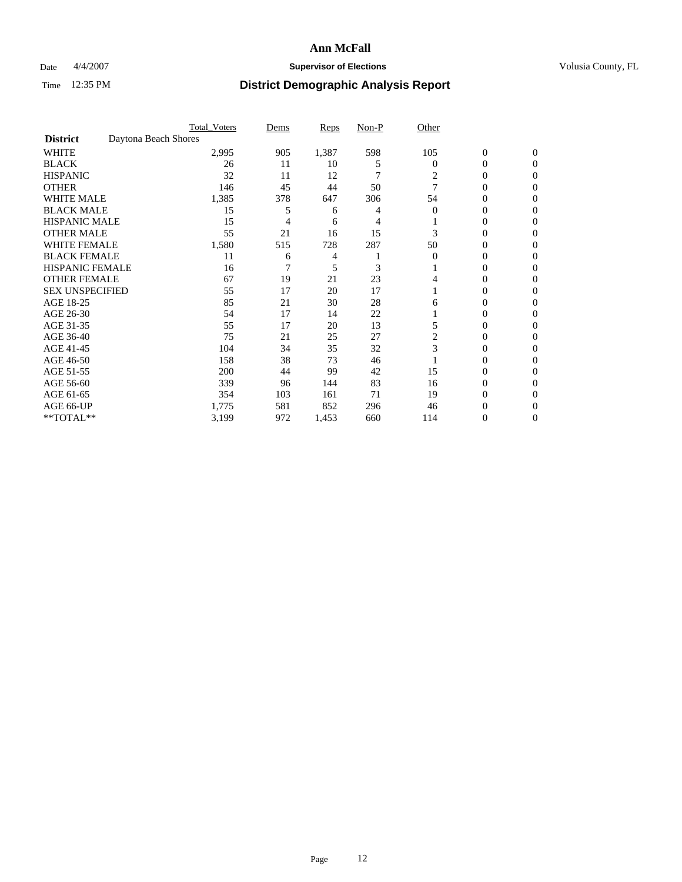### Date  $4/4/2007$  **Supervisor of Elections Supervisor of Elections** Volusia County, FL

|                        |                      | <b>Total_Voters</b> | Dems | <b>Reps</b> | Non-P | Other    |                  |              |  |
|------------------------|----------------------|---------------------|------|-------------|-------|----------|------------------|--------------|--|
| <b>District</b>        | Daytona Beach Shores |                     |      |             |       |          |                  |              |  |
| <b>WHITE</b>           |                      | 2,995               | 905  | 1,387       | 598   | 105      | $\boldsymbol{0}$ | $\mathbf{0}$ |  |
| <b>BLACK</b>           |                      | 26                  | 11   | 10          | 5     | $\bf{0}$ | 0                | $\mathbf{0}$ |  |
| <b>HISPANIC</b>        |                      | 32                  | 11   | 12          | 7     | 2        | 0                | $\Omega$     |  |
| <b>OTHER</b>           |                      | 146                 | 45   | 44          | 50    |          | 0                | $\Omega$     |  |
| <b>WHITE MALE</b>      |                      | 1,385               | 378  | 647         | 306   | 54       | 0                | 0            |  |
| <b>BLACK MALE</b>      |                      | 15                  | 5    | 6           |       | $\Omega$ | 0                | 0            |  |
| <b>HISPANIC MALE</b>   |                      | 15                  | 4    | 6           |       |          | 0                | 0            |  |
| <b>OTHER MALE</b>      |                      | 55                  | 21   | 16          | 15    | 3        | 0                | 0            |  |
| WHITE FEMALE           |                      | 1,580               | 515  | 728         | 287   | 50       | 0                | 0            |  |
| <b>BLACK FEMALE</b>    |                      | 11                  | 6    | 4           |       | $\Omega$ | 0                | 0            |  |
| <b>HISPANIC FEMALE</b> |                      | 16                  |      | 5           | 3     |          | 0                | 0            |  |
| <b>OTHER FEMALE</b>    |                      | 67                  | 19   | 21          | 23    |          | 0                | $\Omega$     |  |
| <b>SEX UNSPECIFIED</b> |                      | 55                  | 17   | 20          | 17    |          | 0                | $\Omega$     |  |
| AGE 18-25              |                      | 85                  | 21   | 30          | 28    | 6        | 0                | $_{0}$       |  |
| AGE 26-30              |                      | 54                  | 17   | 14          | 22    |          | 0                | 0            |  |
| AGE 31-35              |                      | 55                  | 17   | 20          | 13    |          | 0                | 0            |  |
| AGE 36-40              |                      | 75                  | 21   | 25          | 27    |          | 0                | 0            |  |
| AGE 41-45              |                      | 104                 | 34   | 35          | 32    | 3        | 0                | 0            |  |
| AGE 46-50              |                      | 158                 | 38   | 73          | 46    |          | 0                | $\Omega$     |  |
| AGE 51-55              |                      | 200                 | 44   | 99          | 42    | 15       | 0                | $\Omega$     |  |
| AGE 56-60              |                      | 339                 | 96   | 144         | 83    | 16       | 0                | $\Omega$     |  |
| AGE 61-65              |                      | 354                 | 103  | 161         | 71    | 19       | 0                | 0            |  |
| AGE 66-UP              |                      | 1,775               | 581  | 852         | 296   | 46       | 0                |              |  |
| **TOTAL**              |                      | 3,199               | 972  | 1,453       | 660   | 114      | 0                | 0            |  |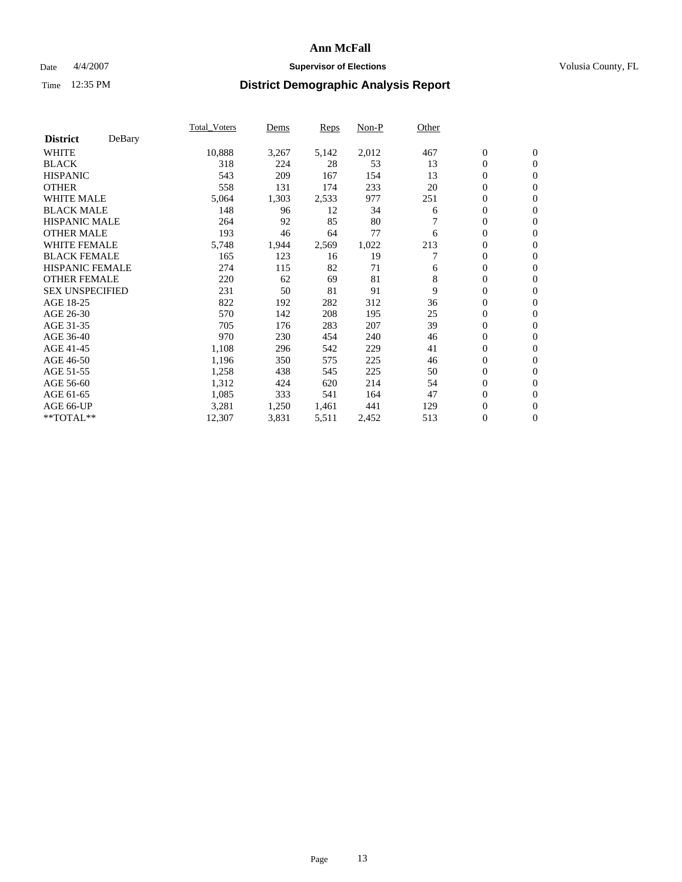### Date  $4/4/2007$  **Supervisor of Elections Supervisor of Elections** Volusia County, FL

|                        |        | Total Voters | Dems  | <b>Reps</b> | Non-P | Other |                  |                  |  |
|------------------------|--------|--------------|-------|-------------|-------|-------|------------------|------------------|--|
| <b>District</b>        | DeBary |              |       |             |       |       |                  |                  |  |
| <b>WHITE</b>           |        | 10,888       | 3,267 | 5,142       | 2,012 | 467   | $\boldsymbol{0}$ | $\mathbf{0}$     |  |
| <b>BLACK</b>           |        | 318          | 224   | 28          | 53    | 13    | $\overline{0}$   | $\mathbf{0}$     |  |
| <b>HISPANIC</b>        |        | 543          | 209   | 167         | 154   | 13    | $\overline{0}$   | $\mathbf{0}$     |  |
| <b>OTHER</b>           |        | 558          | 131   | 174         | 233   | 20    | $\overline{0}$   | $\mathbf{0}$     |  |
| <b>WHITE MALE</b>      |        | 5,064        | 1,303 | 2,533       | 977   | 251   | $\overline{0}$   | $\mathbf{0}$     |  |
| <b>BLACK MALE</b>      |        | 148          | 96    | 12          | 34    | 6     | $\boldsymbol{0}$ | $\boldsymbol{0}$ |  |
| <b>HISPANIC MALE</b>   |        | 264          | 92    | 85          | 80    |       | 0                | $\mathbf{0}$     |  |
| <b>OTHER MALE</b>      |        | 193          | 46    | 64          | 77    | 6     | $\boldsymbol{0}$ | $\mathbf{0}$     |  |
| <b>WHITE FEMALE</b>    |        | 5,748        | 1,944 | 2,569       | 1,022 | 213   | $\overline{0}$   | $\mathbf{0}$     |  |
| <b>BLACK FEMALE</b>    |        | 165          | 123   | 16          | 19    |       | $\overline{0}$   | $\mathbf{0}$     |  |
| <b>HISPANIC FEMALE</b> |        | 274          | 115   | 82          | 71    | 6     | $\overline{0}$   | $\mathbf{0}$     |  |
| <b>OTHER FEMALE</b>    |        | 220          | 62    | 69          | 81    | 8     | $\overline{0}$   | $\mathbf{0}$     |  |
| <b>SEX UNSPECIFIED</b> |        | 231          | 50    | 81          | 91    | 9     | $\boldsymbol{0}$ | $\mathbf{0}$     |  |
| AGE 18-25              |        | 822          | 192   | 282         | 312   | 36    | 0                | $\mathbf{0}$     |  |
| AGE 26-30              |        | 570          | 142   | 208         | 195   | 25    | $\boldsymbol{0}$ | $\mathbf{0}$     |  |
| AGE 31-35              |        | 705          | 176   | 283         | 207   | 39    | 0                | $\mathbf{0}$     |  |
| AGE 36-40              |        | 970          | 230   | 454         | 240   | 46    | $\boldsymbol{0}$ | $\mathbf{0}$     |  |
| AGE 41-45              |        | 1,108        | 296   | 542         | 229   | 41    | $\mathbf{0}$     | $\mathbf{0}$     |  |
| AGE 46-50              |        | 1,196        | 350   | 575         | 225   | 46    | $\overline{0}$   | $\mathbf{0}$     |  |
| AGE 51-55              |        | 1,258        | 438   | 545         | 225   | 50    | $\mathbf{0}$     | $\mathbf{0}$     |  |
| AGE 56-60              |        | 1,312        | 424   | 620         | 214   | 54    | $\boldsymbol{0}$ | $\mathbf{0}$     |  |
| AGE 61-65              |        | 1,085        | 333   | 541         | 164   | 47    | $\boldsymbol{0}$ | $\mathbf{0}$     |  |
| AGE 66-UP              |        | 3,281        | 1,250 | 1,461       | 441   | 129   | 0                | $\bf{0}$         |  |
| $*$ TOTAL $**$         |        | 12,307       | 3,831 | 5,511       | 2,452 | 513   | 0                | $\boldsymbol{0}$ |  |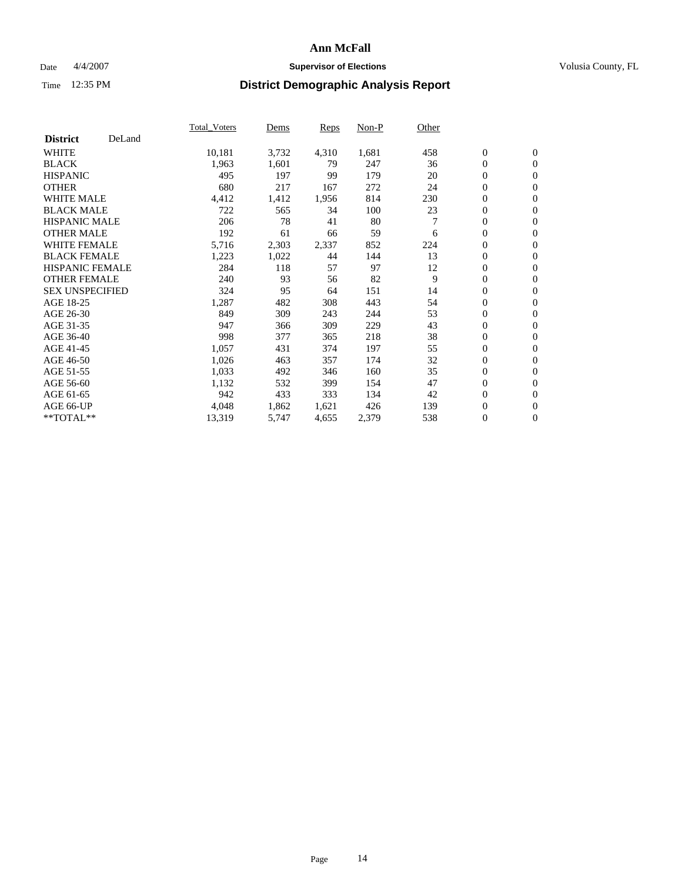### Date  $4/4/2007$  **Supervisor of Elections Supervisor of Elections** Volusia County, FL

|                        |        | Total_Voters | Dems  | <b>Reps</b> | Non-P | Other |                  |                  |  |
|------------------------|--------|--------------|-------|-------------|-------|-------|------------------|------------------|--|
| <b>District</b>        | DeLand |              |       |             |       |       |                  |                  |  |
| <b>WHITE</b>           |        | 10,181       | 3,732 | 4,310       | 1,681 | 458   | $\overline{0}$   | $\mathbf{0}$     |  |
| <b>BLACK</b>           |        | 1,963        | 1,601 | 79          | 247   | 36    | $\overline{0}$   | $\mathbf{0}$     |  |
| <b>HISPANIC</b>        |        | 495          | 197   | 99          | 179   | 20    | $\boldsymbol{0}$ | $\mathbf{0}$     |  |
| <b>OTHER</b>           |        | 680          | 217   | 167         | 272   | 24    | $\boldsymbol{0}$ | $\mathbf{0}$     |  |
| <b>WHITE MALE</b>      |        | 4,412        | 1,412 | 1,956       | 814   | 230   | 0                | $\mathbf{0}$     |  |
| <b>BLACK MALE</b>      |        | 722          | 565   | 34          | 100   | 23    | $\boldsymbol{0}$ | $\boldsymbol{0}$ |  |
| <b>HISPANIC MALE</b>   |        | 206          | 78    | 41          | 80    |       | $\overline{0}$   | $\mathbf{0}$     |  |
| <b>OTHER MALE</b>      |        | 192          | 61    | 66          | 59    | 6     | $\overline{0}$   | $\mathbf{0}$     |  |
| <b>WHITE FEMALE</b>    |        | 5,716        | 2,303 | 2,337       | 852   | 224   | $\mathbf{0}$     | $\mathbf{0}$     |  |
| <b>BLACK FEMALE</b>    |        | 1,223        | 1,022 | 44          | 144   | 13    | $\overline{0}$   | $\mathbf{0}$     |  |
| <b>HISPANIC FEMALE</b> |        | 284          | 118   | 57          | 97    | 12    | $\boldsymbol{0}$ | $\boldsymbol{0}$ |  |
| <b>OTHER FEMALE</b>    |        | 240          | 93    | 56          | 82    | 9     | 0                | $\mathbf{0}$     |  |
| <b>SEX UNSPECIFIED</b> |        | 324          | 95    | 64          | 151   | 14    | $\boldsymbol{0}$ | $\mathbf{0}$     |  |
| AGE 18-25              |        | 1,287        | 482   | 308         | 443   | 54    | $\boldsymbol{0}$ | $\mathbf{0}$     |  |
| AGE 26-30              |        | 849          | 309   | 243         | 244   | 53    | $\overline{0}$   | $\mathbf{0}$     |  |
| AGE 31-35              |        | 947          | 366   | 309         | 229   | 43    | $\boldsymbol{0}$ | $\mathbf{0}$     |  |
| AGE 36-40              |        | 998          | 377   | 365         | 218   | 38    | $\boldsymbol{0}$ | $\mathbf{0}$     |  |
| AGE 41-45              |        | 1,057        | 431   | 374         | 197   | 55    | $\boldsymbol{0}$ | $\mathbf{0}$     |  |
| AGE 46-50              |        | 1,026        | 463   | 357         | 174   | 32    | 0                | $\mathbf{0}$     |  |
| AGE 51-55              |        | 1,033        | 492   | 346         | 160   | 35    | $\boldsymbol{0}$ | $\boldsymbol{0}$ |  |
| AGE 56-60              |        | 1,132        | 532   | 399         | 154   | 47    | $\overline{0}$   | $\mathbf{0}$     |  |
| AGE 61-65              |        | 942          | 433   | 333         | 134   | 42    | $\mathbf{0}$     | $\mathbf{0}$     |  |
| AGE 66-UP              |        | 4,048        | 1,862 | 1,621       | 426   | 139   | $\boldsymbol{0}$ | $\boldsymbol{0}$ |  |
| **TOTAL**              |        | 13,319       | 5,747 | 4,655       | 2,379 | 538   | 0                | $\overline{0}$   |  |
|                        |        |              |       |             |       |       |                  |                  |  |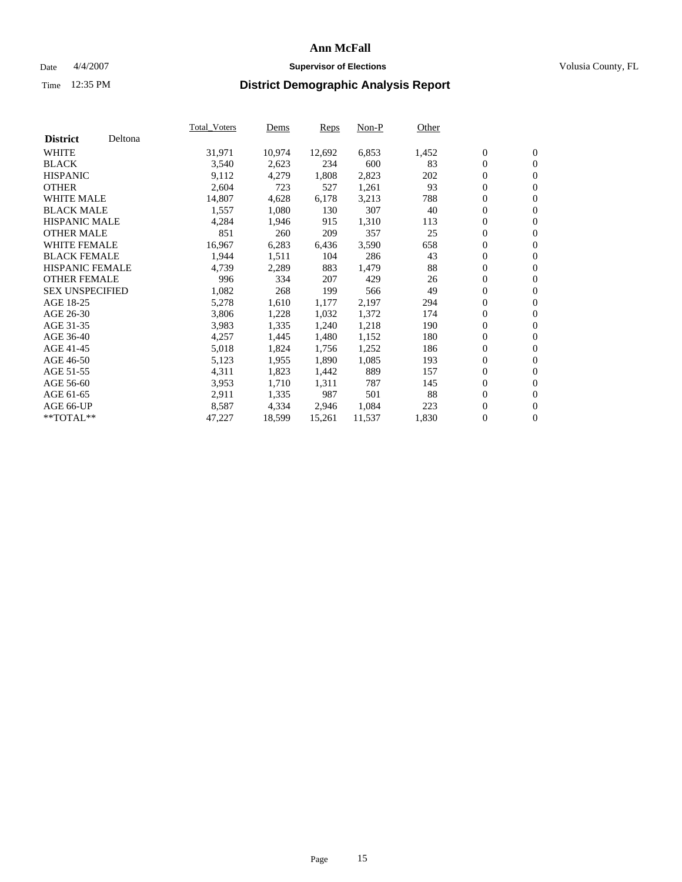#### Date  $4/4/2007$  **Supervisor of Elections Supervisor of Elections** Volusia County, FL

|                        |         | Total_Voters | Dems   | <b>Reps</b> | Non-P  | Other |                  |                  |  |
|------------------------|---------|--------------|--------|-------------|--------|-------|------------------|------------------|--|
| <b>District</b>        | Deltona |              |        |             |        |       |                  |                  |  |
| <b>WHITE</b>           |         | 31,971       | 10,974 | 12,692      | 6,853  | 1,452 | $\overline{0}$   | $\mathbf{0}$     |  |
| <b>BLACK</b>           |         | 3,540        | 2,623  | 234         | 600    | 83    | $\overline{0}$   | $\mathbf{0}$     |  |
| <b>HISPANIC</b>        |         | 9,112        | 4,279  | 1,808       | 2,823  | 202   | $\boldsymbol{0}$ | $\mathbf{0}$     |  |
| <b>OTHER</b>           |         | 2,604        | 723    | 527         | 1,261  | 93    | $\boldsymbol{0}$ | $\mathbf{0}$     |  |
| <b>WHITE MALE</b>      |         | 14,807       | 4,628  | 6,178       | 3,213  | 788   | 0                | $\mathbf{0}$     |  |
| <b>BLACK MALE</b>      |         | 1,557        | 1,080  | 130         | 307    | 40    | $\boldsymbol{0}$ | $\boldsymbol{0}$ |  |
| <b>HISPANIC MALE</b>   |         | 4,284        | 1,946  | 915         | 1,310  | 113   | $\overline{0}$   | $\mathbf{0}$     |  |
| <b>OTHER MALE</b>      |         | 851          | 260    | 209         | 357    | 25    | $\overline{0}$   | $\mathbf{0}$     |  |
| WHITE FEMALE           |         | 16,967       | 6,283  | 6,436       | 3,590  | 658   | $\mathbf{0}$     | $\mathbf{0}$     |  |
| <b>BLACK FEMALE</b>    |         | 1,944        | 1,511  | 104         | 286    | 43    | $\boldsymbol{0}$ | $\mathbf{0}$     |  |
| <b>HISPANIC FEMALE</b> |         | 4,739        | 2,289  | 883         | 1,479  | 88    | $\boldsymbol{0}$ | $\boldsymbol{0}$ |  |
| <b>OTHER FEMALE</b>    |         | 996          | 334    | 207         | 429    | 26    | 0                | $\mathbf{0}$     |  |
| <b>SEX UNSPECIFIED</b> |         | 1,082        | 268    | 199         | 566    | 49    | $\boldsymbol{0}$ | $\mathbf{0}$     |  |
| AGE 18-25              |         | 5,278        | 1,610  | 1,177       | 2,197  | 294   | $\boldsymbol{0}$ | $\mathbf{0}$     |  |
| AGE 26-30              |         | 3,806        | 1,228  | 1,032       | 1,372  | 174   | $\overline{0}$   | $\mathbf{0}$     |  |
| AGE 31-35              |         | 3,983        | 1,335  | 1,240       | 1,218  | 190   | $\overline{0}$   | $\mathbf{0}$     |  |
| AGE 36-40              |         | 4,257        | 1,445  | 1,480       | 1,152  | 180   | $\boldsymbol{0}$ | $\boldsymbol{0}$ |  |
| AGE 41-45              |         | 5,018        | 1,824  | 1,756       | 1,252  | 186   | $\boldsymbol{0}$ | $\mathbf{0}$     |  |
| AGE 46-50              |         | 5,123        | 1,955  | 1,890       | 1,085  | 193   | 0                | $\mathbf{0}$     |  |
| AGE 51-55              |         | 4,311        | 1,823  | 1,442       | 889    | 157   | $\boldsymbol{0}$ | $\boldsymbol{0}$ |  |
| AGE 56-60              |         | 3,953        | 1,710  | 1,311       | 787    | 145   | $\overline{0}$   | $\mathbf{0}$     |  |
| AGE 61-65              |         | 2,911        | 1,335  | 987         | 501    | 88    | $\mathbf{0}$     | $\boldsymbol{0}$ |  |
| AGE 66-UP              |         | 8,587        | 4,334  | 2,946       | 1,084  | 223   | $\boldsymbol{0}$ | $\boldsymbol{0}$ |  |
| **TOTAL**              |         | 47,227       | 18,599 | 15,261      | 11,537 | 1,830 | $\boldsymbol{0}$ | $\overline{0}$   |  |
|                        |         |              |        |             |        |       |                  |                  |  |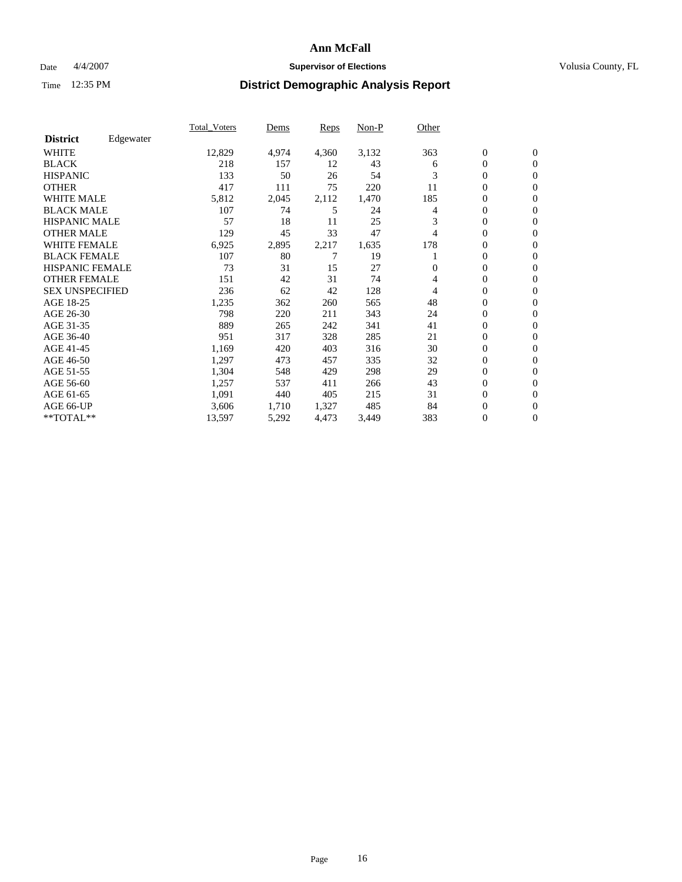### Date  $4/4/2007$  **Supervisor of Elections Supervisor of Elections** Volusia County, FL

|                        |           | Total Voters | Dems  | <b>Reps</b> | Non-P | Other |                  |                  |  |
|------------------------|-----------|--------------|-------|-------------|-------|-------|------------------|------------------|--|
| <b>District</b>        | Edgewater |              |       |             |       |       |                  |                  |  |
| <b>WHITE</b>           |           | 12,829       | 4,974 | 4,360       | 3,132 | 363   | $\boldsymbol{0}$ | $\mathbf{0}$     |  |
| <b>BLACK</b>           |           | 218          | 157   | 12          | 43    | 6     | $\overline{0}$   | $\mathbf{0}$     |  |
| <b>HISPANIC</b>        |           | 133          | 50    | 26          | 54    | 3     | $\overline{0}$   | $\mathbf{0}$     |  |
| <b>OTHER</b>           |           | 417          | 111   | 75          | 220   | 11    | 0                | $\mathbf{0}$     |  |
| <b>WHITE MALE</b>      |           | 5,812        | 2,045 | 2,112       | 1,470 | 185   | 0                | $\mathbf{0}$     |  |
| <b>BLACK MALE</b>      |           | 107          | 74    | 5           | 24    | 4     | $\boldsymbol{0}$ | $\boldsymbol{0}$ |  |
| <b>HISPANIC MALE</b>   |           | 57           | 18    | 11          | 25    | 3     | 0                | $\Omega$         |  |
| <b>OTHER MALE</b>      |           | 129          | 45    | 33          | 47    | 4     | 0                | $\mathbf{0}$     |  |
| <b>WHITE FEMALE</b>    |           | 6,925        | 2,895 | 2,217       | 1,635 | 178   | 0                | $\Omega$         |  |
| <b>BLACK FEMALE</b>    |           | 107          | 80    |             | 19    |       | $\overline{0}$   | $\mathbf{0}$     |  |
| <b>HISPANIC FEMALE</b> |           | 73           | 31    | 15          | 27    | 0     | 0                | $\mathbf{0}$     |  |
| <b>OTHER FEMALE</b>    |           | 151          | 42    | 31          | 74    | 4     | 0                | $\mathbf{0}$     |  |
| <b>SEX UNSPECIFIED</b> |           | 236          | 62    | 42          | 128   | 4     | $\boldsymbol{0}$ | $\mathbf{0}$     |  |
| AGE 18-25              |           | 1,235        | 362   | 260         | 565   | 48    | 0                | $\mathbf{0}$     |  |
| AGE 26-30              |           | 798          | 220   | 211         | 343   | 24    | 0                | $\mathbf{0}$     |  |
| AGE 31-35              |           | 889          | 265   | 242         | 341   | 41    | 0                | $\mathbf{0}$     |  |
| AGE 36-40              |           | 951          | 317   | 328         | 285   | 21    | $\boldsymbol{0}$ | $\mathbf{0}$     |  |
| AGE 41-45              |           | 1,169        | 420   | 403         | 316   | 30    | $\mathbf{0}$     | $\mathbf{0}$     |  |
| AGE 46-50              |           | 1,297        | 473   | 457         | 335   | 32    | $\overline{0}$   | $\mathbf{0}$     |  |
| AGE 51-55              |           | 1,304        | 548   | 429         | 298   | 29    | 0                | $\mathbf{0}$     |  |
| AGE 56-60              |           | 1,257        | 537   | 411         | 266   | 43    | $\boldsymbol{0}$ | $\mathbf{0}$     |  |
| AGE 61-65              |           | 1,091        | 440   | 405         | 215   | 31    | 0                | $\mathbf{0}$     |  |
| AGE 66-UP              |           | 3,606        | 1,710 | 1,327       | 485   | 84    | 0                | 0                |  |
| $*$ TOTAL $**$         |           | 13,597       | 5,292 | 4,473       | 3,449 | 383   | 0                | $\boldsymbol{0}$ |  |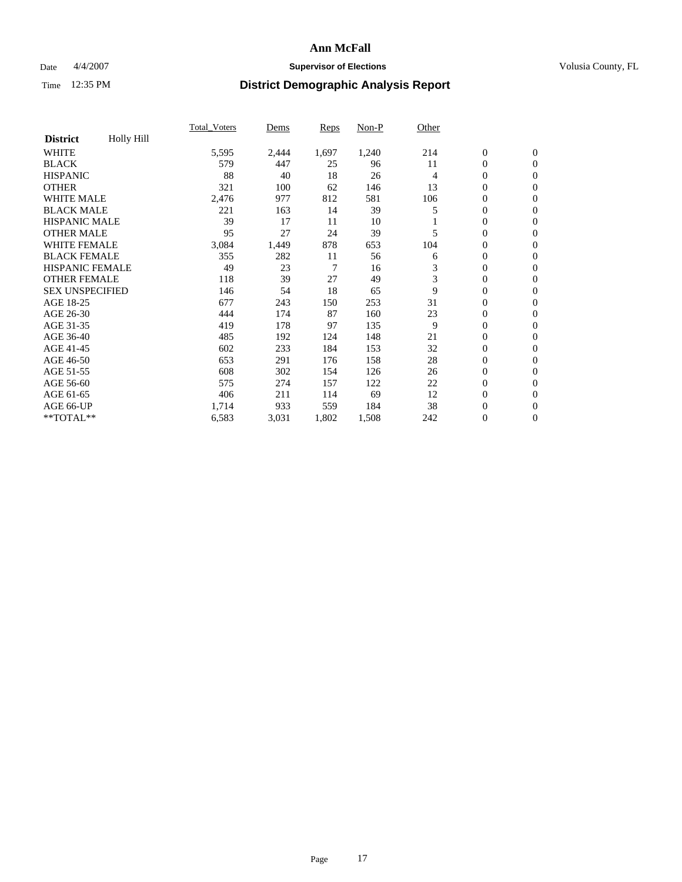### Date  $4/4/2007$  **Supervisor of Elections Supervisor of Elections** Volusia County, FL

|                        |            | Total Voters | Dems  | <b>Reps</b> | Non-P | Other |                  |                  |  |
|------------------------|------------|--------------|-------|-------------|-------|-------|------------------|------------------|--|
| <b>District</b>        | Holly Hill |              |       |             |       |       |                  |                  |  |
| <b>WHITE</b>           |            | 5,595        | 2,444 | 1,697       | 1,240 | 214   | $\boldsymbol{0}$ | $\mathbf{0}$     |  |
| <b>BLACK</b>           |            | 579          | 447   | 25          | 96    | 11    | $\overline{0}$   | $\mathbf{0}$     |  |
| <b>HISPANIC</b>        |            | 88           | 40    | 18          | 26    | 4     | $\overline{0}$   | $\mathbf{0}$     |  |
| <b>OTHER</b>           |            | 321          | 100   | 62          | 146   | 13    | $\overline{0}$   | $\mathbf{0}$     |  |
| <b>WHITE MALE</b>      |            | 2,476        | 977   | 812         | 581   | 106   | $\overline{0}$   | $\mathbf{0}$     |  |
| <b>BLACK MALE</b>      |            | 221          | 163   | 14          | 39    | 5     | $\boldsymbol{0}$ | $\boldsymbol{0}$ |  |
| <b>HISPANIC MALE</b>   |            | 39           | 17    | 11          | 10    |       | 0                | $\mathbf{0}$     |  |
| <b>OTHER MALE</b>      |            | 95           | 27    | 24          | 39    | 5     | $\boldsymbol{0}$ | $\mathbf{0}$     |  |
| <b>WHITE FEMALE</b>    |            | 3,084        | 1,449 | 878         | 653   | 104   | 0                | $\Omega$         |  |
| <b>BLACK FEMALE</b>    |            | 355          | 282   | 11          | 56    | 6     | $\boldsymbol{0}$ | $\mathbf{0}$     |  |
| <b>HISPANIC FEMALE</b> |            | 49           | 23    | 7           | 16    | 3     | $\overline{0}$   | $\mathbf{0}$     |  |
| <b>OTHER FEMALE</b>    |            | 118          | 39    | 27          | 49    | 3     | $\overline{0}$   | $\mathbf{0}$     |  |
| <b>SEX UNSPECIFIED</b> |            | 146          | 54    | 18          | 65    | 9     | $\boldsymbol{0}$ | $\mathbf{0}$     |  |
| AGE 18-25              |            | 677          | 243   | 150         | 253   | 31    | 0                | $\mathbf{0}$     |  |
| AGE 26-30              |            | 444          | 174   | 87          | 160   | 23    | $\boldsymbol{0}$ | $\mathbf{0}$     |  |
| AGE 31-35              |            | 419          | 178   | 97          | 135   | 9     | 0                | $\mathbf{0}$     |  |
| AGE 36-40              |            | 485          | 192   | 124         | 148   | 21    | $\boldsymbol{0}$ | $\mathbf{0}$     |  |
| AGE 41-45              |            | 602          | 233   | 184         | 153   | 32    | $\mathbf{0}$     | $\mathbf{0}$     |  |
| AGE 46-50              |            | 653          | 291   | 176         | 158   | 28    | $\overline{0}$   | $\mathbf{0}$     |  |
| AGE 51-55              |            | 608          | 302   | 154         | 126   | 26    | $\overline{0}$   | $\mathbf{0}$     |  |
| AGE 56-60              |            | 575          | 274   | 157         | 122   | 22    | $\boldsymbol{0}$ | $\mathbf{0}$     |  |
| AGE 61-65              |            | 406          | 211   | 114         | 69    | 12    | $\boldsymbol{0}$ | $\mathbf{0}$     |  |
| AGE 66-UP              |            | 1,714        | 933   | 559         | 184   | 38    | 0                | 0                |  |
| $*$ TOTAL $**$         |            | 6,583        | 3,031 | 1,802       | 1,508 | 242   | 0                | $\boldsymbol{0}$ |  |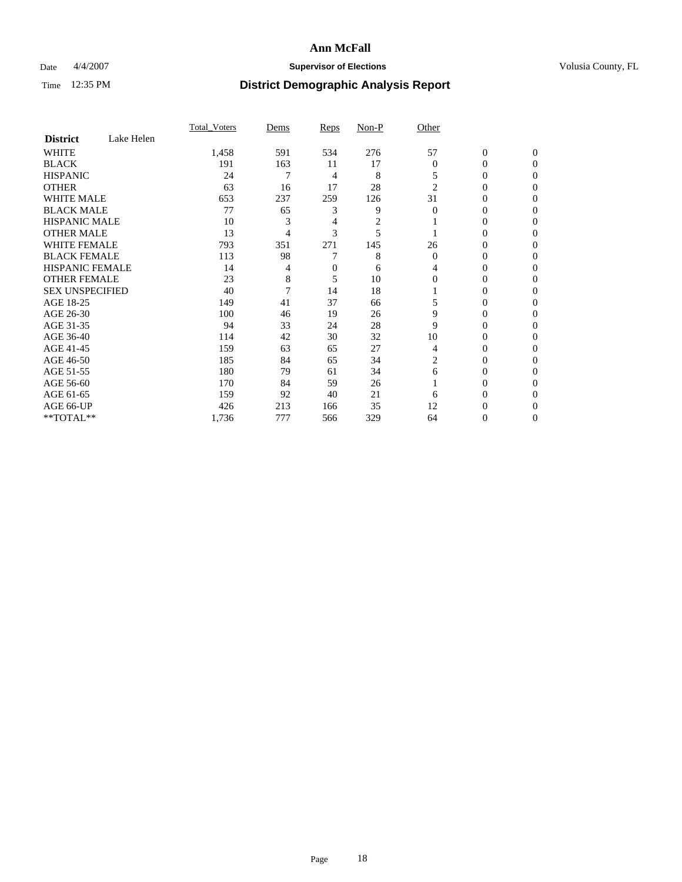### Date  $4/4/2007$  **Supervisor of Elections Supervisor of Elections** Volusia County, FL

|                        |            | <b>Total Voters</b> | Dems | Reps | Non-P | Other          |                  |              |  |
|------------------------|------------|---------------------|------|------|-------|----------------|------------------|--------------|--|
| <b>District</b>        | Lake Helen |                     |      |      |       |                |                  |              |  |
| <b>WHITE</b>           |            | 1,458               | 591  | 534  | 276   | 57             | $\boldsymbol{0}$ | $\mathbf{0}$ |  |
| <b>BLACK</b>           |            | 191                 | 163  | 11   | 17    | $\theta$       | 0                | $\mathbf{0}$ |  |
| <b>HISPANIC</b>        |            | 24                  | 7    | 4    | 8     | 5              | 0                | $\Omega$     |  |
| <b>OTHER</b>           |            | 63                  | 16   | 17   | 28    | $\overline{2}$ | $\overline{0}$   | $\theta$     |  |
| <b>WHITE MALE</b>      |            | 653                 | 237  | 259  | 126   | 31             | 0                | $\theta$     |  |
| <b>BLACK MALE</b>      |            | 77                  | 65   | 3    | 9     | $\theta$       | 0                | 0            |  |
| <b>HISPANIC MALE</b>   |            | 10                  | 3    | 4    | 2     |                | 0                | 0            |  |
| <b>OTHER MALE</b>      |            | 13                  | 4    | 3    | 5     |                | 0                | 0            |  |
| <b>WHITE FEMALE</b>    |            | 793                 | 351  | 271  | 145   | 26             | 0                | 0            |  |
| <b>BLACK FEMALE</b>    |            | 113                 | 98   |      | 8     | $\Omega$       | 0                | 0            |  |
| <b>HISPANIC FEMALE</b> |            | 14                  | 4    | 0    | 6     | 4              | 0                | $\Omega$     |  |
| <b>OTHER FEMALE</b>    |            | 23                  | 8    | 5    | 10    | $\Omega$       | 0                | $\theta$     |  |
| <b>SEX UNSPECIFIED</b> |            | 40                  | 7    | 14   | 18    |                | 0                | $\theta$     |  |
| AGE 18-25              |            | 149                 | 41   | 37   | 66    | 5              | 0                | $_{0}$       |  |
| AGE 26-30              |            | 100                 | 46   | 19   | 26    | 9              | 0                | 0            |  |
| AGE 31-35              |            | 94                  | 33   | 24   | 28    | 9              | 0                | 0            |  |
| AGE 36-40              |            | 114                 | 42   | 30   | 32    | 10             | 0                | 0            |  |
| AGE 41-45              |            | 159                 | 63   | 65   | 27    | 4              | 0                | 0            |  |
| AGE 46-50              |            | 185                 | 84   | 65   | 34    | $\overline{c}$ | 0                | $\Omega$     |  |
| AGE 51-55              |            | 180                 | 79   | 61   | 34    | 6              | 0                | $\Omega$     |  |
| AGE 56-60              |            | 170                 | 84   | 59   | 26    |                | 0                | $\theta$     |  |
| AGE 61-65              |            | 159                 | 92   | 40   | 21    | 6              | 0                | 0            |  |
| AGE 66-UP              |            | 426                 | 213  | 166  | 35    | 12             | 0                |              |  |
| **TOTAL**              |            | 1,736               | 777  | 566  | 329   | 64             | 0                | 0            |  |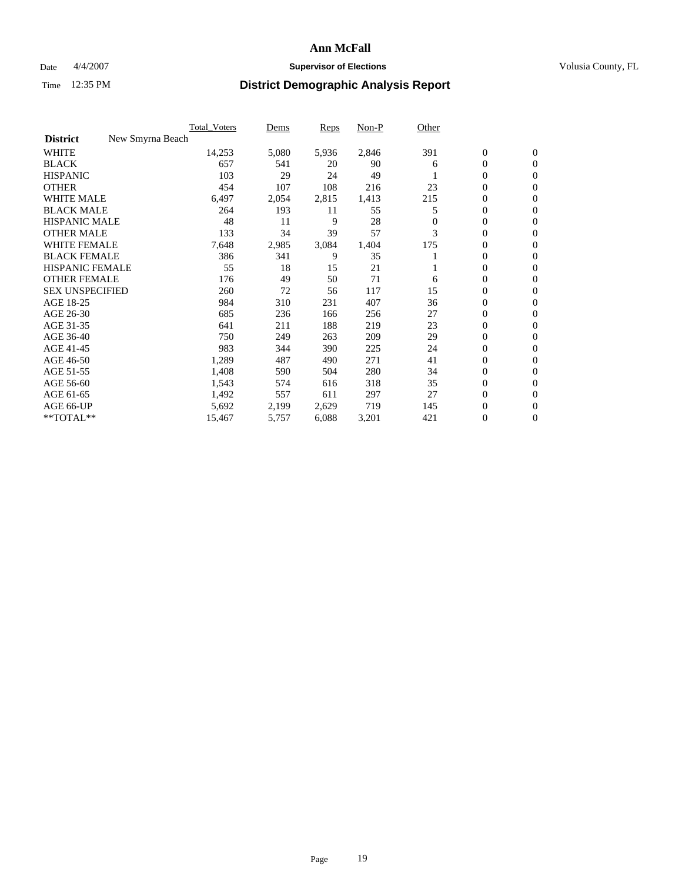### Date  $4/4/2007$  **Supervisor of Elections Supervisor of Elections** Volusia County, FL

|                                     | <b>Total Voters</b> | Dems  | Reps  | Non-P | Other    |                  |                  |  |
|-------------------------------------|---------------------|-------|-------|-------|----------|------------------|------------------|--|
| <b>District</b><br>New Smyrna Beach |                     |       |       |       |          |                  |                  |  |
| <b>WHITE</b>                        | 14,253              | 5,080 | 5,936 | 2,846 | 391      | $\boldsymbol{0}$ | $\mathbf{0}$     |  |
| <b>BLACK</b>                        | 657                 | 541   | 20    | 90    | 6        | $\mathbf{0}$     | $\mathbf{0}$     |  |
| <b>HISPANIC</b>                     | 103                 | 29    | 24    | 49    |          | $\mathbf{0}$     | $\mathbf{0}$     |  |
| <b>OTHER</b>                        | 454                 | 107   | 108   | 216   | 23       | 0                | $\overline{0}$   |  |
| <b>WHITE MALE</b>                   | 6,497               | 2,054 | 2,815 | 1,413 | 215      | 0                | $\mathbf{0}$     |  |
| <b>BLACK MALE</b>                   | 264                 | 193   | 11    | 55    | 5        | 0                | 0                |  |
| <b>HISPANIC MALE</b>                | 48                  | 11    | 9     | 28    | $\Omega$ | 0                | $\overline{0}$   |  |
| <b>OTHER MALE</b>                   | 133                 | 34    | 39    | 57    | 3        | 0                | $\mathbf{0}$     |  |
| <b>WHITE FEMALE</b>                 | 7,648               | 2,985 | 3,084 | 1,404 | 175      | 0                | $\overline{0}$   |  |
| <b>BLACK FEMALE</b>                 | 386                 | 341   | 9     | 35    |          | $\mathbf{0}$     | $\mathbf{0}$     |  |
| <b>HISPANIC FEMALE</b>              | 55                  | 18    | 15    | 21    |          | 0                | $\mathbf{0}$     |  |
| <b>OTHER FEMALE</b>                 | 176                 | 49    | 50    | 71    | 6        | 0                | $\overline{0}$   |  |
| <b>SEX UNSPECIFIED</b>              | 260                 | 72    | 56    | 117   | 15       | $\boldsymbol{0}$ | $\overline{0}$   |  |
| AGE 18-25                           | 984                 | 310   | 231   | 407   | 36       | 0                | $\overline{0}$   |  |
| AGE 26-30                           | 685                 | 236   | 166   | 256   | 27       | 0                | $\mathbf{0}$     |  |
| AGE 31-35                           | 641                 | 211   | 188   | 219   | 23       | 0                | $\overline{0}$   |  |
| AGE 36-40                           | 750                 | 249   | 263   | 209   | 29       | $\mathbf{0}$     | $\mathbf{0}$     |  |
| AGE 41-45                           | 983                 | 344   | 390   | 225   | 24       | 0                | $\overline{0}$   |  |
| AGE 46-50                           | 1,289               | 487   | 490   | 271   | 41       | $\mathbf{0}$     | $\mathbf{0}$     |  |
| AGE 51-55                           | 1,408               | 590   | 504   | 280   | 34       | $\overline{0}$   | $\mathbf{0}$     |  |
| AGE 56-60                           | 1,543               | 574   | 616   | 318   | 35       | $\boldsymbol{0}$ | $\overline{0}$   |  |
| AGE 61-65                           | 1,492               | 557   | 611   | 297   | 27       | 0                | $\overline{0}$   |  |
| AGE 66-UP                           | 5,692               | 2,199 | 2,629 | 719   | 145      | 0                | 0                |  |
| **TOTAL**                           | 15,467              | 5,757 | 6,088 | 3,201 | 421      | 0                | $\boldsymbol{0}$ |  |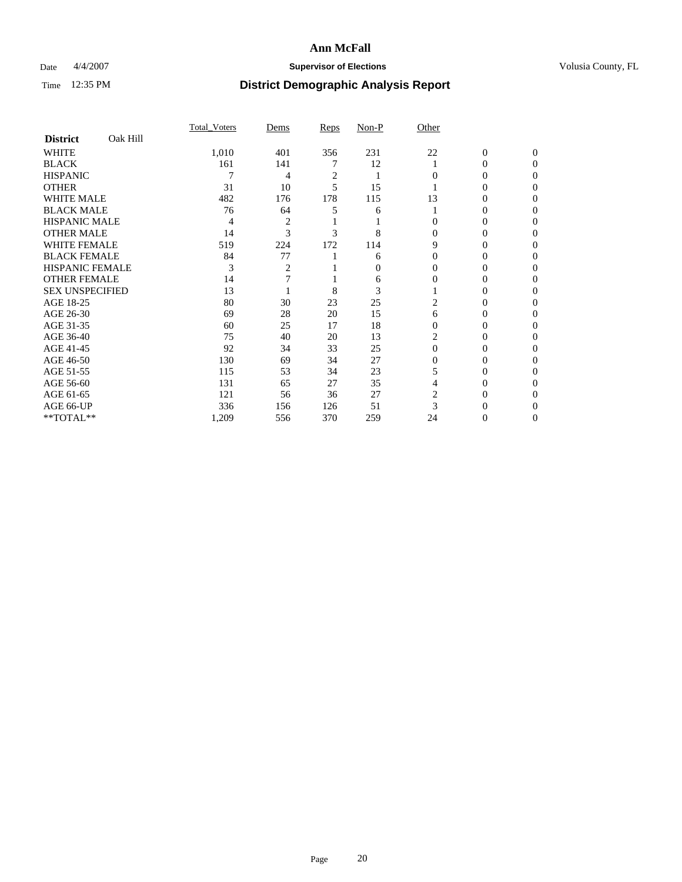### Date  $4/4/2007$  **Supervisor of Elections Supervisor of Elections** Volusia County, FL

|                        |          | Total Voters | Dems | Reps | Non-P    | Other    |                |              |  |
|------------------------|----------|--------------|------|------|----------|----------|----------------|--------------|--|
| <b>District</b>        | Oak Hill |              |      |      |          |          |                |              |  |
| <b>WHITE</b>           |          | 1,010        | 401  | 356  | 231      | 22       | $\overline{0}$ | $\mathbf{0}$ |  |
| <b>BLACK</b>           |          | 161          | 141  |      | 12       |          | 0              | $\Omega$     |  |
| <b>HISPANIC</b>        |          |              | 4    | 2    |          | 0        | 0              | $\Omega$     |  |
| <b>OTHER</b>           |          | 31           | 10   | 5    | 15       |          |                | 0            |  |
| <b>WHITE MALE</b>      |          | 482          | 176  | 178  | 115      | 13       | 0              |              |  |
| <b>BLACK MALE</b>      |          | 76           | 64   |      | 6        |          | 0              | $\theta$     |  |
| <b>HISPANIC MALE</b>   |          | 4            | 2    |      |          |          | 0              |              |  |
| <b>OTHER MALE</b>      |          | 14           | 3    | 3    | 8        | 0        | 0              | 0            |  |
| <b>WHITE FEMALE</b>    |          | 519          | 224  | 172  | 114      | 9        | 0              | 0            |  |
| <b>BLACK FEMALE</b>    |          | 84           | 77   |      | 6        | $\Omega$ | 0              | 0            |  |
| HISPANIC FEMALE        |          | 3            | 2    |      | $\Omega$ |          |                | 0            |  |
| <b>OTHER FEMALE</b>    |          | 14           |      |      | 6        |          | 0              | 0            |  |
| <b>SEX UNSPECIFIED</b> |          | 13           |      | 8    | 3        |          | 0              | 0            |  |
| AGE 18-25              |          | 80           | 30   | 23   | 25       | 2        | 0              |              |  |
| AGE 26-30              |          | 69           | 28   | 20   | 15       | 6        | 0              | $\theta$     |  |
| AGE 31-35              |          | 60           | 25   | 17   | 18       | 0        | 0              |              |  |
| AGE 36-40              |          | 75           | 40   | 20   | 13       |          | 0              | 0            |  |
| AGE 41-45              |          | 92           | 34   | 33   | 25       | $\Omega$ | $_{0}$         | 0            |  |
| AGE 46-50              |          | 130          | 69   | 34   | 27       | 0        | 0              | 0            |  |
| AGE 51-55              |          | 115          | 53   | 34   | 23       |          | 0              | 0            |  |
| AGE 56-60              |          | 131          | 65   | 27   | 35       |          | 0              | 0            |  |
| AGE 61-65              |          | 121          | 56   | 36   | 27       | 2        | 0              |              |  |
| AGE 66-UP              |          | 336          | 156  | 126  | 51       |          |                |              |  |
| **TOTAL**              |          | 1,209        | 556  | 370  | 259      | 24       | 0              | 0            |  |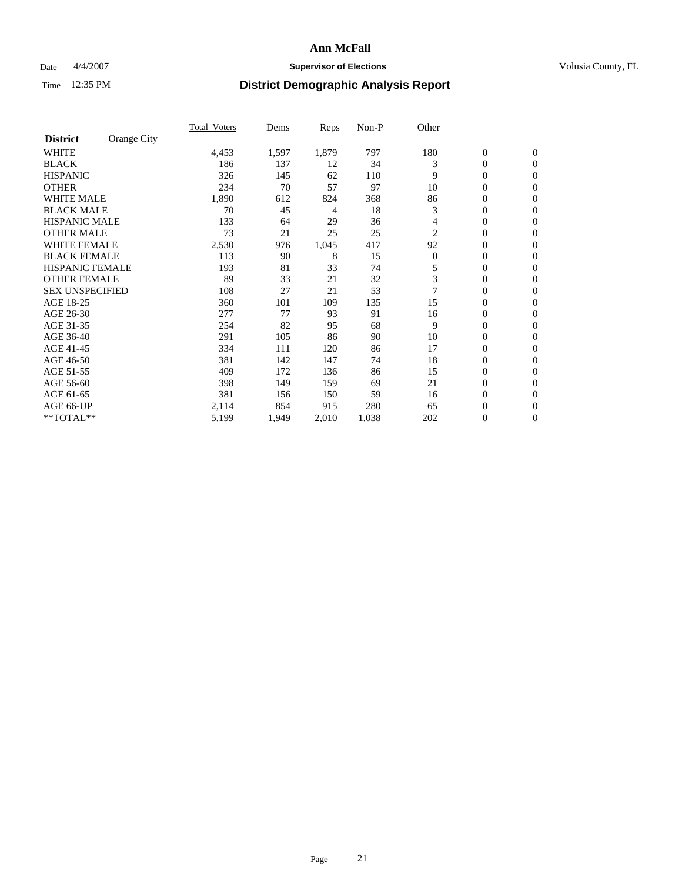### Date  $4/4/2007$  **Supervisor of Elections Supervisor of Elections** Volusia County, FL

|                        |             | <b>Total Voters</b> | Dems  | Reps  | Non-P | Other          |                  |                  |  |
|------------------------|-------------|---------------------|-------|-------|-------|----------------|------------------|------------------|--|
| <b>District</b>        | Orange City |                     |       |       |       |                |                  |                  |  |
| <b>WHITE</b>           |             | 4,453               | 1,597 | 1,879 | 797   | 180            | $\boldsymbol{0}$ | $\mathbf{0}$     |  |
| <b>BLACK</b>           |             | 186                 | 137   | 12    | 34    | 3              | 0                | $\mathbf{0}$     |  |
| <b>HISPANIC</b>        |             | 326                 | 145   | 62    | 110   | 9              | 0                | $\overline{0}$   |  |
| <b>OTHER</b>           |             | 234                 | 70    | 57    | 97    | 10             | 0                | $\mathbf{0}$     |  |
| <b>WHITE MALE</b>      |             | 1,890               | 612   | 824   | 368   | 86             | 0                | $\overline{0}$   |  |
| <b>BLACK MALE</b>      |             | 70                  | 45    | 4     | 18    | 3              | 0                | $\mathbf{0}$     |  |
| <b>HISPANIC MALE</b>   |             | 133                 | 64    | 29    | 36    | 4              | 0                | $\mathbf{0}$     |  |
| <b>OTHER MALE</b>      |             | 73                  | 21    | 25    | 25    | 2              | $\mathbf{0}$     | $\mathbf{0}$     |  |
| <b>WHITE FEMALE</b>    |             | 2,530               | 976   | 1,045 | 417   | 92             | 0                | $\mathbf{0}$     |  |
| <b>BLACK FEMALE</b>    |             | 113                 | 90    | 8     | 15    | $\overline{0}$ | $\boldsymbol{0}$ | $\overline{0}$   |  |
| <b>HISPANIC FEMALE</b> |             | 193                 | 81    | 33    | 74    | 5              | $\boldsymbol{0}$ | $\mathbf{0}$     |  |
| <b>OTHER FEMALE</b>    |             | 89                  | 33    | 21    | 32    | 3              | 0                | $\mathbf{0}$     |  |
| <b>SEX UNSPECIFIED</b> |             | 108                 | 27    | 21    | 53    |                | 0                | $\mathbf{0}$     |  |
| AGE 18-25              |             | 360                 | 101   | 109   | 135   | 15             | 0                | $\Omega$         |  |
| AGE 26-30              |             | 277                 | 77    | 93    | 91    | 16             | $\mathbf{0}$     | $\mathbf{0}$     |  |
| AGE 31-35              |             | 254                 | 82    | 95    | 68    | 9              | 0                | $\mathbf{0}$     |  |
| AGE 36-40              |             | 291                 | 105   | 86    | 90    | 10             | 0                | $\mathbf{0}$     |  |
| AGE 41-45              |             | 334                 | 111   | 120   | 86    | 17             | 0                | $\mathbf{0}$     |  |
| AGE 46-50              |             | 381                 | 142   | 147   | 74    | 18             | 0                | $\Omega$         |  |
| AGE 51-55              |             | 409                 | 172   | 136   | 86    | 15             | $\boldsymbol{0}$ | $\boldsymbol{0}$ |  |
| AGE 56-60              |             | 398                 | 149   | 159   | 69    | 21             | 0                | $\mathbf{0}$     |  |
| AGE 61-65              |             | 381                 | 156   | 150   | 59    | 16             | $\mathbf{0}$     | $\mathbf{0}$     |  |
| AGE 66-UP              |             | 2,114               | 854   | 915   | 280   | 65             | $\boldsymbol{0}$ | $\boldsymbol{0}$ |  |
| **TOTAL**              |             | 5,199               | 1,949 | 2,010 | 1,038 | 202            | 0                | $\boldsymbol{0}$ |  |
|                        |             |                     |       |       |       |                |                  |                  |  |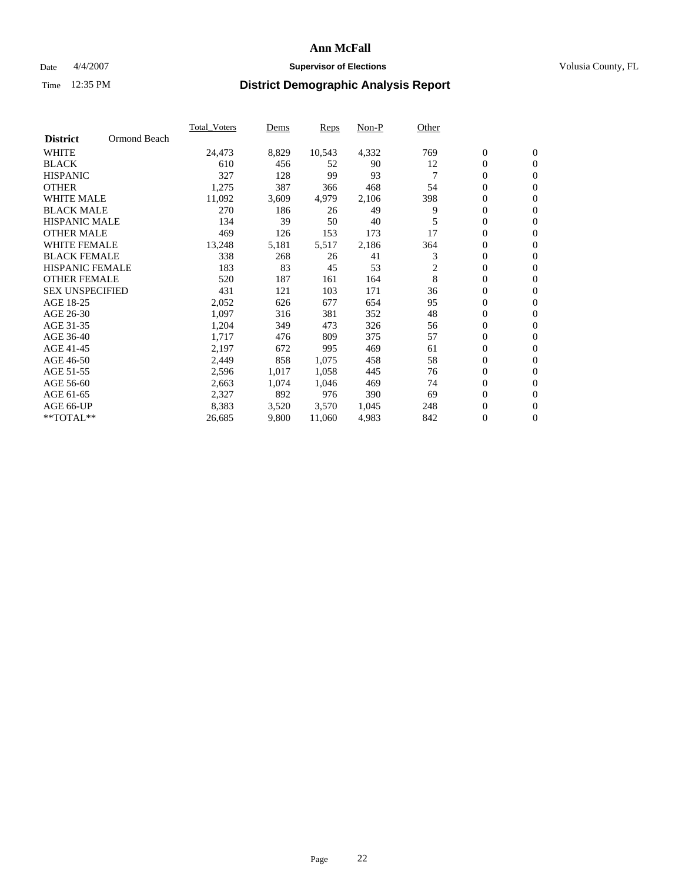### Date  $4/4/2007$  **Supervisor of Elections Supervisor of Elections** Volusia County, FL

|                        |              | Total Voters | Dems  | <b>Reps</b> | Non-P | Other |                  |                  |  |
|------------------------|--------------|--------------|-------|-------------|-------|-------|------------------|------------------|--|
| <b>District</b>        | Ormond Beach |              |       |             |       |       |                  |                  |  |
| <b>WHITE</b>           |              | 24,473       | 8,829 | 10,543      | 4,332 | 769   | $\overline{0}$   | $\mathbf{0}$     |  |
| <b>BLACK</b>           |              | 610          | 456   | 52          | 90    | 12    | $\overline{0}$   | $\mathbf{0}$     |  |
| <b>HISPANIC</b>        |              | 327          | 128   | 99          | 93    |       | $\boldsymbol{0}$ | $\mathbf{0}$     |  |
| <b>OTHER</b>           |              | 1,275        | 387   | 366         | 468   | 54    | 0                | $\mathbf{0}$     |  |
| <b>WHITE MALE</b>      |              | 11,092       | 3,609 | 4,979       | 2,106 | 398   | 0                | $\mathbf{0}$     |  |
| <b>BLACK MALE</b>      |              | 270          | 186   | 26          | 49    | 9     | $\boldsymbol{0}$ | $\boldsymbol{0}$ |  |
| <b>HISPANIC MALE</b>   |              | 134          | 39    | 50          | 40    |       | $\overline{0}$   | $\mathbf{0}$     |  |
| <b>OTHER MALE</b>      |              | 469          | 126   | 153         | 173   | 17    | $\overline{0}$   | $\mathbf{0}$     |  |
| <b>WHITE FEMALE</b>    |              | 13,248       | 5,181 | 5,517       | 2,186 | 364   | 0                | $\mathbf{0}$     |  |
| <b>BLACK FEMALE</b>    |              | 338          | 268   | 26          | 41    | 3     | $\overline{0}$   | $\mathbf{0}$     |  |
| <b>HISPANIC FEMALE</b> |              | 183          | 83    | 45          | 53    | 2     | 0                | $\mathbf{0}$     |  |
| <b>OTHER FEMALE</b>    |              | 520          | 187   | 161         | 164   | 8     | 0                | $\mathbf{0}$     |  |
| <b>SEX UNSPECIFIED</b> |              | 431          | 121   | 103         | 171   | 36    | $\overline{0}$   | $\mathbf{0}$     |  |
| AGE 18-25              |              | 2,052        | 626   | 677         | 654   | 95    | $\overline{0}$   | $\mathbf{0}$     |  |
| AGE 26-30              |              | 1,097        | 316   | 381         | 352   | 48    | $\overline{0}$   | $\mathbf{0}$     |  |
| AGE 31-35              |              | 1,204        | 349   | 473         | 326   | 56    | $\overline{0}$   | $\mathbf{0}$     |  |
| AGE 36-40              |              | 1,717        | 476   | 809         | 375   | 57    | $\boldsymbol{0}$ | $\mathbf{0}$     |  |
| AGE 41-45              |              | 2,197        | 672   | 995         | 469   | 61    | $\boldsymbol{0}$ | $\mathbf{0}$     |  |
| AGE 46-50              |              | 2,449        | 858   | 1,075       | 458   | 58    | 0                | $\mathbf{0}$     |  |
| AGE 51-55              |              | 2,596        | 1,017 | 1,058       | 445   | 76    | $\boldsymbol{0}$ | $\boldsymbol{0}$ |  |
| AGE 56-60              |              | 2,663        | 1,074 | 1,046       | 469   | 74    | $\overline{0}$   | $\mathbf{0}$     |  |
| AGE 61-65              |              | 2,327        | 892   | 976         | 390   | 69    | $\mathbf{0}$     | $\mathbf{0}$     |  |
| AGE 66-UP              |              | 8,383        | 3,520 | 3,570       | 1,045 | 248   | $\boldsymbol{0}$ | $\boldsymbol{0}$ |  |
| **TOTAL**              |              | 26,685       | 9,800 | 11,060      | 4,983 | 842   | 0                | $\overline{0}$   |  |
|                        |              |              |       |             |       |       |                  |                  |  |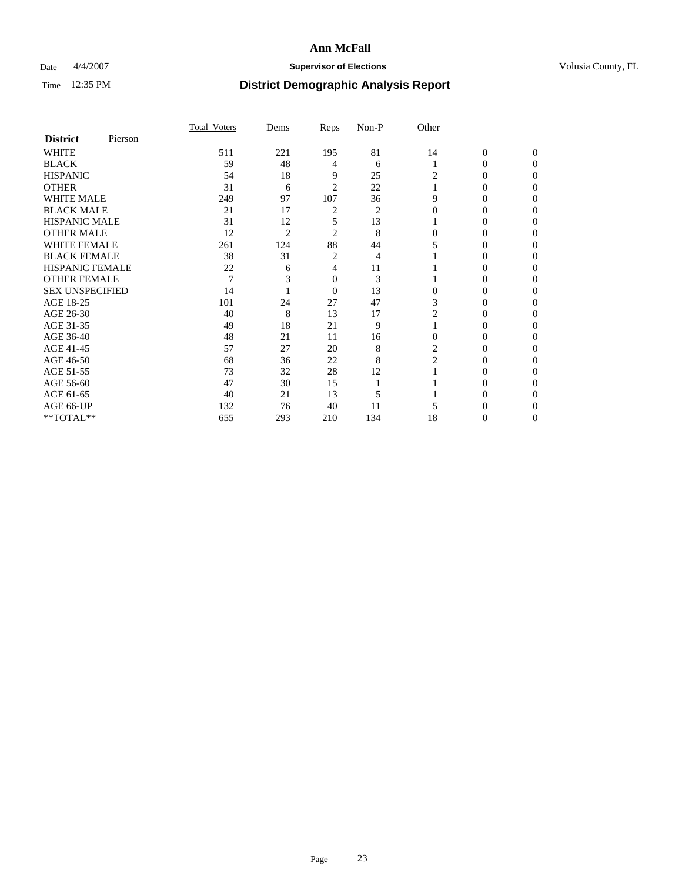### Date  $4/4/2007$  **Supervisor of Elections Supervisor of Elections** Volusia County, FL

|                        |         | <b>Total Voters</b> | Dems           | Reps           | Non-P | Other          |                  |              |  |
|------------------------|---------|---------------------|----------------|----------------|-------|----------------|------------------|--------------|--|
| <b>District</b>        | Pierson |                     |                |                |       |                |                  |              |  |
| <b>WHITE</b>           |         | 511                 | 221            | 195            | 81    | 14             | $\boldsymbol{0}$ | $\mathbf{0}$ |  |
| <b>BLACK</b>           |         | 59                  | 48             | 4              | 6     |                | 0                | $\Omega$     |  |
| <b>HISPANIC</b>        |         | 54                  | 18             | 9              | 25    | 2              | 0                | $\theta$     |  |
| <b>OTHER</b>           |         | 31                  | 6              | 2              | 22    |                | 0                | 0            |  |
| <b>WHITE MALE</b>      |         | 249                 | 97             | 107            | 36    | 9              | 0                |              |  |
| <b>BLACK MALE</b>      |         | 21                  | 17             | 2              | 2     | $\Omega$       | 0                |              |  |
| <b>HISPANIC MALE</b>   |         | 31                  | 12             | 5              | 13    |                | 0                |              |  |
| <b>OTHER MALE</b>      |         | 12                  | $\overline{2}$ | 2              | 8     | 0              | 0                |              |  |
| <b>WHITE FEMALE</b>    |         | 261                 | 124            | 88             | 44    |                | 0                |              |  |
| <b>BLACK FEMALE</b>    |         | 38                  | 31             | 2              | 4     |                | 0                | 0            |  |
| <b>HISPANIC FEMALE</b> |         | 22                  | 6              | 4              | 11    |                | 0                | 0            |  |
| <b>OTHER FEMALE</b>    |         | $\overline{7}$      |                | 0              | 3     |                | 0                | 0            |  |
| <b>SEX UNSPECIFIED</b> |         | 14                  |                | $\overline{0}$ | 13    | $\Omega$       | 0                |              |  |
| AGE 18-25              |         | 101                 | 24             | 27             | 47    | 3              | 0                |              |  |
| AGE 26-30              |         | 40                  | 8              | 13             | 17    | 2              | 0                |              |  |
| AGE 31-35              |         | 49                  | 18             | 21             | 9     |                | 0                |              |  |
| AGE 36-40              |         | 48                  | 21             | 11             | 16    | $\Omega$       | 0                | 0            |  |
| AGE 41-45              |         | 57                  | 27             | 20             | 8     | 2              | 0                |              |  |
| AGE 46-50              |         | 68                  | 36             | 22             | 8     | $\overline{2}$ | 0                | 0            |  |
| AGE 51-55              |         | 73                  | 32             | 28             | 12    |                | 0                | 0            |  |
| AGE 56-60              |         | 47                  | 30             | 15             |       |                | 0                |              |  |
| AGE 61-65              |         | 40                  | 21             | 13             | 5     |                | 0                |              |  |
| AGE 66-UP              |         | 132                 | 76             | 40             | 11    |                |                  |              |  |
| **TOTAL**              |         | 655                 | 293            | 210            | 134   | 18             | 0                | 0            |  |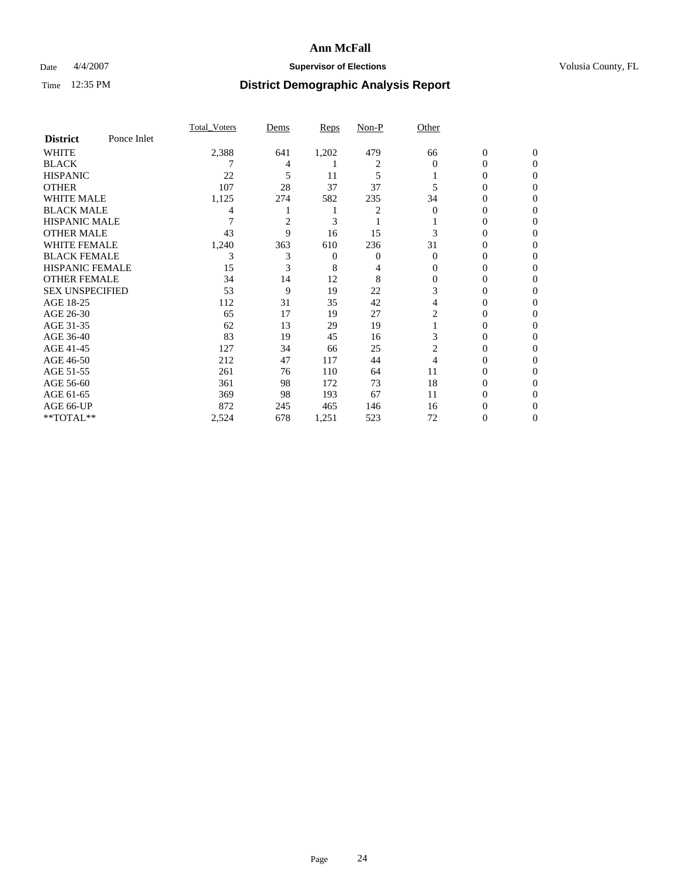### Date  $4/4/2007$  **Supervisor of Elections Supervisor of Elections** Volusia County, FL

|                        |             | Total Voters | Dems           | Reps  | Non-P | Other    |                  |                |
|------------------------|-------------|--------------|----------------|-------|-------|----------|------------------|----------------|
| <b>District</b>        | Ponce Inlet |              |                |       |       |          |                  |                |
| <b>WHITE</b>           |             | 2,388        | 641            | 1,202 | 479   | 66       | $\boldsymbol{0}$ | $\mathbf{0}$   |
| <b>BLACK</b>           |             |              | 4              |       | 2     | $\Omega$ | $\theta$         | $\Omega$       |
| <b>HISPANIC</b>        |             | 22           | 5              | 11    | 5     |          | 0                | $\Omega$       |
| <b>OTHER</b>           |             | 107          | 28             | 37    | 37    | 5        | $\theta$         | $\theta$       |
| WHITE MALE             |             | 1,125        | 274            | 582   | 235   | 34       | 0                | $\theta$       |
| <b>BLACK MALE</b>      |             | 4            |                |       | 2     | $\Omega$ | 0                | 0              |
| <b>HISPANIC MALE</b>   |             |              | $\overline{c}$ | 3     |       |          | 0                | 0              |
| <b>OTHER MALE</b>      |             | 43           | 9              | 16    | 15    | 3        | 0                | 0              |
| <b>WHITE FEMALE</b>    |             | 1,240        | 363            | 610   | 236   | 31       | 0                | $\Omega$       |
| <b>BLACK FEMALE</b>    |             | 3            | 3              | 0     | 0     | $\Omega$ | 0                | $\theta$       |
| <b>HISPANIC FEMALE</b> |             | 15           | 3              | 8     | 4     | 0        | 0                | 0              |
| <b>OTHER FEMALE</b>    |             | 34           | 14             | 12    | 8     | 0        | 0                | 0              |
| <b>SEX UNSPECIFIED</b> |             | 53           | 9              | 19    | 22    | 3        | 0                | 0              |
| AGE 18-25              |             | 112          | 31             | 35    | 42    | 4        | 0                | $\overline{0}$ |
| AGE 26-30              |             | 65           | 17             | 19    | 27    | 2        | 0                | $\Omega$       |
| AGE 31-35              |             | 62           | 13             | 29    | 19    |          | $\overline{0}$   | $\theta$       |
| AGE 36-40              |             | 83           | 19             | 45    | 16    | 3        | 0                | $\theta$       |
| AGE 41-45              |             | 127          | 34             | 66    | 25    | 2        | 0                | 0              |
| AGE 46-50              |             | 212          | 47             | 117   | 44    | 4        | 0                | 0              |
| AGE 51-55              |             | 261          | 76             | 110   | 64    | 11       | 0                | $\Omega$       |
| AGE 56-60              |             | 361          | 98             | 172   | 73    | 18       | 0                | $\overline{0}$ |
| AGE 61-65              |             | 369          | 98             | 193   | 67    | 11       | 0                | $\theta$       |
| AGE 66-UP              |             | 872          | 245            | 465   | 146   | 16       | 0                |                |
| **TOTAL**              |             | 2,524        | 678            | 1,251 | 523   | 72       | 0                | $\overline{0}$ |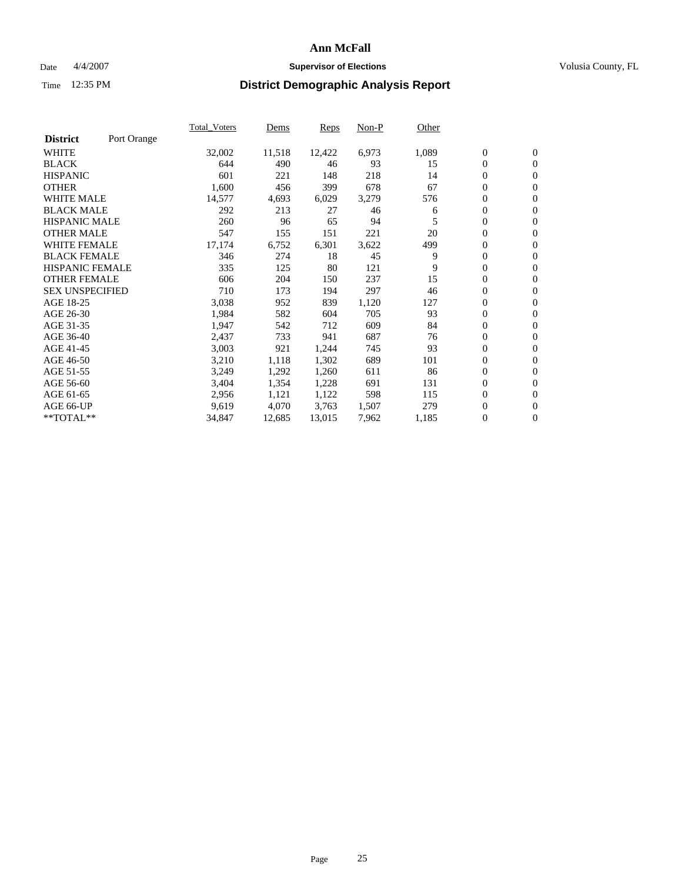#### Date  $4/4/2007$  **Supervisor of Elections Supervisor of Elections** Volusia County, FL

|                        |             | Total Voters | Dems   | <b>Reps</b> | Non-P | Other |                  |                  |  |
|------------------------|-------------|--------------|--------|-------------|-------|-------|------------------|------------------|--|
| <b>District</b>        | Port Orange |              |        |             |       |       |                  |                  |  |
| <b>WHITE</b>           |             | 32,002       | 11,518 | 12,422      | 6,973 | 1,089 | $\overline{0}$   | $\mathbf{0}$     |  |
| <b>BLACK</b>           |             | 644          | 490    | 46          | 93    | 15    | $\overline{0}$   | $\mathbf{0}$     |  |
| <b>HISPANIC</b>        |             | 601          | 221    | 148         | 218   | 14    | $\boldsymbol{0}$ | $\mathbf{0}$     |  |
| <b>OTHER</b>           |             | 1,600        | 456    | 399         | 678   | 67    | $\boldsymbol{0}$ | $\mathbf{0}$     |  |
| <b>WHITE MALE</b>      |             | 14,577       | 4,693  | 6,029       | 3,279 | 576   | 0                | $\mathbf{0}$     |  |
| <b>BLACK MALE</b>      |             | 292          | 213    | 27          | 46    | 6     | $\boldsymbol{0}$ | $\boldsymbol{0}$ |  |
| <b>HISPANIC MALE</b>   |             | 260          | 96     | 65          | 94    | 5     | $\overline{0}$   | $\mathbf{0}$     |  |
| <b>OTHER MALE</b>      |             | 547          | 155    | 151         | 221   | 20    | $\overline{0}$   | $\mathbf{0}$     |  |
| <b>WHITE FEMALE</b>    |             | 17,174       | 6,752  | 6,301       | 3,622 | 499   | $\overline{0}$   | $\mathbf{0}$     |  |
| <b>BLACK FEMALE</b>    |             | 346          | 274    | 18          | 45    | 9     | $\overline{0}$   | $\mathbf{0}$     |  |
| <b>HISPANIC FEMALE</b> |             | 335          | 125    | 80          | 121   | 9     | $\boldsymbol{0}$ | $\boldsymbol{0}$ |  |
| <b>OTHER FEMALE</b>    |             | 606          | 204    | 150         | 237   | 15    | 0                | $\mathbf{0}$     |  |
| <b>SEX UNSPECIFIED</b> |             | 710          | 173    | 194         | 297   | 46    | $\boldsymbol{0}$ | $\mathbf{0}$     |  |
| AGE 18-25              |             | 3,038        | 952    | 839         | 1,120 | 127   | $\boldsymbol{0}$ | $\mathbf{0}$     |  |
| AGE 26-30              |             | 1,984        | 582    | 604         | 705   | 93    | $\overline{0}$   | $\mathbf{0}$     |  |
| AGE 31-35              |             | 1,947        | 542    | 712         | 609   | 84    | $\overline{0}$   | $\mathbf{0}$     |  |
| AGE 36-40              |             | 2,437        | 733    | 941         | 687   | 76    | $\boldsymbol{0}$ | $\mathbf{0}$     |  |
| AGE 41-45              |             | 3,003        | 921    | 1,244       | 745   | 93    | $\boldsymbol{0}$ | $\mathbf{0}$     |  |
| AGE 46-50              |             | 3,210        | 1,118  | 1,302       | 689   | 101   | 0                | $\mathbf{0}$     |  |
| AGE 51-55              |             | 3,249        | 1,292  | 1,260       | 611   | 86    | $\boldsymbol{0}$ | $\boldsymbol{0}$ |  |
| AGE 56-60              |             | 3,404        | 1,354  | 1,228       | 691   | 131   | $\overline{0}$   | $\mathbf{0}$     |  |
| AGE 61-65              |             | 2,956        | 1,121  | 1,122       | 598   | 115   | $\mathbf{0}$     | $\mathbf{0}$     |  |
| AGE 66-UP              |             | 9,619        | 4,070  | 3,763       | 1,507 | 279   | $\boldsymbol{0}$ | $\boldsymbol{0}$ |  |
| **TOTAL**              |             | 34,847       | 12,685 | 13,015      | 7,962 | 1,185 | $\boldsymbol{0}$ | $\overline{0}$   |  |
|                        |             |              |        |             |       |       |                  |                  |  |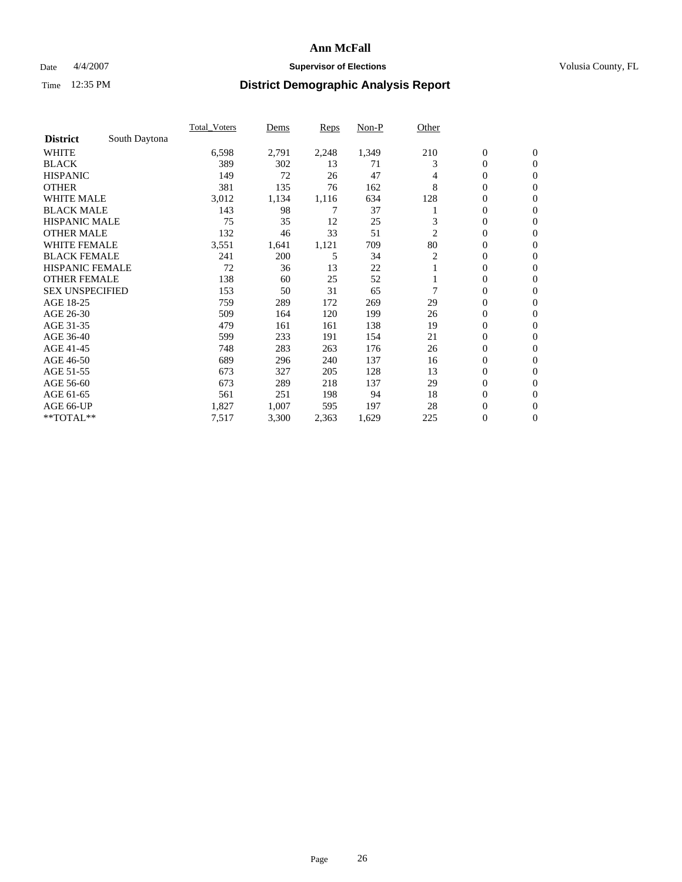### Date  $4/4/2007$  **Supervisor of Elections Supervisor of Elections** Volusia County, FL

|                        |               | <b>Total Voters</b> | Dems  | Reps  | Non-P | Other |                  |                  |  |
|------------------------|---------------|---------------------|-------|-------|-------|-------|------------------|------------------|--|
| <b>District</b>        | South Daytona |                     |       |       |       |       |                  |                  |  |
| <b>WHITE</b>           |               | 6,598               | 2,791 | 2,248 | 1,349 | 210   | $\boldsymbol{0}$ | $\boldsymbol{0}$ |  |
| <b>BLACK</b>           |               | 389                 | 302   | 13    | 71    | 3     | $\mathbf{0}$     | $\mathbf{0}$     |  |
| <b>HISPANIC</b>        |               | 149                 | 72    | 26    | 47    | 4     | 0                | $\mathbf{0}$     |  |
| <b>OTHER</b>           |               | 381                 | 135   | 76    | 162   | 8     | 0                | $\overline{0}$   |  |
| <b>WHITE MALE</b>      |               | 3,012               | 1,134 | 1,116 | 634   | 128   | 0                | $\mathbf{0}$     |  |
| <b>BLACK MALE</b>      |               | 143                 | 98    | 7     | 37    |       | 0                | 0                |  |
| <b>HISPANIC MALE</b>   |               | 75                  | 35    | 12    | 25    | 3     | 0                | $\mathbf{0}$     |  |
| <b>OTHER MALE</b>      |               | 132                 | 46    | 33    | 51    | 2     | 0                | $\mathbf{0}$     |  |
| <b>WHITE FEMALE</b>    |               | 3,551               | 1,641 | 1,121 | 709   | 80    | 0                | $\mathbf{0}$     |  |
| <b>BLACK FEMALE</b>    |               | 241                 | 200   | 5     | 34    | 2     | $\mathbf{0}$     | $\mathbf{0}$     |  |
| <b>HISPANIC FEMALE</b> |               | 72                  | 36    | 13    | 22    |       | 0                | $\mathbf{0}$     |  |
| <b>OTHER FEMALE</b>    |               | 138                 | 60    | 25    | 52    |       | 0                | $\mathbf{0}$     |  |
| <b>SEX UNSPECIFIED</b> |               | 153                 | 50    | 31    | 65    | 7     | $\boldsymbol{0}$ | $\mathbf{0}$     |  |
| AGE 18-25              |               | 759                 | 289   | 172   | 269   | 29    | 0                | $\mathbf{0}$     |  |
| AGE 26-30              |               | 509                 | 164   | 120   | 199   | 26    | 0                | $\mathbf{0}$     |  |
| AGE 31-35              |               | 479                 | 161   | 161   | 138   | 19    | 0                | $\mathbf{0}$     |  |
| AGE 36-40              |               | 599                 | 233   | 191   | 154   | 21    | $\boldsymbol{0}$ | $\mathbf{0}$     |  |
| AGE 41-45              |               | 748                 | 283   | 263   | 176   | 26    | 0                | $\mathbf{0}$     |  |
| AGE 46-50              |               | 689                 | 296   | 240   | 137   | 16    | $\mathbf{0}$     | $\mathbf{0}$     |  |
| AGE 51-55              |               | 673                 | 327   | 205   | 128   | 13    | $\overline{0}$   | $\mathbf{0}$     |  |
| AGE 56-60              |               | 673                 | 289   | 218   | 137   | 29    | $\boldsymbol{0}$ | $\mathbf{0}$     |  |
| AGE 61-65              |               | 561                 | 251   | 198   | 94    | 18    | 0                | $\mathbf{0}$     |  |
| AGE 66-UP              |               | 1,827               | 1,007 | 595   | 197   | 28    | 0                | 0                |  |
| **TOTAL**              |               | 7,517               | 3,300 | 2,363 | 1,629 | 225   | $\boldsymbol{0}$ | $\boldsymbol{0}$ |  |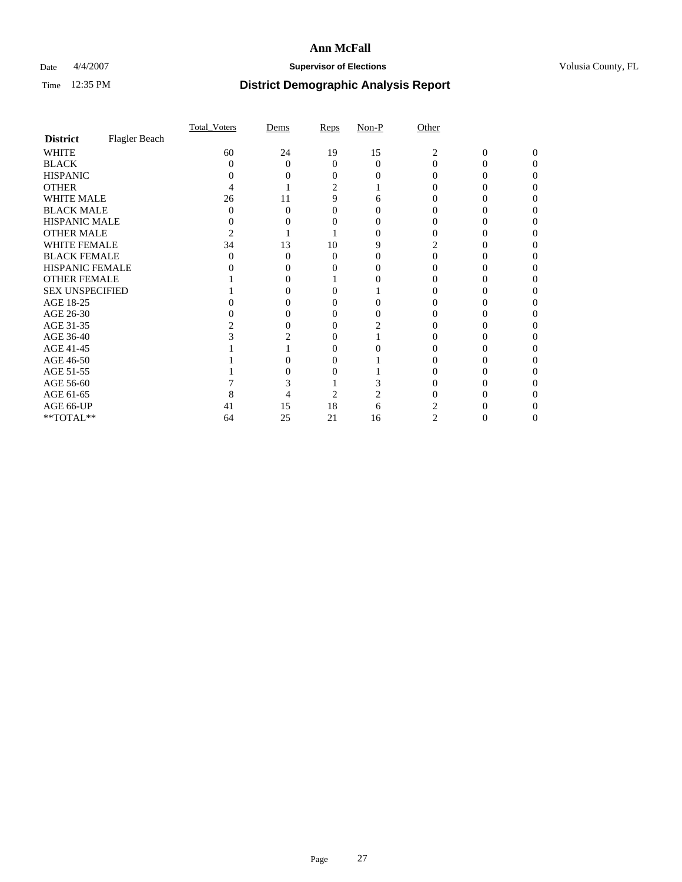### Date  $4/4/2007$  **Supervisor of Elections Supervisor of Elections** Volusia County, FL

|                                     |               | <b>Total Voters</b> | Dems     | Reps     | $Non-P$ | Other |   |          |  |
|-------------------------------------|---------------|---------------------|----------|----------|---------|-------|---|----------|--|
| <b>District</b>                     | Flagler Beach |                     |          |          |         |       |   |          |  |
| <b>WHITE</b>                        |               | 60                  | 24       | 19       | 15      | 2     | 0 | $\Omega$ |  |
| <b>BLACK</b>                        |               | 0                   | $\Omega$ | 0        | 0       | 0     |   |          |  |
| <b>HISPANIC</b>                     |               |                     |          |          |         |       |   |          |  |
| <b>OTHER</b>                        |               |                     |          | 2        |         |       |   |          |  |
| <b>WHITE MALE</b>                   |               | 26                  | 11       | 9        | 6       |       |   |          |  |
| <b>BLACK MALE</b>                   |               |                     | 0        |          |         |       |   |          |  |
| HISPANIC MALE                       |               |                     |          |          |         |       |   |          |  |
| <b>OTHER MALE</b>                   |               |                     |          |          |         |       |   |          |  |
| <b>WHITE FEMALE</b>                 |               | 34                  | 13       | 10       |         |       |   |          |  |
| <b>BLACK FEMALE</b>                 |               |                     | 0        | $\theta$ |         |       |   |          |  |
| HISPANIC FEMALE                     |               |                     |          |          |         |       |   |          |  |
| <b>OTHER FEMALE</b>                 |               |                     |          |          |         |       |   |          |  |
| <b>SEX UNSPECIFIED</b>              |               |                     |          |          |         |       |   |          |  |
| AGE 18-25                           |               |                     |          |          |         |       |   |          |  |
| AGE 26-30                           |               |                     |          |          |         |       |   |          |  |
| AGE 31-35                           |               |                     |          |          |         |       |   |          |  |
| AGE 36-40                           |               |                     |          | 0        |         |       |   |          |  |
| AGE 41-45                           |               |                     |          |          |         |       |   |          |  |
| AGE 46-50                           |               |                     |          |          |         |       |   |          |  |
| AGE 51-55                           |               |                     |          |          |         |       |   |          |  |
| AGE 56-60                           |               |                     |          |          |         |       |   |          |  |
| AGE 61-65                           |               |                     |          | 2        |         |       |   |          |  |
| AGE 66-UP                           |               | 41                  | 15       | 18       | 6       |       |   |          |  |
| $\rm ^{\ast \ast}TOTAL^{\ast \ast}$ |               | 64                  | 25       | 21       | 16      | 2     | 0 |          |  |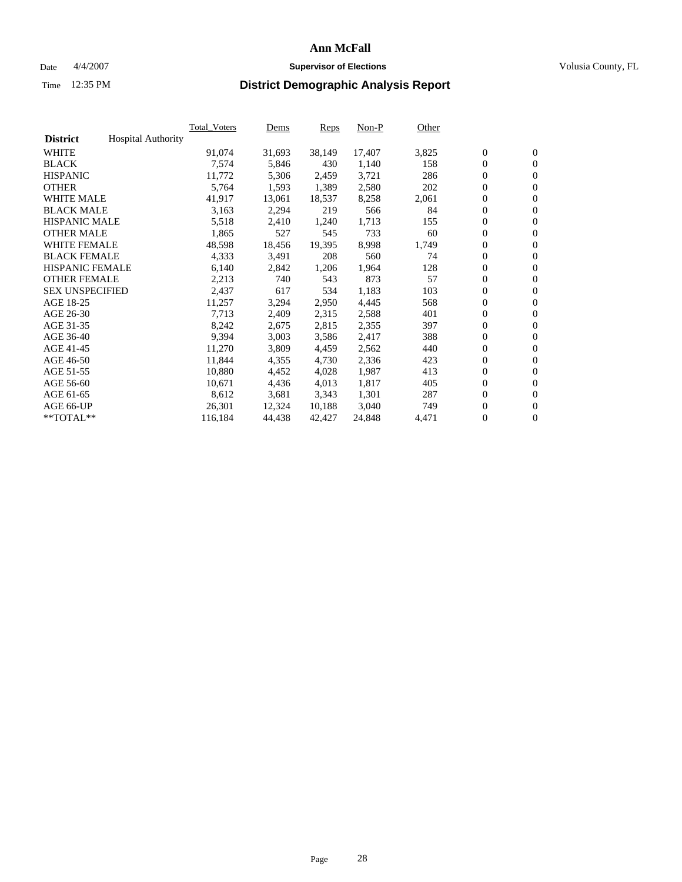#### Date  $4/4/2007$  **Supervisor of Elections Supervisor of Elections** Volusia County, FL

|                        |                           | Total Voters | Dems   | <b>Reps</b> | Non-P  | Other |                  |                  |  |
|------------------------|---------------------------|--------------|--------|-------------|--------|-------|------------------|------------------|--|
| <b>District</b>        | <b>Hospital Authority</b> |              |        |             |        |       |                  |                  |  |
| <b>WHITE</b>           |                           | 91,074       | 31,693 | 38,149      | 17,407 | 3,825 | $\overline{0}$   | $\mathbf{0}$     |  |
| <b>BLACK</b>           |                           | 7,574        | 5,846  | 430         | 1,140  | 158   | $\overline{0}$   | $\mathbf{0}$     |  |
| <b>HISPANIC</b>        |                           | 11,772       | 5,306  | 2,459       | 3,721  | 286   | $\boldsymbol{0}$ | $\mathbf{0}$     |  |
| <b>OTHER</b>           |                           | 5,764        | 1,593  | 1,389       | 2,580  | 202   | $\boldsymbol{0}$ | $\mathbf{0}$     |  |
| <b>WHITE MALE</b>      |                           | 41,917       | 13,061 | 18,537      | 8,258  | 2,061 | 0                | $\mathbf{0}$     |  |
| <b>BLACK MALE</b>      |                           | 3,163        | 2,294  | 219         | 566    | 84    | $\boldsymbol{0}$ | $\boldsymbol{0}$ |  |
| <b>HISPANIC MALE</b>   |                           | 5,518        | 2,410  | 1,240       | 1,713  | 155   | $\overline{0}$   | $\mathbf{0}$     |  |
| <b>OTHER MALE</b>      |                           | 1,865        | 527    | 545         | 733    | 60    | $\overline{0}$   | $\mathbf{0}$     |  |
| <b>WHITE FEMALE</b>    |                           | 48,598       | 18,456 | 19,395      | 8,998  | 1,749 | $\mathbf{0}$     | $\mathbf{0}$     |  |
| <b>BLACK FEMALE</b>    |                           | 4,333        | 3,491  | 208         | 560    | 74    | $\boldsymbol{0}$ | $\mathbf{0}$     |  |
| <b>HISPANIC FEMALE</b> |                           | 6,140        | 2,842  | 1,206       | 1,964  | 128   | $\boldsymbol{0}$ | $\boldsymbol{0}$ |  |
| <b>OTHER FEMALE</b>    |                           | 2,213        | 740    | 543         | 873    | 57    | $\overline{0}$   | $\mathbf{0}$     |  |
| <b>SEX UNSPECIFIED</b> |                           | 2,437        | 617    | 534         | 1,183  | 103   | $\boldsymbol{0}$ | $\mathbf{0}$     |  |
| AGE 18-25              |                           | 11,257       | 3,294  | 2,950       | 4,445  | 568   | $\boldsymbol{0}$ | $\mathbf{0}$     |  |
| AGE 26-30              |                           | 7,713        | 2,409  | 2,315       | 2,588  | 401   | $\overline{0}$   | $\mathbf{0}$     |  |
| AGE 31-35              |                           | 8,242        | 2,675  | 2,815       | 2,355  | 397   | $\overline{0}$   | $\mathbf{0}$     |  |
| AGE 36-40              |                           | 9,394        | 3,003  | 3,586       | 2,417  | 388   | $\boldsymbol{0}$ | $\boldsymbol{0}$ |  |
| AGE 41-45              |                           | 11,270       | 3,809  | 4,459       | 2,562  | 440   | $\boldsymbol{0}$ | $\mathbf{0}$     |  |
| AGE 46-50              |                           | 11,844       | 4,355  | 4,730       | 2,336  | 423   | $\boldsymbol{0}$ | $\mathbf{0}$     |  |
| AGE 51-55              |                           | 10,880       | 4,452  | 4,028       | 1,987  | 413   | $\boldsymbol{0}$ | $\boldsymbol{0}$ |  |
| AGE 56-60              |                           | 10,671       | 4,436  | 4,013       | 1,817  | 405   | $\overline{0}$   | $\mathbf{0}$     |  |
| AGE 61-65              |                           | 8,612        | 3,681  | 3,343       | 1,301  | 287   | $\mathbf{0}$     | $\boldsymbol{0}$ |  |
| AGE 66-UP              |                           | 26,301       | 12,324 | 10,188      | 3,040  | 749   | $\boldsymbol{0}$ | $\boldsymbol{0}$ |  |
| **TOTAL**              |                           | 116,184      | 44,438 | 42,427      | 24,848 | 4,471 | 0                | $\overline{0}$   |  |
|                        |                           |              |        |             |        |       |                  |                  |  |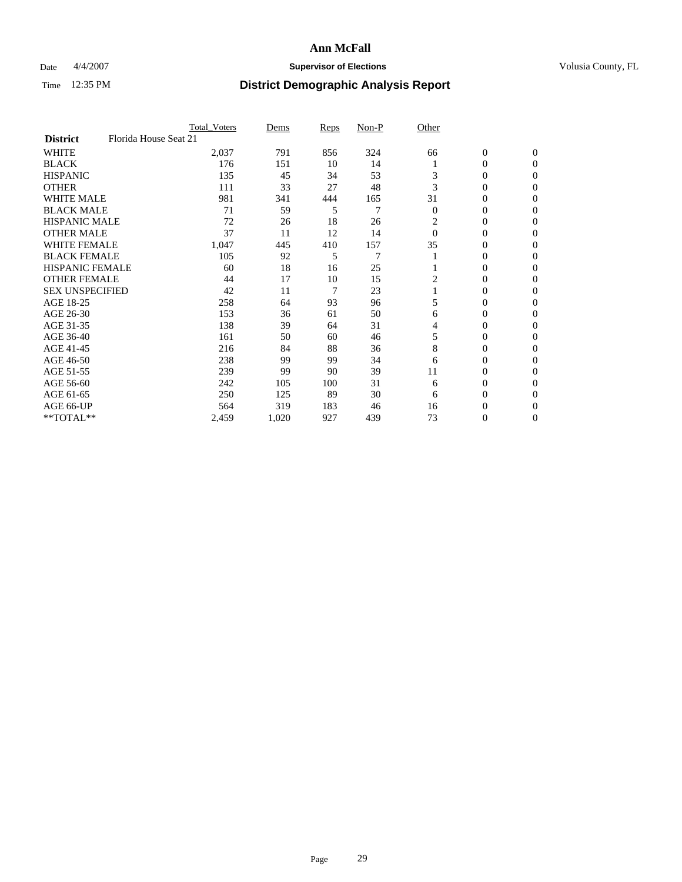### Date  $4/4/2007$  **Supervisor of Elections Supervisor of Elections** Volusia County, FL

|                        | <b>Total Voters</b>   | Dems  | Reps | Non-P          | Other          |                  |                  |  |
|------------------------|-----------------------|-------|------|----------------|----------------|------------------|------------------|--|
| <b>District</b>        | Florida House Seat 21 |       |      |                |                |                  |                  |  |
| <b>WHITE</b>           | 2,037                 | 791   | 856  | 324            | 66             | $\boldsymbol{0}$ | $\mathbf{0}$     |  |
| <b>BLACK</b>           | 176                   | 151   | 10   | 14             |                | 0                | $\mathbf{0}$     |  |
| <b>HISPANIC</b>        | 135                   | 45    | 34   | 53             | 3              | 0                | $\mathbf{0}$     |  |
| <b>OTHER</b>           | 111                   | 33    | 27   | 48             | 3              | 0                | $\overline{0}$   |  |
| <b>WHITE MALE</b>      | 981                   | 341   | 444  | 165            | 31             | 0                | $\mathbf{0}$     |  |
| <b>BLACK MALE</b>      | 71                    | 59    | 5    | 7              | $\overline{0}$ | 0                | $\mathbf{0}$     |  |
| <b>HISPANIC MALE</b>   | 72                    | 26    | 18   | 26             | 2              | 0                | $\Omega$         |  |
| <b>OTHER MALE</b>      | 37                    | 11    | 12   | 14             | $\Omega$       | 0                | 0                |  |
| <b>WHITE FEMALE</b>    | 1,047                 | 445   | 410  | 157            | 35             | 0                | $\Omega$         |  |
| <b>BLACK FEMALE</b>    | 105                   | 92    | 5    | $\overline{7}$ |                | 0                | $\mathbf{0}$     |  |
| <b>HISPANIC FEMALE</b> | 60                    | 18    | 16   | 25             |                | 0                | $\Omega$         |  |
| <b>OTHER FEMALE</b>    | 44                    | 17    | 10   | 15             | 2              | 0                | $\boldsymbol{0}$ |  |
| <b>SEX UNSPECIFIED</b> | 42                    | 11    | 7    | 23             |                | 0                | $\mathbf{0}$     |  |
| AGE 18-25              | 258                   | 64    | 93   | 96             | 5              | 0                | 0                |  |
| AGE 26-30              | 153                   | 36    | 61   | 50             | 6              | 0                | $\Omega$         |  |
| AGE 31-35              | 138                   | 39    | 64   | 31             | 4              | 0                | 0                |  |
| AGE 36-40              | 161                   | 50    | 60   | 46             | 5              | 0                | $\mathbf{0}$     |  |
| AGE 41-45              | 216                   | 84    | 88   | 36             | 8              | 0                | $\Omega$         |  |
| AGE 46-50              | 238                   | 99    | 99   | 34             | 6              | 0                | $\mathbf{0}$     |  |
| AGE 51-55              | 239                   | 99    | 90   | 39             | 11             | 0                | $\Omega$         |  |
| AGE 56-60              | 242                   | 105   | 100  | 31             | 6              | 0                | $\theta$         |  |
| AGE 61-65              | 250                   | 125   | 89   | 30             | 6              | 0                | $\Omega$         |  |
| AGE 66-UP              | 564                   | 319   | 183  | 46             | 16             | 0                | 0                |  |
| **TOTAL**              | 2,459                 | 1,020 | 927  | 439            | 73             | 0                | 0                |  |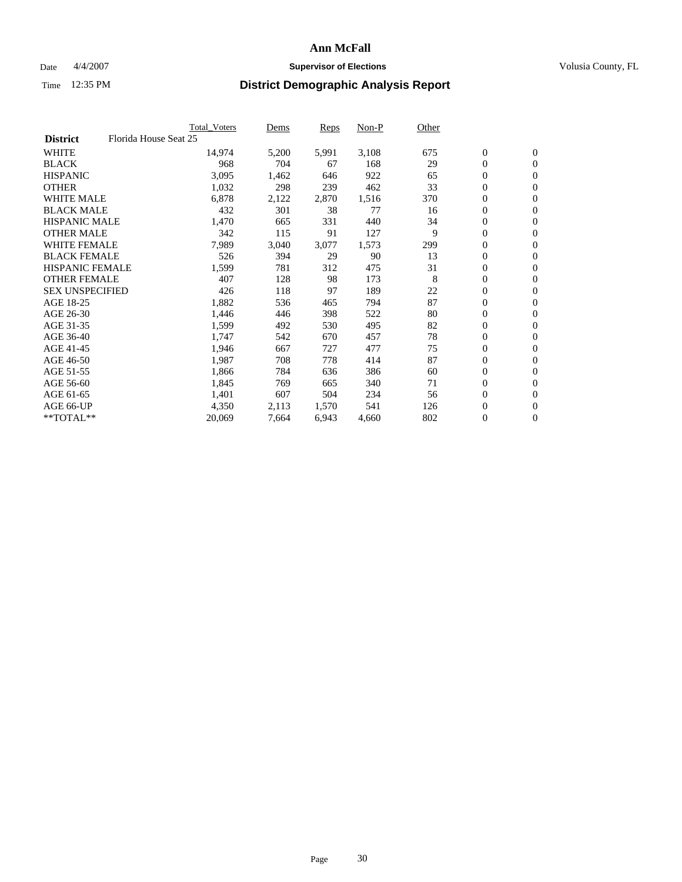#### Date  $4/4/2007$  **Supervisor of Elections Supervisor of Elections** Volusia County, FL

|                                          | <b>Total Voters</b> | Dems  | Reps  | Non-P | Other |                  |                  |  |
|------------------------------------------|---------------------|-------|-------|-------|-------|------------------|------------------|--|
| Florida House Seat 25<br><b>District</b> |                     |       |       |       |       |                  |                  |  |
| <b>WHITE</b>                             | 14,974              | 5,200 | 5,991 | 3,108 | 675   | $\boldsymbol{0}$ | $\mathbf{0}$     |  |
| <b>BLACK</b>                             | 968                 | 704   | 67    | 168   | 29    | $\mathbf{0}$     | $\mathbf{0}$     |  |
| <b>HISPANIC</b>                          | 3,095               | 1,462 | 646   | 922   | 65    | 0                | $\mathbf{0}$     |  |
| <b>OTHER</b>                             | 1,032               | 298   | 239   | 462   | 33    | 0                | $\mathbf{0}$     |  |
| <b>WHITE MALE</b>                        | 6,878               | 2,122 | 2,870 | 1,516 | 370   | 0                | $\overline{0}$   |  |
| <b>BLACK MALE</b>                        | 432                 | 301   | 38    | 77    | 16    | 0                | $\boldsymbol{0}$ |  |
| <b>HISPANIC MALE</b>                     | 1,470               | 665   | 331   | 440   | 34    | 0                | $\mathbf{0}$     |  |
| <b>OTHER MALE</b>                        | 342                 | 115   | 91    | 127   | 9     | $\mathbf{0}$     | $\mathbf{0}$     |  |
| <b>WHITE FEMALE</b>                      | 7,989               | 3,040 | 3,077 | 1,573 | 299   | 0                | $\mathbf{0}$     |  |
| <b>BLACK FEMALE</b>                      | 526                 | 394   | 29    | 90    | 13    | $\boldsymbol{0}$ | $\mathbf{0}$     |  |
| <b>HISPANIC FEMALE</b>                   | 1,599               | 781   | 312   | 475   | 31    | $\boldsymbol{0}$ | $\boldsymbol{0}$ |  |
| <b>OTHER FEMALE</b>                      | 407                 | 128   | 98    | 173   | 8     | 0                | $\overline{0}$   |  |
| <b>SEX UNSPECIFIED</b>                   | 426                 | 118   | 97    | 189   | 22    | 0                | $\mathbf{0}$     |  |
| AGE 18-25                                | 1,882               | 536   | 465   | 794   | 87    | 0                | $\mathbf{0}$     |  |
| AGE 26-30                                | 1,446               | 446   | 398   | 522   | 80    | $\mathbf{0}$     | $\mathbf{0}$     |  |
| AGE 31-35                                | 1,599               | 492   | 530   | 495   | 82    | 0                | $\mathbf{0}$     |  |
| AGE 36-40                                | 1,747               | 542   | 670   | 457   | 78    | 0                | $\overline{0}$   |  |
| AGE 41-45                                | 1,946               | 667   | 727   | 477   | 75    | 0                | $\mathbf{0}$     |  |
| AGE 46-50                                | 1,987               | 708   | 778   | 414   | 87    | 0                | $\overline{0}$   |  |
| AGE 51-55                                | 1,866               | 784   | 636   | 386   | 60    | $\boldsymbol{0}$ | $\boldsymbol{0}$ |  |
| AGE 56-60                                | 1,845               | 769   | 665   | 340   | 71    | 0                | $\mathbf{0}$     |  |
| AGE 61-65                                | 1,401               | 607   | 504   | 234   | 56    | $\mathbf{0}$     | $\mathbf{0}$     |  |
| AGE 66-UP                                | 4,350               | 2,113 | 1,570 | 541   | 126   | 0                | $\boldsymbol{0}$ |  |
| **TOTAL**                                | 20,069              | 7,664 | 6,943 | 4,660 | 802   | 0                | $\overline{0}$   |  |
|                                          |                     |       |       |       |       |                  |                  |  |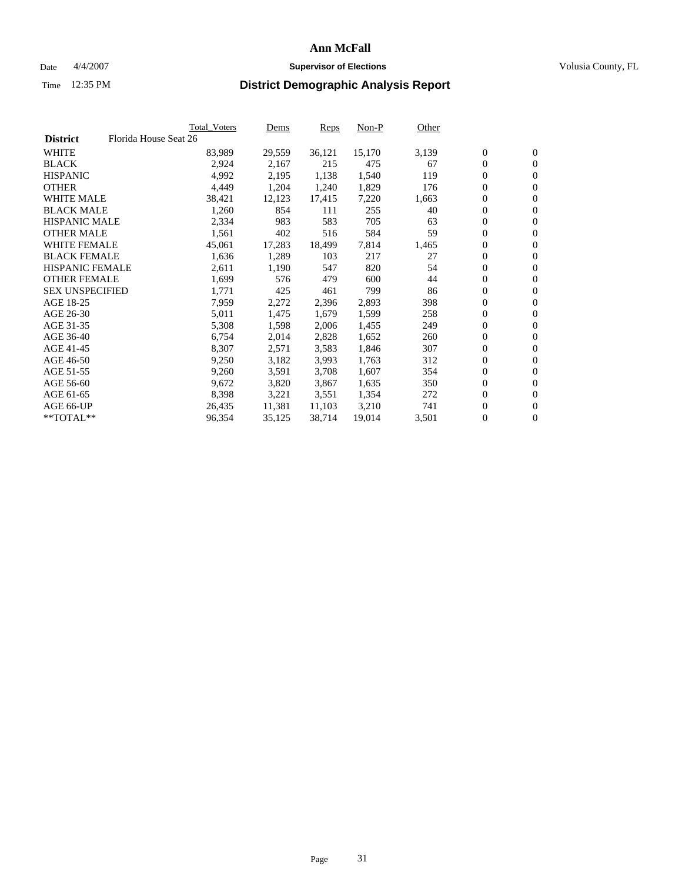#### Date  $4/4/2007$  **Supervisor of Elections Supervisor of Elections** Volusia County, FL

|                        | Total_Voters          | Dems   | <b>Reps</b> | Non-P  | Other |                  |                  |  |
|------------------------|-----------------------|--------|-------------|--------|-------|------------------|------------------|--|
| <b>District</b>        | Florida House Seat 26 |        |             |        |       |                  |                  |  |
| <b>WHITE</b>           | 83,989                | 29,559 | 36,121      | 15,170 | 3,139 | $\overline{0}$   | $\mathbf{0}$     |  |
| <b>BLACK</b>           | 2,924                 | 2,167  | 215         | 475    | 67    | $\overline{0}$   | $\mathbf{0}$     |  |
| <b>HISPANIC</b>        | 4,992                 | 2,195  | 1,138       | 1,540  | 119   | $\boldsymbol{0}$ | $\mathbf{0}$     |  |
| <b>OTHER</b>           | 4,449                 | 1,204  | 1,240       | 1,829  | 176   | $\boldsymbol{0}$ | $\mathbf{0}$     |  |
| <b>WHITE MALE</b>      | 38,421                | 12,123 | 17,415      | 7,220  | 1,663 | 0                | $\mathbf{0}$     |  |
| <b>BLACK MALE</b>      | 1,260                 | 854    | 111         | 255    | 40    | $\boldsymbol{0}$ | $\boldsymbol{0}$ |  |
| <b>HISPANIC MALE</b>   | 2,334                 | 983    | 583         | 705    | 63    | $\overline{0}$   | $\mathbf{0}$     |  |
| <b>OTHER MALE</b>      | 1,561                 | 402    | 516         | 584    | 59    | $\overline{0}$   | $\mathbf{0}$     |  |
| <b>WHITE FEMALE</b>    | 45,061                | 17,283 | 18,499      | 7,814  | 1,465 | $\mathbf{0}$     | $\mathbf{0}$     |  |
| <b>BLACK FEMALE</b>    | 1,636                 | 1,289  | 103         | 217    | 27    | $\overline{0}$   | $\mathbf{0}$     |  |
| <b>HISPANIC FEMALE</b> | 2,611                 | 1,190  | 547         | 820    | 54    | $\boldsymbol{0}$ | $\boldsymbol{0}$ |  |
| <b>OTHER FEMALE</b>    | 1,699                 | 576    | 479         | 600    | 44    | 0                | $\mathbf{0}$     |  |
| <b>SEX UNSPECIFIED</b> | 1,771                 | 425    | 461         | 799    | 86    | $\boldsymbol{0}$ | $\mathbf{0}$     |  |
| AGE 18-25              | 7,959                 | 2,272  | 2,396       | 2,893  | 398   | $\boldsymbol{0}$ | $\mathbf{0}$     |  |
| AGE 26-30              | 5,011                 | 1,475  | 1,679       | 1,599  | 258   | $\overline{0}$   | $\mathbf{0}$     |  |
| AGE 31-35              | 5,308                 | 1,598  | 2,006       | 1,455  | 249   | $\overline{0}$   | $\mathbf{0}$     |  |
| AGE 36-40              | 6,754                 | 2,014  | 2,828       | 1,652  | 260   | $\boldsymbol{0}$ | $\boldsymbol{0}$ |  |
| AGE 41-45              | 8,307                 | 2,571  | 3,583       | 1,846  | 307   | $\boldsymbol{0}$ | $\mathbf{0}$     |  |
| AGE 46-50              | 9,250                 | 3,182  | 3,993       | 1,763  | 312   | 0                | $\mathbf{0}$     |  |
| AGE 51-55              | 9,260                 | 3,591  | 3,708       | 1,607  | 354   | $\boldsymbol{0}$ | $\boldsymbol{0}$ |  |
| AGE 56-60              | 9,672                 | 3,820  | 3,867       | 1,635  | 350   | $\overline{0}$   | $\mathbf{0}$     |  |
| AGE 61-65              | 8,398                 | 3,221  | 3,551       | 1,354  | 272   | $\mathbf{0}$     | $\mathbf{0}$     |  |
| AGE 66-UP              | 26,435                | 11,381 | 11,103      | 3,210  | 741   | $\boldsymbol{0}$ | $\boldsymbol{0}$ |  |
| **TOTAL**              | 96,354                | 35,125 | 38,714      | 19,014 | 3,501 | 0                | $\overline{0}$   |  |
|                        |                       |        |             |        |       |                  |                  |  |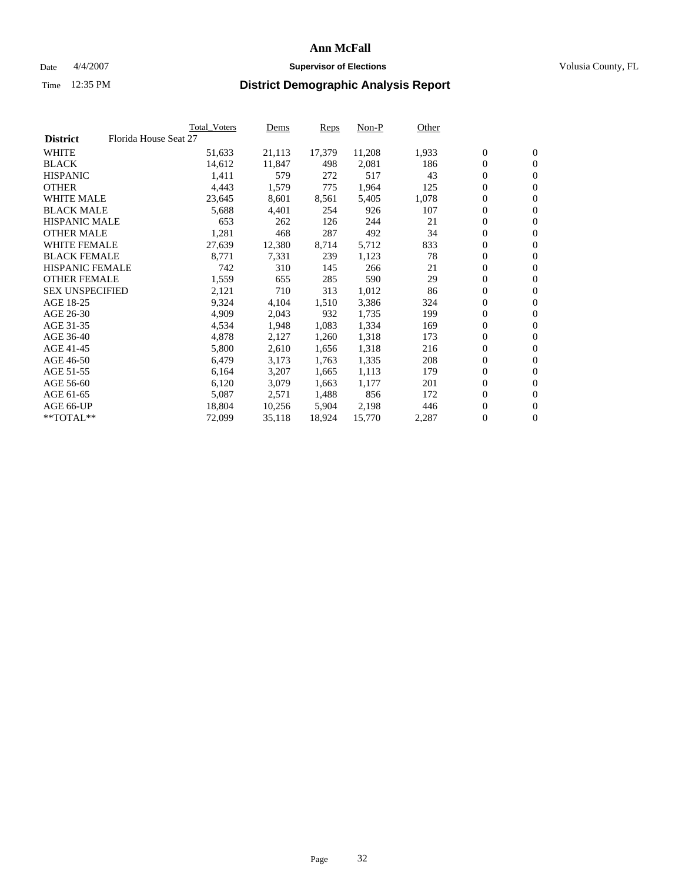#### Date  $4/4/2007$  **Supervisor of Elections Supervisor of Elections** Volusia County, FL

|                        | Total_Voters          | Dems   | <b>Reps</b> | Non-P  | Other |                  |                  |  |
|------------------------|-----------------------|--------|-------------|--------|-------|------------------|------------------|--|
| <b>District</b>        | Florida House Seat 27 |        |             |        |       |                  |                  |  |
| <b>WHITE</b>           | 51,633                | 21,113 | 17,379      | 11,208 | 1,933 | $\overline{0}$   | $\mathbf{0}$     |  |
| <b>BLACK</b>           | 14,612                | 11,847 | 498         | 2,081  | 186   | $\overline{0}$   | $\mathbf{0}$     |  |
| <b>HISPANIC</b>        | 1,411                 | 579    | 272         | 517    | 43    | $\boldsymbol{0}$ | $\mathbf{0}$     |  |
| <b>OTHER</b>           | 4,443                 | 1,579  | 775         | 1,964  | 125   | $\boldsymbol{0}$ | $\mathbf{0}$     |  |
| <b>WHITE MALE</b>      | 23,645                | 8,601  | 8,561       | 5,405  | 1,078 | 0                | $\mathbf{0}$     |  |
| <b>BLACK MALE</b>      | 5,688                 | 4,401  | 254         | 926    | 107   | $\boldsymbol{0}$ | $\boldsymbol{0}$ |  |
| <b>HISPANIC MALE</b>   | 653                   | 262    | 126         | 244    | 21    | $\overline{0}$   | $\mathbf{0}$     |  |
| <b>OTHER MALE</b>      | 1,281                 | 468    | 287         | 492    | 34    | $\overline{0}$   | $\mathbf{0}$     |  |
| <b>WHITE FEMALE</b>    | 27,639                | 12,380 | 8,714       | 5,712  | 833   | $\mathbf{0}$     | $\mathbf{0}$     |  |
| <b>BLACK FEMALE</b>    | 8,771                 | 7,331  | 239         | 1,123  | 78    | $\boldsymbol{0}$ | $\mathbf{0}$     |  |
| HISPANIC FEMALE        | 742                   | 310    | 145         | 266    | 21    | $\boldsymbol{0}$ | $\boldsymbol{0}$ |  |
| <b>OTHER FEMALE</b>    | 1,559                 | 655    | 285         | 590    | 29    | 0                | $\mathbf{0}$     |  |
| <b>SEX UNSPECIFIED</b> | 2,121                 | 710    | 313         | 1,012  | 86    | $\boldsymbol{0}$ | $\mathbf{0}$     |  |
| AGE 18-25              | 9,324                 | 4,104  | 1,510       | 3,386  | 324   | 0                | $\mathbf{0}$     |  |
| AGE 26-30              | 4,909                 | 2,043  | 932         | 1,735  | 199   | $\overline{0}$   | $\mathbf{0}$     |  |
| AGE 31-35              | 4,534                 | 1,948  | 1,083       | 1,334  | 169   | $\overline{0}$   | $\mathbf{0}$     |  |
| AGE 36-40              | 4,878                 | 2,127  | 1,260       | 1,318  | 173   | $\boldsymbol{0}$ | $\mathbf{0}$     |  |
| AGE 41-45              | 5,800                 | 2,610  | 1,656       | 1,318  | 216   | $\boldsymbol{0}$ | $\mathbf{0}$     |  |
| AGE 46-50              | 6,479                 | 3,173  | 1,763       | 1,335  | 208   | 0                | $\mathbf{0}$     |  |
| AGE 51-55              | 6,164                 | 3,207  | 1,665       | 1,113  | 179   | $\boldsymbol{0}$ | $\boldsymbol{0}$ |  |
| AGE 56-60              | 6,120                 | 3,079  | 1,663       | 1,177  | 201   | $\overline{0}$   | $\mathbf{0}$     |  |
| AGE 61-65              | 5,087                 | 2,571  | 1,488       | 856    | 172   | $\mathbf{0}$     | $\mathbf{0}$     |  |
| AGE 66-UP              | 18,804                | 10,256 | 5,904       | 2,198  | 446   | $\boldsymbol{0}$ | $\boldsymbol{0}$ |  |
| **TOTAL**              | 72,099                | 35,118 | 18,924      | 15,770 | 2,287 | 0                | $\overline{0}$   |  |
|                        |                       |        |             |        |       |                  |                  |  |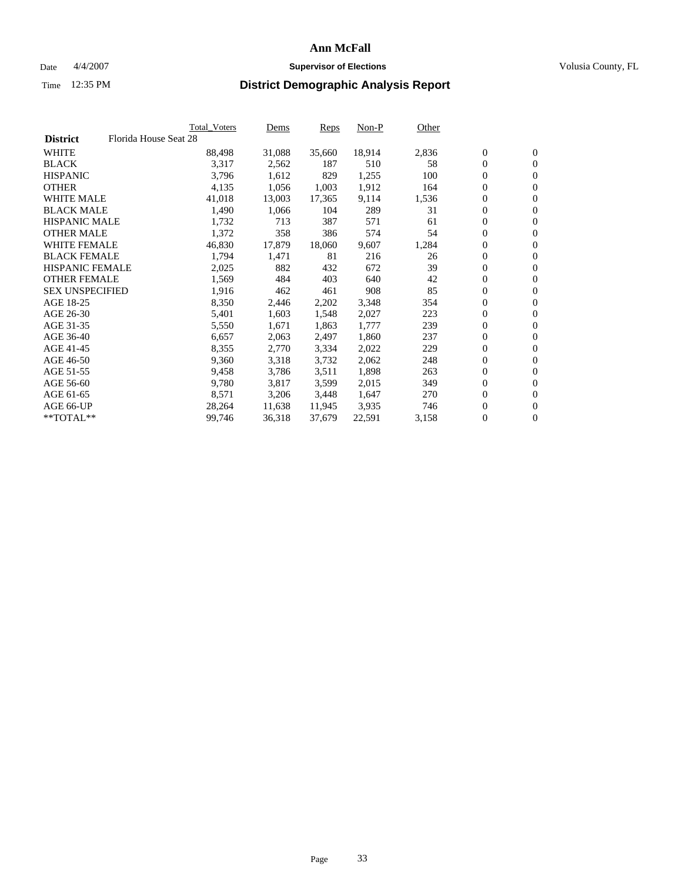#### Date  $4/4/2007$  **Supervisor of Elections Supervisor of Elections** Volusia County, FL

|                        | Total_Voters          | Dems   | <b>Reps</b> | Non-P  | Other |                  |                  |  |
|------------------------|-----------------------|--------|-------------|--------|-------|------------------|------------------|--|
| <b>District</b>        | Florida House Seat 28 |        |             |        |       |                  |                  |  |
| <b>WHITE</b>           | 88,498                | 31,088 | 35,660      | 18,914 | 2,836 | $\overline{0}$   | $\mathbf{0}$     |  |
| <b>BLACK</b>           | 3,317                 | 2,562  | 187         | 510    | 58    | $\overline{0}$   | $\mathbf{0}$     |  |
| <b>HISPANIC</b>        | 3,796                 | 1,612  | 829         | 1,255  | 100   | $\boldsymbol{0}$ | $\mathbf{0}$     |  |
| <b>OTHER</b>           | 4,135                 | 1,056  | 1,003       | 1,912  | 164   | 0                | $\mathbf{0}$     |  |
| <b>WHITE MALE</b>      | 41,018                | 13,003 | 17,365      | 9,114  | 1,536 | 0                | $\mathbf{0}$     |  |
| <b>BLACK MALE</b>      | 1,490                 | 1,066  | 104         | 289    | 31    | $\boldsymbol{0}$ | $\boldsymbol{0}$ |  |
| <b>HISPANIC MALE</b>   | 1,732                 | 713    | 387         | 571    | 61    | $\overline{0}$   | $\mathbf{0}$     |  |
| <b>OTHER MALE</b>      | 1,372                 | 358    | 386         | 574    | 54    | $\overline{0}$   | $\mathbf{0}$     |  |
| <b>WHITE FEMALE</b>    | 46,830                | 17,879 | 18,060      | 9,607  | 1,284 | 0                | $\mathbf{0}$     |  |
| <b>BLACK FEMALE</b>    | 1,794                 | 1,471  | 81          | 216    | 26    | $\boldsymbol{0}$ | $\mathbf{0}$     |  |
| HISPANIC FEMALE        | 2,025                 | 882    | 432         | 672    | 39    | $\boldsymbol{0}$ | $\boldsymbol{0}$ |  |
| <b>OTHER FEMALE</b>    | 1,569                 | 484    | 403         | 640    | 42    | 0                | $\mathbf{0}$     |  |
| <b>SEX UNSPECIFIED</b> | 1,916                 | 462    | 461         | 908    | 85    | $\boldsymbol{0}$ | $\mathbf{0}$     |  |
| AGE 18-25              | 8,350                 | 2,446  | 2,202       | 3,348  | 354   | 0                | $\mathbf{0}$     |  |
| AGE 26-30              | 5,401                 | 1,603  | 1,548       | 2,027  | 223   | $\overline{0}$   | $\mathbf{0}$     |  |
| AGE 31-35              | 5,550                 | 1,671  | 1,863       | 1,777  | 239   | $\overline{0}$   | $\mathbf{0}$     |  |
| AGE 36-40              | 6,657                 | 2,063  | 2,497       | 1,860  | 237   | $\boldsymbol{0}$ | $\mathbf{0}$     |  |
| AGE 41-45              | 8,355                 | 2,770  | 3,334       | 2,022  | 229   | $\boldsymbol{0}$ | $\mathbf{0}$     |  |
| AGE 46-50              | 9,360                 | 3,318  | 3,732       | 2,062  | 248   | 0                | $\mathbf{0}$     |  |
| AGE 51-55              | 9,458                 | 3,786  | 3,511       | 1,898  | 263   | $\boldsymbol{0}$ | $\boldsymbol{0}$ |  |
| AGE 56-60              | 9,780                 | 3,817  | 3,599       | 2,015  | 349   | $\overline{0}$   | $\mathbf{0}$     |  |
| AGE 61-65              | 8,571                 | 3,206  | 3,448       | 1,647  | 270   | $\mathbf{0}$     | $\mathbf{0}$     |  |
| AGE 66-UP              | 28,264                | 11,638 | 11,945      | 3,935  | 746   | $\boldsymbol{0}$ | $\boldsymbol{0}$ |  |
| **TOTAL**              | 99,746                | 36,318 | 37,679      | 22,591 | 3,158 | 0                | $\overline{0}$   |  |
|                        |                       |        |             |        |       |                  |                  |  |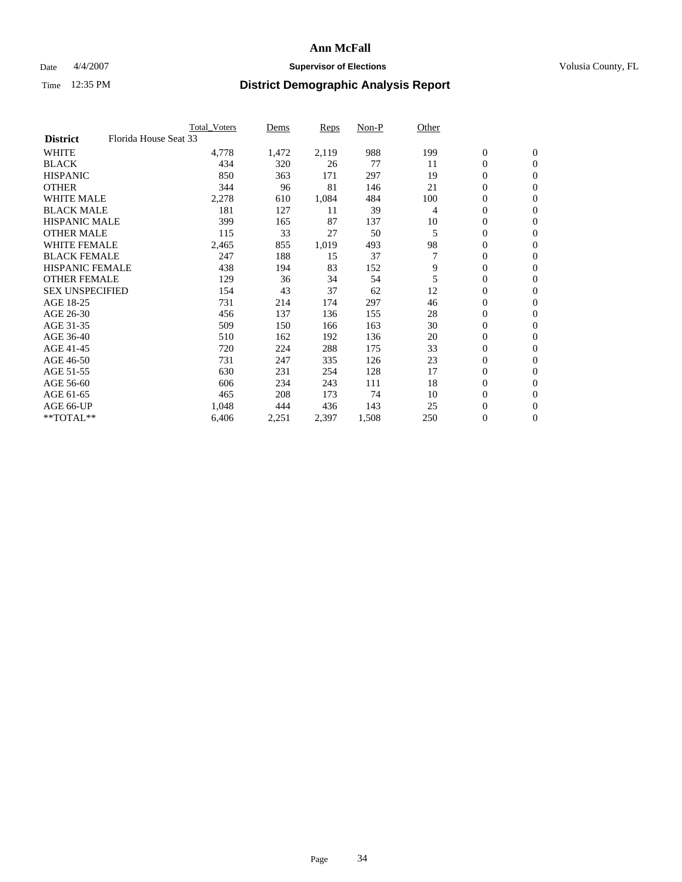### Date  $4/4/2007$  **Supervisor of Elections Supervisor of Elections** Volusia County, FL

|                                          | <b>Total Voters</b> | Dems  | Reps  | Non-P | Other |                  |                  |  |
|------------------------------------------|---------------------|-------|-------|-------|-------|------------------|------------------|--|
| Florida House Seat 33<br><b>District</b> |                     |       |       |       |       |                  |                  |  |
| <b>WHITE</b>                             | 4,778               | 1,472 | 2,119 | 988   | 199   | $\boldsymbol{0}$ | $\mathbf{0}$     |  |
| <b>BLACK</b>                             | 434                 | 320   | 26    | 77    | 11    | $\mathbf{0}$     | $\mathbf{0}$     |  |
| <b>HISPANIC</b>                          | 850                 | 363   | 171   | 297   | 19    | 0                | $\mathbf{0}$     |  |
| <b>OTHER</b>                             | 344                 | 96    | 81    | 146   | 21    | 0                | $\mathbf{0}$     |  |
| <b>WHITE MALE</b>                        | 2,278               | 610   | 1,084 | 484   | 100   | 0                | $\mathbf{0}$     |  |
| <b>BLACK MALE</b>                        | 181                 | 127   | 11    | 39    | 4     | 0                | $\boldsymbol{0}$ |  |
| <b>HISPANIC MALE</b>                     | 399                 | 165   | 87    | 137   | 10    | 0                | $\mathbf{0}$     |  |
| <b>OTHER MALE</b>                        | 115                 | 33    | 27    | 50    | 5     | $\mathbf{0}$     | $\mathbf{0}$     |  |
| <b>WHITE FEMALE</b>                      | 2,465               | 855   | 1,019 | 493   | 98    | 0                | $\mathbf{0}$     |  |
| <b>BLACK FEMALE</b>                      | 247                 | 188   | 15    | 37    | 7     | $\boldsymbol{0}$ | $\mathbf{0}$     |  |
| <b>HISPANIC FEMALE</b>                   | 438                 | 194   | 83    | 152   | 9     | 0                | $\boldsymbol{0}$ |  |
| <b>OTHER FEMALE</b>                      | 129                 | 36    | 34    | 54    | 5     | 0                | $\mathbf{0}$     |  |
| <b>SEX UNSPECIFIED</b>                   | 154                 | 43    | 37    | 62    | 12    | 0                | $\mathbf{0}$     |  |
| AGE 18-25                                | 731                 | 214   | 174   | 297   | 46    | 0                | $\mathbf{0}$     |  |
| AGE 26-30                                | 456                 | 137   | 136   | 155   | 28    | $\mathbf{0}$     | $\mathbf{0}$     |  |
| AGE 31-35                                | 509                 | 150   | 166   | 163   | 30    | 0                | $\mathbf{0}$     |  |
| AGE 36-40                                | 510                 | 162   | 192   | 136   | 20    | 0                | $\mathbf{0}$     |  |
| AGE 41-45                                | 720                 | 224   | 288   | 175   | 33    | 0                | $\mathbf{0}$     |  |
| AGE 46-50                                | 731                 | 247   | 335   | 126   | 23    | 0                | $\mathbf{0}$     |  |
| AGE 51-55                                | 630                 | 231   | 254   | 128   | 17    | $\boldsymbol{0}$ | $\boldsymbol{0}$ |  |
| AGE 56-60                                | 606                 | 234   | 243   | 111   | 18    | $\mathbf{0}$     | $\mathbf{0}$     |  |
| AGE 61-65                                | 465                 | 208   | 173   | 74    | 10    | $\mathbf{0}$     | $\mathbf{0}$     |  |
| AGE 66-UP                                | 1,048               | 444   | 436   | 143   | 25    | $\boldsymbol{0}$ | $\boldsymbol{0}$ |  |
| $*$ TOTAL $**$                           | 6,406               | 2,251 | 2,397 | 1,508 | 250   | 0                | $\overline{0}$   |  |
|                                          |                     |       |       |       |       |                  |                  |  |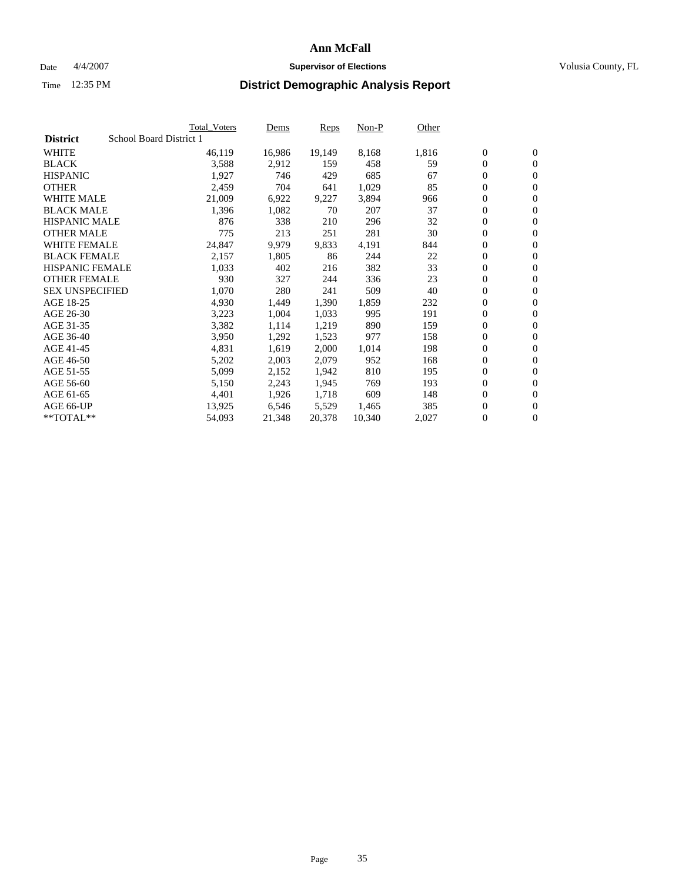#### Date  $4/4/2007$  **Supervisor of Elections Supervisor of Elections** Volusia County, FL

|                        |                         | Total_Voters | Dems   | <b>Reps</b> | Non-P  | Other |                  |                  |  |
|------------------------|-------------------------|--------------|--------|-------------|--------|-------|------------------|------------------|--|
| <b>District</b>        | School Board District 1 |              |        |             |        |       |                  |                  |  |
| <b>WHITE</b>           |                         | 46,119       | 16,986 | 19,149      | 8,168  | 1,816 | $\overline{0}$   | $\mathbf{0}$     |  |
| <b>BLACK</b>           |                         | 3,588        | 2,912  | 159         | 458    | 59    | $\overline{0}$   | $\mathbf{0}$     |  |
| <b>HISPANIC</b>        |                         | 1,927        | 746    | 429         | 685    | 67    | $\boldsymbol{0}$ | $\mathbf{0}$     |  |
| <b>OTHER</b>           |                         | 2,459        | 704    | 641         | 1,029  | 85    | $\boldsymbol{0}$ | $\mathbf{0}$     |  |
| <b>WHITE MALE</b>      |                         | 21,009       | 6,922  | 9,227       | 3,894  | 966   | 0                | $\mathbf{0}$     |  |
| <b>BLACK MALE</b>      |                         | 1,396        | 1,082  | 70          | 207    | 37    | $\boldsymbol{0}$ | $\boldsymbol{0}$ |  |
| <b>HISPANIC MALE</b>   |                         | 876          | 338    | 210         | 296    | 32    | $\overline{0}$   | $\mathbf{0}$     |  |
| <b>OTHER MALE</b>      |                         | 775          | 213    | 251         | 281    | 30    | $\overline{0}$   | $\mathbf{0}$     |  |
| <b>WHITE FEMALE</b>    |                         | 24,847       | 9,979  | 9,833       | 4,191  | 844   | $\mathbf{0}$     | $\mathbf{0}$     |  |
| <b>BLACK FEMALE</b>    |                         | 2,157        | 1,805  | 86          | 244    | 22    | $\boldsymbol{0}$ | $\mathbf{0}$     |  |
| <b>HISPANIC FEMALE</b> |                         | 1,033        | 402    | 216         | 382    | 33    | $\boldsymbol{0}$ | $\boldsymbol{0}$ |  |
| <b>OTHER FEMALE</b>    |                         | 930          | 327    | 244         | 336    | 23    | 0                | $\mathbf{0}$     |  |
| <b>SEX UNSPECIFIED</b> |                         | 1,070        | 280    | 241         | 509    | 40    | $\boldsymbol{0}$ | $\mathbf{0}$     |  |
| AGE 18-25              |                         | 4,930        | 1,449  | 1,390       | 1,859  | 232   | $\boldsymbol{0}$ | $\mathbf{0}$     |  |
| AGE 26-30              |                         | 3,223        | 1,004  | 1,033       | 995    | 191   | $\overline{0}$   | $\mathbf{0}$     |  |
| AGE 31-35              |                         | 3,382        | 1,114  | 1,219       | 890    | 159   | $\overline{0}$   | $\mathbf{0}$     |  |
| AGE 36-40              |                         | 3,950        | 1,292  | 1,523       | 977    | 158   | $\boldsymbol{0}$ | $\mathbf{0}$     |  |
| AGE 41-45              |                         | 4,831        | 1,619  | 2,000       | 1,014  | 198   | $\boldsymbol{0}$ | $\mathbf{0}$     |  |
| AGE 46-50              |                         | 5,202        | 2,003  | 2,079       | 952    | 168   | 0                | $\mathbf{0}$     |  |
| AGE 51-55              |                         | 5,099        | 2,152  | 1,942       | 810    | 195   | $\boldsymbol{0}$ | $\boldsymbol{0}$ |  |
| AGE 56-60              |                         | 5,150        | 2,243  | 1,945       | 769    | 193   | $\overline{0}$   | $\mathbf{0}$     |  |
| AGE 61-65              |                         | 4,401        | 1,926  | 1,718       | 609    | 148   | $\mathbf{0}$     | $\mathbf{0}$     |  |
| AGE 66-UP              |                         | 13,925       | 6,546  | 5,529       | 1,465  | 385   | $\boldsymbol{0}$ | $\boldsymbol{0}$ |  |
| **TOTAL**              |                         | 54,093       | 21,348 | 20,378      | 10,340 | 2,027 | 0                | $\overline{0}$   |  |
|                        |                         |              |        |             |        |       |                  |                  |  |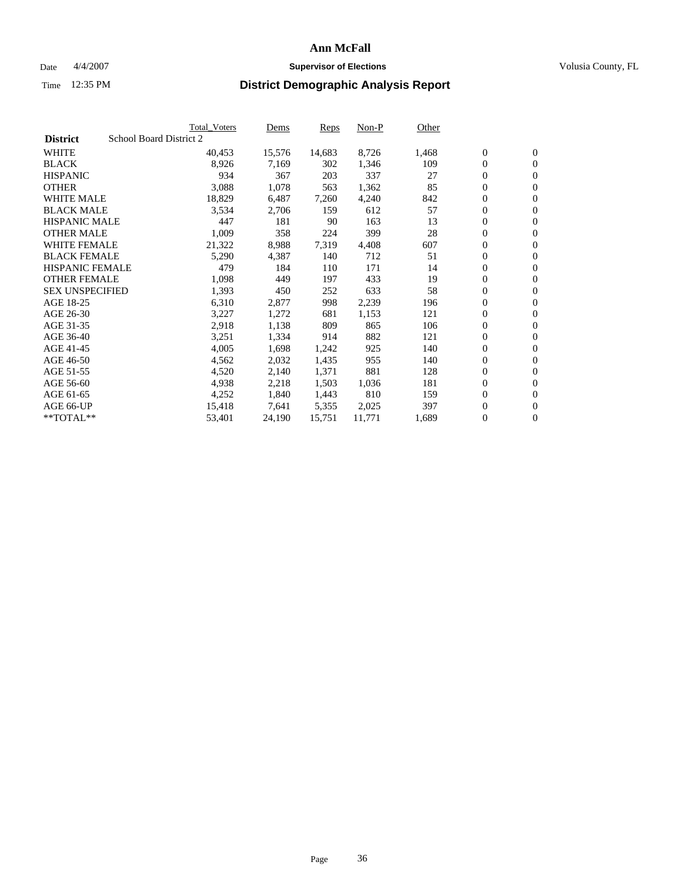### Date  $4/4/2007$  **Supervisor of Elections Supervisor of Elections** Volusia County, FL

|                        | <b>Total_Voters</b>     | Dems   | <b>Reps</b> | Non-P  | Other |                  |                  |  |
|------------------------|-------------------------|--------|-------------|--------|-------|------------------|------------------|--|
| <b>District</b>        | School Board District 2 |        |             |        |       |                  |                  |  |
| <b>WHITE</b>           | 40,453                  | 15,576 | 14,683      | 8,726  | 1,468 | $\boldsymbol{0}$ | $\mathbf{0}$     |  |
| <b>BLACK</b>           | 8,926                   | 7,169  | 302         | 1,346  | 109   | $\overline{0}$   | $\mathbf{0}$     |  |
| <b>HISPANIC</b>        | 934                     | 367    | 203         | 337    | 27    | $\overline{0}$   | $\mathbf{0}$     |  |
| <b>OTHER</b>           | 3,088                   | 1,078  | 563         | 1,362  | 85    | $\overline{0}$   | $\overline{0}$   |  |
| <b>WHITE MALE</b>      | 18,829                  | 6,487  | 7,260       | 4,240  | 842   | $\overline{0}$   | $\mathbf{0}$     |  |
| <b>BLACK MALE</b>      | 3,534                   | 2,706  | 159         | 612    | 57    | $\boldsymbol{0}$ | $\boldsymbol{0}$ |  |
| <b>HISPANIC MALE</b>   | 447                     | 181    | 90          | 163    | 13    | 0                | $\mathbf{0}$     |  |
| <b>OTHER MALE</b>      | 1,009                   | 358    | 224         | 399    | 28    | 0                | $\boldsymbol{0}$ |  |
| <b>WHITE FEMALE</b>    | 21,322                  | 8,988  | 7,319       | 4,408  | 607   | 0                | $\mathbf{0}$     |  |
| <b>BLACK FEMALE</b>    | 5,290                   | 4,387  | 140         | 712    | 51    | $\overline{0}$   | $\mathbf{0}$     |  |
| <b>HISPANIC FEMALE</b> | 479                     | 184    | 110         | 171    | 14    | 0                | $\mathbf{0}$     |  |
| <b>OTHER FEMALE</b>    | 1,098                   | 449    | 197         | 433    | 19    | $\overline{0}$   | $\mathbf{0}$     |  |
| <b>SEX UNSPECIFIED</b> | 1,393                   | 450    | 252         | 633    | 58    | $\boldsymbol{0}$ | $\boldsymbol{0}$ |  |
| AGE 18-25              | 6,310                   | 2,877  | 998         | 2,239  | 196   | 0                | $\mathbf{0}$     |  |
| AGE 26-30              | 3,227                   | 1,272  | 681         | 1,153  | 121   | 0                | $\mathbf{0}$     |  |
| AGE 31-35              | 2,918                   | 1,138  | 809         | 865    | 106   | 0                | $\mathbf{0}$     |  |
| AGE 36-40              | 3,251                   | 1,334  | 914         | 882    | 121   | $\boldsymbol{0}$ | $\mathbf{0}$     |  |
| AGE 41-45              | 4,005                   | 1,698  | 1,242       | 925    | 140   | 0                | $\mathbf{0}$     |  |
| AGE 46-50              | 4,562                   | 2,032  | 1,435       | 955    | 140   | $\overline{0}$   | $\mathbf{0}$     |  |
| AGE 51-55              | 4,520                   | 2,140  | 1,371       | 881    | 128   | 0                | $\mathbf{0}$     |  |
| AGE 56-60              | 4,938                   | 2,218  | 1,503       | 1,036  | 181   | $\overline{0}$   | $\mathbf{0}$     |  |
| AGE 61-65              | 4,252                   | 1,840  | 1,443       | 810    | 159   | 0                | $\boldsymbol{0}$ |  |
| AGE 66-UP              | 15,418                  | 7,641  | 5,355       | 2,025  | 397   | 0                | $\mathbf{0}$     |  |
| $*$ TOTAL $**$         | 53,401                  | 24,190 | 15,751      | 11,771 | 1,689 | 0                | $\boldsymbol{0}$ |  |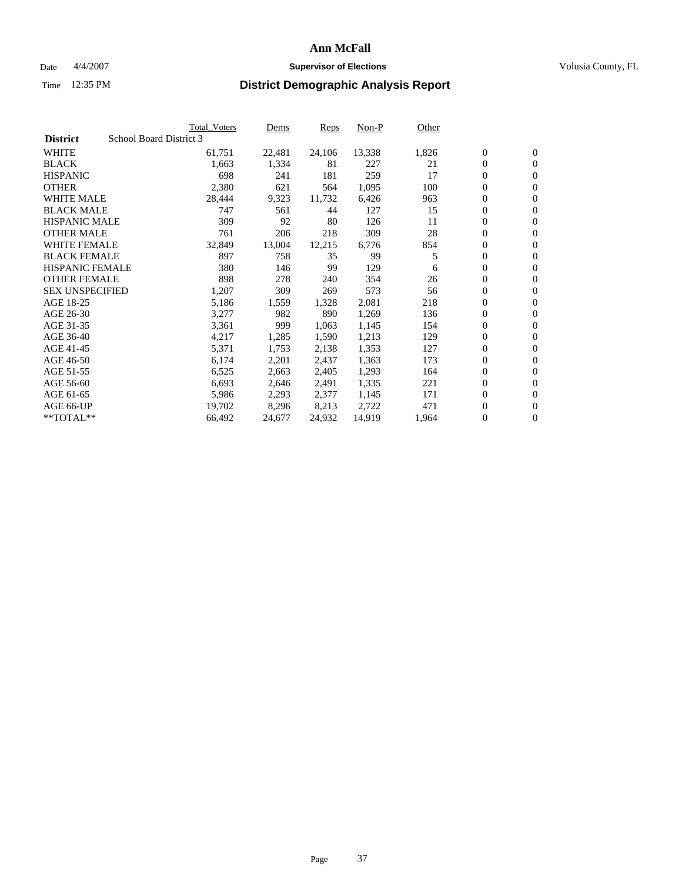### Date  $4/4/2007$  **Supervisor of Elections Supervisor of Elections** Volusia County, FL

|                        | <b>Total_Voters</b>     | Dems   | Reps   | Non-P  | Other |                  |                  |  |
|------------------------|-------------------------|--------|--------|--------|-------|------------------|------------------|--|
| <b>District</b>        | School Board District 3 |        |        |        |       |                  |                  |  |
| <b>WHITE</b>           | 61,751                  | 22,481 | 24,106 | 13,338 | 1,826 | $\boldsymbol{0}$ | $\mathbf{0}$     |  |
| <b>BLACK</b>           | 1,663                   | 1,334  | 81     | 227    | 21    | $\overline{0}$   | $\mathbf{0}$     |  |
| <b>HISPANIC</b>        | 698                     | 241    | 181    | 259    | 17    | $\overline{0}$   | $\mathbf{0}$     |  |
| <b>OTHER</b>           | 2,380                   | 621    | 564    | 1,095  | 100   | 0                | $\overline{0}$   |  |
| <b>WHITE MALE</b>      | 28,444                  | 9,323  | 11,732 | 6,426  | 963   | $\overline{0}$   | $\mathbf{0}$     |  |
| <b>BLACK MALE</b>      | 747                     | 561    | 44     | 127    | 15    | $\boldsymbol{0}$ | $\boldsymbol{0}$ |  |
| <b>HISPANIC MALE</b>   | 309                     | 92     | 80     | 126    | 11    | 0                | $\mathbf{0}$     |  |
| <b>OTHER MALE</b>      | 761                     | 206    | 218    | 309    | 28    | 0                | $\mathbf{0}$     |  |
| <b>WHITE FEMALE</b>    | 32,849                  | 13,004 | 12,215 | 6,776  | 854   | 0                | $\mathbf{0}$     |  |
| <b>BLACK FEMALE</b>    | 897                     | 758    | 35     | 99     | 5     | $\overline{0}$   | $\mathbf{0}$     |  |
| <b>HISPANIC FEMALE</b> | 380                     | 146    | 99     | 129    | 6     | 0                | $\mathbf{0}$     |  |
| <b>OTHER FEMALE</b>    | 898                     | 278    | 240    | 354    | 26    | 0                | $\overline{0}$   |  |
| <b>SEX UNSPECIFIED</b> | 1,207                   | 309    | 269    | 573    | 56    | $\boldsymbol{0}$ | $\boldsymbol{0}$ |  |
| AGE 18-25              | 5,186                   | 1,559  | 1,328  | 2,081  | 218   | 0                | $\mathbf{0}$     |  |
| AGE 26-30              | 3,277                   | 982    | 890    | 1,269  | 136   | 0                | $\mathbf{0}$     |  |
| AGE 31-35              | 3,361                   | 999    | 1,063  | 1,145  | 154   | 0                | $\mathbf{0}$     |  |
| AGE 36-40              | 4,217                   | 1,285  | 1,590  | 1,213  | 129   | $\overline{0}$   | $\mathbf{0}$     |  |
| AGE 41-45              | 5,371                   | 1,753  | 2,138  | 1,353  | 127   | 0                | $\mathbf{0}$     |  |
| AGE 46-50              | 6,174                   | 2,201  | 2,437  | 1,363  | 173   | $\overline{0}$   | $\mathbf{0}$     |  |
| AGE 51-55              | 6,525                   | 2,663  | 2,405  | 1,293  | 164   | 0                | $\mathbf{0}$     |  |
| AGE 56-60              | 6,693                   | 2,646  | 2,491  | 1,335  | 221   | 0                | $\overline{0}$   |  |
| AGE 61-65              | 5,986                   | 2,293  | 2,377  | 1,145  | 171   | 0                | $\boldsymbol{0}$ |  |
| AGE 66-UP              | 19,702                  | 8,296  | 8,213  | 2,722  | 471   | 0                | $\bf{0}$         |  |
| $*$ TOTAL $**$         | 66,492                  | 24,677 | 24,932 | 14,919 | 1,964 | 0                | $\boldsymbol{0}$ |  |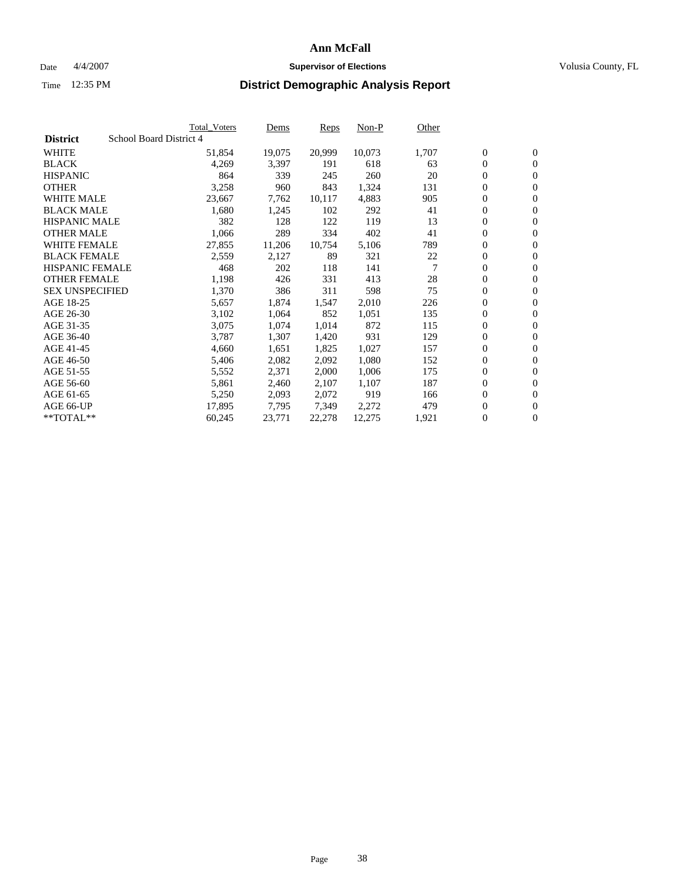#### Date  $4/4/2007$  **Supervisor of Elections Supervisor of Elections** Volusia County, FL

|                        | Total_Voters            | Dems   | <b>Reps</b> | Non-P  | Other |                  |                |  |
|------------------------|-------------------------|--------|-------------|--------|-------|------------------|----------------|--|
| <b>District</b>        | School Board District 4 |        |             |        |       |                  |                |  |
| <b>WHITE</b>           | 51,854                  | 19,075 | 20,999      | 10,073 | 1,707 | $\overline{0}$   | $\mathbf{0}$   |  |
| <b>BLACK</b>           | 4,269                   | 3,397  | 191         | 618    | 63    | $\overline{0}$   | $\mathbf{0}$   |  |
| <b>HISPANIC</b>        | 864                     | 339    | 245         | 260    | 20    | $\boldsymbol{0}$ | $\mathbf{0}$   |  |
| <b>OTHER</b>           | 3,258                   | 960    | 843         | 1,324  | 131   | 0                | $\mathbf{0}$   |  |
| <b>WHITE MALE</b>      | 23,667                  | 7,762  | 10,117      | 4,883  | 905   | 0                | $\mathbf{0}$   |  |
| <b>BLACK MALE</b>      | 1,680                   | 1,245  | 102         | 292    | 41    | $\boldsymbol{0}$ | $\mathbf{0}$   |  |
| <b>HISPANIC MALE</b>   | 382                     | 128    | 122         | 119    | 13    | $\overline{0}$   | $\mathbf{0}$   |  |
| <b>OTHER MALE</b>      | 1,066                   | 289    | 334         | 402    | 41    | $\overline{0}$   | $\mathbf{0}$   |  |
| <b>WHITE FEMALE</b>    | 27,855                  | 11,206 | 10,754      | 5,106  | 789   | $\overline{0}$   | $\mathbf{0}$   |  |
| <b>BLACK FEMALE</b>    | 2,559                   | 2,127  | 89          | 321    | 22    | $\boldsymbol{0}$ | $\mathbf{0}$   |  |
| <b>HISPANIC FEMALE</b> | 468                     | 202    | 118         | 141    | 7     | $\boldsymbol{0}$ | $\mathbf{0}$   |  |
| <b>OTHER FEMALE</b>    | 1,198                   | 426    | 331         | 413    | 28    | 0                | $\mathbf{0}$   |  |
| <b>SEX UNSPECIFIED</b> | 1,370                   | 386    | 311         | 598    | 75    | $\boldsymbol{0}$ | $\mathbf{0}$   |  |
| AGE 18-25              | 5,657                   | 1,874  | 1,547       | 2,010  | 226   | 0                | $\mathbf{0}$   |  |
| AGE 26-30              | 3,102                   | 1,064  | 852         | 1,051  | 135   | $\overline{0}$   | $\mathbf{0}$   |  |
| AGE 31-35              | 3,075                   | 1,074  | 1,014       | 872    | 115   | $\overline{0}$   | $\mathbf{0}$   |  |
| AGE 36-40              | 3,787                   | 1,307  | 1,420       | 931    | 129   | $\boldsymbol{0}$ | $\mathbf{0}$   |  |
| AGE 41-45              | 4,660                   | 1,651  | 1,825       | 1,027  | 157   | $\boldsymbol{0}$ | $\mathbf{0}$   |  |
| AGE 46-50              | 5,406                   | 2,082  | 2,092       | 1,080  | 152   | 0                | $\mathbf{0}$   |  |
| AGE 51-55              | 5,552                   | 2,371  | 2,000       | 1,006  | 175   | $\boldsymbol{0}$ | $\mathbf{0}$   |  |
| AGE 56-60              | 5,861                   | 2,460  | 2,107       | 1,107  | 187   | $\overline{0}$   | $\mathbf{0}$   |  |
| AGE 61-65              | 5,250                   | 2,093  | 2,072       | 919    | 166   | $\mathbf{0}$     | $\mathbf{0}$   |  |
| AGE 66-UP              | 17,895                  | 7,795  | 7,349       | 2,272  | 479   | $\boldsymbol{0}$ | $\mathbf{0}$   |  |
| **TOTAL**              | 60,245                  | 23,771 | 22,278      | 12,275 | 1,921 | 0                | $\overline{0}$ |  |
|                        |                         |        |             |        |       |                  |                |  |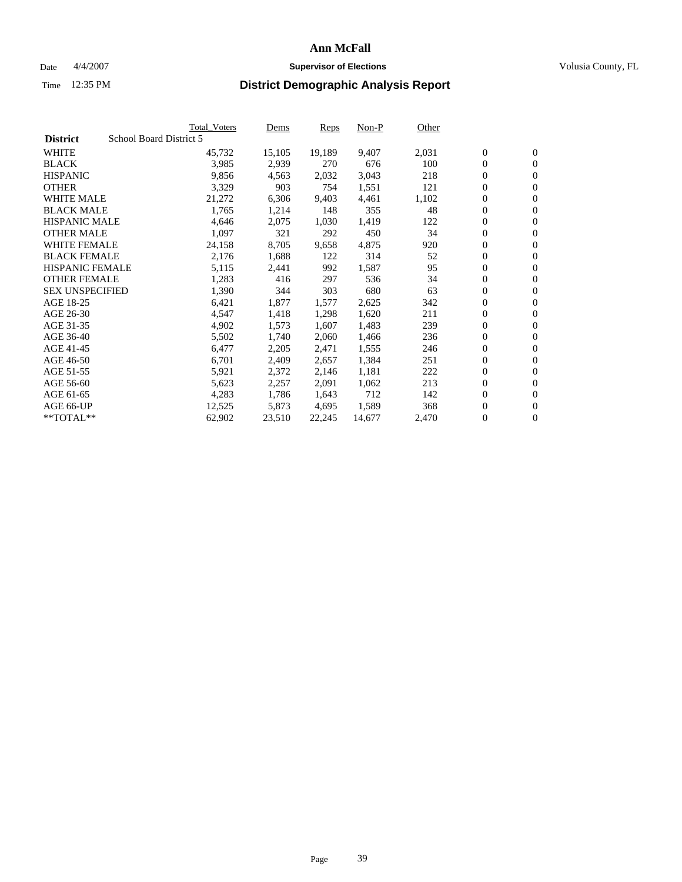#### Date  $4/4/2007$  **Supervisor of Elections Supervisor of Elections** Volusia County, FL

|                        | Total_Voters            | Dems   | <b>Reps</b> | Non-P  | Other |                  |                |  |
|------------------------|-------------------------|--------|-------------|--------|-------|------------------|----------------|--|
| <b>District</b>        | School Board District 5 |        |             |        |       |                  |                |  |
| <b>WHITE</b>           | 45,732                  | 15,105 | 19,189      | 9,407  | 2,031 | $\overline{0}$   | $\mathbf{0}$   |  |
| <b>BLACK</b>           | 3,985                   | 2,939  | 270         | 676    | 100   | $\overline{0}$   | $\mathbf{0}$   |  |
| <b>HISPANIC</b>        | 9,856                   | 4,563  | 2,032       | 3,043  | 218   | $\boldsymbol{0}$ | $\mathbf{0}$   |  |
| <b>OTHER</b>           | 3,329                   | 903    | 754         | 1,551  | 121   | $\boldsymbol{0}$ | $\mathbf{0}$   |  |
| <b>WHITE MALE</b>      | 21,272                  | 6,306  | 9,403       | 4,461  | 1,102 | 0                | $\mathbf{0}$   |  |
| <b>BLACK MALE</b>      | 1,765                   | 1,214  | 148         | 355    | 48    | $\boldsymbol{0}$ | $\mathbf{0}$   |  |
| <b>HISPANIC MALE</b>   | 4,646                   | 2,075  | 1,030       | 1,419  | 122   | $\overline{0}$   | $\mathbf{0}$   |  |
| <b>OTHER MALE</b>      | 1,097                   | 321    | 292         | 450    | 34    | $\overline{0}$   | $\mathbf{0}$   |  |
| <b>WHITE FEMALE</b>    | 24,158                  | 8,705  | 9,658       | 4,875  | 920   | $\overline{0}$   | $\mathbf{0}$   |  |
| <b>BLACK FEMALE</b>    | 2,176                   | 1,688  | 122         | 314    | 52    | $\overline{0}$   | $\mathbf{0}$   |  |
| HISPANIC FEMALE        | 5,115                   | 2,441  | 992         | 1,587  | 95    | $\boldsymbol{0}$ | $\mathbf{0}$   |  |
| <b>OTHER FEMALE</b>    | 1,283                   | 416    | 297         | 536    | 34    | 0                | $\mathbf{0}$   |  |
| <b>SEX UNSPECIFIED</b> | 1,390                   | 344    | 303         | 680    | 63    | $\boldsymbol{0}$ | $\mathbf{0}$   |  |
| AGE 18-25              | 6,421                   | 1,877  | 1,577       | 2,625  | 342   | $\boldsymbol{0}$ | $\mathbf{0}$   |  |
| AGE 26-30              | 4,547                   | 1,418  | 1,298       | 1,620  | 211   | $\overline{0}$   | $\mathbf{0}$   |  |
| AGE 31-35              | 4,902                   | 1,573  | 1,607       | 1,483  | 239   | $\overline{0}$   | $\mathbf{0}$   |  |
| AGE 36-40              | 5,502                   | 1,740  | 2,060       | 1,466  | 236   | $\boldsymbol{0}$ | $\mathbf{0}$   |  |
| AGE 41-45              | 6,477                   | 2,205  | 2,471       | 1,555  | 246   | $\boldsymbol{0}$ | $\mathbf{0}$   |  |
| AGE 46-50              | 6,701                   | 2,409  | 2,657       | 1,384  | 251   | 0                | $\mathbf{0}$   |  |
| AGE 51-55              | 5,921                   | 2,372  | 2,146       | 1,181  | 222   | $\boldsymbol{0}$ | $\mathbf{0}$   |  |
| AGE 56-60              | 5,623                   | 2,257  | 2,091       | 1,062  | 213   | $\overline{0}$   | $\mathbf{0}$   |  |
| AGE 61-65              | 4,283                   | 1,786  | 1,643       | 712    | 142   | $\mathbf{0}$     | $\mathbf{0}$   |  |
| AGE 66-UP              | 12,525                  | 5,873  | 4,695       | 1,589  | 368   | $\boldsymbol{0}$ | $\mathbf{0}$   |  |
| **TOTAL**              | 62,902                  | 23,510 | 22,245      | 14,677 | 2,470 | 0                | $\overline{0}$ |  |
|                        |                         |        |             |        |       |                  |                |  |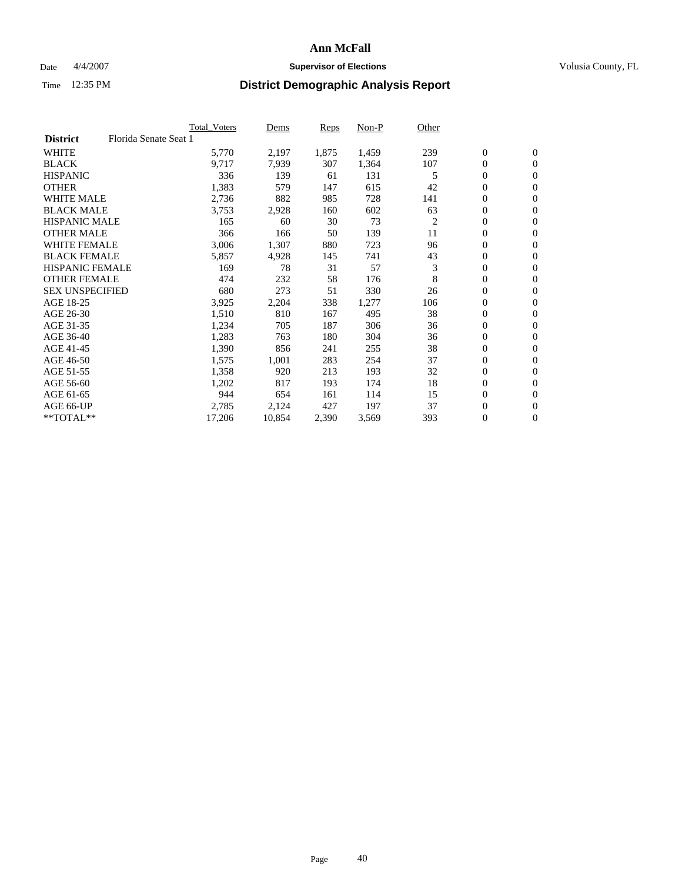#### Date  $4/4/2007$  **Supervisor of Elections Supervisor of Elections** Volusia County, FL

|                        |                       | <b>Total Voters</b> | Dems   | Reps  | Non-P | Other          |                  |                |  |
|------------------------|-----------------------|---------------------|--------|-------|-------|----------------|------------------|----------------|--|
| <b>District</b>        | Florida Senate Seat 1 |                     |        |       |       |                |                  |                |  |
| <b>WHITE</b>           |                       | 5,770               | 2,197  | 1,875 | 1,459 | 239            | $\mathbf{0}$     | $\mathbf{0}$   |  |
| <b>BLACK</b>           |                       | 9,717               | 7,939  | 307   | 1,364 | 107            | 0                | $\mathbf{0}$   |  |
| <b>HISPANIC</b>        |                       | 336                 | 139    | 61    | 131   | 5              | $\boldsymbol{0}$ | $\overline{0}$ |  |
| <b>OTHER</b>           |                       | 1,383               | 579    | 147   | 615   | 42             | 0                | $\mathbf{0}$   |  |
| <b>WHITE MALE</b>      |                       | 2,736               | 882    | 985   | 728   | 141            | 0                | $\mathbf{0}$   |  |
| <b>BLACK MALE</b>      |                       | 3,753               | 2,928  | 160   | 602   | 63             | 0                | $\mathbf{0}$   |  |
| <b>HISPANIC MALE</b>   |                       | 165                 | 60     | 30    | 73    | $\overline{c}$ | 0                | $\mathbf{0}$   |  |
| <b>OTHER MALE</b>      |                       | 366                 | 166    | 50    | 139   | 11             | $\mathbf{0}$     | $\mathbf{0}$   |  |
| <b>WHITE FEMALE</b>    |                       | 3,006               | 1,307  | 880   | 723   | 96             | 0                | $\mathbf{0}$   |  |
| <b>BLACK FEMALE</b>    |                       | 5,857               | 4,928  | 145   | 741   | 43             | $\boldsymbol{0}$ | $\mathbf{0}$   |  |
| <b>HISPANIC FEMALE</b> |                       | 169                 | 78     | 31    | 57    | 3              | 0                | $\mathbf{0}$   |  |
| <b>OTHER FEMALE</b>    |                       | 474                 | 232    | 58    | 176   | 8              | 0                | $\mathbf{0}$   |  |
| <b>SEX UNSPECIFIED</b> |                       | 680                 | 273    | 51    | 330   | 26             | 0                | $\mathbf{0}$   |  |
| AGE 18-25              |                       | 3,925               | 2,204  | 338   | 1,277 | 106            | 0                | $\mathbf{0}$   |  |
| AGE 26-30              |                       | 1,510               | 810    | 167   | 495   | 38             | $\mathbf{0}$     | $\mathbf{0}$   |  |
| AGE 31-35              |                       | 1,234               | 705    | 187   | 306   | 36             | 0                | $\mathbf{0}$   |  |
| AGE 36-40              |                       | 1,283               | 763    | 180   | 304   | 36             | 0                | $\mathbf{0}$   |  |
| AGE 41-45              |                       | 1,390               | 856    | 241   | 255   | 38             | 0                | $\mathbf{0}$   |  |
| AGE 46-50              |                       | 1,575               | 1,001  | 283   | 254   | 37             | 0                | $\mathbf{0}$   |  |
| AGE 51-55              |                       | 1,358               | 920    | 213   | 193   | 32             | $\boldsymbol{0}$ | $\mathbf{0}$   |  |
| AGE 56-60              |                       | 1,202               | 817    | 193   | 174   | 18             | 0                | $\mathbf{0}$   |  |
| AGE 61-65              |                       | 944                 | 654    | 161   | 114   | 15             | $\mathbf{0}$     | $\mathbf{0}$   |  |
| AGE 66-UP              |                       | 2,785               | 2,124  | 427   | 197   | 37             | $\boldsymbol{0}$ | $\mathbf{0}$   |  |
| **TOTAL**              |                       | 17,206              | 10,854 | 2,390 | 3,569 | 393            | 0                | $\mathbf{0}$   |  |
|                        |                       |                     |        |       |       |                |                  |                |  |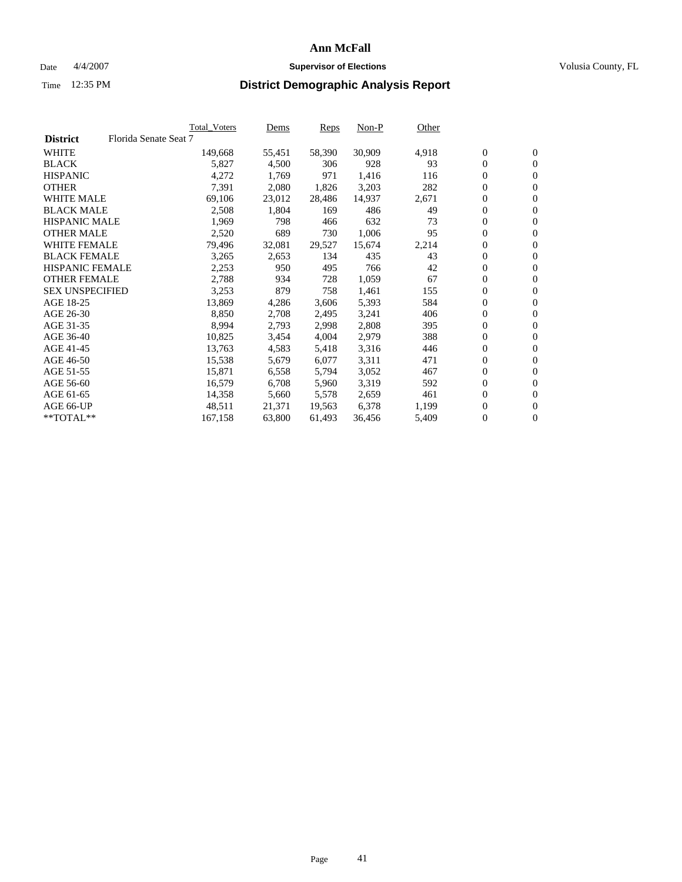#### Date  $4/4/2007$  **Supervisor of Elections Supervisor of Elections** Volusia County, FL

|                        |                       | Total_Voters | Dems   | <b>Reps</b> | Non-P  | Other |                  |                  |  |
|------------------------|-----------------------|--------------|--------|-------------|--------|-------|------------------|------------------|--|
| <b>District</b>        | Florida Senate Seat 7 |              |        |             |        |       |                  |                  |  |
| <b>WHITE</b>           |                       | 149,668      | 55,451 | 58,390      | 30,909 | 4,918 | $\boldsymbol{0}$ | $\mathbf{0}$     |  |
| <b>BLACK</b>           |                       | 5,827        | 4,500  | 306         | 928    | 93    | $\overline{0}$   | $\mathbf{0}$     |  |
| <b>HISPANIC</b>        |                       | 4,272        | 1,769  | 971         | 1,416  | 116   | $\boldsymbol{0}$ | $\mathbf{0}$     |  |
| <b>OTHER</b>           |                       | 7,391        | 2,080  | 1,826       | 3,203  | 282   | 0                | $\mathbf{0}$     |  |
| <b>WHITE MALE</b>      |                       | 69,106       | 23,012 | 28,486      | 14,937 | 2,671 | 0                | $\mathbf{0}$     |  |
| <b>BLACK MALE</b>      |                       | 2,508        | 1,804  | 169         | 486    | 49    | $\boldsymbol{0}$ | $\mathbf{0}$     |  |
| <b>HISPANIC MALE</b>   |                       | 1,969        | 798    | 466         | 632    | 73    | $\overline{0}$   | $\mathbf{0}$     |  |
| <b>OTHER MALE</b>      |                       | 2,520        | 689    | 730         | 1,006  | 95    | $\overline{0}$   | $\mathbf{0}$     |  |
| <b>WHITE FEMALE</b>    |                       | 79,496       | 32,081 | 29,527      | 15,674 | 2,214 | 0                | $\mathbf{0}$     |  |
| <b>BLACK FEMALE</b>    |                       | 3,265        | 2,653  | 134         | 435    | 43    | $\boldsymbol{0}$ | $\mathbf{0}$     |  |
| <b>HISPANIC FEMALE</b> |                       | 2,253        | 950    | 495         | 766    | 42    | $\boldsymbol{0}$ | $\mathbf{0}$     |  |
| <b>OTHER FEMALE</b>    |                       | 2,788        | 934    | 728         | 1,059  | 67    | 0                | $\mathbf{0}$     |  |
| <b>SEX UNSPECIFIED</b> |                       | 3,253        | 879    | 758         | 1,461  | 155   | $\boldsymbol{0}$ | $\mathbf{0}$     |  |
| AGE 18-25              |                       | 13,869       | 4,286  | 3,606       | 5,393  | 584   | 0                | $\mathbf{0}$     |  |
| AGE 26-30              |                       | 8,850        | 2,708  | 2,495       | 3,241  | 406   | $\overline{0}$   | $\mathbf{0}$     |  |
| AGE 31-35              |                       | 8,994        | 2,793  | 2,998       | 2,808  | 395   | $\overline{0}$   | $\mathbf{0}$     |  |
| AGE 36-40              |                       | 10,825       | 3,454  | 4,004       | 2,979  | 388   | $\boldsymbol{0}$ | $\mathbf{0}$     |  |
| AGE 41-45              |                       | 13,763       | 4,583  | 5,418       | 3,316  | 446   | $\boldsymbol{0}$ | $\mathbf{0}$     |  |
| AGE 46-50              |                       | 15,538       | 5,679  | 6,077       | 3,311  | 471   | 0                | $\mathbf{0}$     |  |
| AGE 51-55              |                       | 15,871       | 6,558  | 5,794       | 3,052  | 467   | $\boldsymbol{0}$ | $\mathbf{0}$     |  |
| AGE 56-60              |                       | 16,579       | 6,708  | 5,960       | 3,319  | 592   | $\overline{0}$   | $\mathbf{0}$     |  |
| AGE 61-65              |                       | 14,358       | 5,660  | 5,578       | 2,659  | 461   | $\mathbf{0}$     | $\boldsymbol{0}$ |  |
| AGE 66-UP              |                       | 48,511       | 21,371 | 19,563      | 6,378  | 1,199 | $\boldsymbol{0}$ | $\mathbf{0}$     |  |
| **TOTAL**              |                       | 167,158      | 63,800 | 61,493      | 36,456 | 5,409 | 0                | $\overline{0}$   |  |
|                        |                       |              |        |             |        |       |                  |                  |  |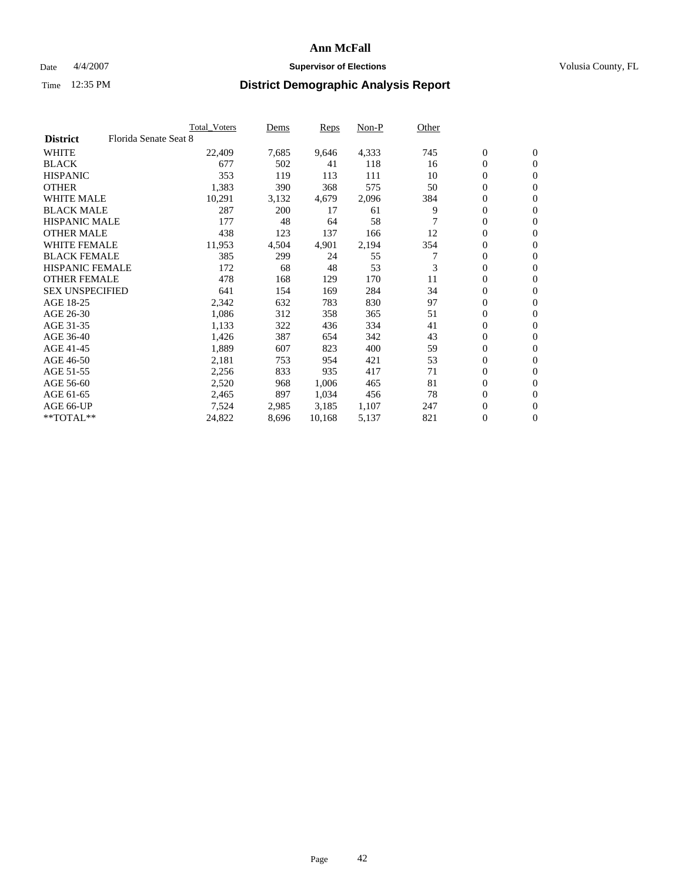### Date  $4/4/2007$  **Supervisor of Elections Supervisor of Elections** Volusia County, FL

|                        |                       | <b>Total Voters</b> | Dems  | Reps   | Non-P | Other |                  |                |  |
|------------------------|-----------------------|---------------------|-------|--------|-------|-------|------------------|----------------|--|
| <b>District</b>        | Florida Senate Seat 8 |                     |       |        |       |       |                  |                |  |
| <b>WHITE</b>           |                       | 22,409              | 7,685 | 9,646  | 4,333 | 745   | $\mathbf{0}$     | $\mathbf{0}$   |  |
| <b>BLACK</b>           |                       | 677                 | 502   | 41     | 118   | 16    | $\mathbf{0}$     | $\mathbf{0}$   |  |
| <b>HISPANIC</b>        |                       | 353                 | 119   | 113    | 111   | 10    | 0                | $\overline{0}$ |  |
| <b>OTHER</b>           |                       | 1,383               | 390   | 368    | 575   | 50    | 0                | $\mathbf{0}$   |  |
| <b>WHITE MALE</b>      |                       | 10,291              | 3,132 | 4,679  | 2,096 | 384   | 0                | $\mathbf{0}$   |  |
| <b>BLACK MALE</b>      |                       | 287                 | 200   | 17     | 61    | 9     | 0                | $\mathbf{0}$   |  |
| <b>HISPANIC MALE</b>   |                       | 177                 | 48    | 64     | 58    |       | 0                | $\mathbf{0}$   |  |
| <b>OTHER MALE</b>      |                       | 438                 | 123   | 137    | 166   | 12    | $\mathbf{0}$     | $\mathbf{0}$   |  |
| <b>WHITE FEMALE</b>    |                       | 11,953              | 4,504 | 4,901  | 2,194 | 354   | 0                | $\mathbf{0}$   |  |
| <b>BLACK FEMALE</b>    |                       | 385                 | 299   | 24     | 55    | 7     | $\mathbf{0}$     | $\mathbf{0}$   |  |
| <b>HISPANIC FEMALE</b> |                       | 172                 | 68    | 48     | 53    | 3     | $\boldsymbol{0}$ | $\mathbf{0}$   |  |
| <b>OTHER FEMALE</b>    |                       | 478                 | 168   | 129    | 170   | 11    | 0                | $\mathbf{0}$   |  |
| <b>SEX UNSPECIFIED</b> |                       | 641                 | 154   | 169    | 284   | 34    | 0                | $\mathbf{0}$   |  |
| AGE 18-25              |                       | 2,342               | 632   | 783    | 830   | 97    | 0                | $\mathbf{0}$   |  |
| AGE 26-30              |                       | 1,086               | 312   | 358    | 365   | 51    | $\mathbf{0}$     | $\mathbf{0}$   |  |
| AGE 31-35              |                       | 1,133               | 322   | 436    | 334   | 41    | 0                | $\mathbf{0}$   |  |
| AGE 36-40              |                       | 1,426               | 387   | 654    | 342   | 43    | 0                | $\mathbf{0}$   |  |
| AGE 41-45              |                       | 1,889               | 607   | 823    | 400   | 59    | 0                | $\mathbf{0}$   |  |
| AGE 46-50              |                       | 2,181               | 753   | 954    | 421   | 53    | 0                | $\mathbf{0}$   |  |
| AGE 51-55              |                       | 2,256               | 833   | 935    | 417   | 71    | $\boldsymbol{0}$ | $\mathbf{0}$   |  |
| AGE 56-60              |                       | 2,520               | 968   | 1,006  | 465   | 81    | 0                | $\mathbf{0}$   |  |
| AGE 61-65              |                       | 2,465               | 897   | 1,034  | 456   | 78    | $\mathbf{0}$     | $\mathbf{0}$   |  |
| AGE 66-UP              |                       | 7,524               | 2,985 | 3,185  | 1,107 | 247   | 0                | $\mathbf{0}$   |  |
| **TOTAL**              |                       | 24,822              | 8,696 | 10,168 | 5,137 | 821   | 0                | $\mathbf{0}$   |  |
|                        |                       |                     |       |        |       |       |                  |                |  |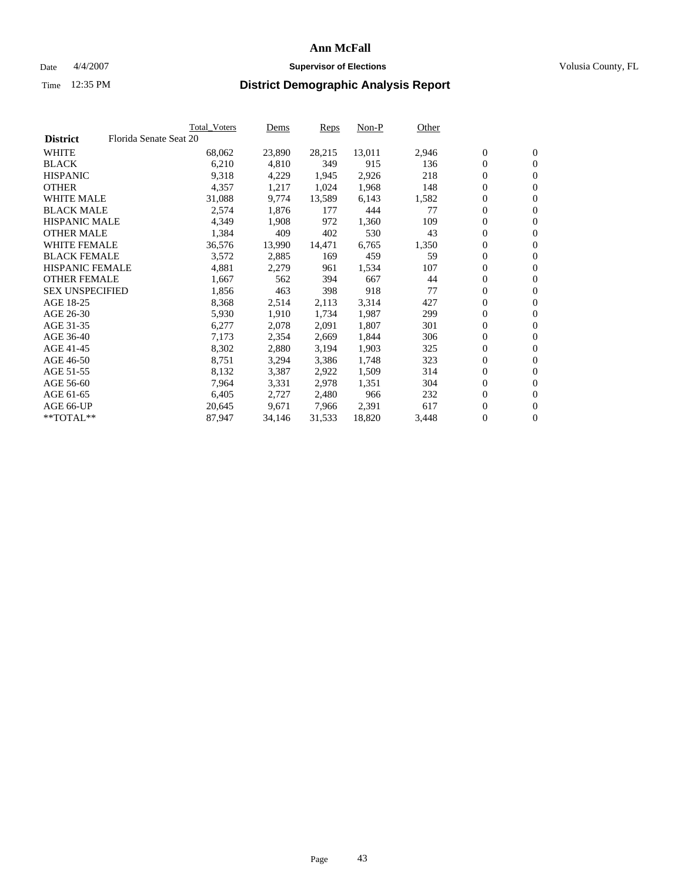#### Date  $4/4/2007$  **Supervisor of Elections Supervisor of Elections** Volusia County, FL

|                        |                        | Total_Voters | Dems   | <b>Reps</b> | Non-P  | Other |                  |                  |  |
|------------------------|------------------------|--------------|--------|-------------|--------|-------|------------------|------------------|--|
| <b>District</b>        | Florida Senate Seat 20 |              |        |             |        |       |                  |                  |  |
| <b>WHITE</b>           |                        | 68,062       | 23,890 | 28,215      | 13,011 | 2,946 | $\overline{0}$   | $\mathbf{0}$     |  |
| <b>BLACK</b>           |                        | 6,210        | 4,810  | 349         | 915    | 136   | $\overline{0}$   | $\mathbf{0}$     |  |
| <b>HISPANIC</b>        |                        | 9,318        | 4,229  | 1,945       | 2,926  | 218   | $\boldsymbol{0}$ | $\mathbf{0}$     |  |
| <b>OTHER</b>           |                        | 4,357        | 1,217  | 1,024       | 1,968  | 148   | $\boldsymbol{0}$ | $\mathbf{0}$     |  |
| <b>WHITE MALE</b>      |                        | 31,088       | 9,774  | 13,589      | 6,143  | 1,582 | 0                | $\mathbf{0}$     |  |
| <b>BLACK MALE</b>      |                        | 2,574        | 1,876  | 177         | 444    | 77    | $\boldsymbol{0}$ | $\mathbf{0}$     |  |
| <b>HISPANIC MALE</b>   |                        | 4,349        | 1,908  | 972         | 1,360  | 109   | $\overline{0}$   | $\mathbf{0}$     |  |
| <b>OTHER MALE</b>      |                        | 1,384        | 409    | 402         | 530    | 43    | $\overline{0}$   | $\mathbf{0}$     |  |
| <b>WHITE FEMALE</b>    |                        | 36,576       | 13,990 | 14,471      | 6,765  | 1,350 | $\mathbf{0}$     | $\mathbf{0}$     |  |
| <b>BLACK FEMALE</b>    |                        | 3,572        | 2,885  | 169         | 459    | 59    | $\boldsymbol{0}$ | $\mathbf{0}$     |  |
| <b>HISPANIC FEMALE</b> |                        | 4,881        | 2,279  | 961         | 1,534  | 107   | $\boldsymbol{0}$ | $\mathbf{0}$     |  |
| <b>OTHER FEMALE</b>    |                        | 1,667        | 562    | 394         | 667    | 44    | 0                | $\mathbf{0}$     |  |
| <b>SEX UNSPECIFIED</b> |                        | 1,856        | 463    | 398         | 918    | 77    | $\boldsymbol{0}$ | $\mathbf{0}$     |  |
| AGE 18-25              |                        | 8,368        | 2,514  | 2,113       | 3,314  | 427   | $\boldsymbol{0}$ | $\mathbf{0}$     |  |
| AGE 26-30              |                        | 5,930        | 1,910  | 1,734       | 1,987  | 299   | $\overline{0}$   | $\mathbf{0}$     |  |
| AGE 31-35              |                        | 6,277        | 2,078  | 2,091       | 1,807  | 301   | $\overline{0}$   | $\mathbf{0}$     |  |
| AGE 36-40              |                        | 7,173        | 2,354  | 2,669       | 1,844  | 306   | $\boldsymbol{0}$ | $\mathbf{0}$     |  |
| AGE 41-45              |                        | 8,302        | 2,880  | 3,194       | 1,903  | 325   | $\boldsymbol{0}$ | $\mathbf{0}$     |  |
| AGE 46-50              |                        | 8,751        | 3,294  | 3,386       | 1,748  | 323   | 0                | $\mathbf{0}$     |  |
| AGE 51-55              |                        | 8,132        | 3,387  | 2,922       | 1,509  | 314   | $\boldsymbol{0}$ | $\mathbf{0}$     |  |
| AGE 56-60              |                        | 7,964        | 3,331  | 2,978       | 1,351  | 304   | $\overline{0}$   | $\mathbf{0}$     |  |
| AGE 61-65              |                        | 6,405        | 2,727  | 2,480       | 966    | 232   | $\mathbf{0}$     | $\boldsymbol{0}$ |  |
| AGE 66-UP              |                        | 20,645       | 9,671  | 7,966       | 2,391  | 617   | $\boldsymbol{0}$ | $\mathbf{0}$     |  |
| **TOTAL**              |                        | 87,947       | 34,146 | 31,533      | 18,820 | 3,448 | 0                | $\overline{0}$   |  |
|                        |                        |              |        |             |        |       |                  |                  |  |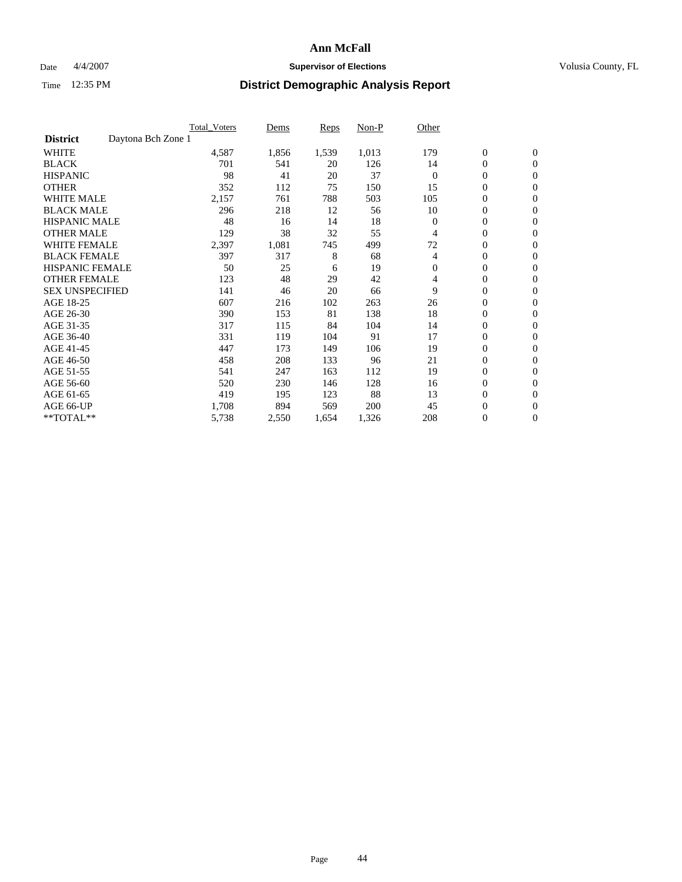### Date  $4/4/2007$  **Supervisor of Elections Supervisor of Elections** Volusia County, FL

|                                       | <b>Total Voters</b> | Dems  | <b>Reps</b> | Non-P | Other    |                  |                  |  |
|---------------------------------------|---------------------|-------|-------------|-------|----------|------------------|------------------|--|
| Daytona Bch Zone 1<br><b>District</b> |                     |       |             |       |          |                  |                  |  |
| <b>WHITE</b>                          | 4,587               | 1,856 | 1,539       | 1,013 | 179      | $\boldsymbol{0}$ | $\boldsymbol{0}$ |  |
| <b>BLACK</b>                          | 701                 | 541   | 20          | 126   | 14       | $\mathbf{0}$     | $\mathbf{0}$     |  |
| <b>HISPANIC</b>                       | 98                  | 41    | 20          | 37    | $\Omega$ | $\mathbf{0}$     | $\mathbf{0}$     |  |
| <b>OTHER</b>                          | 352                 | 112   | 75          | 150   | 15       | 0                | $\mathbf{0}$     |  |
| <b>WHITE MALE</b>                     | 2,157               | 761   | 788         | 503   | 105      | 0                | $\mathbf{0}$     |  |
| <b>BLACK MALE</b>                     | 296                 | 218   | 12          | 56    | 10       | 0                | $\mathbf{0}$     |  |
| <b>HISPANIC MALE</b>                  | 48                  | 16    | 14          | 18    | $\Omega$ | 0                | $\mathbf{0}$     |  |
| <b>OTHER MALE</b>                     | 129                 | 38    | 32          | 55    | 4        | 0                | $\mathbf{0}$     |  |
| <b>WHITE FEMALE</b>                   | 2,397               | 1,081 | 745         | 499   | 72       | 0                | $\mathbf{0}$     |  |
| <b>BLACK FEMALE</b>                   | 397                 | 317   | 8           | 68    | 4        | $\boldsymbol{0}$ | $\mathbf{0}$     |  |
| <b>HISPANIC FEMALE</b>                | 50                  | 25    | 6           | 19    | $\Omega$ | 0                | $\mathbf{0}$     |  |
| <b>OTHER FEMALE</b>                   | 123                 | 48    | 29          | 42    | 4        | 0                | $\mathbf{0}$     |  |
| <b>SEX UNSPECIFIED</b>                | 141                 | 46    | 20          | 66    | 9        | 0                | $\mathbf{0}$     |  |
| AGE 18-25                             | 607                 | 216   | 102         | 263   | 26       | 0                | $\mathbf{0}$     |  |
| AGE 26-30                             | 390                 | 153   | 81          | 138   | 18       | 0                | $\mathbf{0}$     |  |
| AGE 31-35                             | 317                 | 115   | 84          | 104   | 14       | 0                | $\mathbf{0}$     |  |
| AGE 36-40                             | 331                 | 119   | 104         | 91    | 17       | $\boldsymbol{0}$ | $\mathbf{0}$     |  |
| AGE 41-45                             | 447                 | 173   | 149         | 106   | 19       | 0                | $\mathbf{0}$     |  |
| AGE 46-50                             | 458                 | 208   | 133         | 96    | 21       | $\mathbf{0}$     | $\mathbf{0}$     |  |
| AGE 51-55                             | 541                 | 247   | 163         | 112   | 19       | 0                | $\mathbf{0}$     |  |
| AGE 56-60                             | 520                 | 230   | 146         | 128   | 16       | 0                | $\mathbf{0}$     |  |
| AGE 61-65                             | 419                 | 195   | 123         | 88    | 13       | 0                | $\mathbf{0}$     |  |
| AGE 66-UP                             | 1,708               | 894   | 569         | 200   | 45       | 0                | 0                |  |
| **TOTAL**                             | 5,738               | 2,550 | 1,654       | 1,326 | 208      | $\boldsymbol{0}$ | $\boldsymbol{0}$ |  |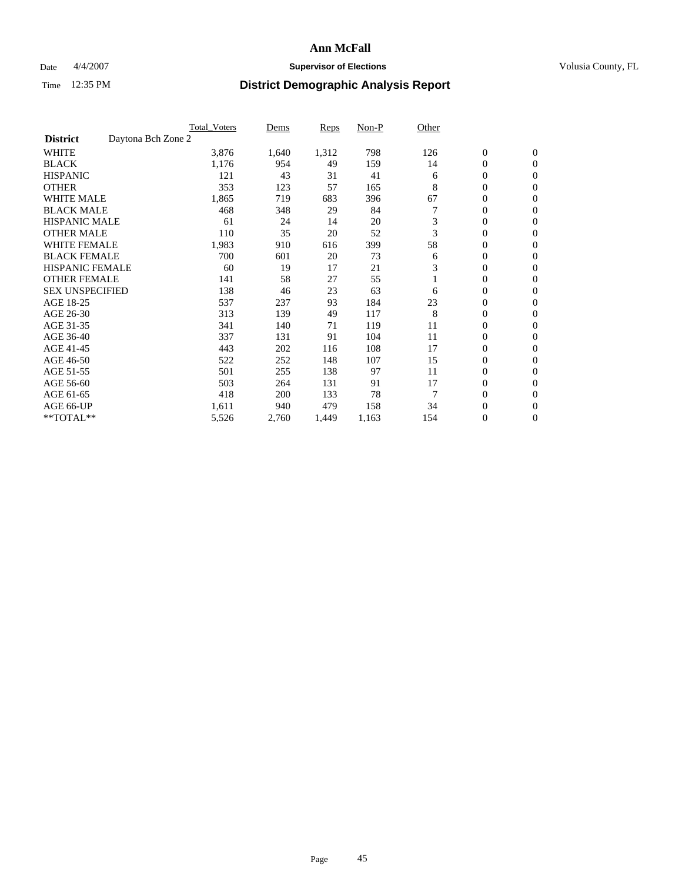### Date  $4/4/2007$  **Supervisor of Elections Supervisor of Elections** Volusia County, FL

|                                       | <b>Total Voters</b> | Dems  | <b>Reps</b> | Non-P | Other |                  |                  |  |
|---------------------------------------|---------------------|-------|-------------|-------|-------|------------------|------------------|--|
| Daytona Bch Zone 2<br><b>District</b> |                     |       |             |       |       |                  |                  |  |
| <b>WHITE</b>                          | 3,876               | 1,640 | 1,312       | 798   | 126   | $\boldsymbol{0}$ | $\boldsymbol{0}$ |  |
| <b>BLACK</b>                          | 1,176               | 954   | 49          | 159   | 14    | 0                | $\mathbf{0}$     |  |
| <b>HISPANIC</b>                       | 121                 | 43    | 31          | 41    | 6     | 0                | $\mathbf{0}$     |  |
| <b>OTHER</b>                          | 353                 | 123   | 57          | 165   | 8     | 0                | $\overline{0}$   |  |
| <b>WHITE MALE</b>                     | 1,865               | 719   | 683         | 396   | 67    | 0                | $\mathbf{0}$     |  |
| <b>BLACK MALE</b>                     | 468                 | 348   | 29          | 84    |       | 0                | $\mathbf{0}$     |  |
| <b>HISPANIC MALE</b>                  | 61                  | 24    | 14          | 20    | 3     | 0                | $\Omega$         |  |
| <b>OTHER MALE</b>                     | 110                 | 35    | 20          | 52    | 3     | 0                | $\mathbf{0}$     |  |
| <b>WHITE FEMALE</b>                   | 1,983               | 910   | 616         | 399   | 58    | 0                | $\Omega$         |  |
| <b>BLACK FEMALE</b>                   | 700                 | 601   | 20          | 73    | 6     | 0                | $\mathbf{0}$     |  |
| <b>HISPANIC FEMALE</b>                | 60                  | 19    | 17          | 21    | 3     | 0                | $\mathbf{0}$     |  |
| <b>OTHER FEMALE</b>                   | 141                 | 58    | 27          | 55    |       | 0                | $\mathbf{0}$     |  |
| <b>SEX UNSPECIFIED</b>                | 138                 | 46    | 23          | 63    | 6     | 0                | $\mathbf{0}$     |  |
| AGE 18-25                             | 537                 | 237   | 93          | 184   | 23    | 0                | $\mathbf{0}$     |  |
| AGE 26-30                             | 313                 | 139   | 49          | 117   | 8     | 0                | $\mathbf{0}$     |  |
| AGE 31-35                             | 341                 | 140   | 71          | 119   | 11    | 0                | $\mathbf{0}$     |  |
| AGE 36-40                             | 337                 | 131   | 91          | 104   | 11    | 0                | $\mathbf{0}$     |  |
| AGE 41-45                             | 443                 | 202   | 116         | 108   | 17    | 0                | $\mathbf{0}$     |  |
| AGE 46-50                             | 522                 | 252   | 148         | 107   | 15    | 0                | $\mathbf{0}$     |  |
| AGE 51-55                             | 501                 | 255   | 138         | 97    | 11    | 0                | $\mathbf{0}$     |  |
| AGE 56-60                             | 503                 | 264   | 131         | 91    | 17    | 0                | $\mathbf{0}$     |  |
| AGE 61-65                             | 418                 | 200   | 133         | 78    | 7     | 0                | $\mathbf{0}$     |  |
| AGE 66-UP                             | 1,611               | 940   | 479         | 158   | 34    | 0                | 0                |  |
| **TOTAL**                             | 5,526               | 2,760 | 1,449       | 1,163 | 154   | 0                | $\boldsymbol{0}$ |  |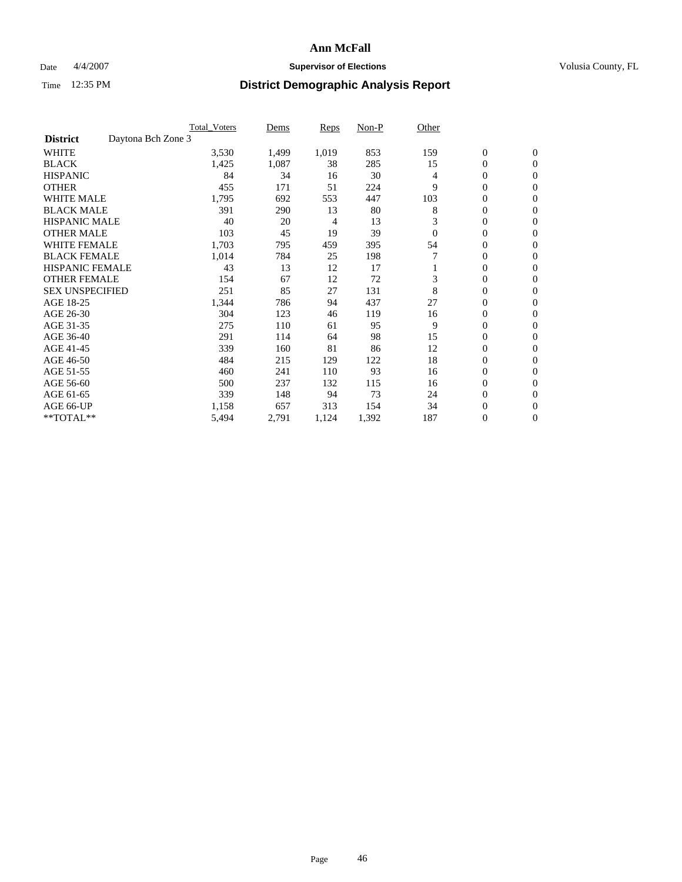### Date  $4/4/2007$  **Supervisor of Elections Supervisor of Elections** Volusia County, FL

|                                       | Total_Voters | Dems  | Reps  | Non-P | Other    |                  |                  |  |
|---------------------------------------|--------------|-------|-------|-------|----------|------------------|------------------|--|
| Daytona Bch Zone 3<br><b>District</b> |              |       |       |       |          |                  |                  |  |
| <b>WHITE</b>                          | 3,530        | 1,499 | 1,019 | 853   | 159      | $\boldsymbol{0}$ | $\mathbf{0}$     |  |
| <b>BLACK</b>                          | 1,425        | 1,087 | 38    | 285   | 15       | $\overline{0}$   | $\mathbf{0}$     |  |
| <b>HISPANIC</b>                       | 84           | 34    | 16    | 30    | 4        | $\mathbf{0}$     | $\mathbf{0}$     |  |
| <b>OTHER</b>                          | 455          | 171   | 51    | 224   | 9        | 0                | $\mathbf{0}$     |  |
| <b>WHITE MALE</b>                     | 1,795        | 692   | 553   | 447   | 103      | 0                | $\mathbf{0}$     |  |
| <b>BLACK MALE</b>                     | 391          | 290   | 13    | 80    | 8        | 0                | $\mathbf{0}$     |  |
| <b>HISPANIC MALE</b>                  | 40           | 20    | 4     | 13    | 3        | 0                | $\Omega$         |  |
| <b>OTHER MALE</b>                     | 103          | 45    | 19    | 39    | $\Omega$ | 0                | $\mathbf{0}$     |  |
| <b>WHITE FEMALE</b>                   | 1,703        | 795   | 459   | 395   | 54       | 0                | $\Omega$         |  |
| <b>BLACK FEMALE</b>                   | 1,014        | 784   | 25    | 198   |          | $\overline{0}$   | $\mathbf{0}$     |  |
| <b>HISPANIC FEMALE</b>                | 43           | 13    | 12    | 17    |          | 0                | $\mathbf{0}$     |  |
| <b>OTHER FEMALE</b>                   | 154          | 67    | 12    | 72    | 3        | 0                | $\mathbf{0}$     |  |
| <b>SEX UNSPECIFIED</b>                | 251          | 85    | 27    | 131   | 8        | $\boldsymbol{0}$ | $\mathbf{0}$     |  |
| AGE 18-25                             | 1,344        | 786   | 94    | 437   | 27       | 0                | $\mathbf{0}$     |  |
| AGE 26-30                             | 304          | 123   | 46    | 119   | 16       | 0                | $\mathbf{0}$     |  |
| AGE 31-35                             | 275          | 110   | 61    | 95    | 9        | 0                | $\mathbf{0}$     |  |
| AGE 36-40                             | 291          | 114   | 64    | 98    | 15       | $\overline{0}$   | $\mathbf{0}$     |  |
| AGE 41-45                             | 339          | 160   | 81    | 86    | 12       | $\mathbf{0}$     | $\mathbf{0}$     |  |
| AGE 46-50                             | 484          | 215   | 129   | 122   | 18       | $\overline{0}$   | $\mathbf{0}$     |  |
| AGE 51-55                             | 460          | 241   | 110   | 93    | 16       | 0                | $\mathbf{0}$     |  |
| AGE 56-60                             | 500          | 237   | 132   | 115   | 16       | $\boldsymbol{0}$ | $\mathbf{0}$     |  |
| AGE 61-65                             | 339          | 148   | 94    | 73    | 24       | 0                | $\mathbf{0}$     |  |
| AGE 66-UP                             | 1,158        | 657   | 313   | 154   | 34       | 0                | 0                |  |
| **TOTAL**                             | 5,494        | 2,791 | 1,124 | 1,392 | 187      | 0                | $\boldsymbol{0}$ |  |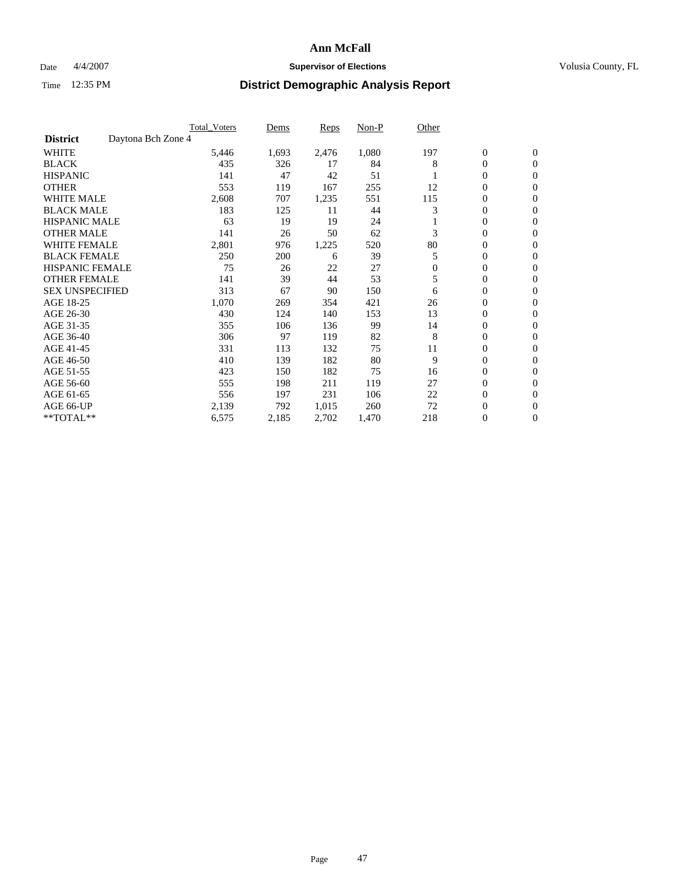### Date  $4/4/2007$  **Supervisor of Elections Supervisor of Elections** Volusia County, FL

|                                       | <b>Total Voters</b> | Dems  | <b>Reps</b> | Non-P | Other        |                  |                  |  |
|---------------------------------------|---------------------|-------|-------------|-------|--------------|------------------|------------------|--|
| Daytona Bch Zone 4<br><b>District</b> |                     |       |             |       |              |                  |                  |  |
| <b>WHITE</b>                          | 5,446               | 1,693 | 2,476       | 1,080 | 197          | $\boldsymbol{0}$ | $\mathbf{0}$     |  |
| <b>BLACK</b>                          | 435                 | 326   | 17          | 84    | 8            | 0                | $\mathbf{0}$     |  |
| <b>HISPANIC</b>                       | 141                 | 47    | 42          | 51    |              | 0                | $\mathbf{0}$     |  |
| <b>OTHER</b>                          | 553                 | 119   | 167         | 255   | 12           | 0                | $\mathbf{0}$     |  |
| <b>WHITE MALE</b>                     | 2,608               | 707   | 1,235       | 551   | 115          | 0                | $\mathbf{0}$     |  |
| <b>BLACK MALE</b>                     | 183                 | 125   | 11          | 44    | 3            | 0                | $\mathbf{0}$     |  |
| <b>HISPANIC MALE</b>                  | 63                  | 19    | 19          | 24    |              | 0                | $\mathbf{0}$     |  |
| <b>OTHER MALE</b>                     | 141                 | 26    | 50          | 62    | 3            | $\mathbf{0}$     | $\mathbf{0}$     |  |
| <b>WHITE FEMALE</b>                   | 2,801               | 976   | 1,225       | 520   | 80           | 0                | $\mathbf{0}$     |  |
| <b>BLACK FEMALE</b>                   | 250                 | 200   | 6           | 39    | 5            | $\mathbf{0}$     | $\mathbf{0}$     |  |
| <b>HISPANIC FEMALE</b>                | 75                  | 26    | 22          | 27    | $\mathbf{0}$ | 0                | $\mathbf{0}$     |  |
| <b>OTHER FEMALE</b>                   | 141                 | 39    | 44          | 53    | 5            | 0                | $\mathbf{0}$     |  |
| <b>SEX UNSPECIFIED</b>                | 313                 | 67    | 90          | 150   | 6            | 0                | 0                |  |
| AGE 18-25                             | 1,070               | 269   | 354         | 421   | 26           | 0                | $\Omega$         |  |
| AGE 26-30                             | 430                 | 124   | 140         | 153   | 13           | $\mathbf{0}$     | $\mathbf{0}$     |  |
| AGE 31-35                             | 355                 | 106   | 136         | 99    | 14           | 0                | $\mathbf{0}$     |  |
| AGE 36-40                             | 306                 | 97    | 119         | 82    | 8            | 0                | $\mathbf{0}$     |  |
| AGE 41-45                             | 331                 | 113   | 132         | 75    | 11           | 0                | $\mathbf{0}$     |  |
| AGE 46-50                             | 410                 | 139   | 182         | 80    | 9            | 0                | $\Omega$         |  |
| AGE 51-55                             | 423                 | 150   | 182         | 75    | 16           | $\boldsymbol{0}$ | $\mathbf{0}$     |  |
| AGE 56-60                             | 555                 | 198   | 211         | 119   | 27           | 0                | $\mathbf{0}$     |  |
| AGE 61-65                             | 556                 | 197   | 231         | 106   | 22           | $\overline{0}$   | $\mathbf{0}$     |  |
| AGE 66-UP                             | 2,139               | 792   | 1,015       | 260   | 72           | 0                | $\mathbf{0}$     |  |
| **TOTAL**                             | 6,575               | 2,185 | 2,702       | 1,470 | 218          | 0                | $\boldsymbol{0}$ |  |
|                                       |                     |       |             |       |              |                  |                  |  |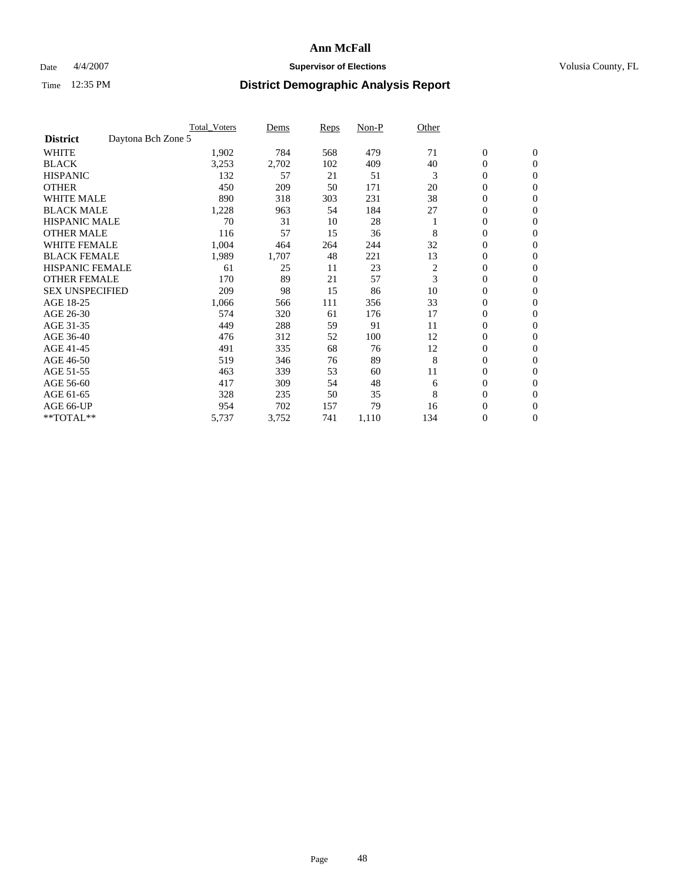### Date  $4/4/2007$  **Supervisor of Elections Supervisor of Elections** Volusia County, FL

|                                       | <b>Total Voters</b> | Dems  | Reps | Non-P | Other |                  |                  |  |
|---------------------------------------|---------------------|-------|------|-------|-------|------------------|------------------|--|
| Daytona Bch Zone 5<br><b>District</b> |                     |       |      |       |       |                  |                  |  |
| <b>WHITE</b>                          | 1,902               | 784   | 568  | 479   | 71    | $\boldsymbol{0}$ | $\boldsymbol{0}$ |  |
| <b>BLACK</b>                          | 3,253               | 2,702 | 102  | 409   | 40    | 0                | $\mathbf{0}$     |  |
| <b>HISPANIC</b>                       | 132                 | 57    | 21   | 51    | 3     | $\mathbf{0}$     | $\mathbf{0}$     |  |
| <b>OTHER</b>                          | 450                 | 209   | 50   | 171   | 20    | 0                | $\overline{0}$   |  |
| <b>WHITE MALE</b>                     | 890                 | 318   | 303  | 231   | 38    | 0                | $\mathbf{0}$     |  |
| <b>BLACK MALE</b>                     | 1,228               | 963   | 54   | 184   | 27    | 0                | 0                |  |
| <b>HISPANIC MALE</b>                  | 70                  | 31    | 10   | 28    |       | 0                | $\mathbf{0}$     |  |
| <b>OTHER MALE</b>                     | 116                 | 57    | 15   | 36    | 8     | 0                | $\mathbf{0}$     |  |
| <b>WHITE FEMALE</b>                   | 1,004               | 464   | 264  | 244   | 32    | 0                | $\mathbf{0}$     |  |
| <b>BLACK FEMALE</b>                   | 1,989               | 1,707 | 48   | 221   | 13    | $\mathbf{0}$     | $\mathbf{0}$     |  |
| <b>HISPANIC FEMALE</b>                | 61                  | 25    | 11   | 23    | 2     | 0                | $\mathbf{0}$     |  |
| <b>OTHER FEMALE</b>                   | 170                 | 89    | 21   | 57    | 3     | 0                | $\overline{0}$   |  |
| <b>SEX UNSPECIFIED</b>                | 209                 | 98    | 15   | 86    | 10    | 0                | $\overline{0}$   |  |
| AGE 18-25                             | 1,066               | 566   | 111  | 356   | 33    | 0                | $\overline{0}$   |  |
| AGE 26-30                             | 574                 | 320   | 61   | 176   | 17    | 0                | $\overline{0}$   |  |
| AGE 31-35                             | 449                 | 288   | 59   | 91    | 11    | 0                | $\overline{0}$   |  |
| AGE 36-40                             | 476                 | 312   | 52   | 100   | 12    | $\mathbf{0}$     | $\mathbf{0}$     |  |
| AGE 41-45                             | 491                 | 335   | 68   | 76    | 12    | 0                | $\overline{0}$   |  |
| AGE 46-50                             | 519                 | 346   | 76   | 89    | 8     | $\mathbf{0}$     | $\mathbf{0}$     |  |
| AGE 51-55                             | 463                 | 339   | 53   | 60    | 11    | 0                | $\mathbf{0}$     |  |
| AGE 56-60                             | 417                 | 309   | 54   | 48    | 6     | 0                | $\overline{0}$   |  |
| AGE 61-65                             | 328                 | 235   | 50   | 35    | 8     | 0                | $\overline{0}$   |  |
| AGE 66-UP                             | 954                 | 702   | 157  | 79    | 16    | 0                | 0                |  |
| **TOTAL**                             | 5,737               | 3,752 | 741  | 1,110 | 134   | 0                | $\boldsymbol{0}$ |  |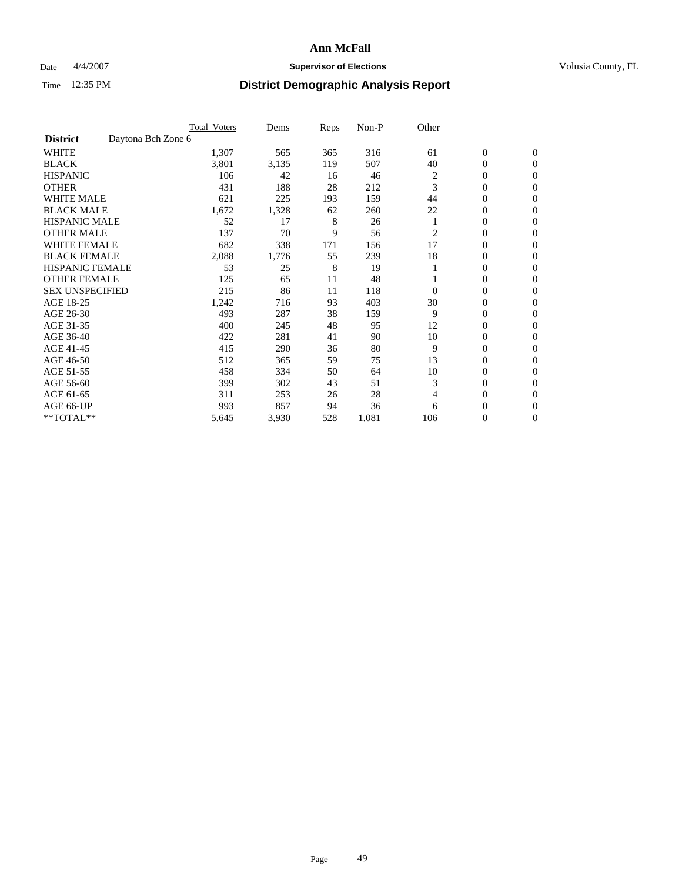### Date  $4/4/2007$  **Supervisor of Elections Supervisor of Elections** Volusia County, FL

|                                       | <b>Total Voters</b> | Dems  | <b>Reps</b> | Non-P | Other          |                  |                  |  |
|---------------------------------------|---------------------|-------|-------------|-------|----------------|------------------|------------------|--|
| Daytona Bch Zone 6<br><b>District</b> |                     |       |             |       |                |                  |                  |  |
| <b>WHITE</b>                          | 1,307               | 565   | 365         | 316   | 61             | $\boldsymbol{0}$ | $\mathbf{0}$     |  |
| <b>BLACK</b>                          | 3,801               | 3,135 | 119         | 507   | 40             | 0                | $\mathbf{0}$     |  |
| <b>HISPANIC</b>                       | 106                 | 42    | 16          | 46    | $\overline{c}$ | 0                | $\mathbf{0}$     |  |
| <b>OTHER</b>                          | 431                 | 188   | 28          | 212   | 3              | 0                | $\overline{0}$   |  |
| <b>WHITE MALE</b>                     | 621                 | 225   | 193         | 159   | 44             | 0                | $\overline{0}$   |  |
| <b>BLACK MALE</b>                     | 1,672               | 1,328 | 62          | 260   | 22             | 0                | $\overline{0}$   |  |
| <b>HISPANIC MALE</b>                  | 52                  | 17    | 8           | 26    |                | 0                | $\Omega$         |  |
| <b>OTHER MALE</b>                     | 137                 | 70    | 9           | 56    | 2              | 0                | $\overline{0}$   |  |
| <b>WHITE FEMALE</b>                   | 682                 | 338   | 171         | 156   | 17             | 0                | $\Omega$         |  |
| <b>BLACK FEMALE</b>                   | 2,088               | 1,776 | 55          | 239   | 18             | 0                | $\mathbf{0}$     |  |
| <b>HISPANIC FEMALE</b>                | 53                  | 25    | 8           | 19    |                | 0                | $\mathbf{0}$     |  |
| <b>OTHER FEMALE</b>                   | 125                 | 65    | 11          | 48    |                | 0                | $\overline{0}$   |  |
| <b>SEX UNSPECIFIED</b>                | 215                 | 86    | 11          | 118   | $\Omega$       | 0                | $\overline{0}$   |  |
| AGE 18-25                             | 1,242               | 716   | 93          | 403   | 30             | 0                | $\overline{0}$   |  |
| AGE 26-30                             | 493                 | 287   | 38          | 159   | 9              | 0                | $\overline{0}$   |  |
| AGE 31-35                             | 400                 | 245   | 48          | 95    | 12             | 0                | $\overline{0}$   |  |
| AGE 36-40                             | 422                 | 281   | 41          | 90    | 10             | 0                | $\overline{0}$   |  |
| AGE 41-45                             | 415                 | 290   | 36          | 80    | 9              | 0                | $\mathbf{0}$     |  |
| AGE 46-50                             | 512                 | 365   | 59          | 75    | 13             | 0                | $\mathbf{0}$     |  |
| AGE 51-55                             | 458                 | 334   | 50          | 64    | 10             | 0                | $\mathbf{0}$     |  |
| AGE 56-60                             | 399                 | 302   | 43          | 51    | 3              | 0                | $\mathbf{0}$     |  |
| AGE 61-65                             | 311                 | 253   | 26          | 28    | 4              | 0                | $\mathbf{0}$     |  |
| AGE 66-UP                             | 993                 | 857   | 94          | 36    | 6              | 0                | 0                |  |
| **TOTAL**                             | 5,645               | 3,930 | 528         | 1,081 | 106            | 0                | $\boldsymbol{0}$ |  |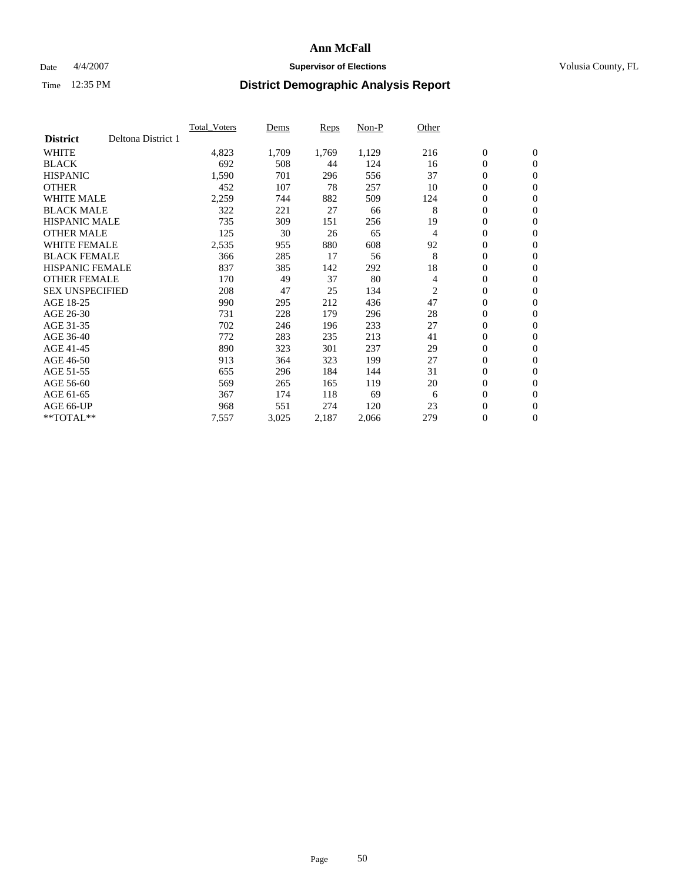### Date  $4/4/2007$  **Supervisor of Elections Supervisor of Elections** Volusia County, FL

|                        |                    | <b>Total_Voters</b> | Dems  | <b>Reps</b> | Non-P | Other          |                  |                  |  |
|------------------------|--------------------|---------------------|-------|-------------|-------|----------------|------------------|------------------|--|
| <b>District</b>        | Deltona District 1 |                     |       |             |       |                |                  |                  |  |
| <b>WHITE</b>           |                    | 4,823               | 1,709 | 1,769       | 1,129 | 216            | $\boldsymbol{0}$ | $\mathbf{0}$     |  |
| <b>BLACK</b>           |                    | 692                 | 508   | 44          | 124   | 16             | $\overline{0}$   | $\mathbf{0}$     |  |
| <b>HISPANIC</b>        |                    | 1,590               | 701   | 296         | 556   | 37             | $\boldsymbol{0}$ | $\mathbf{0}$     |  |
| <b>OTHER</b>           |                    | 452                 | 107   | 78          | 257   | 10             | $\boldsymbol{0}$ | $\mathbf{0}$     |  |
| <b>WHITE MALE</b>      |                    | 2,259               | 744   | 882         | 509   | 124            | 0                | $\mathbf{0}$     |  |
| <b>BLACK MALE</b>      |                    | 322                 | 221   | 27          | 66    | 8              | $\boldsymbol{0}$ | $\mathbf{0}$     |  |
| <b>HISPANIC MALE</b>   |                    | 735                 | 309   | 151         | 256   | 19             | $\overline{0}$   | $\mathbf{0}$     |  |
| <b>OTHER MALE</b>      |                    | 125                 | 30    | 26          | 65    | $\overline{4}$ | $\overline{0}$   | $\mathbf{0}$     |  |
| <b>WHITE FEMALE</b>    |                    | 2,535               | 955   | 880         | 608   | 92             | $\overline{0}$   | $\mathbf{0}$     |  |
| <b>BLACK FEMALE</b>    |                    | 366                 | 285   | 17          | 56    | 8              | $\overline{0}$   | $\mathbf{0}$     |  |
| <b>HISPANIC FEMALE</b> |                    | 837                 | 385   | 142         | 292   | 18             | $\boldsymbol{0}$ | $\mathbf{0}$     |  |
| <b>OTHER FEMALE</b>    |                    | 170                 | 49    | 37          | 80    | 4              | 0                | $\mathbf{0}$     |  |
| <b>SEX UNSPECIFIED</b> |                    | 208                 | 47    | 25          | 134   | 2              | $\boldsymbol{0}$ | $\mathbf{0}$     |  |
| AGE 18-25              |                    | 990                 | 295   | 212         | 436   | 47             | $\boldsymbol{0}$ | $\mathbf{0}$     |  |
| AGE 26-30              |                    | 731                 | 228   | 179         | 296   | 28             | $\overline{0}$   | $\mathbf{0}$     |  |
| AGE 31-35              |                    | 702                 | 246   | 196         | 233   | 27             | $\overline{0}$   | $\mathbf{0}$     |  |
| AGE 36-40              |                    | 772                 | 283   | 235         | 213   | 41             | $\boldsymbol{0}$ | $\mathbf{0}$     |  |
| AGE 41-45              |                    | 890                 | 323   | 301         | 237   | 29             | $\boldsymbol{0}$ | $\mathbf{0}$     |  |
| AGE 46-50              |                    | 913                 | 364   | 323         | 199   | 27             | 0                | $\mathbf{0}$     |  |
| AGE 51-55              |                    | 655                 | 296   | 184         | 144   | 31             | $\boldsymbol{0}$ | $\boldsymbol{0}$ |  |
| AGE 56-60              |                    | 569                 | 265   | 165         | 119   | 20             | $\overline{0}$   | $\mathbf{0}$     |  |
| AGE 61-65              |                    | 367                 | 174   | 118         | 69    | 6              | $\mathbf{0}$     | $\mathbf{0}$     |  |
| AGE 66-UP              |                    | 968                 | 551   | 274         | 120   | 23             | $\boldsymbol{0}$ | $\boldsymbol{0}$ |  |
| **TOTAL**              |                    | 7,557               | 3,025 | 2,187       | 2,066 | 279            | 0                | $\overline{0}$   |  |
|                        |                    |                     |       |             |       |                |                  |                  |  |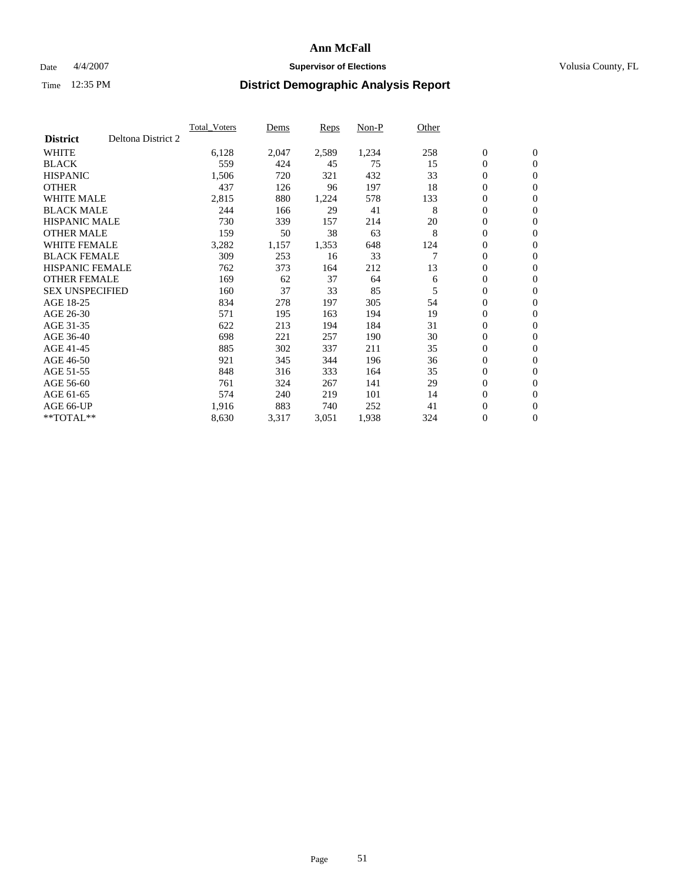### Date  $4/4/2007$  **Supervisor of Elections Supervisor of Elections** Volusia County, FL

|                        |                    | <b>Total Voters</b> | Dems  | Reps  | Non-P | Other |                  |                  |  |
|------------------------|--------------------|---------------------|-------|-------|-------|-------|------------------|------------------|--|
| <b>District</b>        | Deltona District 2 |                     |       |       |       |       |                  |                  |  |
| <b>WHITE</b>           |                    | 6,128               | 2,047 | 2,589 | 1,234 | 258   | $\boldsymbol{0}$ | $\boldsymbol{0}$ |  |
| <b>BLACK</b>           |                    | 559                 | 424   | 45    | 75    | 15    | $\mathbf{0}$     | $\mathbf{0}$     |  |
| <b>HISPANIC</b>        |                    | 1,506               | 720   | 321   | 432   | 33    | $\mathbf{0}$     | $\mathbf{0}$     |  |
| <b>OTHER</b>           |                    | 437                 | 126   | 96    | 197   | 18    | 0                | $\mathbf{0}$     |  |
| <b>WHITE MALE</b>      |                    | 2,815               | 880   | 1,224 | 578   | 133   | 0                | $\mathbf{0}$     |  |
| <b>BLACK MALE</b>      |                    | 244                 | 166   | 29    | 41    | 8     | 0                | $\boldsymbol{0}$ |  |
| <b>HISPANIC MALE</b>   |                    | 730                 | 339   | 157   | 214   | 20    | 0                | $\mathbf{0}$     |  |
| <b>OTHER MALE</b>      |                    | 159                 | 50    | 38    | 63    | 8     | 0                | $\boldsymbol{0}$ |  |
| <b>WHITE FEMALE</b>    |                    | 3,282               | 1,157 | 1,353 | 648   | 124   | 0                | $\mathbf{0}$     |  |
| <b>BLACK FEMALE</b>    |                    | 309                 | 253   | 16    | 33    |       | $\mathbf{0}$     | $\mathbf{0}$     |  |
| <b>HISPANIC FEMALE</b> |                    | 762                 | 373   | 164   | 212   | 13    | $\overline{0}$   | $\mathbf{0}$     |  |
| <b>OTHER FEMALE</b>    |                    | 169                 | 62    | 37    | 64    | 6     | $\mathbf{0}$     | $\mathbf{0}$     |  |
| <b>SEX UNSPECIFIED</b> |                    | 160                 | 37    | 33    | 85    | 5     | $\boldsymbol{0}$ | $\boldsymbol{0}$ |  |
| AGE 18-25              |                    | 834                 | 278   | 197   | 305   | 54    | 0                | $\mathbf{0}$     |  |
| AGE 26-30              |                    | 571                 | 195   | 163   | 194   | 19    | 0                | $\mathbf{0}$     |  |
| AGE 31-35              |                    | 622                 | 213   | 194   | 184   | 31    | 0                | $\mathbf{0}$     |  |
| AGE 36-40              |                    | 698                 | 221   | 257   | 190   | 30    | $\boldsymbol{0}$ | $\mathbf{0}$     |  |
| AGE 41-45              |                    | 885                 | 302   | 337   | 211   | 35    | 0                | $\mathbf{0}$     |  |
| AGE 46-50              |                    | 921                 | 345   | 344   | 196   | 36    | $\mathbf{0}$     | $\mathbf{0}$     |  |
| AGE 51-55              |                    | 848                 | 316   | 333   | 164   | 35    | $\overline{0}$   | $\mathbf{0}$     |  |
| AGE 56-60              |                    | 761                 | 324   | 267   | 141   | 29    | 0                | $\mathbf{0}$     |  |
| AGE 61-65              |                    | 574                 | 240   | 219   | 101   | 14    | 0                | $\boldsymbol{0}$ |  |
| AGE 66-UP              |                    | 1,916               | 883   | 740   | 252   | 41    | 0                | 0                |  |
| $*$ TOTAL $**$         |                    | 8,630               | 3,317 | 3,051 | 1,938 | 324   | $\boldsymbol{0}$ | $\boldsymbol{0}$ |  |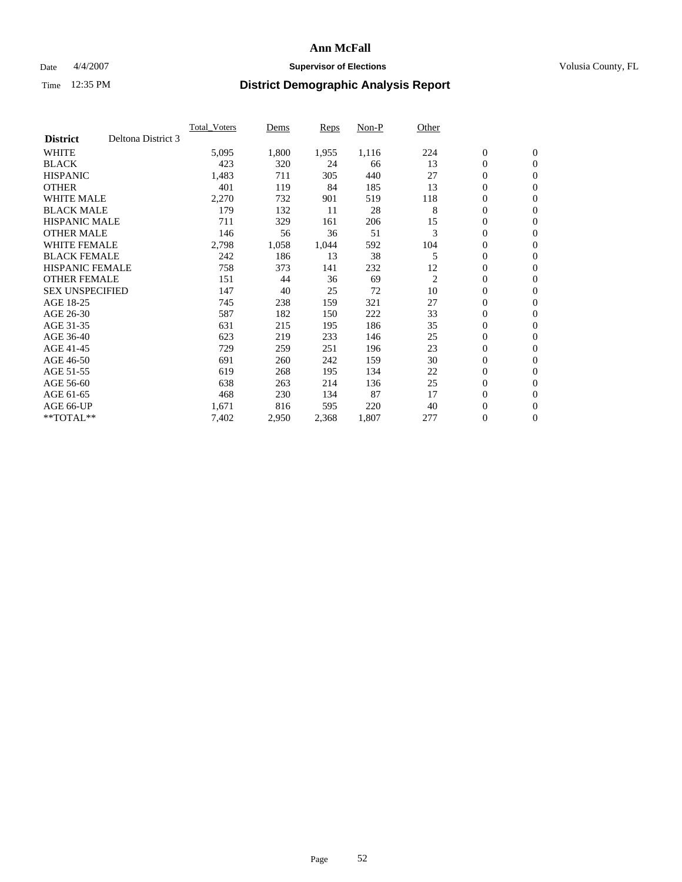### Date  $4/4/2007$  **Supervisor of Elections Supervisor of Elections** Volusia County, FL

|                        |                    | <b>Total Voters</b> | Dems  | Reps  | Non-P | Other          |                  |                  |  |
|------------------------|--------------------|---------------------|-------|-------|-------|----------------|------------------|------------------|--|
| <b>District</b>        | Deltona District 3 |                     |       |       |       |                |                  |                  |  |
| <b>WHITE</b>           |                    | 5,095               | 1,800 | 1,955 | 1,116 | 224            | $\boldsymbol{0}$ | $\mathbf{0}$     |  |
| <b>BLACK</b>           |                    | 423                 | 320   | 24    | 66    | 13             | $\mathbf{0}$     | $\mathbf{0}$     |  |
| <b>HISPANIC</b>        |                    | 1,483               | 711   | 305   | 440   | 27             | 0                | $\mathbf{0}$     |  |
| <b>OTHER</b>           |                    | 401                 | 119   | 84    | 185   | 13             | 0                | $\mathbf{0}$     |  |
| <b>WHITE MALE</b>      |                    | 2,270               | 732   | 901   | 519   | 118            | 0                | $\mathbf{0}$     |  |
| <b>BLACK MALE</b>      |                    | 179                 | 132   | 11    | 28    | 8              | 0                | $\boldsymbol{0}$ |  |
| <b>HISPANIC MALE</b>   |                    | 711                 | 329   | 161   | 206   | 15             | 0                | $\mathbf{0}$     |  |
| <b>OTHER MALE</b>      |                    | 146                 | 56    | 36    | 51    | 3              | $\mathbf{0}$     | $\mathbf{0}$     |  |
| <b>WHITE FEMALE</b>    |                    | 2,798               | 1,058 | 1,044 | 592   | 104            | 0                | $\mathbf{0}$     |  |
| <b>BLACK FEMALE</b>    |                    | 242                 | 186   | 13    | 38    | 5              | $\boldsymbol{0}$ | $\mathbf{0}$     |  |
| <b>HISPANIC FEMALE</b> |                    | 758                 | 373   | 141   | 232   | 12             | $\boldsymbol{0}$ | $\boldsymbol{0}$ |  |
| <b>OTHER FEMALE</b>    |                    | 151                 | 44    | 36    | 69    | $\overline{c}$ | 0                | $\mathbf{0}$     |  |
| <b>SEX UNSPECIFIED</b> |                    | 147                 | 40    | 25    | 72    | 10             | 0                | $\mathbf{0}$     |  |
| AGE 18-25              |                    | 745                 | 238   | 159   | 321   | 27             | 0                | $\mathbf{0}$     |  |
| AGE 26-30              |                    | 587                 | 182   | 150   | 222   | 33             | $\mathbf{0}$     | $\mathbf{0}$     |  |
| AGE 31-35              |                    | 631                 | 215   | 195   | 186   | 35             | 0                | $\mathbf{0}$     |  |
| AGE 36-40              |                    | 623                 | 219   | 233   | 146   | 25             | 0                | $\mathbf{0}$     |  |
| AGE 41-45              |                    | 729                 | 259   | 251   | 196   | 23             | 0                | $\mathbf{0}$     |  |
| AGE 46-50              |                    | 691                 | 260   | 242   | 159   | 30             | 0                | $\mathbf{0}$     |  |
| AGE 51-55              |                    | 619                 | 268   | 195   | 134   | 22             | $\boldsymbol{0}$ | $\boldsymbol{0}$ |  |
| AGE 56-60              |                    | 638                 | 263   | 214   | 136   | 25             | 0                | $\mathbf{0}$     |  |
| AGE 61-65              |                    | 468                 | 230   | 134   | 87    | 17             | $\mathbf{0}$     | $\mathbf{0}$     |  |
| AGE 66-UP              |                    | 1,671               | 816   | 595   | 220   | 40             | $\boldsymbol{0}$ | $\boldsymbol{0}$ |  |
| $*$ TOTAL $**$         |                    | 7,402               | 2,950 | 2,368 | 1,807 | 277            | 0                | $\overline{0}$   |  |
|                        |                    |                     |       |       |       |                |                  |                  |  |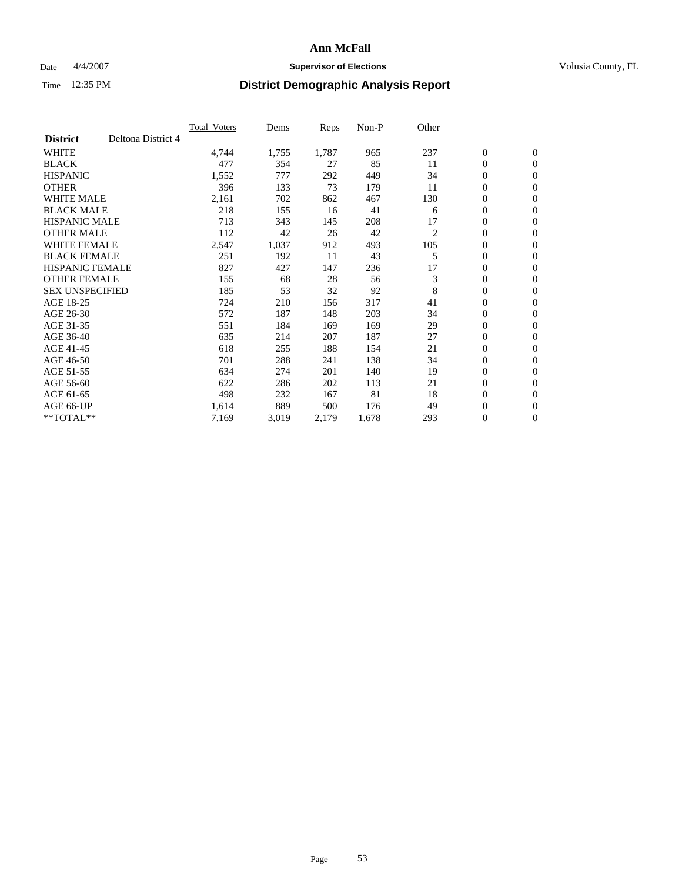### Date  $4/4/2007$  **Supervisor of Elections Supervisor of Elections** Volusia County, FL

|                        |                    | <b>Total Voters</b> | Dems  | Reps  | Non-P | Other |                  |                  |  |
|------------------------|--------------------|---------------------|-------|-------|-------|-------|------------------|------------------|--|
| <b>District</b>        | Deltona District 4 |                     |       |       |       |       |                  |                  |  |
| <b>WHITE</b>           |                    | 4,744               | 1,755 | 1,787 | 965   | 237   | $\boldsymbol{0}$ | $\boldsymbol{0}$ |  |
| <b>BLACK</b>           |                    | 477                 | 354   | 27    | 85    | 11    | $\mathbf{0}$     | $\mathbf{0}$     |  |
| <b>HISPANIC</b>        |                    | 1,552               | 777   | 292   | 449   | 34    | $\mathbf{0}$     | $\mathbf{0}$     |  |
| <b>OTHER</b>           |                    | 396                 | 133   | 73    | 179   | 11    | 0                | $\mathbf{0}$     |  |
| <b>WHITE MALE</b>      |                    | 2,161               | 702   | 862   | 467   | 130   | 0                | $\mathbf{0}$     |  |
| <b>BLACK MALE</b>      |                    | 218                 | 155   | 16    | 41    | 6     | 0                | $\boldsymbol{0}$ |  |
| <b>HISPANIC MALE</b>   |                    | 713                 | 343   | 145   | 208   | 17    | 0                | $\mathbf{0}$     |  |
| <b>OTHER MALE</b>      |                    | 112                 | 42    | 26    | 42    | 2     | 0                | $\mathbf{0}$     |  |
| <b>WHITE FEMALE</b>    |                    | 2,547               | 1,037 | 912   | 493   | 105   | 0                | $\mathbf{0}$     |  |
| <b>BLACK FEMALE</b>    |                    | 251                 | 192   | 11    | 43    | 5     | $\mathbf{0}$     | $\mathbf{0}$     |  |
| <b>HISPANIC FEMALE</b> |                    | 827                 | 427   | 147   | 236   | 17    | 0                | $\mathbf{0}$     |  |
| <b>OTHER FEMALE</b>    |                    | 155                 | 68    | 28    | 56    | 3     | $\overline{0}$   | $\mathbf{0}$     |  |
| <b>SEX UNSPECIFIED</b> |                    | 185                 | 53    | 32    | 92    | 8     | $\boldsymbol{0}$ | $\boldsymbol{0}$ |  |
| AGE 18-25              |                    | 724                 | 210   | 156   | 317   | 41    | 0                | $\mathbf{0}$     |  |
| AGE 26-30              |                    | 572                 | 187   | 148   | 203   | 34    | 0                | $\mathbf{0}$     |  |
| AGE 31-35              |                    | 551                 | 184   | 169   | 169   | 29    | 0                | $\mathbf{0}$     |  |
| AGE 36-40              |                    | 635                 | 214   | 207   | 187   | 27    | $\boldsymbol{0}$ | $\mathbf{0}$     |  |
| AGE 41-45              |                    | 618                 | 255   | 188   | 154   | 21    | 0                | $\mathbf{0}$     |  |
| AGE 46-50              |                    | 701                 | 288   | 241   | 138   | 34    | $\mathbf{0}$     | $\mathbf{0}$     |  |
| AGE 51-55              |                    | 634                 | 274   | 201   | 140   | 19    | $\overline{0}$   | $\mathbf{0}$     |  |
| AGE 56-60              |                    | 622                 | 286   | 202   | 113   | 21    | 0                | $\mathbf{0}$     |  |
| AGE 61-65              |                    | 498                 | 232   | 167   | 81    | 18    | 0                | $\boldsymbol{0}$ |  |
| AGE 66-UP              |                    | 1,614               | 889   | 500   | 176   | 49    | 0                | 0                |  |
| $*$ TOTAL $**$         |                    | 7,169               | 3,019 | 2,179 | 1,678 | 293   | 0                | $\boldsymbol{0}$ |  |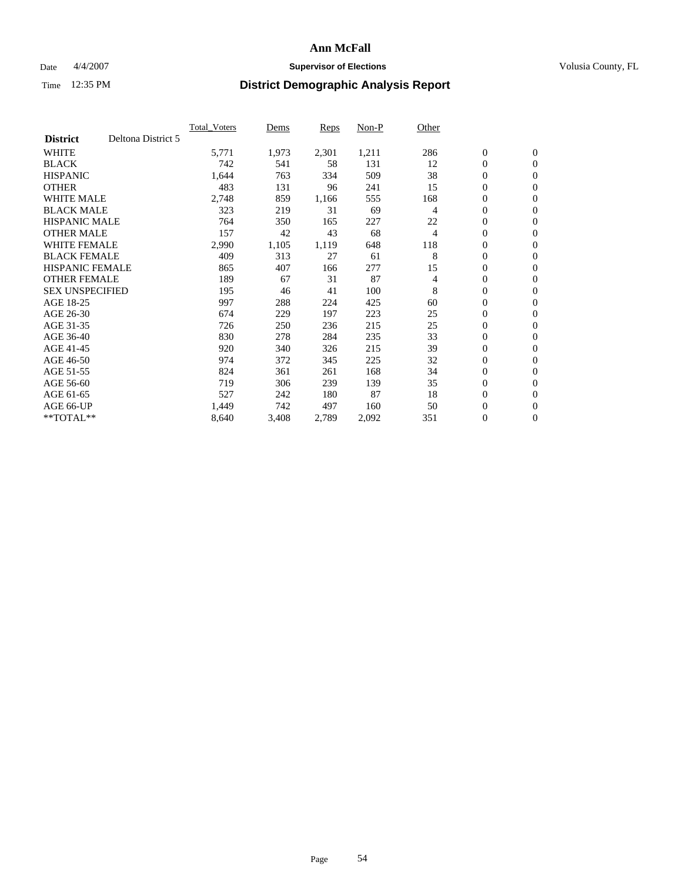### Date  $4/4/2007$  **Supervisor of Elections Supervisor of Elections** Volusia County, FL

|                        |                    | <b>Total Voters</b> | Dems  | Reps  | Non-P | Other |                  |                  |  |
|------------------------|--------------------|---------------------|-------|-------|-------|-------|------------------|------------------|--|
| <b>District</b>        | Deltona District 5 |                     |       |       |       |       |                  |                  |  |
| <b>WHITE</b>           |                    | 5,771               | 1,973 | 2,301 | 1,211 | 286   | $\boldsymbol{0}$ | $\boldsymbol{0}$ |  |
| <b>BLACK</b>           |                    | 742                 | 541   | 58    | 131   | 12    | $\mathbf{0}$     | $\mathbf{0}$     |  |
| <b>HISPANIC</b>        |                    | 1,644               | 763   | 334   | 509   | 38    | $\mathbf{0}$     | $\mathbf{0}$     |  |
| <b>OTHER</b>           |                    | 483                 | 131   | 96    | 241   | 15    | 0                | $\mathbf{0}$     |  |
| <b>WHITE MALE</b>      |                    | 2,748               | 859   | 1,166 | 555   | 168   | 0                | $\mathbf{0}$     |  |
| <b>BLACK MALE</b>      |                    | 323                 | 219   | 31    | 69    | 4     | 0                | $\boldsymbol{0}$ |  |
| <b>HISPANIC MALE</b>   |                    | 764                 | 350   | 165   | 227   | 22    | 0                | $\mathbf{0}$     |  |
| <b>OTHER MALE</b>      |                    | 157                 | 42    | 43    | 68    | 4     | 0                | $\boldsymbol{0}$ |  |
| <b>WHITE FEMALE</b>    |                    | 2,990               | 1,105 | 1,119 | 648   | 118   | 0                | $\mathbf{0}$     |  |
| <b>BLACK FEMALE</b>    |                    | 409                 | 313   | 27    | 61    | 8     | $\mathbf{0}$     | $\mathbf{0}$     |  |
| <b>HISPANIC FEMALE</b> |                    | 865                 | 407   | 166   | 277   | 15    | 0                | $\mathbf{0}$     |  |
| <b>OTHER FEMALE</b>    |                    | 189                 | 67    | 31    | 87    | 4     | 0                | $\mathbf{0}$     |  |
| <b>SEX UNSPECIFIED</b> |                    | 195                 | 46    | 41    | 100   | 8     | $\boldsymbol{0}$ | $\boldsymbol{0}$ |  |
| AGE 18-25              |                    | 997                 | 288   | 224   | 425   | 60    | 0                | $\mathbf{0}$     |  |
| AGE 26-30              |                    | 674                 | 229   | 197   | 223   | 25    | 0                | $\mathbf{0}$     |  |
| AGE 31-35              |                    | 726                 | 250   | 236   | 215   | 25    | 0                | $\mathbf{0}$     |  |
| AGE 36-40              |                    | 830                 | 278   | 284   | 235   | 33    | $\boldsymbol{0}$ | $\mathbf{0}$     |  |
| AGE 41-45              |                    | 920                 | 340   | 326   | 215   | 39    | 0                | $\mathbf{0}$     |  |
| AGE 46-50              |                    | 974                 | 372   | 345   | 225   | 32    | $\mathbf{0}$     | $\mathbf{0}$     |  |
| AGE 51-55              |                    | 824                 | 361   | 261   | 168   | 34    | $\overline{0}$   | $\mathbf{0}$     |  |
| AGE 56-60              |                    | 719                 | 306   | 239   | 139   | 35    | $\boldsymbol{0}$ | $\mathbf{0}$     |  |
| AGE 61-65              |                    | 527                 | 242   | 180   | 87    | 18    | 0                | $\boldsymbol{0}$ |  |
| AGE 66-UP              |                    | 1,449               | 742   | 497   | 160   | 50    | 0                | 0                |  |
| $*$ TOTAL $**$         |                    | 8,640               | 3,408 | 2,789 | 2,092 | 351   | 0                | $\boldsymbol{0}$ |  |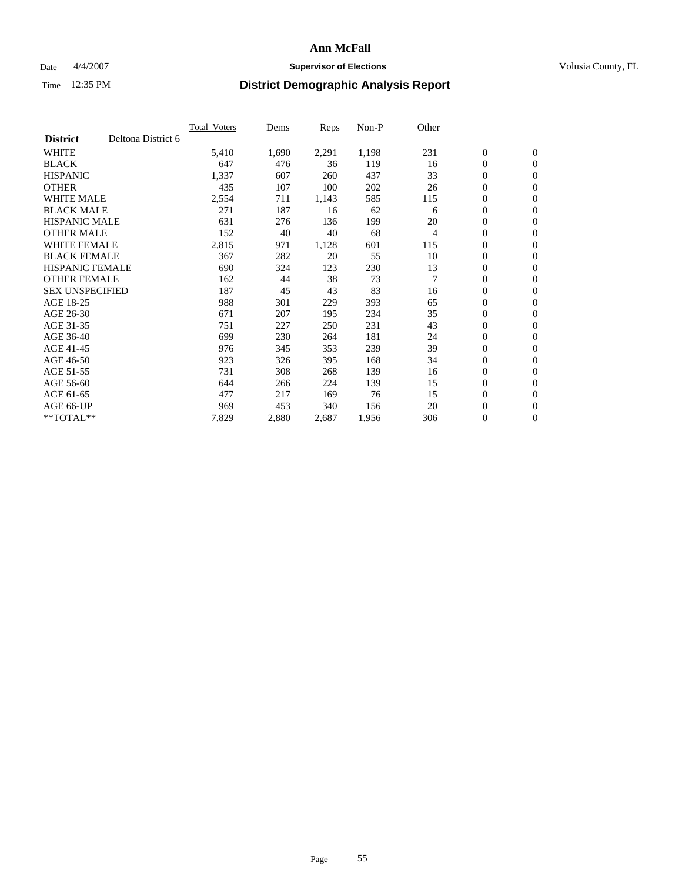### Date  $4/4/2007$  **Supervisor of Elections Supervisor of Elections** Volusia County, FL

|                        |                    | <b>Total Voters</b> | Dems  | Reps  | Non-P | Other          |                  |                  |  |
|------------------------|--------------------|---------------------|-------|-------|-------|----------------|------------------|------------------|--|
| <b>District</b>        | Deltona District 6 |                     |       |       |       |                |                  |                  |  |
| <b>WHITE</b>           |                    | 5,410               | 1,690 | 2,291 | 1,198 | 231            | $\boldsymbol{0}$ | $\boldsymbol{0}$ |  |
| <b>BLACK</b>           |                    | 647                 | 476   | 36    | 119   | 16             | $\mathbf{0}$     | $\mathbf{0}$     |  |
| <b>HISPANIC</b>        |                    | 1,337               | 607   | 260   | 437   | 33             | $\mathbf{0}$     | $\mathbf{0}$     |  |
| <b>OTHER</b>           |                    | 435                 | 107   | 100   | 202   | 26             | 0                | $\mathbf{0}$     |  |
| <b>WHITE MALE</b>      |                    | 2,554               | 711   | 1,143 | 585   | 115            | 0                | $\mathbf{0}$     |  |
| <b>BLACK MALE</b>      |                    | 271                 | 187   | 16    | 62    | 6              | $\boldsymbol{0}$ | $\boldsymbol{0}$ |  |
| <b>HISPANIC MALE</b>   |                    | 631                 | 276   | 136   | 199   | 20             | 0                | $\mathbf{0}$     |  |
| <b>OTHER MALE</b>      |                    | 152                 | 40    | 40    | 68    | 4              | 0                | $\boldsymbol{0}$ |  |
| <b>WHITE FEMALE</b>    |                    | 2,815               | 971   | 1,128 | 601   | 115            | 0                | $\mathbf{0}$     |  |
| <b>BLACK FEMALE</b>    |                    | 367                 | 282   | 20    | 55    | 10             | $\boldsymbol{0}$ | $\mathbf{0}$     |  |
| <b>HISPANIC FEMALE</b> |                    | 690                 | 324   | 123   | 230   | 13             | $\overline{0}$   | $\mathbf{0}$     |  |
| <b>OTHER FEMALE</b>    |                    | 162                 | 44    | 38    | 73    | $\overline{7}$ | $\overline{0}$   | $\mathbf{0}$     |  |
| <b>SEX UNSPECIFIED</b> |                    | 187                 | 45    | 43    | 83    | 16             | $\boldsymbol{0}$ | $\boldsymbol{0}$ |  |
| AGE 18-25              |                    | 988                 | 301   | 229   | 393   | 65             | 0                | $\mathbf{0}$     |  |
| AGE 26-30              |                    | 671                 | 207   | 195   | 234   | 35             | 0                | $\mathbf{0}$     |  |
| AGE 31-35              |                    | 751                 | 227   | 250   | 231   | 43             | 0                | $\mathbf{0}$     |  |
| AGE 36-40              |                    | 699                 | 230   | 264   | 181   | 24             | $\boldsymbol{0}$ | $\mathbf{0}$     |  |
| AGE 41-45              |                    | 976                 | 345   | 353   | 239   | 39             | 0                | $\mathbf{0}$     |  |
| AGE 46-50              |                    | 923                 | 326   | 395   | 168   | 34             | $\mathbf{0}$     | $\mathbf{0}$     |  |
| AGE 51-55              |                    | 731                 | 308   | 268   | 139   | 16             | $\overline{0}$   | $\mathbf{0}$     |  |
| AGE 56-60              |                    | 644                 | 266   | 224   | 139   | 15             | $\boldsymbol{0}$ | $\mathbf{0}$     |  |
| AGE 61-65              |                    | 477                 | 217   | 169   | 76    | 15             | 0                | $\boldsymbol{0}$ |  |
| AGE 66-UP              |                    | 969                 | 453   | 340   | 156   | 20             | 0                | 0                |  |
| $*$ TOTAL $**$         |                    | 7,829               | 2,880 | 2,687 | 1,956 | 306            | 0                | $\boldsymbol{0}$ |  |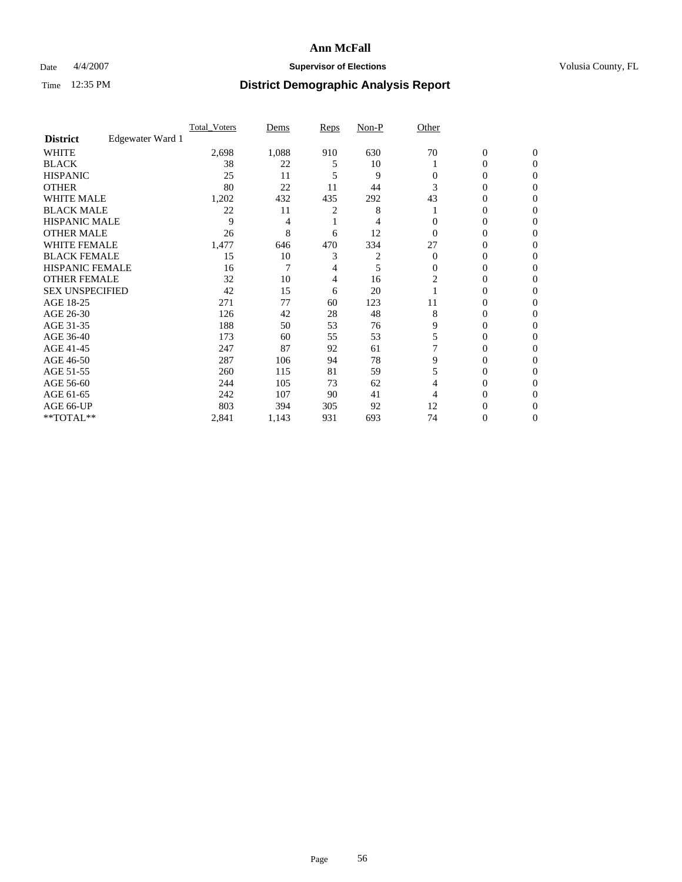### Date  $4/4/2007$  **Supervisor of Elections Supervisor of Elections** Volusia County, FL

|                        |                  | <b>Total Voters</b> | Dems  | Reps | Non-P | Other    |                  |              |  |
|------------------------|------------------|---------------------|-------|------|-------|----------|------------------|--------------|--|
| <b>District</b>        | Edgewater Ward 1 |                     |       |      |       |          |                  |              |  |
| <b>WHITE</b>           |                  | 2,698               | 1,088 | 910  | 630   | 70       | $\boldsymbol{0}$ | $\mathbf{0}$ |  |
| <b>BLACK</b>           |                  | 38                  | 22    | 5    | 10    |          | 0                | $\mathbf{0}$ |  |
| <b>HISPANIC</b>        |                  | 25                  | 11    | 5    | 9     | 0        | 0                | $\Omega$     |  |
| <b>OTHER</b>           |                  | 80                  | 22    | 11   | 44    |          | $\overline{0}$   | $\theta$     |  |
| <b>WHITE MALE</b>      |                  | 1,202               | 432   | 435  | 292   | 43       | 0                | 0            |  |
| <b>BLACK MALE</b>      |                  | 22                  | 11    | 2    | 8     |          | 0                | 0            |  |
| <b>HISPANIC MALE</b>   |                  | 9                   | 4     |      |       |          | 0                |              |  |
| <b>OTHER MALE</b>      |                  | 26                  | 8     | 6    | 12    | 0        | 0                | 0            |  |
| WHITE FEMALE           |                  | 1,477               | 646   | 470  | 334   | 27       | 0                | 0            |  |
| <b>BLACK FEMALE</b>    |                  | 15                  | 10    | 3    | 2     | $\Omega$ | 0                | 0            |  |
| <b>HISPANIC FEMALE</b> |                  | 16                  | 7     | 4    | 5     | 0        | 0                | $\Omega$     |  |
| <b>OTHER FEMALE</b>    |                  | 32                  | 10    | 4    | 16    | 2        | 0                | $\theta$     |  |
| <b>SEX UNSPECIFIED</b> |                  | 42                  | 15    | 6    | 20    |          | 0                | $\theta$     |  |
| AGE 18-25              |                  | 271                 | 77    | 60   | 123   | 11       | 0                | $_{0}$       |  |
| AGE 26-30              |                  | 126                 | 42    | 28   | 48    | 8        | 0                | 0            |  |
| AGE 31-35              |                  | 188                 | 50    | 53   | 76    | 9        | 0                | 0            |  |
| AGE 36-40              |                  | 173                 | 60    | 55   | 53    | 5        | 0                | 0            |  |
| AGE 41-45              |                  | 247                 | 87    | 92   | 61    |          | 0                | 0            |  |
| AGE 46-50              |                  | 287                 | 106   | 94   | 78    | 9        | 0                | $\Omega$     |  |
| AGE 51-55              |                  | 260                 | 115   | 81   | 59    | 5        | 0                | $\theta$     |  |
| AGE 56-60              |                  | 244                 | 105   | 73   | 62    | 4        | 0                | $\theta$     |  |
| AGE 61-65              |                  | 242                 | 107   | 90   | 41    |          | 0                | 0            |  |
| AGE 66-UP              |                  | 803                 | 394   | 305  | 92    | 12       | 0                |              |  |
| **TOTAL**              |                  | 2,841               | 1,143 | 931  | 693   | 74       | 0                | 0            |  |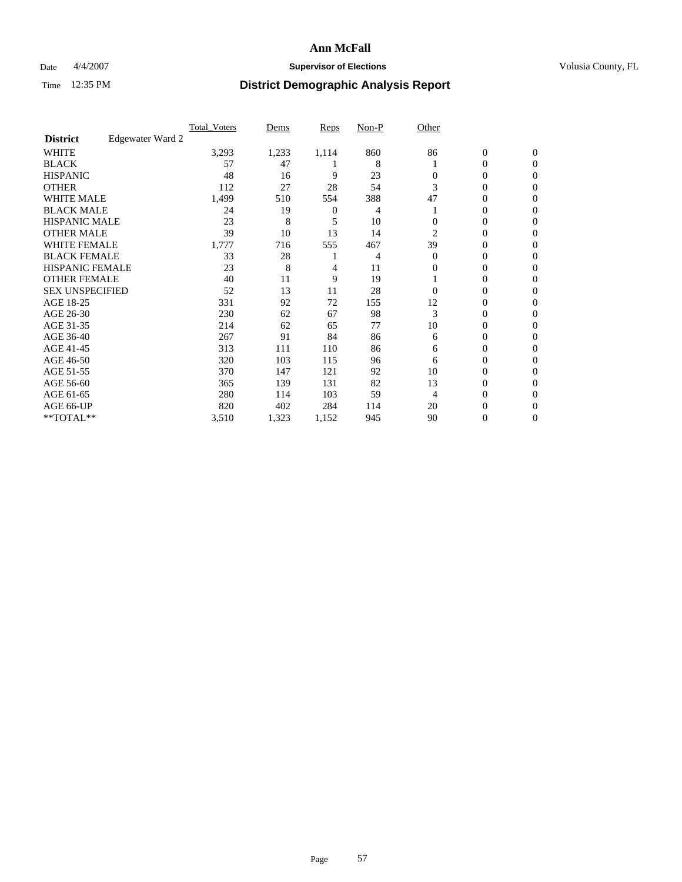### Date  $4/4/2007$  **Supervisor of Elections Supervisor of Elections** Volusia County, FL

|                        |                  | <b>Total Voters</b> | Dems  | Reps  | Non-P | Other    |                  |                  |  |
|------------------------|------------------|---------------------|-------|-------|-------|----------|------------------|------------------|--|
| <b>District</b>        | Edgewater Ward 2 |                     |       |       |       |          |                  |                  |  |
| <b>WHITE</b>           |                  | 3,293               | 1,233 | 1,114 | 860   | 86       | $\boldsymbol{0}$ | $\mathbf{0}$     |  |
| <b>BLACK</b>           |                  | 57                  | 47    |       | 8     |          | 0                | $\mathbf{0}$     |  |
| <b>HISPANIC</b>        |                  | 48                  | 16    | 9     | 23    | 0        | 0                | $\mathbf{0}$     |  |
| <b>OTHER</b>           |                  | 112                 | 27    | 28    | 54    | 3        | 0                | $\boldsymbol{0}$ |  |
| <b>WHITE MALE</b>      |                  | 1,499               | 510   | 554   | 388   | 47       | 0                | $\theta$         |  |
| <b>BLACK MALE</b>      |                  | 24                  | 19    | 0     | 4     |          | 0                | $\Omega$         |  |
| <b>HISPANIC MALE</b>   |                  | 23                  | 8     | 5     | 10    | 0        | 0                | 0                |  |
| <b>OTHER MALE</b>      |                  | 39                  | 10    | 13    | 14    | 2        | 0                | 0                |  |
| WHITE FEMALE           |                  | 1,777               | 716   | 555   | 467   | 39       | 0                | 0                |  |
| <b>BLACK FEMALE</b>    |                  | 33                  | 28    |       | 4     | $\Omega$ | 0                | $\mathbf{0}$     |  |
| <b>HISPANIC FEMALE</b> |                  | 23                  | 8     | 4     | 11    | 0        | 0                | $\Omega$         |  |
| <b>OTHER FEMALE</b>    |                  | 40                  | 11    | 9     | 19    |          | 0                | $\boldsymbol{0}$ |  |
| <b>SEX UNSPECIFIED</b> |                  | 52                  | 13    | 11    | 28    | $\Omega$ | 0                | $\Omega$         |  |
| AGE 18-25              |                  | 331                 | 92    | 72    | 155   | 12       | 0                | 0                |  |
| AGE 26-30              |                  | 230                 | 62    | 67    | 98    | 3        | 0                | $\Omega$         |  |
| AGE 31-35              |                  | 214                 | 62    | 65    | 77    | 10       | 0                | 0                |  |
| AGE 36-40              |                  | 267                 | 91    | 84    | 86    | 6        | 0                | $\mathbf{0}$     |  |
| AGE 41-45              |                  | 313                 | 111   | 110   | 86    | 6        | 0                | 0                |  |
| AGE 46-50              |                  | 320                 | 103   | 115   | 96    | 6        | 0                | $\mathbf{0}$     |  |
| AGE 51-55              |                  | 370                 | 147   | 121   | 92    | 10       | 0                | $\Omega$         |  |
| AGE 56-60              |                  | 365                 | 139   | 131   | 82    | 13       | 0                | $\theta$         |  |
| AGE 61-65              |                  | 280                 | 114   | 103   | 59    | 4        | 0                | 0                |  |
| AGE 66-UP              |                  | 820                 | 402   | 284   | 114   | 20       | 0                | $_{0}$           |  |
| **TOTAL**              |                  | 3,510               | 1,323 | 1,152 | 945   | 90       | 0                | $\mathbf{0}$     |  |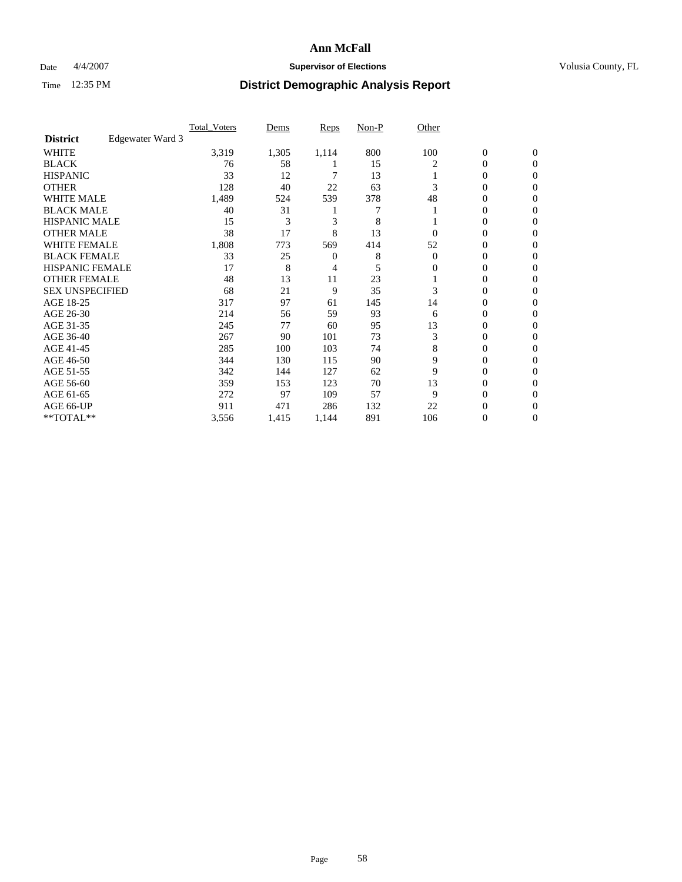### Date  $4/4/2007$  **Supervisor of Elections Supervisor of Elections** Volusia County, FL

|                        |                  | <b>Total Voters</b> | Dems  | Reps  | Non-P | Other    |                  |                  |  |
|------------------------|------------------|---------------------|-------|-------|-------|----------|------------------|------------------|--|
| <b>District</b>        | Edgewater Ward 3 |                     |       |       |       |          |                  |                  |  |
| <b>WHITE</b>           |                  | 3,319               | 1,305 | 1,114 | 800   | 100      | $\boldsymbol{0}$ | $\mathbf{0}$     |  |
| <b>BLACK</b>           |                  | 76                  | 58    |       | 15    | 2        | 0                | $\mathbf{0}$     |  |
| <b>HISPANIC</b>        |                  | 33                  | 12    |       | 13    |          | 0                | $\mathbf{0}$     |  |
| <b>OTHER</b>           |                  | 128                 | 40    | 22    | 63    |          | 0                | $\boldsymbol{0}$ |  |
| <b>WHITE MALE</b>      |                  | 1,489               | 524   | 539   | 378   | 48       | 0                | $\theta$         |  |
| <b>BLACK MALE</b>      |                  | 40                  | 31    |       |       |          | 0                | 0                |  |
| <b>HISPANIC MALE</b>   |                  | 15                  | 3     | 3     | 8     |          | 0                | 0                |  |
| <b>OTHER MALE</b>      |                  | 38                  | 17    | 8     | 13    | 0        | 0                | 0                |  |
| WHITE FEMALE           |                  | 1,808               | 773   | 569   | 414   | 52       | 0                | 0                |  |
| <b>BLACK FEMALE</b>    |                  | 33                  | 25    | 0     | 8     | $\Omega$ | 0                | 0                |  |
| <b>HISPANIC FEMALE</b> |                  | 17                  | 8     | 4     | 5     | 0        | 0                | $\Omega$         |  |
| <b>OTHER FEMALE</b>    |                  | 48                  | 13    | 11    | 23    |          | 0                | $\theta$         |  |
| <b>SEX UNSPECIFIED</b> |                  | 68                  | 21    | 9     | 35    | 3        | 0                | $\theta$         |  |
| AGE 18-25              |                  | 317                 | 97    | 61    | 145   | 14       | 0                | 0                |  |
| AGE 26-30              |                  | 214                 | 56    | 59    | 93    | 6        | 0                | $\Omega$         |  |
| AGE 31-35              |                  | 245                 | 77    | 60    | 95    | 13       | 0                | 0                |  |
| AGE 36-40              |                  | 267                 | 90    | 101   | 73    | 3        | 0                | 0                |  |
| AGE 41-45              |                  | 285                 | 100   | 103   | 74    | 8        | 0                | 0                |  |
| AGE 46-50              |                  | 344                 | 130   | 115   | 90    | 9        | 0                | $\mathbf{0}$     |  |
| AGE 51-55              |                  | 342                 | 144   | 127   | 62    | 9        | 0                | $\Omega$         |  |
| AGE 56-60              |                  | 359                 | 153   | 123   | 70    | 13       | 0                | $\theta$         |  |
| AGE 61-65              |                  | 272                 | 97    | 109   | 57    | 9        | 0                | 0                |  |
| AGE 66-UP              |                  | 911                 | 471   | 286   | 132   | 22       | 0                |                  |  |
| **TOTAL**              |                  | 3,556               | 1,415 | 1,144 | 891   | 106      | 0                | $\mathbf{0}$     |  |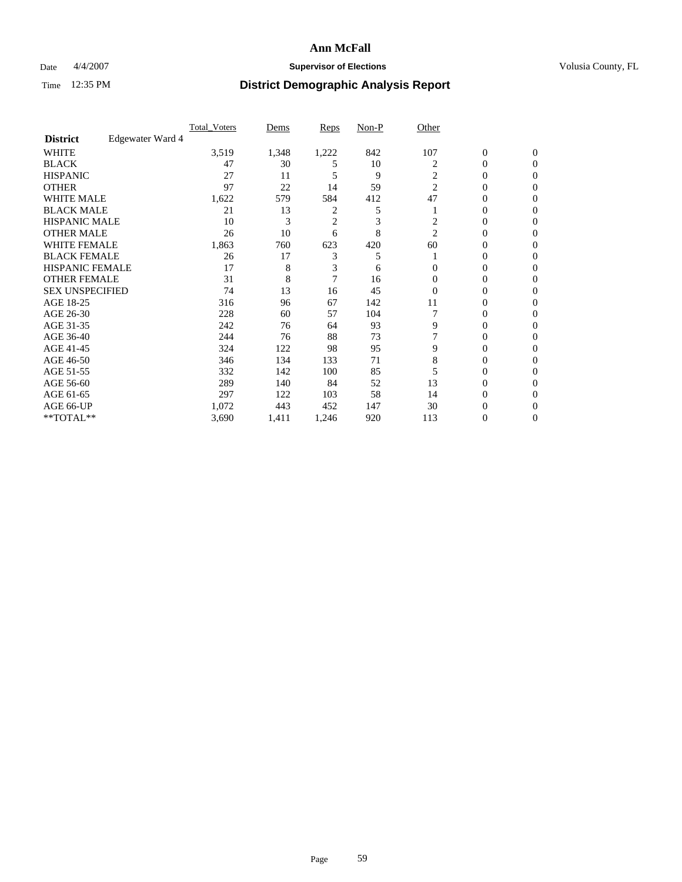### Date  $4/4/2007$  **Supervisor of Elections Supervisor of Elections** Volusia County, FL

|                        |                  | <b>Total Voters</b> | Dems  | Reps           | Non-P | Other          |                  |                  |  |
|------------------------|------------------|---------------------|-------|----------------|-------|----------------|------------------|------------------|--|
| <b>District</b>        | Edgewater Ward 4 |                     |       |                |       |                |                  |                  |  |
| <b>WHITE</b>           |                  | 3,519               | 1,348 | 1,222          | 842   | 107            | $\boldsymbol{0}$ | $\mathbf{0}$     |  |
| <b>BLACK</b>           |                  | 47                  | 30    | 5              | 10    | 2              | 0                | $\mathbf{0}$     |  |
| <b>HISPANIC</b>        |                  | 27                  | 11    | 5              | 9     | $\overline{c}$ | 0                | $\mathbf{0}$     |  |
| <b>OTHER</b>           |                  | 97                  | 22    | 14             | 59    | $\overline{2}$ | $\overline{0}$   | $\boldsymbol{0}$ |  |
| <b>WHITE MALE</b>      |                  | 1,622               | 579   | 584            | 412   | 47             | 0                | $\theta$         |  |
| <b>BLACK MALE</b>      |                  | 21                  | 13    | 2              | 5     |                | 0                | 0                |  |
| <b>HISPANIC MALE</b>   |                  | 10                  | 3     | $\overline{c}$ | 3     | 2              | 0                | 0                |  |
| <b>OTHER MALE</b>      |                  | 26                  | 10    | 6              | 8     | $\overline{2}$ | 0                | 0                |  |
| WHITE FEMALE           |                  | 1,863               | 760   | 623            | 420   | 60             | 0                | 0                |  |
| <b>BLACK FEMALE</b>    |                  | 26                  | 17    | 3              | 5     |                | 0                | $\mathbf{0}$     |  |
| <b>HISPANIC FEMALE</b> |                  | 17                  | 8     | 3              | 6     | $\Omega$       | 0                | $\Omega$         |  |
| <b>OTHER FEMALE</b>    |                  | 31                  | 8     | $\overline{7}$ | 16    | $\Omega$       | 0                | $\theta$         |  |
| <b>SEX UNSPECIFIED</b> |                  | 74                  | 13    | 16             | 45    | $\overline{0}$ | 0                | $\Omega$         |  |
| AGE 18-25              |                  | 316                 | 96    | 67             | 142   | 11             | 0                | 0                |  |
| AGE 26-30              |                  | 228                 | 60    | 57             | 104   |                | 0                | $\Omega$         |  |
| AGE 31-35              |                  | 242                 | 76    | 64             | 93    | 9              | 0                | 0                |  |
| AGE 36-40              |                  | 244                 | 76    | 88             | 73    |                | 0                | 0                |  |
| AGE 41-45              |                  | 324                 | 122   | 98             | 95    | 9              | 0                | 0                |  |
| AGE 46-50              |                  | 346                 | 134   | 133            | 71    | 8              | 0                | $\mathbf{0}$     |  |
| AGE 51-55              |                  | 332                 | 142   | 100            | 85    |                | 0                | $\Omega$         |  |
| AGE 56-60              |                  | 289                 | 140   | 84             | 52    | 13             | 0                | $\theta$         |  |
| AGE 61-65              |                  | 297                 | 122   | 103            | 58    | 14             | 0                | 0                |  |
| AGE 66-UP              |                  | 1,072               | 443   | 452            | 147   | 30             | 0                |                  |  |
| **TOTAL**              |                  | 3,690               | 1,411 | 1,246          | 920   | 113            | 0                | $\mathbf{0}$     |  |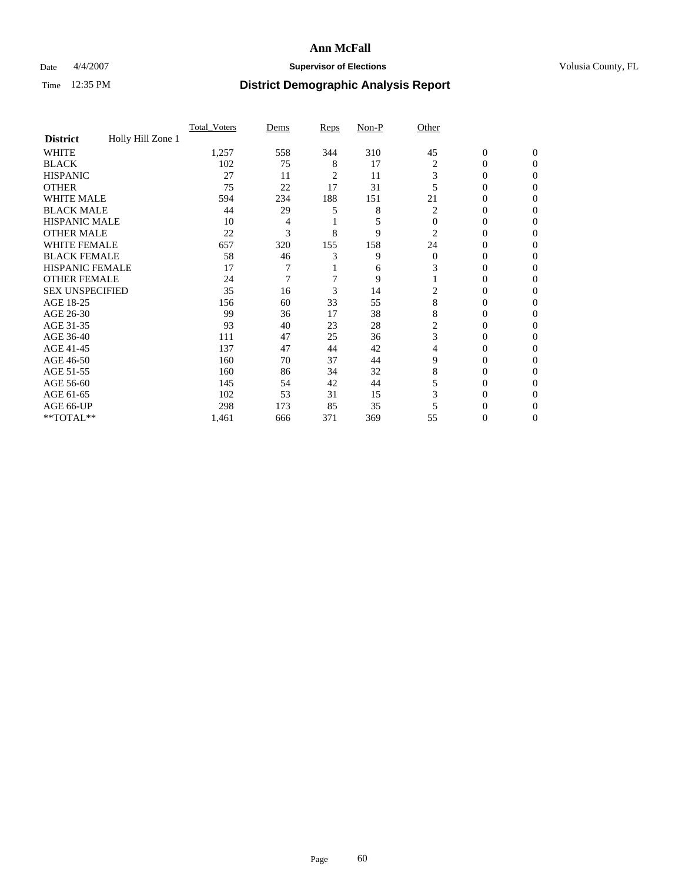### Date  $4/4/2007$  **Supervisor of Elections Supervisor of Elections** Volusia County, FL

|                        |                   | <b>Total Voters</b> | Dems | Reps | Non-P | Other          |                  |              |  |
|------------------------|-------------------|---------------------|------|------|-------|----------------|------------------|--------------|--|
| <b>District</b>        | Holly Hill Zone 1 |                     |      |      |       |                |                  |              |  |
| <b>WHITE</b>           |                   | 1,257               | 558  | 344  | 310   | 45             | $\boldsymbol{0}$ | $\mathbf{0}$ |  |
| <b>BLACK</b>           |                   | 102                 | 75   | 8    | 17    | 2              | 0                | $\mathbf{0}$ |  |
| <b>HISPANIC</b>        |                   | 27                  | 11   | 2    | 11    | 3              | 0                | $\Omega$     |  |
| <b>OTHER</b>           |                   | 75                  | 22   | 17   | 31    |                | $\overline{0}$   | $\theta$     |  |
| <b>WHITE MALE</b>      |                   | 594                 | 234  | 188  | 151   | 21             | 0                | 0            |  |
| <b>BLACK MALE</b>      |                   | 44                  | 29   | 5    | 8     | 2              | 0                | 0            |  |
| <b>HISPANIC MALE</b>   |                   | 10                  | 4    |      | 5     | $\Omega$       | 0                |              |  |
| <b>OTHER MALE</b>      |                   | 22                  | 3    | 8    | 9     | 2              | 0                | 0            |  |
| WHITE FEMALE           |                   | 657                 | 320  | 155  | 158   | 24             | 0                | 0            |  |
| <b>BLACK FEMALE</b>    |                   | 58                  | 46   | 3    | 9     | $\Omega$       | 0                | 0            |  |
| <b>HISPANIC FEMALE</b> |                   | 17                  |      |      | 6     | 3              | 0                | $\Omega$     |  |
| <b>OTHER FEMALE</b>    |                   | 24                  | 7    |      | 9     |                | 0                | $\theta$     |  |
| <b>SEX UNSPECIFIED</b> |                   | 35                  | 16   | 3    | 14    | 2              | 0                | $\theta$     |  |
| AGE 18-25              |                   | 156                 | 60   | 33   | 55    | 8              | 0                | $_{0}$       |  |
| AGE 26-30              |                   | 99                  | 36   | 17   | 38    | 8              | 0                | 0            |  |
| AGE 31-35              |                   | 93                  | 40   | 23   | 28    | $\overline{c}$ | 0                | 0            |  |
| AGE 36-40              |                   | 111                 | 47   | 25   | 36    | 3              | 0                | 0            |  |
| AGE 41-45              |                   | 137                 | 47   | 44   | 42    | 4              | 0                | 0            |  |
| AGE 46-50              |                   | 160                 | 70   | 37   | 44    | 9              | 0                | $\Omega$     |  |
| AGE 51-55              |                   | 160                 | 86   | 34   | 32    | 8              | 0                | $\theta$     |  |
| AGE 56-60              |                   | 145                 | 54   | 42   | 44    | 5              | 0                | $\theta$     |  |
| AGE 61-65              |                   | 102                 | 53   | 31   | 15    | 3              | 0                | 0            |  |
| AGE 66-UP              |                   | 298                 | 173  | 85   | 35    |                | 0                |              |  |
| **TOTAL**              |                   | 1,461               | 666  | 371  | 369   | 55             | 0                | 0            |  |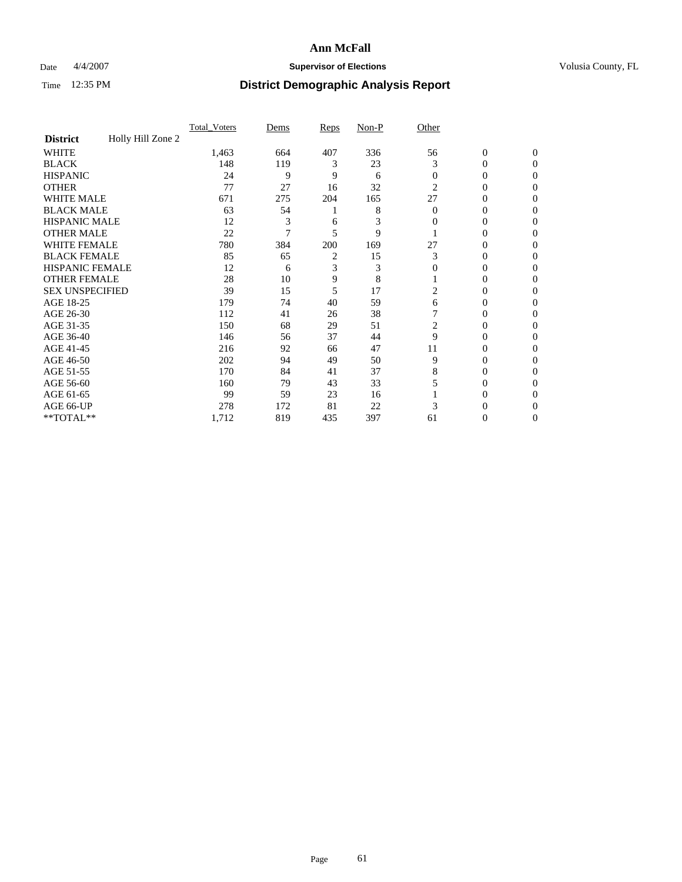### Date  $4/4/2007$  **Supervisor of Elections Supervisor of Elections** Volusia County, FL

|                        |                   | Total Voters | Dems | <b>Reps</b> | Non-P | Other    |                  |              |  |
|------------------------|-------------------|--------------|------|-------------|-------|----------|------------------|--------------|--|
| <b>District</b>        | Holly Hill Zone 2 |              |      |             |       |          |                  |              |  |
| <b>WHITE</b>           |                   | 1,463        | 664  | 407         | 336   | 56       | $\boldsymbol{0}$ | $\mathbf{0}$ |  |
| <b>BLACK</b>           |                   | 148          | 119  | 3           | 23    | 3        | 0                | $\mathbf{0}$ |  |
| <b>HISPANIC</b>        |                   | 24           | 9    | 9           | 6     | $\Omega$ | 0                | $\Omega$     |  |
| <b>OTHER</b>           |                   | 77           | 27   | 16          | 32    | 2        | 0                | $\Omega$     |  |
| <b>WHITE MALE</b>      |                   | 671          | 275  | 204         | 165   | 27       | 0                | 0            |  |
| <b>BLACK MALE</b>      |                   | 63           | 54   |             | 8     | $\Omega$ | 0                | 0            |  |
| <b>HISPANIC MALE</b>   |                   | 12           | 3    | 6           | 3     | 0        | 0                | 0            |  |
| <b>OTHER MALE</b>      |                   | 22           | 7    | 5           | 9     |          | 0                | 0            |  |
| WHITE FEMALE           |                   | 780          | 384  | 200         | 169   | 27       | 0                | 0            |  |
| <b>BLACK FEMALE</b>    |                   | 85           | 65   | 2           | 15    | 3        | 0                | 0            |  |
| <b>HISPANIC FEMALE</b> |                   | 12           | 6    | 3           | 3     | 0        | 0                | $\Omega$     |  |
| <b>OTHER FEMALE</b>    |                   | 28           | 10   | 9           | 8     |          | 0                | $\Omega$     |  |
| <b>SEX UNSPECIFIED</b> |                   | 39           | 15   | 5           | 17    | 2        | 0                | $\Omega$     |  |
| AGE 18-25              |                   | 179          | 74   | 40          | 59    | 6        | 0                | $_{0}$       |  |
| AGE 26-30              |                   | 112          | 41   | 26          | 38    |          | 0                | 0            |  |
| AGE 31-35              |                   | 150          | 68   | 29          | 51    | 2        | 0                | 0            |  |
| AGE 36-40              |                   | 146          | 56   | 37          | 44    | 9        | 0                | 0            |  |
| AGE 41-45              |                   | 216          | 92   | 66          | 47    | 11       | 0                | 0            |  |
| AGE 46-50              |                   | 202          | 94   | 49          | 50    | 9        | 0                | $\Omega$     |  |
| AGE 51-55              |                   | 170          | 84   | 41          | 37    | 8        | 0                | $\Omega$     |  |
| AGE 56-60              |                   | 160          | 79   | 43          | 33    |          | 0                | $\Omega$     |  |
| AGE 61-65              |                   | 99           | 59   | 23          | 16    |          | 0                | 0            |  |
| AGE 66-UP              |                   | 278          | 172  | 81          | 22    |          |                  |              |  |
| **TOTAL**              |                   | 1,712        | 819  | 435         | 397   | 61       | 0                | 0            |  |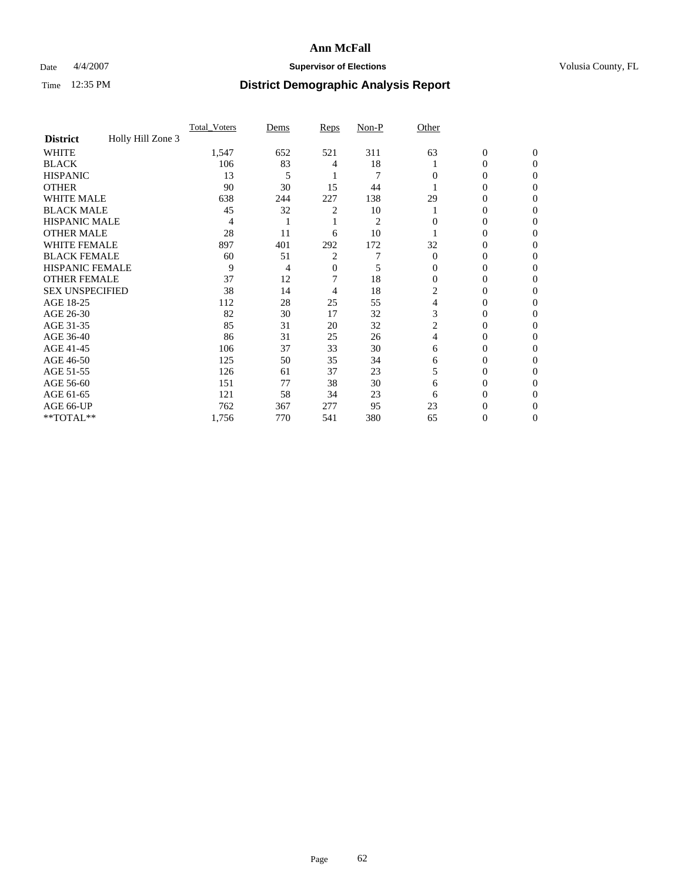### Date  $4/4/2007$  **Supervisor of Elections Supervisor of Elections** Volusia County, FL

|                        |                   | Total Voters | Dems | <b>Reps</b> | Non-P          | Other    |                  |              |  |
|------------------------|-------------------|--------------|------|-------------|----------------|----------|------------------|--------------|--|
| <b>District</b>        | Holly Hill Zone 3 |              |      |             |                |          |                  |              |  |
| <b>WHITE</b>           |                   | 1,547        | 652  | 521         | 311            | 63       | $\boldsymbol{0}$ | $\mathbf{0}$ |  |
| <b>BLACK</b>           |                   | 106          | 83   | 4           | 18             |          | 0                | $\Omega$     |  |
| <b>HISPANIC</b>        |                   | 13           | 5    |             | 7              | 0        | 0                | $\Omega$     |  |
| <b>OTHER</b>           |                   | 90           | 30   | 15          | 44             |          | 0                | $\Omega$     |  |
| <b>WHITE MALE</b>      |                   | 638          | 244  | 227         | 138            | 29       | 0                | 0            |  |
| <b>BLACK MALE</b>      |                   | 45           | 32   | 2           | 10             |          | 0                | 0            |  |
| <b>HISPANIC MALE</b>   |                   | 4            |      |             | $\overline{2}$ |          | 0                | 0            |  |
| <b>OTHER MALE</b>      |                   | 28           | 11   | 6           | 10             |          | 0                | 0            |  |
| WHITE FEMALE           |                   | 897          | 401  | 292         | 172            | 32       | 0                | 0            |  |
| <b>BLACK FEMALE</b>    |                   | 60           | 51   | 2           |                | $\Omega$ | 0                | 0            |  |
| <b>HISPANIC FEMALE</b> |                   | 9            | 4    | 0           | 5              | 0        | 0                | 0            |  |
| <b>OTHER FEMALE</b>    |                   | 37           | 12   |             | 18             | $\Omega$ | 0                | 0            |  |
| <b>SEX UNSPECIFIED</b> |                   | 38           | 14   | 4           | 18             | 2        | 0                | $\Omega$     |  |
| AGE 18-25              |                   | 112          | 28   | 25          | 55             | 4        | 0                | $_{0}$       |  |
| AGE 26-30              |                   | 82           | 30   | 17          | 32             | 3        | 0                | 0            |  |
| AGE 31-35              |                   | 85           | 31   | 20          | 32             |          | 0                | 0            |  |
| AGE 36-40              |                   | 86           | 31   | 25          | 26             | 4        | 0                | 0            |  |
| AGE 41-45              |                   | 106          | 37   | 33          | 30             | 6        | 0                | 0            |  |
| AGE 46-50              |                   | 125          | 50   | 35          | 34             | 6        | 0                | $\Omega$     |  |
| AGE 51-55              |                   | 126          | 61   | 37          | 23             | 5        | 0                | $\Omega$     |  |
| AGE 56-60              |                   | 151          | 77   | 38          | 30             | 6        | 0                | $\Omega$     |  |
| AGE 61-65              |                   | 121          | 58   | 34          | 23             | 6        | 0                | 0            |  |
| AGE 66-UP              |                   | 762          | 367  | 277         | 95             | 23       |                  |              |  |
| **TOTAL**              |                   | 1,756        | 770  | 541         | 380            | 65       | 0                | 0            |  |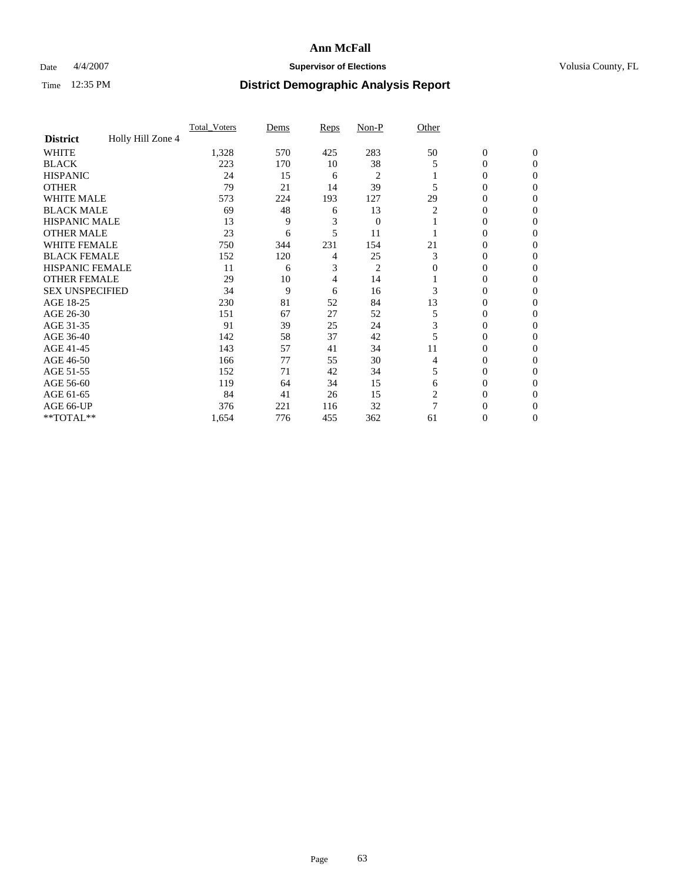### Date  $4/4/2007$  **Supervisor of Elections Supervisor of Elections** Volusia County, FL

|                        |                   | <b>Total Voters</b> | Dems | Reps | Non-P          | Other |                  |              |  |
|------------------------|-------------------|---------------------|------|------|----------------|-------|------------------|--------------|--|
| <b>District</b>        | Holly Hill Zone 4 |                     |      |      |                |       |                  |              |  |
| <b>WHITE</b>           |                   | 1,328               | 570  | 425  | 283            | 50    | $\boldsymbol{0}$ | $\mathbf{0}$ |  |
| <b>BLACK</b>           |                   | 223                 | 170  | 10   | 38             | 5     | 0                | $\mathbf{0}$ |  |
| <b>HISPANIC</b>        |                   | 24                  | 15   | 6    | $\overline{2}$ |       | 0                | $\mathbf{0}$ |  |
| <b>OTHER</b>           |                   | 79                  | 21   | 14   | 39             |       | 0                | $\theta$     |  |
| <b>WHITE MALE</b>      |                   | 573                 | 224  | 193  | 127            | 29    | 0                | 0            |  |
| <b>BLACK MALE</b>      |                   | 69                  | 48   | 6    | 13             | 2     | 0                | 0            |  |
| <b>HISPANIC MALE</b>   |                   | 13                  | 9    | 3    | $\overline{0}$ |       | 0                | 0            |  |
| <b>OTHER MALE</b>      |                   | 23                  | 6    | 5    | 11             |       | 0                | 0            |  |
| WHITE FEMALE           |                   | 750                 | 344  | 231  | 154            | 21    | 0                | 0            |  |
| <b>BLACK FEMALE</b>    |                   | 152                 | 120  | 4    | 25             | 3     | 0                | 0            |  |
| <b>HISPANIC FEMALE</b> |                   | 11                  | 6    | 3    | $\overline{2}$ | 0     | 0                | $\Omega$     |  |
| <b>OTHER FEMALE</b>    |                   | 29                  | 10   | 4    | 14             |       | 0                | $\theta$     |  |
| <b>SEX UNSPECIFIED</b> |                   | 34                  | 9    | 6    | 16             | 3     | 0                | $\theta$     |  |
| AGE 18-25              |                   | 230                 | 81   | 52   | 84             | 13    | 0                | $_{0}$       |  |
| AGE 26-30              |                   | 151                 | 67   | 27   | 52             | 5     | 0                | 0            |  |
| AGE 31-35              |                   | 91                  | 39   | 25   | 24             | 3     | 0                | 0            |  |
| AGE 36-40              |                   | 142                 | 58   | 37   | 42             |       | 0                | 0            |  |
| AGE 41-45              |                   | 143                 | 57   | 41   | 34             | 11    | 0                | 0            |  |
| AGE 46-50              |                   | 166                 | 77   | 55   | 30             | 4     | 0                | $\mathbf{0}$ |  |
| AGE 51-55              |                   | 152                 | 71   | 42   | 34             | 5     | 0                | $\Omega$     |  |
| AGE 56-60              |                   | 119                 | 64   | 34   | 15             | 6     | 0                | $\theta$     |  |
| AGE 61-65              |                   | 84                  | 41   | 26   | 15             | 2     | 0                | 0            |  |
| AGE 66-UP              |                   | 376                 | 221  | 116  | 32             |       | 0                |              |  |
| **TOTAL**              |                   | 1,654               | 776  | 455  | 362            | 61    | 0                | 0            |  |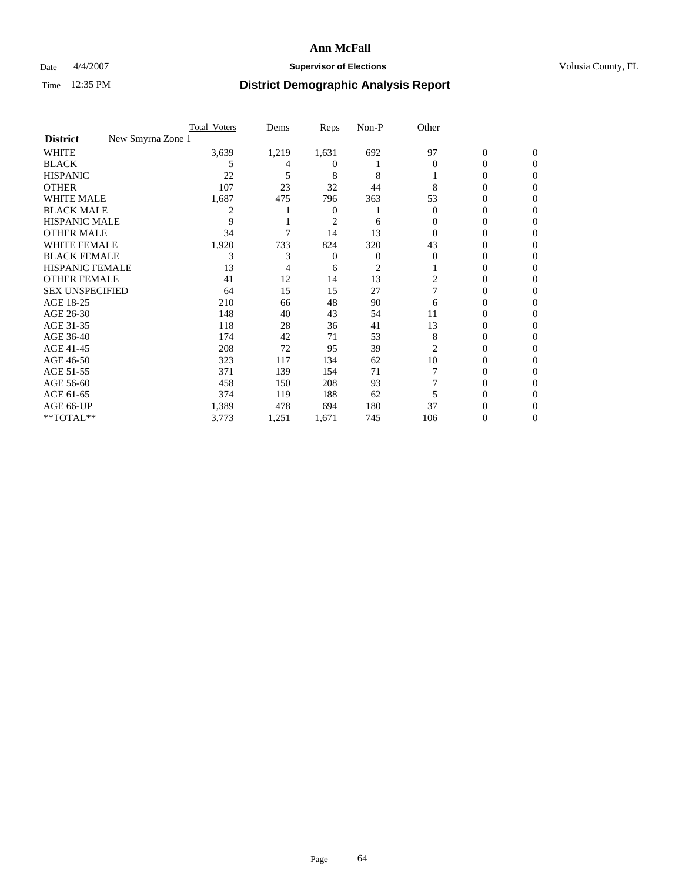### Date  $4/4/2007$  **Supervisor of Elections Supervisor of Elections** Volusia County, FL

|                                      | <b>Total Voters</b> | Dems  | Reps           | Non-P          | Other    |                  |              |  |
|--------------------------------------|---------------------|-------|----------------|----------------|----------|------------------|--------------|--|
| New Smyrna Zone 1<br><b>District</b> |                     |       |                |                |          |                  |              |  |
| <b>WHITE</b>                         | 3,639               | 1,219 | 1,631          | 692            | 97       | $\boldsymbol{0}$ | $\mathbf{0}$ |  |
| <b>BLACK</b>                         | 5                   |       | $_{0}$         |                | $\Omega$ | 0                | $\Omega$     |  |
| <b>HISPANIC</b>                      | 22                  | 5     | 8              | 8              |          | 0                | $\theta$     |  |
| <b>OTHER</b>                         | 107                 | 23    | 32             | 44             | 8        | 0                | 0            |  |
| <b>WHITE MALE</b>                    | 1,687               | 475   | 796            | 363            | 53       | 0                |              |  |
| <b>BLACK MALE</b>                    | 2                   |       | 0              |                | 0        | 0                | 0            |  |
| <b>HISPANIC MALE</b>                 | 9                   |       | $\overline{c}$ | 6              |          | 0                |              |  |
| <b>OTHER MALE</b>                    | 34                  |       | 14             | 13             | 0        | 0                | 0            |  |
| WHITE FEMALE                         | 1,920               | 733   | 824            | 320            | 43       | 0                | 0            |  |
| <b>BLACK FEMALE</b>                  | 3                   | 3     | 0              | 0              | $\Omega$ | 0                | 0            |  |
| <b>HISPANIC FEMALE</b>               | 13                  |       | 6              | $\overline{c}$ |          | 0                | 0            |  |
| <b>OTHER FEMALE</b>                  | 41                  | 12    | 14             | 13             | 2        | 0                | 0            |  |
| <b>SEX UNSPECIFIED</b>               | 64                  | 15    | 15             | 27             |          | 0                | 0            |  |
| AGE 18-25                            | 210                 | 66    | 48             | 90             | 6        | 0                |              |  |
| AGE 26-30                            | 148                 | 40    | 43             | 54             | 11       | 0                | $\theta$     |  |
| AGE 31-35                            | 118                 | 28    | 36             | 41             | 13       | 0                |              |  |
| AGE 36-40                            | 174                 | 42    | 71             | 53             | 8        | 0                | 0            |  |
| AGE 41-45                            | 208                 | 72    | 95             | 39             | 2        | 0                | 0            |  |
| AGE 46-50                            | 323                 | 117   | 134            | 62             | 10       | 0                | 0            |  |
| AGE 51-55                            | 371                 | 139   | 154            | 71             |          | 0                | $\theta$     |  |
| AGE 56-60                            | 458                 | 150   | 208            | 93             |          | 0                | 0            |  |
| AGE 61-65                            | 374                 | 119   | 188            | 62             |          | 0                |              |  |
| AGE 66-UP                            | 1,389               | 478   | 694            | 180            | 37       |                  |              |  |
| **TOTAL**                            | 3,773               | 1,251 | 1,671          | 745            | 106      | 0                | 0            |  |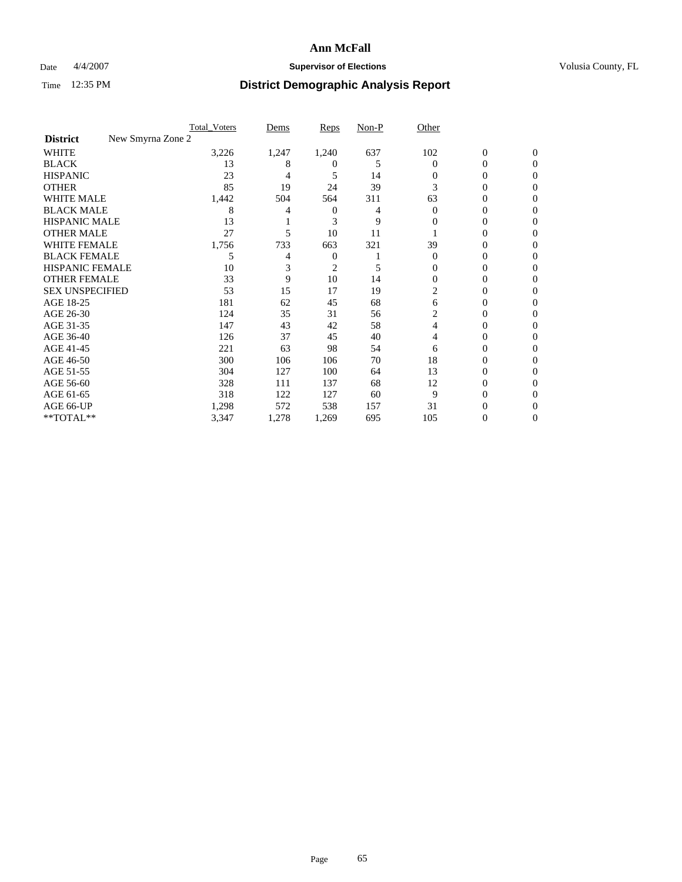### Date  $4/4/2007$  **Supervisor of Elections Supervisor of Elections** Volusia County, FL

|                                      | <b>Total Voters</b> | Dems  | Reps           | Non-P | Other    |                  |              |  |
|--------------------------------------|---------------------|-------|----------------|-------|----------|------------------|--------------|--|
| New Smyrna Zone 2<br><b>District</b> |                     |       |                |       |          |                  |              |  |
| <b>WHITE</b>                         | 3,226               | 1,247 | 1,240          | 637   | 102      | $\boldsymbol{0}$ | $\mathbf{0}$ |  |
| <b>BLACK</b>                         | 13                  | 8     | $^{(1)}$       | 5     | $\Omega$ | 0                | $\mathbf{0}$ |  |
| <b>HISPANIC</b>                      | 23                  | 4     | 5              | 14    | 0        | 0                | $\Omega$     |  |
| <b>OTHER</b>                         | 85                  | 19    | 24             | 39    | 3        | 0                | $\theta$     |  |
| <b>WHITE MALE</b>                    | 1,442               | 504   | 564            | 311   | 63       | 0                | 0            |  |
| <b>BLACK MALE</b>                    | 8                   |       | 0              | 4     | $\Omega$ | 0                | 0            |  |
| <b>HISPANIC MALE</b>                 | 13                  |       | 3              | 9     | 0        | 0                |              |  |
| <b>OTHER MALE</b>                    | 27                  | 5     | 10             | 11    |          | 0                | 0            |  |
| WHITE FEMALE                         | 1,756               | 733   | 663            | 321   | 39       | 0                | 0            |  |
| <b>BLACK FEMALE</b>                  | 5                   | 4     | 0              |       | $\Omega$ | 0                | 0            |  |
| <b>HISPANIC FEMALE</b>               | 10                  |       | $\overline{c}$ | 5     | 0        | 0                | $\Omega$     |  |
| <b>OTHER FEMALE</b>                  | 33                  | 9     | 10             | 14    | $\Omega$ | 0                | $\theta$     |  |
| <b>SEX UNSPECIFIED</b>               | 53                  | 15    | 17             | 19    | 2        | 0                | $\theta$     |  |
| AGE 18-25                            | 181                 | 62    | 45             | 68    | 6        | 0                |              |  |
| AGE 26-30                            | 124                 | 35    | 31             | 56    | 2        | 0                | 0            |  |
| AGE 31-35                            | 147                 | 43    | 42             | 58    | 4        | 0                |              |  |
| AGE 36-40                            | 126                 | 37    | 45             | 40    | 4        | 0                | 0            |  |
| AGE 41-45                            | 221                 | 63    | 98             | 54    | 6        | 0                | 0            |  |
| AGE 46-50                            | 300                 | 106   | 106            | 70    | 18       | 0                | $\Omega$     |  |
| AGE 51-55                            | 304                 | 127   | 100            | 64    | 13       | 0                | $\theta$     |  |
| AGE 56-60                            | 328                 | 111   | 137            | 68    | 12       | 0                | $\theta$     |  |
| AGE 61-65                            | 318                 | 122   | 127            | 60    | 9        | 0                | 0            |  |
| AGE 66-UP                            | 1,298               | 572   | 538            | 157   | 31       | 0                |              |  |
| **TOTAL**                            | 3,347               | 1,278 | 1,269          | 695   | 105      | 0                | 0            |  |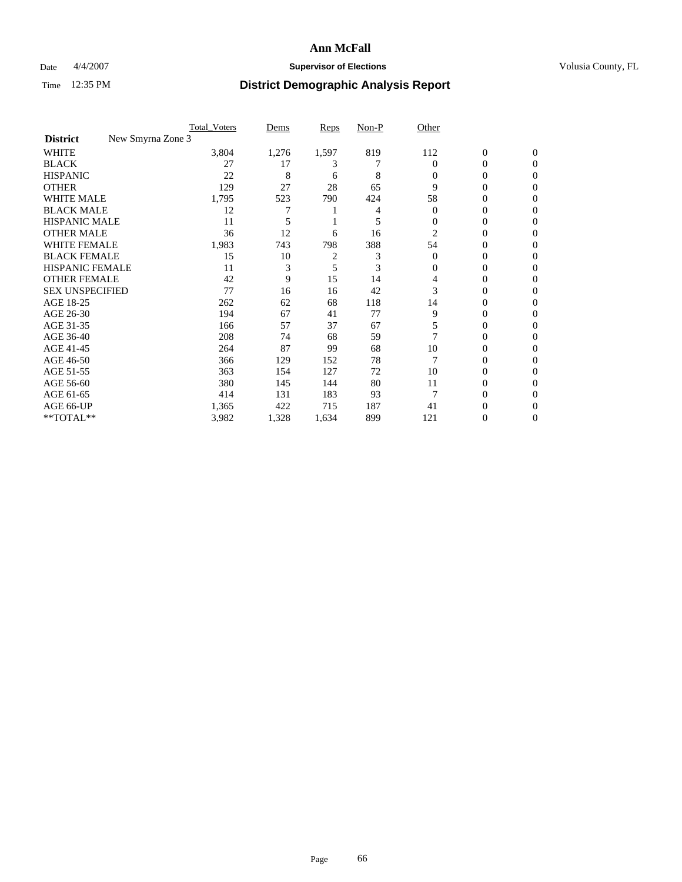### Date  $4/4/2007$  **Supervisor of Elections Supervisor of Elections** Volusia County, FL

|                                      | <b>Total Voters</b> | Dems  | Reps           | Non-P | Other    |                  |              |  |
|--------------------------------------|---------------------|-------|----------------|-------|----------|------------------|--------------|--|
| New Smyrna Zone 3<br><b>District</b> |                     |       |                |       |          |                  |              |  |
| <b>WHITE</b>                         | 3,804               | 1,276 | 1,597          | 819   | 112      | $\boldsymbol{0}$ | $\mathbf{0}$ |  |
| <b>BLACK</b>                         | 27                  | 17    | 3              |       | $\Omega$ | 0                | $\mathbf{0}$ |  |
| <b>HISPANIC</b>                      | 22                  | 8     | 6              | 8     | 0        | 0                | $\Omega$     |  |
| <b>OTHER</b>                         | 129                 | 27    | 28             | 65    | 9        | $\overline{0}$   | $\theta$     |  |
| <b>WHITE MALE</b>                    | 1,795               | 523   | 790            | 424   | 58       | 0                | 0            |  |
| <b>BLACK MALE</b>                    | 12                  | 7     |                | 4     | $\Omega$ | 0                | 0            |  |
| <b>HISPANIC MALE</b>                 | 11                  |       |                | 5     | 0        | 0                |              |  |
| <b>OTHER MALE</b>                    | 36                  | 12    | 6              | 16    | 2        | 0                | 0            |  |
| WHITE FEMALE                         | 1,983               | 743   | 798            | 388   | 54       | 0                | 0            |  |
| <b>BLACK FEMALE</b>                  | 15                  | 10    | $\overline{c}$ | 3     | $\Omega$ | 0                | 0            |  |
| <b>HISPANIC FEMALE</b>               | 11                  | 3     | 5              | 3     | 0        | 0                | $\Omega$     |  |
| <b>OTHER FEMALE</b>                  | 42                  | 9     | 15             | 14    | 4        | 0                | $\theta$     |  |
| <b>SEX UNSPECIFIED</b>               | 77                  | 16    | 16             | 42    | 3        | 0                | $\theta$     |  |
| AGE 18-25                            | 262                 | 62    | 68             | 118   | 14       | 0                | $_{0}$       |  |
| AGE 26-30                            | 194                 | 67    | 41             | 77    | 9        | 0                | 0            |  |
| AGE 31-35                            | 166                 | 57    | 37             | 67    | 5        | 0                | 0            |  |
| AGE 36-40                            | 208                 | 74    | 68             | 59    |          | 0                | 0            |  |
| AGE 41-45                            | 264                 | 87    | 99             | 68    | 10       | 0                | 0            |  |
| AGE 46-50                            | 366                 | 129   | 152            | 78    |          | 0                | $\Omega$     |  |
| AGE 51-55                            | 363                 | 154   | 127            | 72    | 10       | 0                | $\theta$     |  |
| AGE 56-60                            | 380                 | 145   | 144            | 80    | 11       | 0                | $\theta$     |  |
| AGE 61-65                            | 414                 | 131   | 183            | 93    | 7        | 0                | 0            |  |
| AGE 66-UP                            | 1,365               | 422   | 715            | 187   | 41       | 0                |              |  |
| **TOTAL**                            | 3,982               | 1,328 | 1,634          | 899   | 121      | 0                | 0            |  |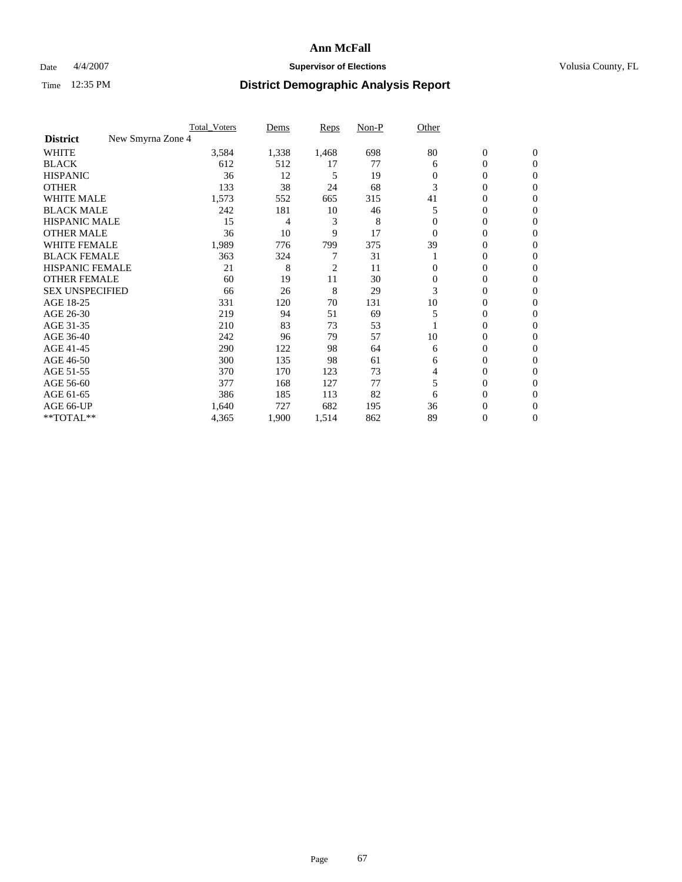### Date  $4/4/2007$  **Supervisor of Elections Supervisor of Elections** Volusia County, FL

|                                      | Total Voters | Dems  | <b>Reps</b> | Non-P | Other    |                  |                |  |
|--------------------------------------|--------------|-------|-------------|-------|----------|------------------|----------------|--|
| New Smyrna Zone 4<br><b>District</b> |              |       |             |       |          |                  |                |  |
| <b>WHITE</b>                         | 3,584        | 1,338 | 1,468       | 698   | 80       | $\boldsymbol{0}$ | $\mathbf{0}$   |  |
| <b>BLACK</b>                         | 612          | 512   | 17          | 77    | 6        | 0                | $\mathbf{0}$   |  |
| <b>HISPANIC</b>                      | 36           | 12    | 5           | 19    | 0        | 0                | $\overline{0}$ |  |
| <b>OTHER</b>                         | 133          | 38    | 24          | 68    | 3        | $\overline{0}$   | $\Omega$       |  |
| <b>WHITE MALE</b>                    | 1,573        | 552   | 665         | 315   | 41       | 0                | $\Omega$       |  |
| <b>BLACK MALE</b>                    | 242          | 181   | 10          | 46    | 5        | 0                | $\Omega$       |  |
| <b>HISPANIC MALE</b>                 | 15           | 4     | 3           | 8     |          | 0                | 0              |  |
| <b>OTHER MALE</b>                    | 36           | 10    | 9           | 17    | $\Omega$ | 0                | 0              |  |
| WHITE FEMALE                         | 1,989        | 776   | 799         | 375   | 39       | 0                | 0              |  |
| <b>BLACK FEMALE</b>                  | 363          | 324   |             | 31    |          | 0                | $\mathbf{0}$   |  |
| <b>HISPANIC FEMALE</b>               | 21           | 8     | 2           | 11    | 0        | 0                | $\Omega$       |  |
| <b>OTHER FEMALE</b>                  | 60           | 19    | 11          | 30    | $\Omega$ | 0                | $\Omega$       |  |
| <b>SEX UNSPECIFIED</b>               | 66           | 26    | 8           | 29    | 3        | 0                | $\Omega$       |  |
| AGE 18-25                            | 331          | 120   | 70          | 131   | 10       | 0                | 0              |  |
| AGE 26-30                            | 219          | 94    | 51          | 69    | 5        | 0                | $\Omega$       |  |
| AGE 31-35                            | 210          | 83    | 73          | 53    |          | 0                | 0              |  |
| AGE 36-40                            | 242          | 96    | 79          | 57    | 10       | 0                | 0              |  |
| AGE 41-45                            | 290          | 122   | 98          | 64    | 6        | 0                | 0              |  |
| AGE 46-50                            | 300          | 135   | 98          | 61    | 6        | 0                | $\overline{0}$ |  |
| AGE 51-55                            | 370          | 170   | 123         | 73    | 4        | 0                | $\Omega$       |  |
| AGE 56-60                            | 377          | 168   | 127         | 77    | 5        | 0                | $\Omega$       |  |
| AGE 61-65                            | 386          | 185   | 113         | 82    | 6        | 0                | 0              |  |
| AGE 66-UP                            | 1,640        | 727   | 682         | 195   | 36       | 0                | $_{0}$         |  |
| **TOTAL**                            | 4,365        | 1,900 | 1,514       | 862   | 89       | 0                | $\overline{0}$ |  |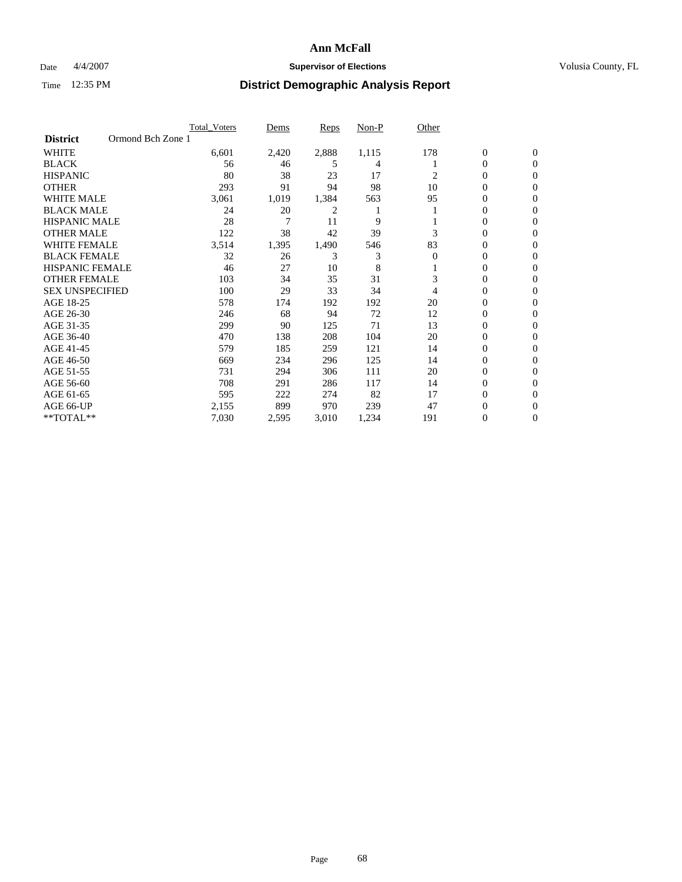### Date  $4/4/2007$  **Supervisor of Elections Supervisor of Elections** Volusia County, FL

|                        | <b>Total Voters</b> | Dems  | <b>Reps</b> | Non-P | Other    |                  |                |  |
|------------------------|---------------------|-------|-------------|-------|----------|------------------|----------------|--|
| <b>District</b>        | Ormond Bch Zone 1   |       |             |       |          |                  |                |  |
| <b>WHITE</b>           | 6,601               | 2,420 | 2,888       | 1,115 | 178      | $\boldsymbol{0}$ | $\mathbf{0}$   |  |
| <b>BLACK</b>           | 56                  | 46    | 5           | 4     |          | 0                | $\mathbf{0}$   |  |
| <b>HISPANIC</b>        | 80                  | 38    | 23          | 17    | 2        | 0                | $\overline{0}$ |  |
| <b>OTHER</b>           | 293                 | 91    | 94          | 98    | 10       | 0                | $\overline{0}$ |  |
| <b>WHITE MALE</b>      | 3,061               | 1,019 | 1,384       | 563   | 95       | 0                | $\overline{0}$ |  |
| <b>BLACK MALE</b>      | 24                  | 20    | 2           |       |          | 0                | $\overline{0}$ |  |
| <b>HISPANIC MALE</b>   | 28                  | 7     | 11          | 9     |          | 0                | $\Omega$       |  |
| <b>OTHER MALE</b>      | 122                 | 38    | 42          | 39    | 3        | 0                | 0              |  |
| <b>WHITE FEMALE</b>    | 3,514               | 1,395 | 1,490       | 546   | 83       | 0                | $\Omega$       |  |
| <b>BLACK FEMALE</b>    | 32                  | 26    | 3           | 3     | $\Omega$ | 0                | $\mathbf{0}$   |  |
| <b>HISPANIC FEMALE</b> | 46                  | 27    | 10          | 8     |          | 0                | $\overline{0}$ |  |
| <b>OTHER FEMALE</b>    | 103                 | 34    | 35          | 31    | 3        | 0                | $\overline{0}$ |  |
| <b>SEX UNSPECIFIED</b> | 100                 | 29    | 33          | 34    | 4        | 0                | $\overline{0}$ |  |
| AGE 18-25              | 578                 | 174   | 192         | 192   | 20       | 0                | 0              |  |
| AGE 26-30              | 246                 | 68    | 94          | 72    | 12       | 0                | $\Omega$       |  |
| AGE 31-35              | 299                 | 90    | 125         | 71    | 13       | 0                | 0              |  |
| AGE 36-40              | 470                 | 138   | 208         | 104   | 20       | 0                | $\overline{0}$ |  |
| AGE 41-45              | 579                 | 185   | 259         | 121   | 14       | 0                | $\overline{0}$ |  |
| AGE 46-50              | 669                 | 234   | 296         | 125   | 14       | 0                | $\overline{0}$ |  |
| AGE 51-55              | 731                 | 294   | 306         | 111   | 20       | 0                | $\overline{0}$ |  |
| AGE 56-60              | 708                 | 291   | 286         | 117   | 14       | 0                | $\overline{0}$ |  |
| AGE 61-65              | 595                 | 222   | 274         | 82    | 17       | 0                | $\Omega$       |  |
| AGE 66-UP              | 2,155               | 899   | 970         | 239   | 47       | 0                | 0              |  |
| **TOTAL**              | 7,030               | 2,595 | 3,010       | 1,234 | 191      | 0                | 0              |  |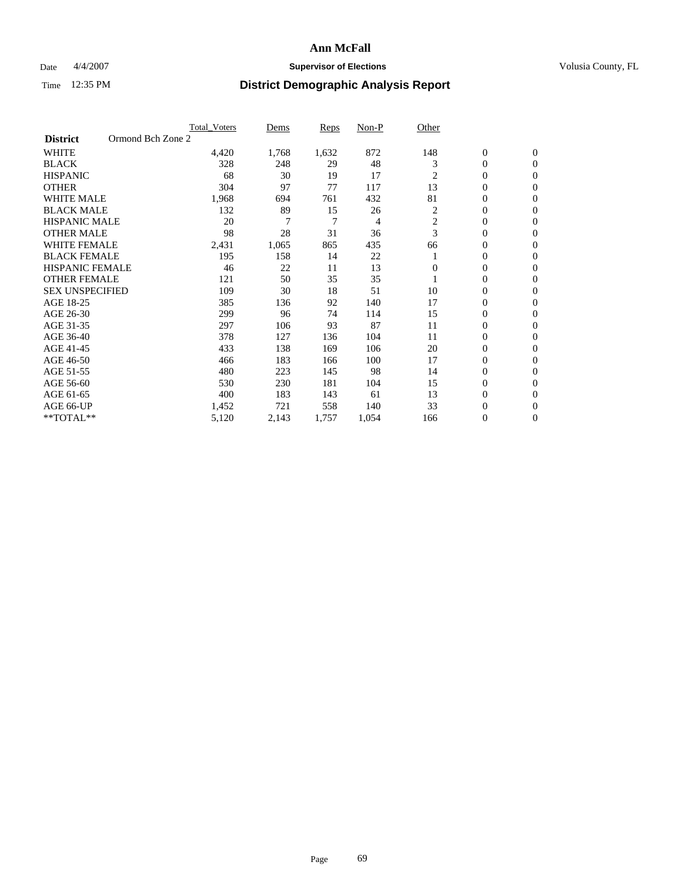### Date  $4/4/2007$  **Supervisor of Elections Supervisor of Elections** Volusia County, FL

|                                      | <b>Total_Voters</b> | Dems  | <b>Reps</b> | Non-P | Other          |                  |                  |  |
|--------------------------------------|---------------------|-------|-------------|-------|----------------|------------------|------------------|--|
| Ormond Bch Zone 2<br><b>District</b> |                     |       |             |       |                |                  |                  |  |
| <b>WHITE</b>                         | 4,420               | 1,768 | 1,632       | 872   | 148            | $\boldsymbol{0}$ | $\mathbf{0}$     |  |
| <b>BLACK</b>                         | 328                 | 248   | 29          | 48    | 3              | $\overline{0}$   | $\mathbf{0}$     |  |
| <b>HISPANIC</b>                      | 68                  | 30    | 19          | 17    | 2              | $\overline{0}$   | $\mathbf{0}$     |  |
| <b>OTHER</b>                         | 304                 | 97    | 77          | 117   | 13             | 0                | $\overline{0}$   |  |
| <b>WHITE MALE</b>                    | 1,968               | 694   | 761         | 432   | 81             | 0                | $\mathbf{0}$     |  |
| <b>BLACK MALE</b>                    | 132                 | 89    | 15          | 26    | 2              | 0                | $\mathbf{0}$     |  |
| <b>HISPANIC MALE</b>                 | 20                  | 7     | 7           | 4     | $\overline{c}$ | 0                | $\Omega$         |  |
| <b>OTHER MALE</b>                    | 98                  | 28    | 31          | 36    | 3              | 0                | $\mathbf{0}$     |  |
| <b>WHITE FEMALE</b>                  | 2,431               | 1,065 | 865         | 435   | 66             | 0                | $\Omega$         |  |
| <b>BLACK FEMALE</b>                  | 195                 | 158   | 14          | 22    |                | $\overline{0}$   | $\mathbf{0}$     |  |
| <b>HISPANIC FEMALE</b>               | 46                  | 22    | 11          | 13    | $\Omega$       | 0                | $\mathbf{0}$     |  |
| <b>OTHER FEMALE</b>                  | 121                 | 50    | 35          | 35    |                | 0                | $\mathbf{0}$     |  |
| <b>SEX UNSPECIFIED</b>               | 109                 | 30    | 18          | 51    | 10             | 0                | $\mathbf{0}$     |  |
| AGE 18-25                            | 385                 | 136   | 92          | 140   | 17             | 0                | $\mathbf{0}$     |  |
| AGE 26-30                            | 299                 | 96    | 74          | 114   | 15             | 0                | $\mathbf{0}$     |  |
| AGE 31-35                            | 297                 | 106   | 93          | 87    | 11             | 0                | $\mathbf{0}$     |  |
| AGE 36-40                            | 378                 | 127   | 136         | 104   | 11             | $\overline{0}$   | $\mathbf{0}$     |  |
| AGE 41-45                            | 433                 | 138   | 169         | 106   | 20             | 0                | $\mathbf{0}$     |  |
| AGE 46-50                            | 466                 | 183   | 166         | 100   | 17             | $\overline{0}$   | $\mathbf{0}$     |  |
| AGE 51-55                            | 480                 | 223   | 145         | 98    | 14             | 0                | $\mathbf{0}$     |  |
| AGE 56-60                            | 530                 | 230   | 181         | 104   | 15             | $\boldsymbol{0}$ | $\overline{0}$   |  |
| AGE 61-65                            | 400                 | 183   | 143         | 61    | 13             | 0                | $\mathbf{0}$     |  |
| AGE 66-UP                            | 1,452               | 721   | 558         | 140   | 33             | 0                | 0                |  |
| **TOTAL**                            | 5,120               | 2,143 | 1,757       | 1,054 | 166            | 0                | $\boldsymbol{0}$ |  |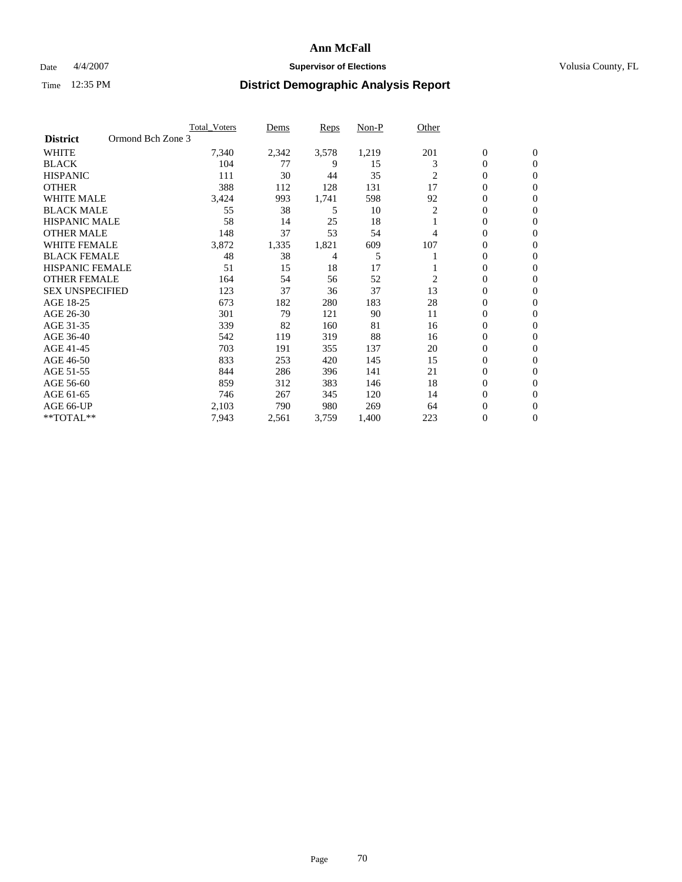### Date  $4/4/2007$  **Supervisor of Elections Supervisor of Elections** Volusia County, FL

|                        | <b>Total Voters</b> | Dems  | Reps  | Non-P | Other          |                  |                  |  |
|------------------------|---------------------|-------|-------|-------|----------------|------------------|------------------|--|
| <b>District</b>        | Ormond Bch Zone 3   |       |       |       |                |                  |                  |  |
| <b>WHITE</b>           | 7,340               | 2,342 | 3,578 | 1,219 | 201            | $\boldsymbol{0}$ | $\mathbf{0}$     |  |
| <b>BLACK</b>           | 104                 | 77    | 9     | 15    | 3              | 0                | $\mathbf{0}$     |  |
| <b>HISPANIC</b>        | 111                 | 30    | 44    | 35    | $\overline{c}$ | 0                | $\mathbf{0}$     |  |
| <b>OTHER</b>           | 388                 | 112   | 128   | 131   | 17             | 0                | $\overline{0}$   |  |
| <b>WHITE MALE</b>      | 3,424               | 993   | 1,741 | 598   | 92             | 0                | $\mathbf{0}$     |  |
| <b>BLACK MALE</b>      | 55                  | 38    | 5     | 10    | 2              | 0                | $\mathbf{0}$     |  |
| <b>HISPANIC MALE</b>   | 58                  | 14    | 25    | 18    |                | 0                | $\Omega$         |  |
| <b>OTHER MALE</b>      | 148                 | 37    | 53    | 54    | 4              | 0                | $\mathbf{0}$     |  |
| <b>WHITE FEMALE</b>    | 3,872               | 1,335 | 1,821 | 609   | 107            | 0                | $\Omega$         |  |
| <b>BLACK FEMALE</b>    | 48                  | 38    | 4     | 5     |                | 0                | $\mathbf{0}$     |  |
| <b>HISPANIC FEMALE</b> | 51                  | 15    | 18    | 17    |                | 0                | $\mathbf{0}$     |  |
| <b>OTHER FEMALE</b>    | 164                 | 54    | 56    | 52    | $\overline{2}$ | 0                | $\mathbf{0}$     |  |
| <b>SEX UNSPECIFIED</b> | 123                 | 37    | 36    | 37    | 13             | 0                | $\mathbf{0}$     |  |
| AGE 18-25              | 673                 | 182   | 280   | 183   | 28             | 0                | $\mathbf{0}$     |  |
| AGE 26-30              | 301                 | 79    | 121   | 90    | 11             | 0                | $\mathbf{0}$     |  |
| AGE 31-35              | 339                 | 82    | 160   | 81    | 16             | 0                | $\mathbf{0}$     |  |
| AGE 36-40              | 542                 | 119   | 319   | 88    | 16             | 0                | $\mathbf{0}$     |  |
| AGE 41-45              | 703                 | 191   | 355   | 137   | 20             | 0                | $\mathbf{0}$     |  |
| AGE 46-50              | 833                 | 253   | 420   | 145   | 15             | 0                | $\mathbf{0}$     |  |
| AGE 51-55              | 844                 | 286   | 396   | 141   | 21             | 0                | $\mathbf{0}$     |  |
| AGE 56-60              | 859                 | 312   | 383   | 146   | 18             | 0                | $\mathbf{0}$     |  |
| AGE 61-65              | 746                 | 267   | 345   | 120   | 14             | 0                | $\mathbf{0}$     |  |
| AGE 66-UP              | 2,103               | 790   | 980   | 269   | 64             | 0                | 0                |  |
| **TOTAL**              | 7,943               | 2,561 | 3,759 | 1,400 | 223            | 0                | $\boldsymbol{0}$ |  |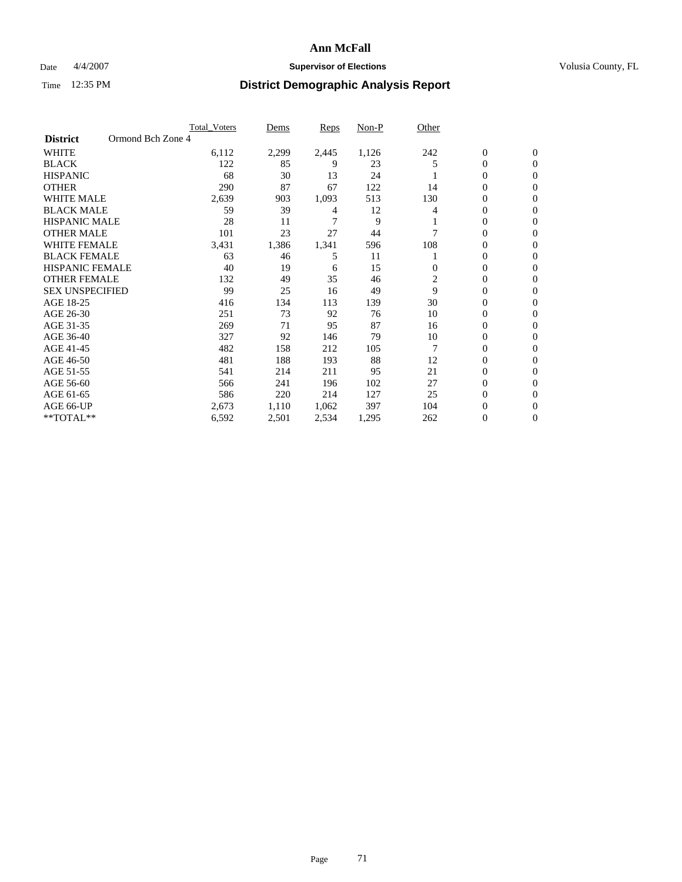### Date  $4/4/2007$  **Supervisor of Elections Supervisor of Elections** Volusia County, FL

|                        |                   | Total Voters | Dems  | <b>Reps</b> | Non-P | Other |                  |                |
|------------------------|-------------------|--------------|-------|-------------|-------|-------|------------------|----------------|
| <b>District</b>        | Ormond Bch Zone 4 |              |       |             |       |       |                  |                |
| <b>WHITE</b>           |                   | 6,112        | 2,299 | 2,445       | 1,126 | 242   | $\boldsymbol{0}$ | $\mathbf{0}$   |
| <b>BLACK</b>           |                   | 122          | 85    | 9           | 23    |       | $\mathbf{0}$     | $\mathbf{0}$   |
| <b>HISPANIC</b>        |                   | 68           | 30    | 13          | 24    |       | 0                | $\mathbf{0}$   |
| <b>OTHER</b>           |                   | 290          | 87    | 67          | 122   | 14    | 0                | $\overline{0}$ |
| WHITE MALE             |                   | 2,639        | 903   | 1,093       | 513   | 130   | 0                | $\mathbf{0}$   |
| <b>BLACK MALE</b>      |                   | 59           | 39    | 4           | 12    | 4     | 0                | $\Omega$       |
| <b>HISPANIC MALE</b>   |                   | 28           | 11    |             | 9     |       | 0                | $\mathbf{0}$   |
| <b>OTHER MALE</b>      |                   | 101          | 23    | 27          | 44    |       | 0                | $\Omega$       |
| WHITE FEMALE           |                   | 3,431        | 1,386 | 1,341       | 596   | 108   | 0                | $\mathbf{0}$   |
| <b>BLACK FEMALE</b>    |                   | 63           | 46    | 5           | 11    |       | 0                | $\mathbf{0}$   |
| <b>HISPANIC FEMALE</b> |                   | 40           | 19    | 6           | 15    | 0     | 0                | $\mathbf{0}$   |
| <b>OTHER FEMALE</b>    |                   | 132          | 49    | 35          | 46    | 2     | 0                | $\mathbf{0}$   |
| <b>SEX UNSPECIFIED</b> |                   | 99           | 25    | 16          | 49    | 9     | 0                | $\mathbf{0}$   |
| AGE 18-25              |                   | 416          | 134   | 113         | 139   | 30    | $\mathbf{0}$     | $\mathbf{0}$   |
| AGE 26-30              |                   | 251          | 73    | 92          | 76    | 10    | 0                | $\mathbf{0}$   |
| AGE 31-35              |                   | 269          | 71    | 95          | 87    | 16    | 0                | $\overline{0}$ |
| AGE 36-40              |                   | 327          | 92    | 146         | 79    | 10    | 0                | $\mathbf{0}$   |
| AGE 41-45              |                   | 482          | 158   | 212         | 105   | 7     | 0                | $\mathbf{0}$   |
| AGE 46-50              |                   | 481          | 188   | 193         | 88    | 12    | $\boldsymbol{0}$ | $\mathbf{0}$   |
| AGE 51-55              |                   | 541          | 214   | 211         | 95    | 21    | 0                | $\mathbf{0}$   |
| AGE 56-60              |                   | 566          | 241   | 196         | 102   | 27    | $\mathbf{0}$     | $\mathbf{0}$   |
| AGE 61-65              |                   | 586          | 220   | 214         | 127   | 25    | 0                | $\mathbf{0}$   |
| AGE 66-UP              |                   | 2,673        | 1,110 | 1,062       | 397   | 104   | 0                | $\mathbf{0}$   |
| **TOTAL**              |                   | 6,592        | 2,501 | 2,534       | 1,295 | 262   | 0                | 0              |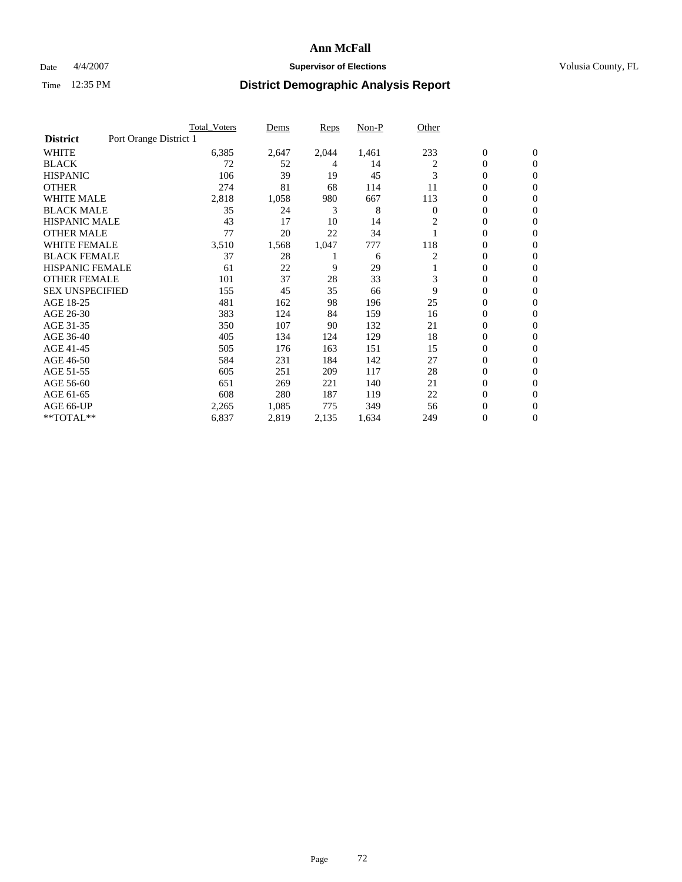### Date  $4/4/2007$  **Supervisor of Elections Supervisor of Elections** Volusia County, FL

|                                           | Total Voters | Dems  | Reps  | Non-P | Other        |                  |                  |  |
|-------------------------------------------|--------------|-------|-------|-------|--------------|------------------|------------------|--|
| Port Orange District 1<br><b>District</b> |              |       |       |       |              |                  |                  |  |
| <b>WHITE</b>                              | 6,385        | 2,647 | 2,044 | 1,461 | 233          | $\boldsymbol{0}$ | $\mathbf{0}$     |  |
| <b>BLACK</b>                              | 72           | 52    | 4     | 14    | 2            | $\overline{0}$   | $\mathbf{0}$     |  |
| <b>HISPANIC</b>                           | 106          | 39    | 19    | 45    | 3            | $\overline{0}$   | $\mathbf{0}$     |  |
| <b>OTHER</b>                              | 274          | 81    | 68    | 114   | 11           | 0                | $\overline{0}$   |  |
| <b>WHITE MALE</b>                         | 2,818        | 1,058 | 980   | 667   | 113          | 0                | $\overline{0}$   |  |
| <b>BLACK MALE</b>                         | 35           | 24    | 3     | 8     | $\mathbf{0}$ | 0                | $\overline{0}$   |  |
| <b>HISPANIC MALE</b>                      | 43           | 17    | 10    | 14    | 2            | 0                | $\Omega$         |  |
| <b>OTHER MALE</b>                         | 77           | 20    | 22    | 34    |              | 0                | $\mathbf{0}$     |  |
| WHITE FEMALE                              | 3,510        | 1,568 | 1,047 | 777   | 118          | 0                | $\Omega$         |  |
| <b>BLACK FEMALE</b>                       | 37           | 28    |       | 6     | 2            | $\overline{0}$   | $\mathbf{0}$     |  |
| <b>HISPANIC FEMALE</b>                    | 61           | 22    | 9     | 29    |              | 0                | $\mathbf{0}$     |  |
| <b>OTHER FEMALE</b>                       | 101          | 37    | 28    | 33    | 3            | 0                | $\mathbf{0}$     |  |
| <b>SEX UNSPECIFIED</b>                    | 155          | 45    | 35    | 66    | 9            | $\boldsymbol{0}$ | $\overline{0}$   |  |
| AGE 18-25                                 | 481          | 162   | 98    | 196   | 25           | 0                | $\overline{0}$   |  |
| AGE 26-30                                 | 383          | 124   | 84    | 159   | 16           | 0                | $\overline{0}$   |  |
| AGE 31-35                                 | 350          | 107   | 90    | 132   | 21           | 0                | $\overline{0}$   |  |
| AGE 36-40                                 | 405          | 134   | 124   | 129   | 18           | $\overline{0}$   | $\mathbf{0}$     |  |
| AGE 41-45                                 | 505          | 176   | 163   | 151   | 15           | 0                | $\mathbf{0}$     |  |
| AGE 46-50                                 | 584          | 231   | 184   | 142   | 27           | $\overline{0}$   | $\mathbf{0}$     |  |
| AGE 51-55                                 | 605          | 251   | 209   | 117   | 28           | 0                | $\mathbf{0}$     |  |
| AGE 56-60                                 | 651          | 269   | 221   | 140   | 21           | $\boldsymbol{0}$ | $\overline{0}$   |  |
| AGE 61-65                                 | 608          | 280   | 187   | 119   | 22           | 0                | $\overline{0}$   |  |
| AGE 66-UP                                 | 2,265        | 1,085 | 775   | 349   | 56           | 0                | 0                |  |
| **TOTAL**                                 | 6,837        | 2,819 | 2,135 | 1,634 | 249          | 0                | $\boldsymbol{0}$ |  |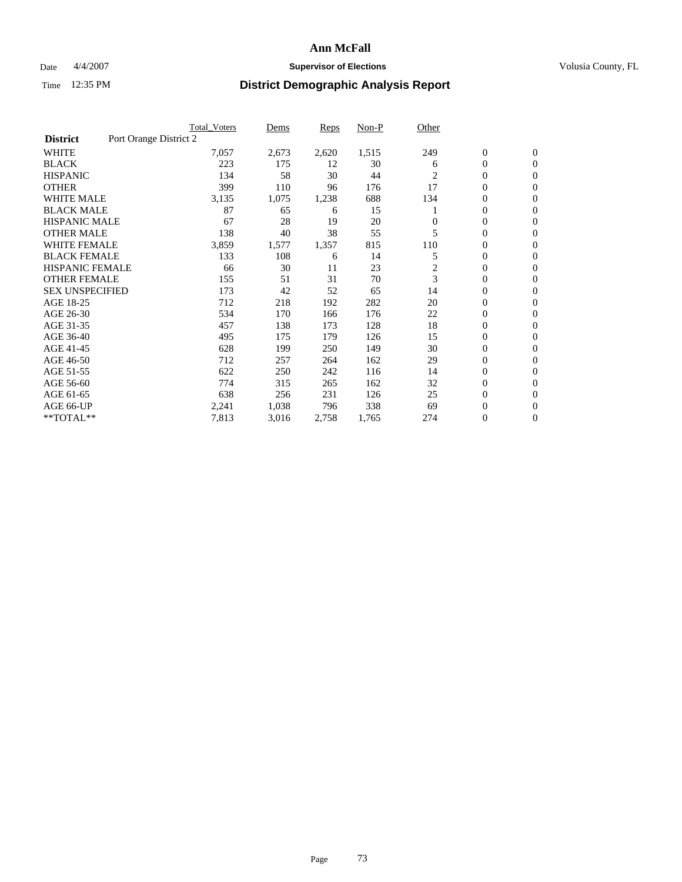## **Ann McFall**

## Date  $4/4/2007$  **Supervisor of Elections Supervisor of Elections** Volusia County, FL

# Time 12:35 PM **District Demographic Analysis Report**

|                        |                        | <b>Total Voters</b> | Dems  | Reps  | Non-P | Other    |                  |                  |
|------------------------|------------------------|---------------------|-------|-------|-------|----------|------------------|------------------|
| <b>District</b>        | Port Orange District 2 |                     |       |       |       |          |                  |                  |
| <b>WHITE</b>           |                        | 7,057               | 2,673 | 2,620 | 1,515 | 249      | $\boldsymbol{0}$ | $\mathbf{0}$     |
| <b>BLACK</b>           |                        | 223                 | 175   | 12    | 30    | 6        | 0                | $\mathbf{0}$     |
| <b>HISPANIC</b>        |                        | 134                 | 58    | 30    | 44    | 2        | 0                | $\mathbf{0}$     |
| <b>OTHER</b>           |                        | 399                 | 110   | 96    | 176   | 17       | 0                | $\mathbf{0}$     |
| <b>WHITE MALE</b>      |                        | 3,135               | 1,075 | 1,238 | 688   | 134      | 0                | $\mathbf{0}$     |
| <b>BLACK MALE</b>      |                        | 87                  | 65    | 6     | 15    |          | 0                | $\mathbf{0}$     |
| <b>HISPANIC MALE</b>   |                        | 67                  | 28    | 19    | 20    | $\Omega$ | 0                | $\mathbf{0}$     |
| <b>OTHER MALE</b>      |                        | 138                 | 40    | 38    | 55    | 5        | $\mathbf{0}$     | $\mathbf{0}$     |
| <b>WHITE FEMALE</b>    |                        | 3,859               | 1,577 | 1,357 | 815   | 110      | 0                | $\mathbf{0}$     |
| <b>BLACK FEMALE</b>    |                        | 133                 | 108   | 6     | 14    | 5        | $\boldsymbol{0}$ | $\mathbf{0}$     |
| <b>HISPANIC FEMALE</b> |                        | 66                  | 30    | 11    | 23    | 2        | 0                | $\mathbf{0}$     |
| <b>OTHER FEMALE</b>    |                        | 155                 | 51    | 31    | 70    | 3        | 0                | $\mathbf{0}$     |
| <b>SEX UNSPECIFIED</b> |                        | 173                 | 42    | 52    | 65    | 14       | 0                | $\mathbf{0}$     |
| AGE 18-25              |                        | 712                 | 218   | 192   | 282   | 20       | 0                | $\mathbf{0}$     |
| AGE 26-30              |                        | 534                 | 170   | 166   | 176   | 22       | $\mathbf{0}$     | $\mathbf{0}$     |
| AGE 31-35              |                        | 457                 | 138   | 173   | 128   | 18       | 0                | $\mathbf{0}$     |
| AGE 36-40              |                        | 495                 | 175   | 179   | 126   | 15       | 0                | $\mathbf{0}$     |
| AGE 41-45              |                        | 628                 | 199   | 250   | 149   | 30       | 0                | $\mathbf{0}$     |
| AGE 46-50              |                        | 712                 | 257   | 264   | 162   | 29       | 0                | $\mathbf{0}$     |
| AGE 51-55              |                        | 622                 | 250   | 242   | 116   | 14       | $\boldsymbol{0}$ | $\boldsymbol{0}$ |
| AGE 56-60              |                        | 774                 | 315   | 265   | 162   | 32       | 0                | $\mathbf{0}$     |
| AGE 61-65              |                        | 638                 | 256   | 231   | 126   | 25       | $\mathbf{0}$     | $\mathbf{0}$     |
| AGE 66-UP              |                        | 2,241               | 1,038 | 796   | 338   | 69       | 0                | $\boldsymbol{0}$ |
| **TOTAL**              |                        | 7,813               | 3,016 | 2,758 | 1,765 | 274      | 0                | $\boldsymbol{0}$ |
|                        |                        |                     |       |       |       |          |                  |                  |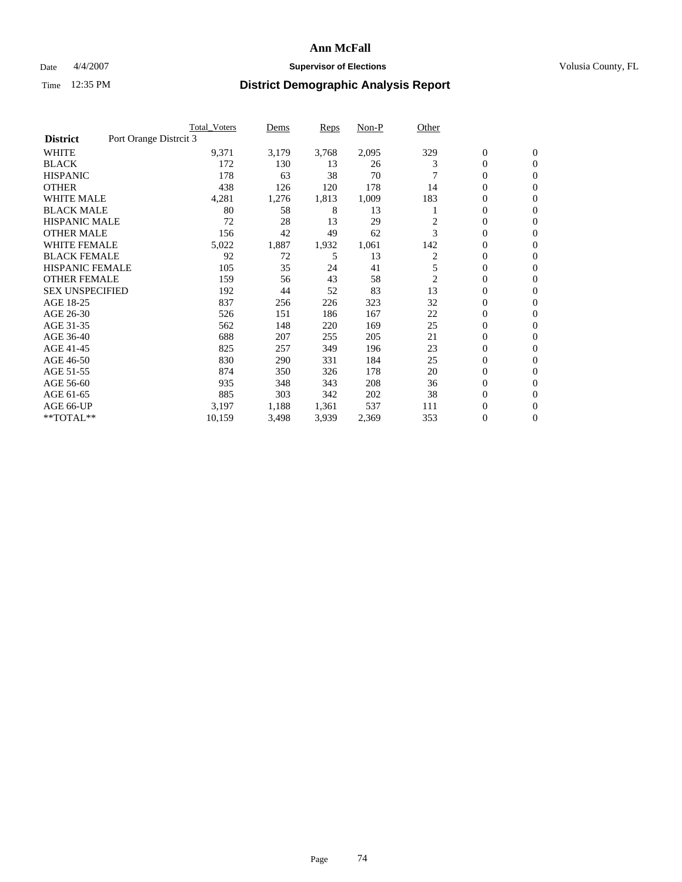## **Ann McFall**

## Date  $4/4/2007$  **Supervisor of Elections Supervisor of Elections** Volusia County, FL

# Time 12:35 PM **District Demographic Analysis Report**

|                        | <b>Total Voters</b>    | Dems  | Reps  | Non-P | Other          |                  |                  |
|------------------------|------------------------|-------|-------|-------|----------------|------------------|------------------|
| <b>District</b>        | Port Orange Distrcit 3 |       |       |       |                |                  |                  |
| <b>WHITE</b>           | 9,371                  | 3,179 | 3,768 | 2,095 | 329            | $\boldsymbol{0}$ | $\mathbf{0}$     |
| <b>BLACK</b>           | 172                    | 130   | 13    | 26    | 3              | 0                | $\mathbf{0}$     |
| <b>HISPANIC</b>        | 178                    | 63    | 38    | 70    |                | 0                | $\mathbf{0}$     |
| <b>OTHER</b>           | 438                    | 126   | 120   | 178   | 14             | 0                | $\mathbf{0}$     |
| <b>WHITE MALE</b>      | 4,281                  | 1,276 | 1,813 | 1,009 | 183            | 0                | $\mathbf{0}$     |
| <b>BLACK MALE</b>      | 80                     | 58    | 8     | 13    |                | 0                | $\mathbf{0}$     |
| <b>HISPANIC MALE</b>   | 72                     | 28    | 13    | 29    | 2              | 0                | $\mathbf{0}$     |
| <b>OTHER MALE</b>      | 156                    | 42    | 49    | 62    | 3              | $\mathbf{0}$     | $\mathbf{0}$     |
| <b>WHITE FEMALE</b>    | 5,022                  | 1,887 | 1,932 | 1,061 | 142            | 0                | $\mathbf{0}$     |
| <b>BLACK FEMALE</b>    | 92                     | 72    | 5     | 13    | 2              | $\boldsymbol{0}$ | $\mathbf{0}$     |
| <b>HISPANIC FEMALE</b> | 105                    | 35    | 24    | 41    | 5              | $\boldsymbol{0}$ | $\mathbf{0}$     |
| <b>OTHER FEMALE</b>    | 159                    | 56    | 43    | 58    | $\overline{c}$ | 0                | $\mathbf{0}$     |
| <b>SEX UNSPECIFIED</b> | 192                    | 44    | 52    | 83    | 13             | $\boldsymbol{0}$ | $\mathbf{0}$     |
| AGE 18-25              | 837                    | 256   | 226   | 323   | 32             | 0                | $\mathbf{0}$     |
| AGE 26-30              | 526                    | 151   | 186   | 167   | 22             | $\mathbf{0}$     | $\mathbf{0}$     |
| AGE 31-35              | 562                    | 148   | 220   | 169   | 25             | 0                | $\mathbf{0}$     |
| AGE 36-40              | 688                    | 207   | 255   | 205   | 21             | 0                | $\mathbf{0}$     |
| AGE 41-45              | 825                    | 257   | 349   | 196   | 23             | 0                | $\mathbf{0}$     |
| AGE 46-50              | 830                    | 290   | 331   | 184   | 25             | 0                | $\mathbf{0}$     |
| AGE 51-55              | 874                    | 350   | 326   | 178   | 20             | $\boldsymbol{0}$ | $\boldsymbol{0}$ |
| AGE 56-60              | 935                    | 348   | 343   | 208   | 36             | 0                | $\mathbf{0}$     |
| AGE 61-65              | 885                    | 303   | 342   | 202   | 38             | $\mathbf{0}$     | $\mathbf{0}$     |
| AGE 66-UP              | 3,197                  | 1,188 | 1,361 | 537   | 111            | 0                | $\boldsymbol{0}$ |
| **TOTAL**              | 10,159                 | 3,498 | 3,939 | 2,369 | 353            | 0                | $\boldsymbol{0}$ |
|                        |                        |       |       |       |                |                  |                  |